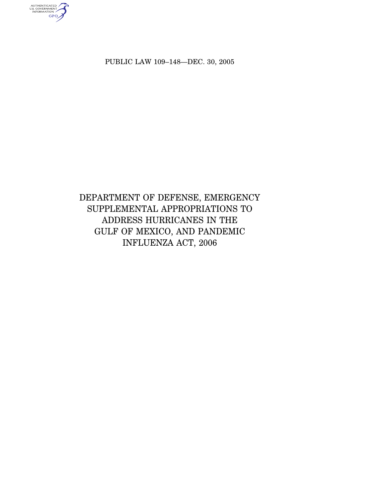PUBLIC LAW 109–148—DEC. 30, 2005

AUTHENTICATED<br>U.S. GOVERNMENT<br>INFORMATION

DEPARTMENT OF DEFENSE, EMERGENCY SUPPLEMENTAL APPROPRIATIONS TO ADDRESS HURRICANES IN THE GULF OF MEXICO, AND PANDEMIC INFLUENZA ACT, 2006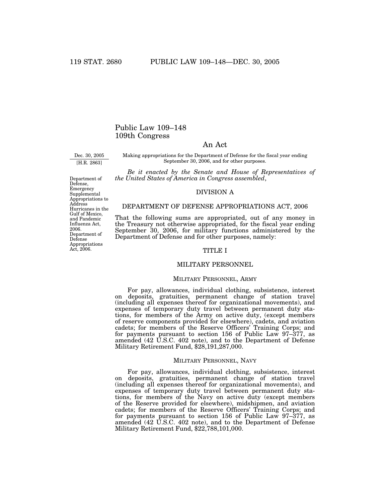# Public Law 109–148 109th Congress

# An Act

Dec. 30, 2005

[H.R. 2863]

Making appropriations for the Department of Defense for the fiscal year ending September 30, 2006, and for other purposes.

*Be it enacted by the Senate and House of Representatives of the United States of America in Congress assembled*,

## DIVISION A

#### DEPARTMENT OF DEFENSE APPROPRIATIONS ACT, 2006

That the following sums are appropriated, out of any money in the Treasury not otherwise appropriated, for the fiscal year ending September 30, 2006, for military functions administered by the Department of Defense and for other purposes, namely:

## TITLE I

## MILITARY PERSONNEL

#### MILITARY PERSONNEL, ARMY

For pay, allowances, individual clothing, subsistence, interest on deposits, gratuities, permanent change of station travel (including all expenses thereof for organizational movements), and expenses of temporary duty travel between permanent duty stations, for members of the Army on active duty, (except members of reserve components provided for elsewhere), cadets, and aviation cadets; for members of the Reserve Officers' Training Corps; and for payments pursuant to section 156 of Public Law 97–377, as amended (42 U.S.C. 402 note), and to the Department of Defense Military Retirement Fund, \$28,191,287,000.

#### MILITARY PERSONNEL, NAVY

For pay, allowances, individual clothing, subsistence, interest on deposits, gratuities, permanent change of station travel (including all expenses thereof for organizational movements), and expenses of temporary duty travel between permanent duty stations, for members of the Navy on active duty (except members of the Reserve provided for elsewhere), midshipmen, and aviation cadets; for members of the Reserve Officers' Training Corps; and for payments pursuant to section 156 of Public Law 97–377, as amended (42 U.S.C. 402 note), and to the Department of Defense Military Retirement Fund, \$22,788,101,000.

Department of Defense, Emergency Supplemental Appropriations to Address Hurricanes in the Gulf of Mexico, and Pandemic Influenza Act, 2006. Department of Defense Appropriations Act, 2006.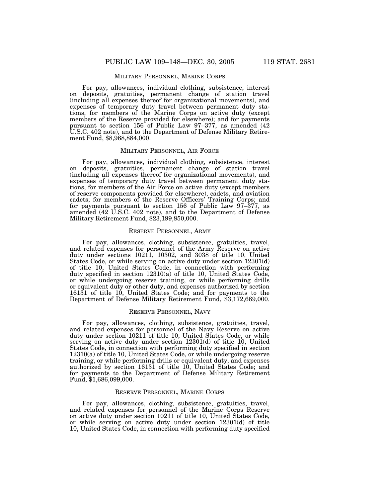#### MILITARY PERSONNEL, MARINE CORPS

For pay, allowances, individual clothing, subsistence, interest on deposits, gratuities, permanent change of station travel (including all expenses thereof for organizational movements), and expenses of temporary duty travel between permanent duty stations, for members of the Marine Corps on active duty (except members of the Reserve provided for elsewhere); and for payments pursuant to section 156 of Public Law 97–377, as amended (42 U.S.C. 402 note), and to the Department of Defense Military Retirement Fund, \$8,968,884,000.

### MILITARY PERSONNEL, AIR FORCE

For pay, allowances, individual clothing, subsistence, interest on deposits, gratuities, permanent change of station travel (including all expenses thereof for organizational movements), and expenses of temporary duty travel between permanent duty stations, for members of the Air Force on active duty (except members of reserve components provided for elsewhere), cadets, and aviation cadets; for members of the Reserve Officers' Training Corps; and for payments pursuant to section 156 of Public Law 97–377, as amended (42 U.S.C. 402 note), and to the Department of Defense Military Retirement Fund, \$23,199,850,000.

### RESERVE PERSONNEL, ARMY

For pay, allowances, clothing, subsistence, gratuities, travel, and related expenses for personnel of the Army Reserve on active duty under sections 10211, 10302, and 3038 of title 10, United States Code, or while serving on active duty under section 12301(d) of title 10, United States Code, in connection with performing duty specified in section 12310(a) of title 10, United States Code, or while undergoing reserve training, or while performing drills or equivalent duty or other duty, and expenses authorized by section 16131 of title 10, United States Code; and for payments to the Department of Defense Military Retirement Fund, \$3,172,669,000.

## RESERVE PERSONNEL, NAVY

For pay, allowances, clothing, subsistence, gratuities, travel, and related expenses for personnel of the Navy Reserve on active duty under section 10211 of title 10, United States Code, or while serving on active duty under section 12301(d) of title 10, United States Code, in connection with performing duty specified in section 12310(a) of title 10, United States Code, or while undergoing reserve training, or while performing drills or equivalent duty, and expenses authorized by section 16131 of title 10, United States Code; and for payments to the Department of Defense Military Retirement Fund, \$1,686,099,000.

#### RESERVE PERSONNEL, MARINE CORPS

For pay, allowances, clothing, subsistence, gratuities, travel, and related expenses for personnel of the Marine Corps Reserve on active duty under section 10211 of title 10, United States Code, or while serving on active duty under section 12301(d) of title 10, United States Code, in connection with performing duty specified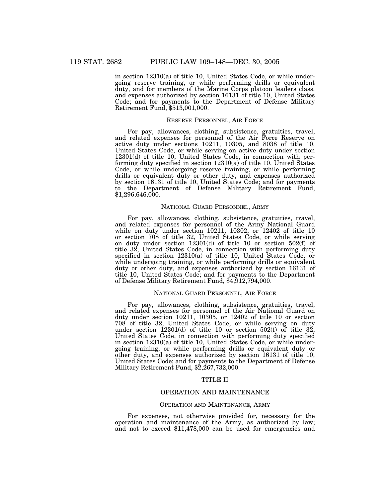in section 12310(a) of title 10, United States Code, or while undergoing reserve training, or while performing drills or equivalent duty, and for members of the Marine Corps platoon leaders class, and expenses authorized by section 16131 of title 10, United States Code; and for payments to the Department of Defense Military Retirement Fund, \$513,001,000.

#### RESERVE PERSONNEL, AIR FORCE

For pay, allowances, clothing, subsistence, gratuities, travel, and related expenses for personnel of the Air Force Reserve on active duty under sections 10211, 10305, and 8038 of title 10, United States Code, or while serving on active duty under section 12301(d) of title 10, United States Code, in connection with performing duty specified in section 12310(a) of title 10, United States Code, or while undergoing reserve training, or while performing drills or equivalent duty or other duty, and expenses authorized by section 16131 of title 10, United States Code; and for payments to the Department of Defense Military Retirement Fund, \$1,296,646,000.

## NATIONAL GUARD PERSONNEL, ARMY

For pay, allowances, clothing, subsistence, gratuities, travel, and related expenses for personnel of the Army National Guard while on duty under section 10211, 10302, or 12402 of title 10 or section 708 of title 32, United States Code, or while serving on duty under section 12301(d) of title 10 or section 502(f) of title 32, United States Code, in connection with performing duty specified in section 12310(a) of title 10, United States Code, or while undergoing training, or while performing drills or equivalent duty or other duty, and expenses authorized by section 16131 of title 10, United States Code; and for payments to the Department of Defense Military Retirement Fund, \$4,912,794,000.

## NATIONAL GUARD PERSONNEL, AIR FORCE

For pay, allowances, clothing, subsistence, gratuities, travel, and related expenses for personnel of the Air National Guard on duty under section 10211, 10305, or 12402 of title 10 or section 708 of title 32, United States Code, or while serving on duty under section 12301(d) of title 10 or section 502(f) of title 32, United States Code, in connection with performing duty specified in section 12310(a) of title 10, United States Code, or while undergoing training, or while performing drills or equivalent duty or other duty, and expenses authorized by section 16131 of title 10, United States Code; and for payments to the Department of Defense Military Retirement Fund, \$2,267,732,000.

#### TITLE II

#### OPERATION AND MAINTENANCE

### OPERATION AND MAINTENANCE, ARMY

For expenses, not otherwise provided for, necessary for the operation and maintenance of the Army, as authorized by law; and not to exceed \$11,478,000 can be used for emergencies and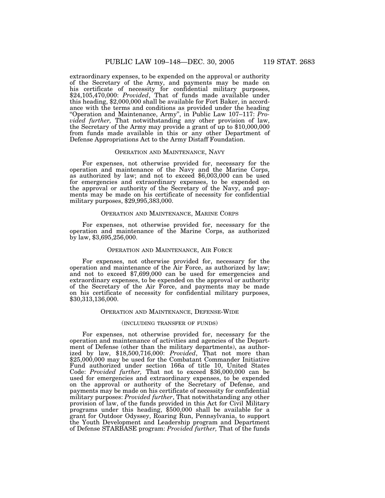extraordinary expenses, to be expended on the approval or authority of the Secretary of the Army, and payments may be made on his certificate of necessity for confidential military purposes, \$24,105,470,000: *Provided*, That of funds made available under this heading, \$2,000,000 shall be available for Fort Baker, in accordance with the terms and conditions as provided under the heading ''Operation and Maintenance, Army'', in Public Law 107–117: *Provided further,* That notwithstanding any other provision of law, the Secretary of the Army may provide a grant of up to \$10,000,000 from funds made available in this or any other Department of Defense Appropriations Act to the Army Distaff Foundation.

## OPERATION AND MAINTENANCE, NAVY

For expenses, not otherwise provided for, necessary for the operation and maintenance of the Navy and the Marine Corps, as authorized by law; and not to exceed \$6,003,000 can be used for emergencies and extraordinary expenses, to be expended on the approval or authority of the Secretary of the Navy, and payments may be made on his certificate of necessity for confidential military purposes, \$29,995,383,000.

#### OPERATION AND MAINTENANCE, MARINE CORPS

For expenses, not otherwise provided for, necessary for the operation and maintenance of the Marine Corps, as authorized by law, \$3,695,256,000.

#### OPERATION AND MAINTENANCE, AIR FORCE

For expenses, not otherwise provided for, necessary for the operation and maintenance of the Air Force, as authorized by law; and not to exceed \$7,699,000 can be used for emergencies and extraordinary expenses, to be expended on the approval or authority of the Secretary of the Air Force, and payments may be made on his certificate of necessity for confidential military purposes, \$30,313,136,000.

## OPERATION AND MAINTENANCE, DEFENSE-WIDE

#### (INCLUDING TRANSFER OF FUNDS)

For expenses, not otherwise provided for, necessary for the operation and maintenance of activities and agencies of the Department of Defense (other than the military departments), as authorized by law, \$18,500,716,000: *Provided*, That not more than \$25,000,000 may be used for the Combatant Commander Initiative Fund authorized under section 166a of title 10, United States Code: *Provided further,* That not to exceed \$36,000,000 can be used for emergencies and extraordinary expenses, to be expended on the approval or authority of the Secretary of Defense, and payments may be made on his certificate of necessity for confidential military purposes: *Provided further*, That notwithstanding any other provision of law, of the funds provided in this Act for Civil Military programs under this heading, \$500,000 shall be available for a grant for Outdoor Odyssey, Roaring Run, Pennsylvania, to support the Youth Development and Leadership program and Department of Defense STARBASE program: *Provided further,* That of the funds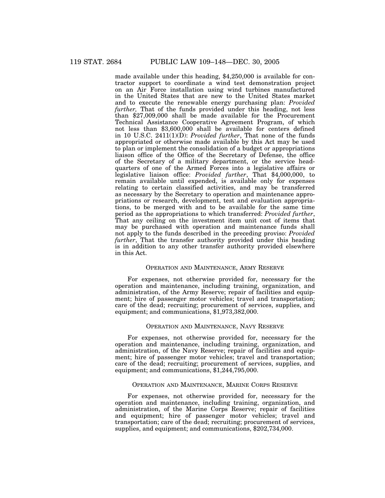made available under this heading, \$4,250,000 is available for contractor support to coordinate a wind test demonstration project on an Air Force installation using wind turbines manufactured in the United States that are new to the United States market and to execute the renewable energy purchasing plan: *Provided further,* That of the funds provided under this heading, not less than \$27,009,000 shall be made available for the Procurement Technical Assistance Cooperative Agreement Program, of which not less than \$3,600,000 shall be available for centers defined in 10 U.S.C. 2411(1)(D): *Provided further*, That none of the funds appropriated or otherwise made available by this Act may be used to plan or implement the consolidation of a budget or appropriations liaison office of the Office of the Secretary of Defense, the office of the Secretary of a military department, or the service headquarters of one of the Armed Forces into a legislative affairs or legislative liaison office: *Provided further*, That \$4,000,000, to remain available until expended, is available only for expenses relating to certain classified activities, and may be transferred as necessary by the Secretary to operation and maintenance appropriations or research, development, test and evaluation appropriations, to be merged with and to be available for the same time period as the appropriations to which transferred: *Provided further*, That any ceiling on the investment item unit cost of items that may be purchased with operation and maintenance funds shall not apply to the funds described in the preceding proviso: *Provided further*, That the transfer authority provided under this heading is in addition to any other transfer authority provided elsewhere in this Act.

## OPERATION AND MAINTENANCE, ARMY RESERVE

For expenses, not otherwise provided for, necessary for the operation and maintenance, including training, organization, and administration, of the Army Reserve; repair of facilities and equipment; hire of passenger motor vehicles; travel and transportation; care of the dead; recruiting; procurement of services, supplies, and equipment; and communications, \$1,973,382,000.

## OPERATION AND MAINTENANCE, NAVY RESERVE

For expenses, not otherwise provided for, necessary for the operation and maintenance, including training, organization, and administration, of the Navy Reserve; repair of facilities and equipment; hire of passenger motor vehicles; travel and transportation; care of the dead; recruiting; procurement of services, supplies, and equipment; and communications, \$1,244,795,000.

### OPERATION AND MAINTENANCE, MARINE CORPS RESERVE

For expenses, not otherwise provided for, necessary for the operation and maintenance, including training, organization, and administration, of the Marine Corps Reserve; repair of facilities and equipment; hire of passenger motor vehicles; travel and transportation; care of the dead; recruiting; procurement of services, supplies, and equipment; and communications, \$202,734,000.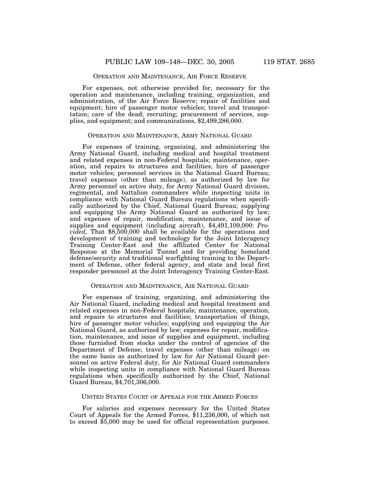For expenses, not otherwise provided for, necessary for the operation and maintenance, including training, organization, and administration, of the Air Force Reserve; repair of facilities and equipment; hire of passenger motor vehicles; travel and transportation; care of the dead; recruiting; procurement of services, supplies, and equipment; and communications, \$2,499,286,000.

## OPERATION AND MAINTENANCE, ARMY NATIONAL GUARD

For expenses of training, organizing, and administering the Army National Guard, including medical and hospital treatment and related expenses in non-Federal hospitals; maintenance, operation, and repairs to structures and facilities; hire of passenger motor vehicles; personnel services in the National Guard Bureau; travel expenses (other than mileage), as authorized by law for Army personnel on active duty, for Army National Guard division, regimental, and battalion commanders while inspecting units in compliance with National Guard Bureau regulations when specifically authorized by the Chief, National Guard Bureau; supplying and equipping the Army National Guard as authorized by law; and expenses of repair, modification, maintenance, and issue of supplies and equipment (including aircraft), \$4,491,109,000: *Provided,* That \$8,500,000 shall be available for the operations and development of training and technology for the Joint Interagency Training Center-East and the affiliated Center for National Response at the Memorial Tunnel and for providing homeland defense/security and traditional warfighting training to the Department of Defense, other federal agency, and state and local first responder personnel at the Joint Interagency Training Center-East.

## OPERATION AND MAINTENANCE, AIR NATIONAL GUARD

For expenses of training, organizing, and administering the Air National Guard, including medical and hospital treatment and related expenses in non-Federal hospitals; maintenance, operation, and repairs to structures and facilities; transportation of things, hire of passenger motor vehicles; supplying and equipping the Air National Guard, as authorized by law; expenses for repair, modification, maintenance, and issue of supplies and equipment, including those furnished from stocks under the control of agencies of the Department of Defense; travel expenses (other than mileage) on the same basis as authorized by law for Air National Guard personnel on active Federal duty, for Air National Guard commanders while inspecting units in compliance with National Guard Bureau regulations when specifically authorized by the Chief, National Guard Bureau, \$4,701,306,000.

### UNITED STATES COURT OF APPEALS FOR THE ARMED FORCES

For salaries and expenses necessary for the United States Court of Appeals for the Armed Forces, \$11,236,000, of which not to exceed \$5,000 may be used for official representation purposes.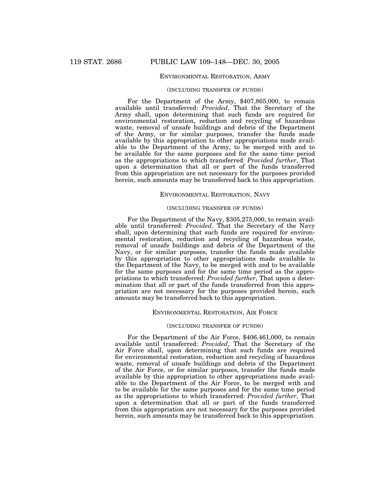## ENVIRONMENTAL RESTORATION, ARMY

### (INCLUDING TRANSFER OF FUNDS)

For the Department of the Army, \$407,865,000, to remain available until transferred: *Provided*, That the Secretary of the Army shall, upon determining that such funds are required for environmental restoration, reduction and recycling of hazardous waste, removal of unsafe buildings and debris of the Department of the Army, or for similar purposes, transfer the funds made available by this appropriation to other appropriations made available to the Department of the Army, to be merged with and to be available for the same purposes and for the same time period as the appropriations to which transferred: *Provided further*, That upon a determination that all or part of the funds transferred from this appropriation are not necessary for the purposes provided herein, such amounts may be transferred back to this appropriation.

### ENVIRONMENTAL RESTORATION, NAVY

## (INCLUDING TRANSFER OF FUNDS)

For the Department of the Navy, \$305,275,000, to remain available until transferred: *Provided*, That the Secretary of the Navy shall, upon determining that such funds are required for environmental restoration, reduction and recycling of hazardous waste, removal of unsafe buildings and debris of the Department of the Navy, or for similar purposes, transfer the funds made available by this appropriation to other appropriations made available to the Department of the Navy, to be merged with and to be available for the same purposes and for the same time period as the appropriations to which transferred: *Provided further*, That upon a determination that all or part of the funds transferred from this appropriation are not necessary for the purposes provided herein, such amounts may be transferred back to this appropriation.

## ENVIRONMENTAL RESTORATION, AIR FORCE

#### (INCLUDING TRANSFER OF FUNDS)

For the Department of the Air Force, \$406,461,000, to remain available until transferred: *Provided*, That the Secretary of the Air Force shall, upon determining that such funds are required for environmental restoration, reduction and recycling of hazardous waste, removal of unsafe buildings and debris of the Department of the Air Force, or for similar purposes, transfer the funds made available by this appropriation to other appropriations made available to the Department of the Air Force, to be merged with and to be available for the same purposes and for the same time period as the appropriations to which transferred: *Provided further*, That upon a determination that all or part of the funds transferred from this appropriation are not necessary for the purposes provided herein, such amounts may be transferred back to this appropriation.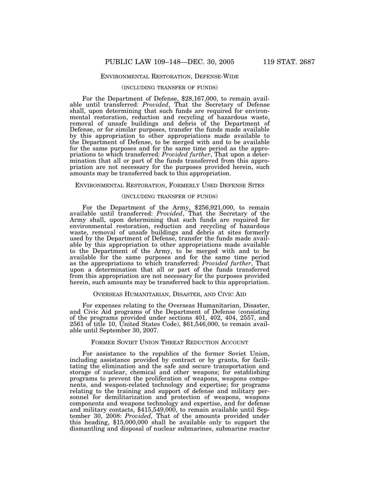### ENVIRONMENTAL RESTORATION, DEFENSE-WIDE

#### (INCLUDING TRANSFER OF FUNDS)

For the Department of Defense, \$28,167,000, to remain available until transferred: *Provided*, That the Secretary of Defense shall, upon determining that such funds are required for environmental restoration, reduction and recycling of hazardous waste, removal of unsafe buildings and debris of the Department of Defense, or for similar purposes, transfer the funds made available by this appropriation to other appropriations made available to the Department of Defense, to be merged with and to be available for the same purposes and for the same time period as the appropriations to which transferred: *Provided further*, That upon a determination that all or part of the funds transferred from this appropriation are not necessary for the purposes provided herein, such amounts may be transferred back to this appropriation.

#### ENVIRONMENTAL RESTORATION, FORMERLY USED DEFENSE SITES

#### (INCLUDING TRANSFER OF FUNDS)

For the Department of the Army, \$256,921,000, to remain available until transferred: *Provided*, That the Secretary of the Army shall, upon determining that such funds are required for environmental restoration, reduction and recycling of hazardous waste, removal of unsafe buildings and debris at sites formerly used by the Department of Defense, transfer the funds made available by this appropriation to other appropriations made available to the Department of the Army, to be merged with and to be available for the same purposes and for the same time period as the appropriations to which transferred: *Provided further*, That upon a determination that all or part of the funds transferred from this appropriation are not necessary for the purposes provided herein, such amounts may be transferred back to this appropriation.

## OVERSEAS HUMANITARIAN, DISASTER, AND CIVIC AID

For expenses relating to the Overseas Humanitarian, Disaster, and Civic Aid programs of the Department of Defense (consisting of the programs provided under sections 401, 402, 404, 2557, and 2561 of title 10, United States Code), \$61,546,000, to remain available until September 30, 2007.

# FORMER SOVIET UNION THREAT REDUCTION ACCOUNT

For assistance to the republics of the former Soviet Union, including assistance provided by contract or by grants, for facilitating the elimination and the safe and secure transportation and storage of nuclear, chemical and other weapons; for establishing programs to prevent the proliferation of weapons, weapons components, and weapon-related technology and expertise; for programs relating to the training and support of defense and military personnel for demilitarization and protection of weapons, weapons components and weapons technology and expertise, and for defense and military contacts, \$415,549,000, to remain available until September 30, 2008: *Provided,* That of the amounts provided under this heading, \$15,000,000 shall be available only to support the dismantling and disposal of nuclear submarines, submarine reactor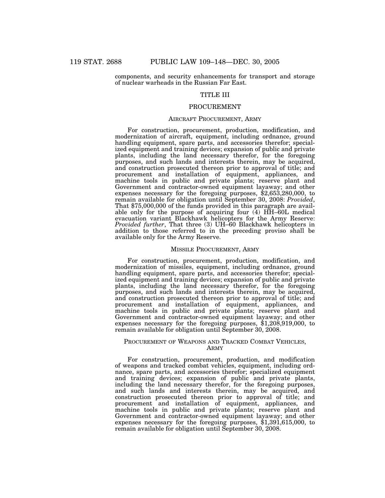components, and security enhancements for transport and storage of nuclear warheads in the Russian Far East.

# TITLE III

## PROCUREMENT

#### AIRCRAFT PROCUREMENT, ARMY

For construction, procurement, production, modification, and modernization of aircraft, equipment, including ordnance, ground handling equipment, spare parts, and accessories therefor; specialized equipment and training devices; expansion of public and private plants, including the land necessary therefor, for the foregoing purposes, and such lands and interests therein, may be acquired, and construction prosecuted thereon prior to approval of title; and procurement and installation of equipment, appliances, and machine tools in public and private plants; reserve plant and Government and contractor-owned equipment layaway; and other expenses necessary for the foregoing purposes, \$2,653,280,000, to remain available for obligation until September 30, 2008: *Provided*, That \$75,000,000 of the funds provided in this paragraph are available only for the purpose of acquiring four (4) HH–60L medical evacuation variant Blackhawk helicopters for the Army Reserve: *Provided further*, That three (3) UH–60 Blackhawk helicopters in addition to those referred to in the preceding proviso shall be available only for the Army Reserve.

## MISSILE PROCUREMENT, ARMY

For construction, procurement, production, modification, and modernization of missiles, equipment, including ordnance, ground handling equipment, spare parts, and accessories therefor; specialized equipment and training devices; expansion of public and private plants, including the land necessary therefor, for the foregoing purposes, and such lands and interests therein, may be acquired, and construction prosecuted thereon prior to approval of title; and procurement and installation of equipment, appliances, and machine tools in public and private plants; reserve plant and Government and contractor-owned equipment layaway; and other expenses necessary for the foregoing purposes, \$1,208,919,000, to remain available for obligation until September 30, 2008.

## PROCUREMENT OF WEAPONS AND TRACKED COMBAT VEHICLES, ARMY

For construction, procurement, production, and modification of weapons and tracked combat vehicles, equipment, including ordnance, spare parts, and accessories therefor; specialized equipment and training devices; expansion of public and private plants, including the land necessary therefor, for the foregoing purposes, and such lands and interests therein, may be acquired, and construction prosecuted thereon prior to approval of title; and procurement and installation of equipment, appliances, and machine tools in public and private plants; reserve plant and Government and contractor-owned equipment layaway; and other expenses necessary for the foregoing purposes, \$1,391,615,000, to remain available for obligation until September 30, 2008.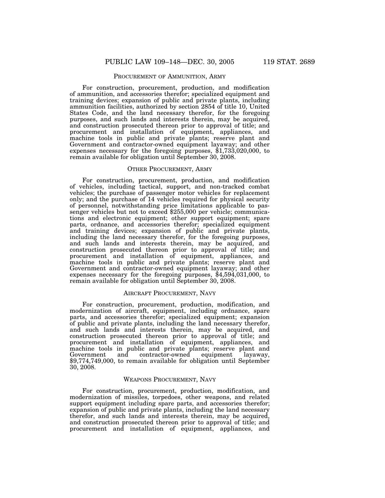### PROCUREMENT OF AMMUNITION, ARMY

For construction, procurement, production, and modification of ammunition, and accessories therefor; specialized equipment and training devices; expansion of public and private plants, including ammunition facilities, authorized by section 2854 of title 10, United States Code, and the land necessary therefor, for the foregoing purposes, and such lands and interests therein, may be acquired, and construction prosecuted thereon prior to approval of title; and procurement and installation of equipment, appliances, and machine tools in public and private plants; reserve plant and Government and contractor-owned equipment layaway; and other expenses necessary for the foregoing purposes, \$1,733,020,000, to remain available for obligation until September 30, 2008.

## OTHER PROCUREMENT, ARMY

For construction, procurement, production, and modification of vehicles, including tactical, support, and non-tracked combat vehicles; the purchase of passenger motor vehicles for replacement only; and the purchase of 14 vehicles required for physical security of personnel, notwithstanding price limitations applicable to passenger vehicles but not to exceed \$255,000 per vehicle; communications and electronic equipment; other support equipment; spare parts, ordnance, and accessories therefor; specialized equipment and training devices; expansion of public and private plants, including the land necessary therefor, for the foregoing purposes, and such lands and interests therein, may be acquired, and construction prosecuted thereon prior to approval of title; and procurement and installation of equipment, appliances, and machine tools in public and private plants; reserve plant and Government and contractor-owned equipment layaway; and other expenses necessary for the foregoing purposes, \$4,594,031,000, to remain available for obligation until September 30, 2008.

## AIRCRAFT PROCUREMENT, NAVY

For construction, procurement, production, modification, and modernization of aircraft, equipment, including ordnance, spare parts, and accessories therefor; specialized equipment; expansion of public and private plants, including the land necessary therefor, and such lands and interests therein, may be acquired, and construction prosecuted thereon prior to approval of title; and procurement and installation of equipment, appliances, and machine tools in public and private plants; reserve plant and Government and contractor-owned equipment layaway, \$9,774,749,000, to remain available for obligation until September 30, 2008.

#### WEAPONS PROCUREMENT, NAVY

For construction, procurement, production, modification, and modernization of missiles, torpedoes, other weapons, and related support equipment including spare parts, and accessories therefor; expansion of public and private plants, including the land necessary therefor, and such lands and interests therein, may be acquired, and construction prosecuted thereon prior to approval of title; and procurement and installation of equipment, appliances, and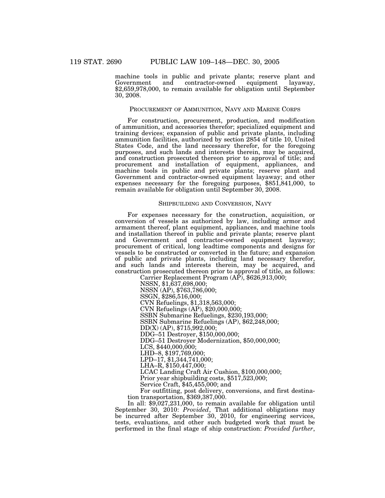machine tools in public and private plants; reserve plant and Government and contractor-owned equipment layaway, Government and contractor-owned equipment layaway, \$2,659,978,000, to remain available for obligation until September 30, 2008.

## PROCUREMENT OF AMMUNITION, NAVY AND MARINE CORPS

For construction, procurement, production, and modification of ammunition, and accessories therefor; specialized equipment and training devices; expansion of public and private plants, including ammunition facilities, authorized by section 2854 of title 10, United States Code, and the land necessary therefor, for the foregoing purposes, and such lands and interests therein, may be acquired, and construction prosecuted thereon prior to approval of title; and procurement and installation of equipment, appliances, and machine tools in public and private plants; reserve plant and Government and contractor-owned equipment layaway; and other expenses necessary for the foregoing purposes, \$851,841,000, to remain available for obligation until September 30, 2008.

### SHIPBUILDING AND CONVERSION, NAVY

For expenses necessary for the construction, acquisition, or conversion of vessels as authorized by law, including armor and armament thereof, plant equipment, appliances, and machine tools and installation thereof in public and private plants; reserve plant and Government and contractor-owned equipment layaway; procurement of critical, long leadtime components and designs for vessels to be constructed or converted in the future; and expansion of public and private plants, including land necessary therefor, and such lands and interests therein, may be acquired, and construction prosecuted thereon prior to approval of title, as follows:

Carrier Replacement Program (AP), \$626,913,000; NSSN, \$1,637,698,000; NSSN (AP), \$763,786,000; SSGN, \$286,516,000; CVN Refuelings, \$1,318,563,000; CVN Refuelings (AP), \$20,000,000; SSBN Submarine Refuelings, \$230,193,000; SSBN Submarine Refuelings (AP), \$62,248,000; DD(X) (AP), \$715,992,000; DDG–51 Destroyer, \$150,000,000; DDG–51 Destroyer Modernization, \$50,000,000; LCS, \$440,000,000; LHD–8, \$197,769,000; LPD–17, \$1,344,741,000; LHA–R, \$150,447,000; LCAC Landing Craft Air Cushion, \$100,000,000; Prior year shipbuilding costs, \$517,523,000; Service Craft, \$45,455,000; and For outfitting, post delivery, conversions, and first destination transportation, \$369,387,000. In all: \$9,027,231,000, to remain available for obligation until

September 30, 2010: *Provided*, That additional obligations may be incurred after September 30, 2010, for engineering services, tests, evaluations, and other such budgeted work that must be performed in the final stage of ship construction: *Provided further*,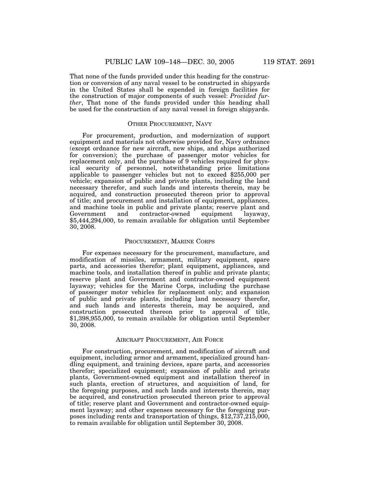That none of the funds provided under this heading for the construction or conversion of any naval vessel to be constructed in shipyards in the United States shall be expended in foreign facilities for the construction of major components of such vessel: *Provided further*, That none of the funds provided under this heading shall be used for the construction of any naval vessel in foreign shipyards.

#### OTHER PROCUREMENT, NAVY

For procurement, production, and modernization of support equipment and materials not otherwise provided for, Navy ordnance (except ordnance for new aircraft, new ships, and ships authorized for conversion); the purchase of passenger motor vehicles for replacement only, and the purchase of 9 vehicles required for physical security of personnel, notwithstanding price limitations applicable to passenger vehicles but not to exceed \$255,000 per vehicle; expansion of public and private plants, including the land necessary therefor, and such lands and interests therein, may be acquired, and construction prosecuted thereon prior to approval of title; and procurement and installation of equipment, appliances, and machine tools in public and private plants; reserve plant and Government and contractor-owned equipment layaway, \$5,444,294,000, to remain available for obligation until September 30, 2008.

# PROCUREMENT, MARINE CORPS

For expenses necessary for the procurement, manufacture, and modification of missiles, armament, military equipment, spare parts, and accessories therefor; plant equipment, appliances, and machine tools, and installation thereof in public and private plants; reserve plant and Government and contractor-owned equipment layaway; vehicles for the Marine Corps, including the purchase of passenger motor vehicles for replacement only; and expansion of public and private plants, including land necessary therefor, and such lands and interests therein, may be acquired, and construction prosecuted thereon prior to approval of title, \$1,398,955,000, to remain available for obligation until September 30, 2008.

#### AIRCRAFT PROCUREMENT, AIR FORCE

For construction, procurement, and modification of aircraft and equipment, including armor and armament, specialized ground handling equipment, and training devices, spare parts, and accessories therefor; specialized equipment; expansion of public and private plants, Government-owned equipment and installation thereof in such plants, erection of structures, and acquisition of land, for the foregoing purposes, and such lands and interests therein, may be acquired, and construction prosecuted thereon prior to approval of title; reserve plant and Government and contractor-owned equipment layaway; and other expenses necessary for the foregoing purposes including rents and transportation of things, \$12,737,215,000, to remain available for obligation until September 30, 2008.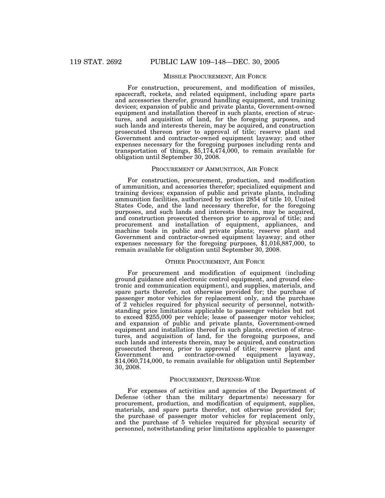## MISSILE PROCUREMENT, AIR FORCE

For construction, procurement, and modification of missiles, spacecraft, rockets, and related equipment, including spare parts and accessories therefor, ground handling equipment, and training devices; expansion of public and private plants, Government-owned equipment and installation thereof in such plants, erection of structures, and acquisition of land, for the foregoing purposes, and such lands and interests therein, may be acquired, and construction prosecuted thereon prior to approval of title; reserve plant and Government and contractor-owned equipment layaway; and other expenses necessary for the foregoing purposes including rents and transportation of things, \$5,174,474,000, to remain available for obligation until September 30, 2008.

## PROCUREMENT OF AMMUNITION, AIR FORCE

For construction, procurement, production, and modification of ammunition, and accessories therefor; specialized equipment and training devices; expansion of public and private plants, including ammunition facilities, authorized by section 2854 of title 10, United States Code, and the land necessary therefor, for the foregoing purposes, and such lands and interests therein, may be acquired, and construction prosecuted thereon prior to approval of title; and procurement and installation of equipment, appliances, and machine tools in public and private plants; reserve plant and Government and contractor-owned equipment layaway; and other expenses necessary for the foregoing purposes, \$1,016,887,000, to remain available for obligation until September 30, 2008.

## OTHER PROCUREMENT, AIR FORCE

For procurement and modification of equipment (including ground guidance and electronic control equipment, and ground electronic and communication equipment), and supplies, materials, and spare parts therefor, not otherwise provided for; the purchase of passenger motor vehicles for replacement only, and the purchase of 2 vehicles required for physical security of personnel, notwithstanding price limitations applicable to passenger vehicles but not to exceed \$255,000 per vehicle; lease of passenger motor vehicles; and expansion of public and private plants, Government-owned equipment and installation thereof in such plants, erection of structures, and acquisition of land, for the foregoing purposes, and such lands and interests therein, may be acquired, and construction prosecuted thereon, prior to approval of title; reserve plant and Government and contractor-owned equipment layaway, \$14,060,714,000, to remain available for obligation until September 30, 2008.

#### PROCUREMENT, DEFENSE-WIDE

For expenses of activities and agencies of the Department of Defense (other than the military departments) necessary for procurement, production, and modification of equipment, supplies, materials, and spare parts therefor, not otherwise provided for; the purchase of passenger motor vehicles for replacement only, and the purchase of 5 vehicles required for physical security of personnel, notwithstanding prior limitations applicable to passenger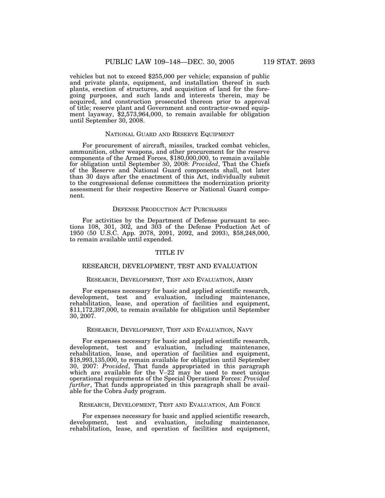vehicles but not to exceed \$255,000 per vehicle; expansion of public and private plants, equipment, and installation thereof in such plants, erection of structures, and acquisition of land for the foregoing purposes, and such lands and interests therein, may be acquired, and construction prosecuted thereon prior to approval of title; reserve plant and Government and contractor-owned equipment layaway, \$2,573,964,000, to remain available for obligation until September 30, 2008.

#### NATIONAL GUARD AND RESERVE EQUIPMENT

For procurement of aircraft, missiles, tracked combat vehicles, ammunition, other weapons, and other procurement for the reserve components of the Armed Forces,  $$180,000,000$ , to remain available for obligation until September 30, 2008: *Provided*, That the Chiefs of the Reserve and National Guard components shall, not later than 30 days after the enactment of this Act, individually submit to the congressional defense committees the modernization priority assessment for their respective Reserve or National Guard component.

#### DEFENSE PRODUCTION ACT PURCHASES

For activities by the Department of Defense pursuant to sections 108, 301, 302, and 303 of the Defense Production Act of 1950 (50 U.S.C. App. 2078, 2091, 2092, and 2093), \$58,248,000, to remain available until expended.

## TITLE IV

## RESEARCH, DEVELOPMENT, TEST AND EVALUATION

## RESEARCH, DEVELOPMENT, TEST AND EVALUATION, ARMY

For expenses necessary for basic and applied scientific research, development, test and evaluation, including maintenance, rehabilitation, lease, and operation of facilities and equipment, \$11,172,397,000, to remain available for obligation until September 30, 2007.

## RESEARCH, DEVELOPMENT, TEST AND EVALUATION, NAVY

For expenses necessary for basic and applied scientific research, development, test and evaluation, including maintenance, rehabilitation, lease, and operation of facilities and equipment, \$18,993,135,000, to remain available for obligation until September 30, 2007: *Provided*, That funds appropriated in this paragraph which are available for the V–22 may be used to meet unique operational requirements of the Special Operations Forces: *Provided further*, That funds appropriated in this paragraph shall be available for the Cobra Judy program.

## RESEARCH, DEVELOPMENT, TEST AND EVALUATION, AIR FORCE

For expenses necessary for basic and applied scientific research, development, test and evaluation, including maintenance, rehabilitation, lease, and operation of facilities and equipment,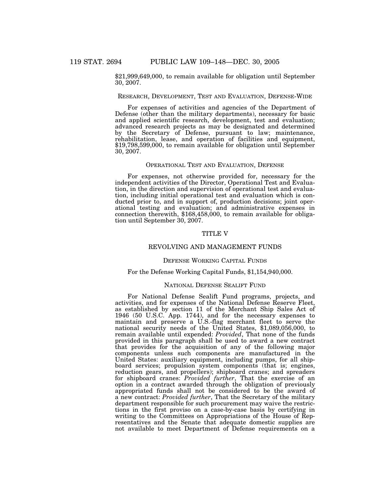\$21,999,649,000, to remain available for obligation until September 30, 2007.

## RESEARCH, DEVELOPMENT, TEST AND EVALUATION, DEFENSE-WIDE

For expenses of activities and agencies of the Department of Defense (other than the military departments), necessary for basic and applied scientific research, development, test and evaluation; advanced research projects as may be designated and determined by the Secretary of Defense, pursuant to law; maintenance, rehabilitation, lease, and operation of facilities and equipment, \$19,798,599,000, to remain available for obligation until September 30, 2007.

### OPERATIONAL TEST AND EVALUATION, DEFENSE

For expenses, not otherwise provided for, necessary for the independent activities of the Director, Operational Test and Evaluation, in the direction and supervision of operational test and evaluation, including initial operational test and evaluation which is conducted prior to, and in support of, production decisions; joint operational testing and evaluation; and administrative expenses in connection therewith, \$168,458,000, to remain available for obligation until September 30, 2007.

#### TITLE V

#### REVOLVING AND MANAGEMENT FUNDS

#### DEFENSE WORKING CAPITAL FUNDS

#### For the Defense Working Capital Funds, \$1,154,940,000.

## NATIONAL DEFENSE SEALIFT FUND

For National Defense Sealift Fund programs, projects, and activities, and for expenses of the National Defense Reserve Fleet, as established by section 11 of the Merchant Ship Sales Act of 1946 (50 U.S.C. App. 1744), and for the necessary expenses to maintain and preserve a U.S.-flag merchant fleet to serve the national security needs of the United States, \$1,089,056,000, to remain available until expended: *Provided*, That none of the funds provided in this paragraph shall be used to award a new contract that provides for the acquisition of any of the following major components unless such components are manufactured in the United States: auxiliary equipment, including pumps, for all shipboard services; propulsion system components (that is; engines, reduction gears, and propellers); shipboard cranes; and spreaders for shipboard cranes: *Provided further*, That the exercise of an option in a contract awarded through the obligation of previously appropriated funds shall not be considered to be the award of a new contract: *Provided further*, That the Secretary of the military department responsible for such procurement may waive the restrictions in the first proviso on a case-by-case basis by certifying in writing to the Committees on Appropriations of the House of Representatives and the Senate that adequate domestic supplies are not available to meet Department of Defense requirements on a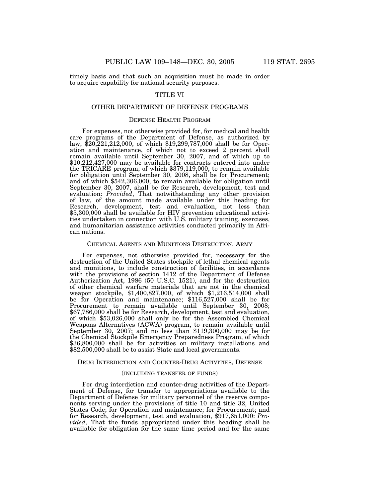timely basis and that such an acquisition must be made in order to acquire capability for national security purposes.

# TITLE VI

## OTHER DEPARTMENT OF DEFENSE PROGRAMS

### DEFENSE HEALTH PROGRAM

For expenses, not otherwise provided for, for medical and health care programs of the Department of Defense, as authorized by law, \$20,221,212,000, of which \$19,299,787,000 shall be for Operation and maintenance, of which not to exceed 2 percent shall remain available until September 30, 2007, and of which up to \$10,212,427,000 may be available for contracts entered into under the TRICARE program; of which \$379,119,000, to remain available for obligation until September 30, 2008, shall be for Procurement; and of which \$542,306,000, to remain available for obligation until September 30, 2007, shall be for Research, development, test and evaluation: *Provided*, That notwithstanding any other provision of law, of the amount made available under this heading for Research, development, test and evaluation, not less than \$5,300,000 shall be available for HIV prevention educational activities undertaken in connection with U.S. military training, exercises, and humanitarian assistance activities conducted primarily in African nations.

#### CHEMICAL AGENTS AND MUNITIONS DESTRUCTION, ARMY

For expenses, not otherwise provided for, necessary for the destruction of the United States stockpile of lethal chemical agents and munitions, to include construction of facilities, in accordance with the provisions of section 1412 of the Department of Defense Authorization Act, 1986 (50 U.S.C. 1521), and for the destruction of other chemical warfare materials that are not in the chemical weapon stockpile, \$1,400,827,000, of which \$1,216,514,000 shall be for Operation and maintenance; \$116,527,000 shall be for Procurement to remain available until September 30, 2008; \$67,786,000 shall be for Research, development, test and evaluation, of which \$53,026,000 shall only be for the Assembled Chemical Weapons Alternatives (ACWA) program, to remain available until September 30, 2007; and no less than \$119,300,000 may be for the Chemical Stockpile Emergency Preparedness Program, of which \$36,800,000 shall be for activities on military installations and \$82,500,000 shall be to assist State and local governments.

#### DRUG INTERDICTION AND COUNTER-DRUG ACTIVITIES, DEFENSE

## (INCLUDING TRANSFER OF FUNDS)

For drug interdiction and counter-drug activities of the Department of Defense, for transfer to appropriations available to the Department of Defense for military personnel of the reserve components serving under the provisions of title 10 and title 32, United States Code; for Operation and maintenance; for Procurement; and for Research, development, test and evaluation, \$917,651,000: *Provided*, That the funds appropriated under this heading shall be available for obligation for the same time period and for the same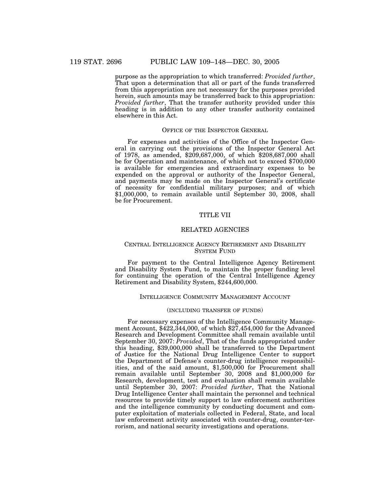purpose as the appropriation to which transferred: *Provided further*, That upon a determination that all or part of the funds transferred from this appropriation are not necessary for the purposes provided herein, such amounts may be transferred back to this appropriation: *Provided further*, That the transfer authority provided under this heading is in addition to any other transfer authority contained elsewhere in this Act.

#### OFFICE OF THE INSPECTOR GENERAL

For expenses and activities of the Office of the Inspector General in carrying out the provisions of the Inspector General Act of 1978, as amended, \$209,687,000, of which \$208,687,000 shall be for Operation and maintenance, of which not to exceed \$700,000 is available for emergencies and extraordinary expenses to be expended on the approval or authority of the Inspector General, and payments may be made on the Inspector General's certificate of necessity for confidential military purposes; and of which \$1,000,000, to remain available until September 30, 2008, shall be for Procurement.

## TITLE VII

## RELATED AGENCIES

### CENTRAL INTELLIGENCE AGENCY RETIREMENT AND DISABILITY SYSTEM FUND

For payment to the Central Intelligence Agency Retirement and Disability System Fund, to maintain the proper funding level for continuing the operation of the Central Intelligence Agency Retirement and Disability System, \$244,600,000.

## INTELLIGENCE COMMUNITY MANAGEMENT ACCOUNT

#### (INCLUDING TRANSFER OF FUNDS)

For necessary expenses of the Intelligence Community Management Account, \$422,344,000, of which \$27,454,000 for the Advanced Research and Development Committee shall remain available until September 30, 2007: *Provided*, That of the funds appropriated under this heading, \$39,000,000 shall be transferred to the Department of Justice for the National Drug Intelligence Center to support the Department of Defense's counter-drug intelligence responsibilities, and of the said amount, \$1,500,000 for Procurement shall remain available until September 30, 2008 and \$1,000,000 for Research, development, test and evaluation shall remain available until September 30, 2007: *Provided further*, That the National Drug Intelligence Center shall maintain the personnel and technical resources to provide timely support to law enforcement authorities and the intelligence community by conducting document and computer exploitation of materials collected in Federal, State, and local law enforcement activity associated with counter-drug, counter-terrorism, and national security investigations and operations.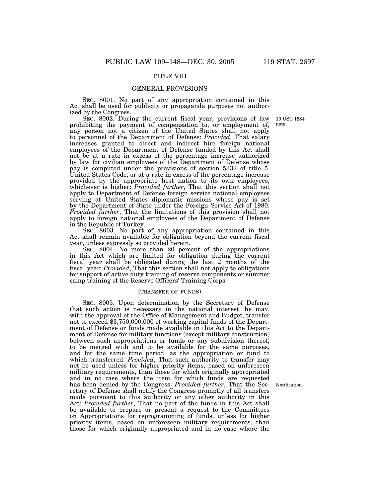# TITLE VIII

## GENERAL PROVISIONS

SEC. 8001. No part of any appropriation contained in this Act shall be used for publicity or propaganda purposes not authorized by the Congress.

SEC. 8002. During the current fiscal year, provisions of law prohibiting the payment of compensation to, or employment of, any person not a citizen of the United States shall not apply to personnel of the Department of Defense: *Provided*, That salary increases granted to direct and indirect hire foreign national employees of the Department of Defense funded by this Act shall not be at a rate in excess of the percentage increase authorized by law for civilian employees of the Department of Defense whose pay is computed under the provisions of section 5332 of title 5, United States Code, or at a rate in excess of the percentage increase provided by the appropriate host nation to its own employees, whichever is higher: *Provided further*, That this section shall not apply to Department of Defense foreign service national employees serving at United States diplomatic missions whose pay is set by the Department of State under the Foreign Service Act of 1980: *Provided further*, That the limitations of this provision shall not apply to foreign national employees of the Department of Defense in the Republic of Turkey.

SEC. 8003. No part of any appropriation contained in this Act shall remain available for obligation beyond the current fiscal year, unless expressly so provided herein.

SEC. 8004. No more than 20 percent of the appropriations in this Act which are limited for obligation during the current fiscal year shall be obligated during the last 2 months of the fiscal year: *Provided*, That this section shall not apply to obligations for support of active duty training of reserve components or summer camp training of the Reserve Officers' Training Corps.

#### (TRANSFER OF FUNDS)

SEC. 8005. Upon determination by the Secretary of Defense that such action is necessary in the national interest, he may, with the approval of the Office of Management and Budget, transfer not to exceed \$3,750,000,000 of working capital funds of the Department of Defense or funds made available in this Act to the Department of Defense for military functions (except military construction) between such appropriations or funds or any subdivision thereof, to be merged with and to be available for the same purposes, and for the same time period, as the appropriation or fund to which transferred: *Provided*, That such authority to transfer may not be used unless for higher priority items, based on unforeseen military requirements, than those for which originally appropriated and in no case where the item for which funds are requested has been denied by the Congress: *Provided further*, That the Secretary of Defense shall notify the Congress promptly of all transfers made pursuant to this authority or any other authority in this Act: *Provided further*, That no part of the funds in this Act shall be available to prepare or present a request to the Committees on Appropriations for reprogramming of funds, unless for higher priority items, based on unforeseen military requirements, than those for which originally appropriated and in no case where the

Notification.

10 USC 1584 note.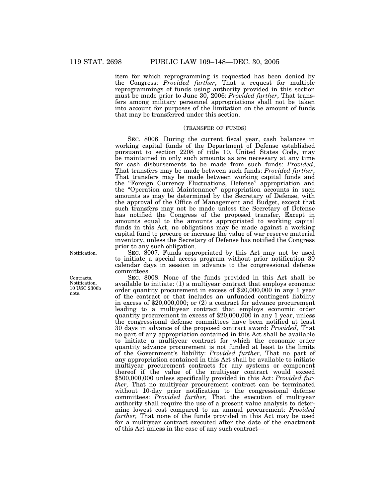item for which reprogramming is requested has been denied by the Congress: *Provided further*, That a request for multiple reprogrammings of funds using authority provided in this section must be made prior to June 30, 2006: *Provided further*, That transfers among military personnel appropriations shall not be taken into account for purposes of the limitation on the amount of funds that may be transferred under this section.

### (TRANSFER OF FUNDS)

SEC. 8006. During the current fiscal year, cash balances in working capital funds of the Department of Defense established pursuant to section 2208 of title 10, United States Code, may be maintained in only such amounts as are necessary at any time for cash disbursements to be made from such funds: *Provided*, That transfers may be made between such funds: *Provided further*, That transfers may be made between working capital funds and the ''Foreign Currency Fluctuations, Defense'' appropriation and the "Operation and Maintenance" appropriation accounts in such amounts as may be determined by the Secretary of Defense, with the approval of the Office of Management and Budget, except that such transfers may not be made unless the Secretary of Defense has notified the Congress of the proposed transfer. Except in amounts equal to the amounts appropriated to working capital funds in this Act, no obligations may be made against a working capital fund to procure or increase the value of war reserve material inventory, unless the Secretary of Defense has notified the Congress prior to any such obligation.

SEC. 8007. Funds appropriated by this Act may not be used to initiate a special access program without prior notification 30 calendar days in session in advance to the congressional defense committees.

SEC. 8008. None of the funds provided in this Act shall be available to initiate: (1) a multiyear contract that employs economic order quantity procurement in excess of \$20,000,000 in any 1 year of the contract or that includes an unfunded contingent liability in excess of \$20,000,000; or (2) a contract for advance procurement leading to a multiyear contract that employs economic order quantity procurement in excess of \$20,000,000 in any 1 year, unless the congressional defense committees have been notified at least 30 days in advance of the proposed contract award: *Provided,* That no part of any appropriation contained in this Act shall be available to initiate a multiyear contract for which the economic order quantity advance procurement is not funded at least to the limits of the Government's liability: *Provided further,* That no part of any appropriation contained in this Act shall be available to initiate multiyear procurement contracts for any systems or component thereof if the value of the multiyear contract would exceed \$500,000,000 unless specifically provided in this Act: *Provided further,* That no multiyear procurement contract can be terminated without 10-day prior notification to the congressional defense committees: *Provided further,* That the execution of multiyear authority shall require the use of a present value analysis to determine lowest cost compared to an annual procurement: *Provided further*, That none of the funds provided in this Act may be used for a multiyear contract executed after the date of the enactment of this Act unless in the case of any such contract—

Notification.

**Contracts** Notification. 10 USC 2306b note.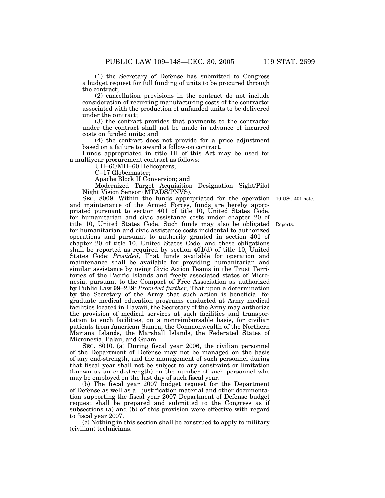(1) the Secretary of Defense has submitted to Congress a budget request for full funding of units to be procured through the contract;

(2) cancellation provisions in the contract do not include consideration of recurring manufacturing costs of the contractor associated with the production of unfunded units to be delivered under the contract;

(3) the contract provides that payments to the contractor under the contract shall not be made in advance of incurred costs on funded units; and

(4) the contract does not provide for a price adjustment based on a failure to award a follow-on contract.

Funds appropriated in title III of this Act may be used for a multiyear procurement contract as follows:

UH–60/MH–60 Helicopters;

C–17 Globemaster;

Apache Block II Conversion; and

Modernized Target Acquisition Designation Sight/Pilot Night Vision Sensor (MTADS/PNVS).

SEC. 8009. Within the funds appropriated for the operation 10 USC 401 note. and maintenance of the Armed Forces, funds are hereby appropriated pursuant to section 401 of title 10, United States Code, for humanitarian and civic assistance costs under chapter 20 of title 10, United States Code. Such funds may also be obligated for humanitarian and civic assistance costs incidental to authorized operations and pursuant to authority granted in section 401 of chapter 20 of title 10, United States Code, and these obligations shall be reported as required by section  $401(d)$  of title 10, United States Code: *Provided*, That funds available for operation and maintenance shall be available for providing humanitarian and similar assistance by using Civic Action Teams in the Trust Territories of the Pacific Islands and freely associated states of Micronesia, pursuant to the Compact of Free Association as authorized by Public Law 99–239: *Provided further*, That upon a determination by the Secretary of the Army that such action is beneficial for graduate medical education programs conducted at Army medical facilities located in Hawaii, the Secretary of the Army may authorize the provision of medical services at such facilities and transportation to such facilities, on a nonreimbursable basis, for civilian patients from American Samoa, the Commonwealth of the Northern Mariana Islands, the Marshall Islands, the Federated States of Micronesia, Palau, and Guam.

SEC. 8010. (a) During fiscal year 2006, the civilian personnel of the Department of Defense may not be managed on the basis of any end-strength, and the management of such personnel during that fiscal year shall not be subject to any constraint or limitation (known as an end-strength) on the number of such personnel who may be employed on the last day of such fiscal year.

(b) The fiscal year 2007 budget request for the Department of Defense as well as all justification material and other documentation supporting the fiscal year 2007 Department of Defense budget request shall be prepared and submitted to the Congress as if subsections (a) and (b) of this provision were effective with regard to fiscal year 2007.

(c) Nothing in this section shall be construed to apply to military (civilian) technicians.

Reports.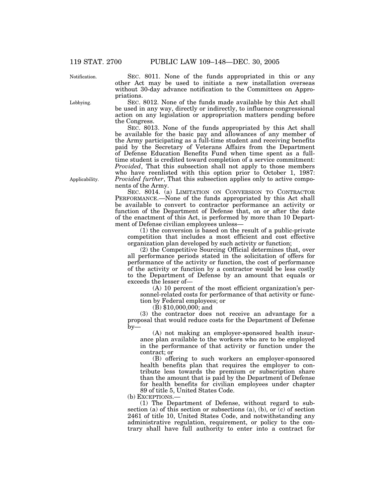Notification.

Lobbying.

SEC. 8011. None of the funds appropriated in this or any other Act may be used to initiate a new installation overseas without 30-day advance notification to the Committees on Appropriations.

SEC. 8012. None of the funds made available by this Act shall be used in any way, directly or indirectly, to influence congressional action on any legislation or appropriation matters pending before the Congress.

SEC. 8013. None of the funds appropriated by this Act shall be available for the basic pay and allowances of any member of the Army participating as a full-time student and receiving benefits paid by the Secretary of Veterans Affairs from the Department of Defense Education Benefits Fund when time spent as a fulltime student is credited toward completion of a service commitment: *Provided*, That this subsection shall not apply to those members who have reenlisted with this option prior to October 1, 1987: *Provided further*, That this subsection applies only to active components of the Army.

SEC. 8014. (a) LIMITATION ON CONVERSION TO CONTRACTOR PERFORMANCE.—None of the funds appropriated by this Act shall be available to convert to contractor performance an activity or function of the Department of Defense that, on or after the date of the enactment of this Act, is performed by more than 10 Department of Defense civilian employees unless-

(1) the conversion is based on the result of a public-private competition that includes a most efficient and cost effective organization plan developed by such activity or function;

(2) the Competitive Sourcing Official determines that, over all performance periods stated in the solicitation of offers for performance of the activity or function, the cost of performance of the activity or function by a contractor would be less costly to the Department of Defense by an amount that equals or exceeds the lesser of—

(A) 10 percent of the most efficient organization's personnel-related costs for performance of that activity or function by Federal employees; or

 $(\dot{B})$  \$10,000,000; and

(3) the contractor does not receive an advantage for a proposal that would reduce costs for the Department of Defense  $b$ v—

(A) not making an employer-sponsored health insurance plan available to the workers who are to be employed in the performance of that activity or function under the contract; or

(B) offering to such workers an employer-sponsored health benefits plan that requires the employer to contribute less towards the premium or subscription share than the amount that is paid by the Department of Defense for health benefits for civilian employees under chapter 89 of title 5, United States Code.

(b) EXCEPTIONS.—

(1) The Department of Defense, without regard to subsection (a) of this section or subsections (a), (b), or  $(c)$  of section 2461 of title 10, United States Code, and notwithstanding any administrative regulation, requirement, or policy to the contrary shall have full authority to enter into a contract for

Applicability.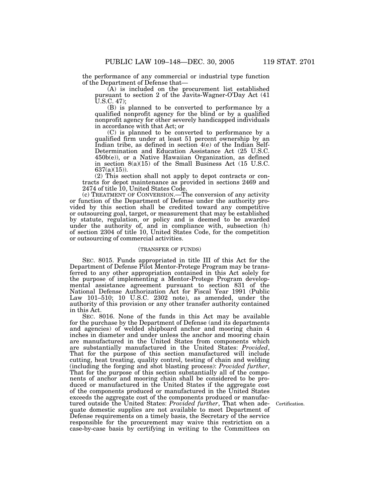the performance of any commercial or industrial type function of the Department of Defense that—

(A) is included on the procurement list established pursuant to section 2 of the Javits-Wagner-O'Day Act (41 U.S.C. 47);

(B) is planned to be converted to performance by a qualified nonprofit agency for the blind or by a qualified nonprofit agency for other severely handicapped individuals in accordance with that Act; or

(C) is planned to be converted to performance by a qualified firm under at least 51 percent ownership by an Indian tribe, as defined in section 4(e) of the Indian Self-Determination and Education Assistance Act (25 U.S.C. 450b(e)), or a Native Hawaiian Organization, as defined in section 8(a)(15) of the Small Business Act (15 U.S.C. 637(a)(15)).

(2) This section shall not apply to depot contracts or contracts for depot maintenance as provided in sections 2469 and 2474 of title 10, United States Code.

(c) TREATMENT OF CONVERSION.—The conversion of any activity or function of the Department of Defense under the authority provided by this section shall be credited toward any competitive or outsourcing goal, target, or measurement that may be established by statute, regulation, or policy and is deemed to be awarded under the authority of, and in compliance with, subsection (h) of section 2304 of title 10, United States Code, for the competition or outsourcing of commercial activities.

### (TRANSFER OF FUNDS)

SEC. 8015. Funds appropriated in title III of this Act for the Department of Defense Pilot Mentor-Protege Program may be transferred to any other appropriation contained in this Act solely for the purpose of implementing a Mentor-Protege Program developmental assistance agreement pursuant to section 831 of the National Defense Authorization Act for Fiscal Year 1991 (Public Law 101–510; 10 U.S.C. 2302 note), as amended, under the authority of this provision or any other transfer authority contained in this Act.

SEC. 8016. None of the funds in this Act may be available for the purchase by the Department of Defense (and its departments and agencies) of welded shipboard anchor and mooring chain 4 inches in diameter and under unless the anchor and mooring chain are manufactured in the United States from components which are substantially manufactured in the United States: Provided, That for the purpose of this section manufactured will include cutting, heat treating, quality control, testing of chain and welding (including the forging and shot blasting process): *Provided further*, That for the purpose of this section substantially all of the components of anchor and mooring chain shall be considered to be produced or manufactured in the United States if the aggregate cost of the components produced or manufactured in the United States exceeds the aggregate cost of the components produced or manufactured outside the United States: *Provided further*, That when adequate domestic supplies are not available to meet Department of Defense requirements on a timely basis, the Secretary of the service responsible for the procurement may waive this restriction on a case-by-case basis by certifying in writing to the Committees on

Certification.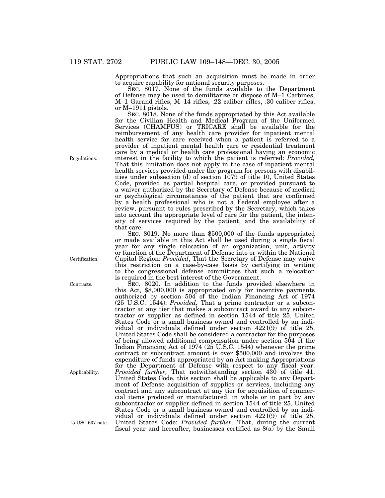Appropriations that such an acquisition must be made in order to acquire capability for national security purposes.

SEC. 8017. None of the funds available to the Department of Defense may be used to demilitarize or dispose of M–1 Carbines, M–1 Garand rifles, M–14 rifles, .22 caliber rifles, .30 caliber rifles, or M–1911 pistols.

SEC. 8018. None of the funds appropriated by this Act available for the Civilian Health and Medical Program of the Uniformed Services (CHAMPUS) or TRICARE shall be available for the reimbursement of any health care provider for inpatient mental health service for care received when a patient is referred to a provider of inpatient mental health care or residential treatment care by a medical or health care professional having an economic interest in the facility to which the patient is referred: *Provided,* That this limitation does not apply in the case of inpatient mental health services provided under the program for persons with disabilities under subsection (d) of section 1079 of title 10, United States Code, provided as partial hospital care, or provided pursuant to a waiver authorized by the Secretary of Defense because of medical or psychological circumstances of the patient that are confirmed by a health professional who is not a Federal employee after a review, pursuant to rules prescribed by the Secretary, which takes into account the appropriate level of care for the patient, the intensity of services required by the patient, and the availability of that care.

SEC. 8019. No more than \$500,000 of the funds appropriated or made available in this Act shall be used during a single fiscal year for any single relocation of an organization, unit, activity or function of the Department of Defense into or within the National Capital Region: *Provided*, That the Secretary of Defense may waive this restriction on a case-by-case basis by certifying in writing to the congressional defense committees that such a relocation is required in the best interest of the Government.

SEC. 8020. In addition to the funds provided elsewhere in this Act, \$8,000,000 is appropriated only for incentive payments authorized by section 504 of the Indian Financing Act of 1974 (25 U.S.C. 1544): *Provided,* That a prime contractor or a subcontractor at any tier that makes a subcontract award to any subcontractor or supplier as defined in section 1544 of title 25, United States Code or a small business owned and controlled by an individual or individuals defined under section 4221(9) of title 25, United States Code shall be considered a contractor for the purposes of being allowed additional compensation under section 504 of the Indian Financing Act of 1974 (25 U.S.C. 1544) whenever the prime contract or subcontract amount is over \$500,000 and involves the expenditure of funds appropriated by an Act making Appropriations for the Department of Defense with respect to any fiscal year: *Provided further,* That notwithstanding section 430 of title 41, United States Code, this section shall be applicable to any Department of Defense acquisition of supplies or services, including any contract and any subcontract at any tier for acquisition of commercial items produced or manufactured, in whole or in part by any subcontractor or supplier defined in section 1544 of title 25, United States Code or a small business owned and controlled by an individual or individuals defined under section 4221(9) of title 25, United States Code: *Provided further,* That, during the current fiscal year and hereafter, businesses certified as  $8(a)$  by the Small

Regulations.

Contracts.

Certification.

Applicability.

15 USC 637 note.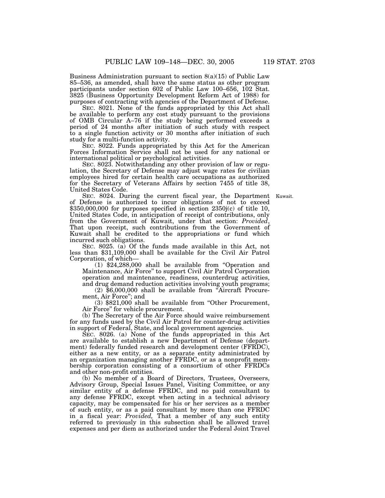Business Administration pursuant to section  $8(a)(15)$  of Public Law 85–536, as amended, shall have the same status as other program participants under section 602 of Public Law 100–656, 102 Stat. 3825 (Business Opportunity Development Reform Act of 1988) for purposes of contracting with agencies of the Department of Defense.

SEC. 8021. None of the funds appropriated by this Act shall be available to perform any cost study pursuant to the provisions of OMB Circular A–76 if the study being performed exceeds a period of 24 months after initiation of such study with respect to a single function activity or 30 months after initiation of such study for a multi-function activity.

SEC. 8022. Funds appropriated by this Act for the American Forces Information Service shall not be used for any national or international political or psychological activities.

SEC. 8023. Notwithstanding any other provision of law or regulation, the Secretary of Defense may adjust wage rates for civilian employees hired for certain health care occupations as authorized for the Secretary of Veterans Affairs by section 7455 of title 38, United States Code.

Kuwait.

SEC. 8024. During the current fiscal year, the Department of Defense is authorized to incur obligations of not to exceed \$350,000,000 for purposes specified in section 2350j(c) of title 10, United States Code, in anticipation of receipt of contributions, only from the Government of Kuwait, under that section: *Provided*, That upon receipt, such contributions from the Government of Kuwait shall be credited to the appropriations or fund which incurred such obligations.

SEC. 8025. (a) Of the funds made available in this Act, not less than \$31,109,000 shall be available for the Civil Air Patrol Corporation, of which—

(1) \$24,288,000 shall be available from ''Operation and Maintenance, Air Force'' to support Civil Air Patrol Corporation operation and maintenance, readiness, counterdrug activities, and drug demand reduction activities involving youth programs;

(2) \$6,000,000 shall be available from ''Aircraft Procurement, Air Force''; and

(3) \$821,000 shall be available from ''Other Procurement, Air Force'' for vehicle procurement.

(b) The Secretary of the Air Force should waive reimbursement for any funds used by the Civil Air Patrol for counter-drug activities in support of Federal, State, and local government agencies.

SEC. 8026. (a) None of the funds appropriated in this Act are available to establish a new Department of Defense (department) federally funded research and development center (FFRDC), either as a new entity, or as a separate entity administrated by an organization managing another FFRDC, or as a nonprofit membership corporation consisting of a consortium of other FFRDCs and other non-profit entities.

(b) No member of a Board of Directors, Trustees, Overseers, Advisory Group, Special Issues Panel, Visiting Committee, or any similar entity of a defense FFRDC, and no paid consultant to any defense FFRDC, except when acting in a technical advisory capacity, may be compensated for his or her services as a member of such entity, or as a paid consultant by more than one FFRDC in a fiscal year: *Provided,* That a member of any such entity referred to previously in this subsection shall be allowed travel expenses and per diem as authorized under the Federal Joint Travel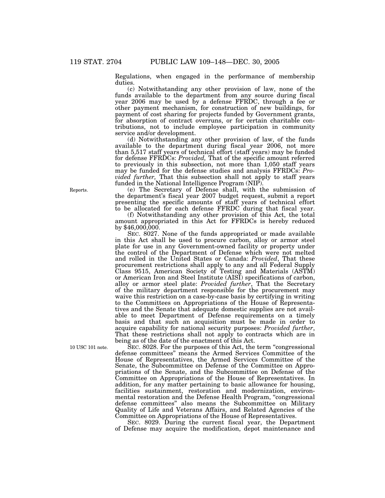Regulations, when engaged in the performance of membership duties.

(c) Notwithstanding any other provision of law, none of the funds available to the department from any source during fiscal year 2006 may be used by a defense FFRDC, through a fee or other payment mechanism, for construction of new buildings, for payment of cost sharing for projects funded by Government grants, for absorption of contract overruns, or for certain charitable contributions, not to include employee participation in community service and/or development.

(d) Notwithstanding any other provision of law, of the funds available to the department during fiscal year 2006, not more than 5,517 staff years of technical effort (staff years) may be funded for defense FFRDCs: *Provided,* That of the specific amount referred to previously in this subsection, not more than 1,050 staff years may be funded for the defense studies and analysis FFRDCs: *Provided further,* That this subsection shall not apply to staff years funded in the National Intelligence Program (NIP).

(e) The Secretary of Defense shall, with the submission of the department's fiscal year 2007 budget request, submit a report presenting the specific amounts of staff years of technical effort to be allocated for each defense FFRDC during that fiscal year.

(f) Notwithstanding any other provision of this Act, the total amount appropriated in this Act for FFRDCs is hereby reduced by \$46,000,000.

SEC. 8027. None of the funds appropriated or made available in this Act shall be used to procure carbon, alloy or armor steel plate for use in any Government-owned facility or property under the control of the Department of Defense which were not melted and rolled in the United States or Canada: *Provided*, That these procurement restrictions shall apply to any and all Federal Supply Class 9515, American Society of Testing and Materials (ASTM) or American Iron and Steel Institute (AISI) specifications of carbon, alloy or armor steel plate: *Provided further*, That the Secretary of the military department responsible for the procurement may waive this restriction on a case-by-case basis by certifying in writing to the Committees on Appropriations of the House of Representatives and the Senate that adequate domestic supplies are not available to meet Department of Defense requirements on a timely basis and that such an acquisition must be made in order to acquire capability for national security purposes: *Provided further*, That these restrictions shall not apply to contracts which are in being as of the date of the enactment of this Act.

SEC. 8028. For the purposes of this Act, the term "congressional" defense committees'' means the Armed Services Committee of the House of Representatives, the Armed Services Committee of the Senate, the Subcommittee on Defense of the Committee on Appropriations of the Senate, and the Subcommittee on Defense of the Committee on Appropriations of the House of Representatives. In addition, for any matter pertaining to basic allowance for housing, facilities sustainment, restoration and modernization, environmental restoration and the Defense Health Program, ''congressional defense committees'' also means the Subcommittee on Military Quality of Life and Veterans Affairs, and Related Agencies of the Committee on Appropriations of the House of Representatives.

SEC. 8029. During the current fiscal year, the Department of Defense may acquire the modification, depot maintenance and

Reports.

10 USC 101 note.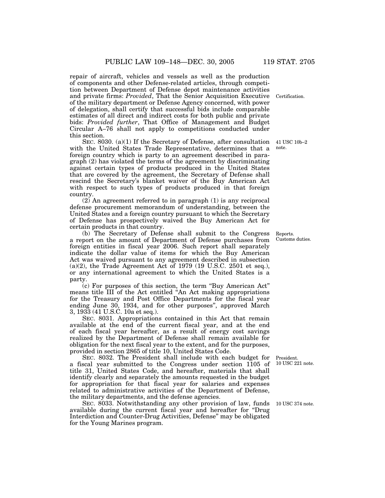repair of aircraft, vehicles and vessels as well as the production of components and other Defense-related articles, through competition between Department of Defense depot maintenance activities and private firms: *Provided*, That the Senior Acquisition Executive of the military department or Defense Agency concerned, with power of delegation, shall certify that successful bids include comparable estimates of all direct and indirect costs for both public and private bids: *Provided further*, That Office of Management and Budget Circular A–76 shall not apply to competitions conducted under this section.

SEC. 8030. (a)(1) If the Secretary of Defense, after consultation with the United States Trade Representative, determines that a foreign country which is party to an agreement described in paragraph (2) has violated the terms of the agreement by discriminating against certain types of products produced in the United States that are covered by the agreement, the Secretary of Defense shall rescind the Secretary's blanket waiver of the Buy American Act with respect to such types of products produced in that foreign country.

(2) An agreement referred to in paragraph (1) is any reciprocal defense procurement memorandum of understanding, between the United States and a foreign country pursuant to which the Secretary of Defense has prospectively waived the Buy American Act for certain products in that country.

(b) The Secretary of Defense shall submit to the Congress a report on the amount of Department of Defense purchases from foreign entities in fiscal year 2006. Such report shall separately indicate the dollar value of items for which the Buy American Act was waived pursuant to any agreement described in subsection  $(a)(2)$ , the Trade Agreement Act of 1979 (19 U.S.C. 2501 et seq.), or any international agreement to which the United States is a party.

(c) For purposes of this section, the term ''Buy American Act'' means title III of the Act entitled ''An Act making appropriations for the Treasury and Post Office Departments for the fiscal year ending June 30, 1934, and for other purposes'', approved March 3, 1933 (41 U.S.C. 10a et seq.).

SEC. 8031. Appropriations contained in this Act that remain available at the end of the current fiscal year, and at the end of each fiscal year hereafter, as a result of energy cost savings realized by the Department of Defense shall remain available for obligation for the next fiscal year to the extent, and for the purposes, provided in section 2865 of title 10, United States Code.

SEC. 8032. The President shall include with each budget for a fiscal year submitted to the Congress under section 1105 of title 31, United States Code, and hereafter, materials that shall identify clearly and separately the amounts requested in the budget for appropriation for that fiscal year for salaries and expenses related to administrative activities of the Department of Defense, the military departments, and the defense agencies.

SEC. 8033. Notwithstanding any other provision of law, funds available during the current fiscal year and hereafter for ''Drug Interdiction and Counter-Drug Activities, Defense'' may be obligated for the Young Marines program.

Reports. Customs duties.

President. 10 USC 221 note.

41 USC 10b–2

note.

Certification.

10 USC 374 note.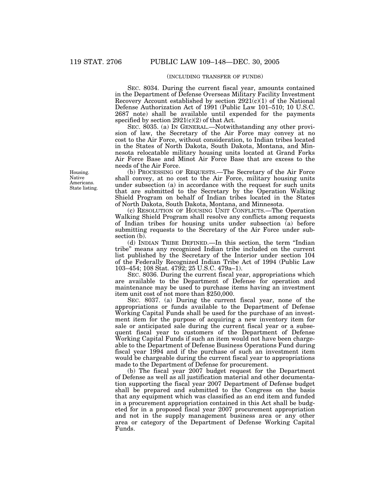## (INCLUDING TRANSFER OF FUNDS)

SEC. 8034. During the current fiscal year, amounts contained in the Department of Defense Overseas Military Facility Investment Recovery Account established by section  $2921(c)(1)$  of the National Defense Authorization Act of 1991 (Public Law 101–510; 10 U.S.C. 2687 note) shall be available until expended for the payments specified by section 2921(c)(2) of that Act.

SEC. 8035. (a) IN GENERAL.—Notwithstanding any other provision of law, the Secretary of the Air Force may convey at no cost to the Air Force, without consideration, to Indian tribes located in the States of North Dakota, South Dakota, Montana, and Minnesota relocatable military housing units located at Grand Forks Air Force Base and Minot Air Force Base that are excess to the needs of the Air Force.

(b) PROCESSING OF REQUESTS.—The Secretary of the Air Force shall convey, at no cost to the Air Force, military housing units under subsection (a) in accordance with the request for such units that are submitted to the Secretary by the Operation Walking Shield Program on behalf of Indian tribes located in the States of North Dakota, South Dakota, Montana, and Minnesota.

(c) RESOLUTION OF HOUSING UNIT CONFLICTS.—The Operation Walking Shield Program shall resolve any conflicts among requests of Indian tribes for housing units under subsection (a) before submitting requests to the Secretary of the Air Force under subsection (b).

(d) INDIAN TRIBE DEFINED.—In this section, the term ''Indian tribe'' means any recognized Indian tribe included on the current list published by the Secretary of the Interior under section 104 of the Federally Recognized Indian Tribe Act of 1994 (Public Law 103–454; 108 Stat. 4792; 25 U.S.C. 479a–1).

SEC. 8036. During the current fiscal year, appropriations which are available to the Department of Defense for operation and maintenance may be used to purchase items having an investment item unit cost of not more than \$250,000.

SEC. 8037. (a) During the current fiscal year, none of the appropriations or funds available to the Department of Defense Working Capital Funds shall be used for the purchase of an investment item for the purpose of acquiring a new inventory item for sale or anticipated sale during the current fiscal year or a subsequent fiscal year to customers of the Department of Defense Working Capital Funds if such an item would not have been chargeable to the Department of Defense Business Operations Fund during fiscal year 1994 and if the purchase of such an investment item would be chargeable during the current fiscal year to appropriations made to the Department of Defense for procurement.

(b) The fiscal year 2007 budget request for the Department of Defense as well as all justification material and other documentation supporting the fiscal year 2007 Department of Defense budget shall be prepared and submitted to the Congress on the basis that any equipment which was classified as an end item and funded in a procurement appropriation contained in this Act shall be budgeted for in a proposed fiscal year 2007 procurement appropriation and not in the supply management business area or any other area or category of the Department of Defense Working Capital Funds.

Housing. Native Americans. State listing.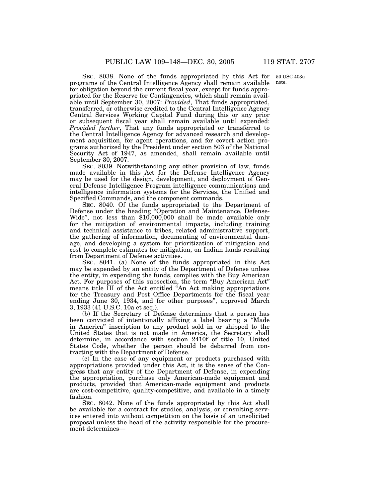50 USC 403u note.

SEC. 8038. None of the funds appropriated by this Act for programs of the Central Intelligence Agency shall remain available for obligation beyond the current fiscal year, except for funds appropriated for the Reserve for Contingencies, which shall remain available until September 30, 2007: *Provided*, That funds appropriated, transferred, or otherwise credited to the Central Intelligence Agency Central Services Working Capital Fund during this or any prior or subsequent fiscal year shall remain available until expended: *Provided further*, That any funds appropriated or transferred to the Central Intelligence Agency for advanced research and development acquisition, for agent operations, and for covert action programs authorized by the President under section 503 of the National Security Act of 1947, as amended, shall remain available until September 30, 2007.

SEC. 8039. Notwithstanding any other provision of law, funds made available in this Act for the Defense Intelligence Agency may be used for the design, development, and deployment of General Defense Intelligence Program intelligence communications and intelligence information systems for the Services, the Unified and Specified Commands, and the component commands.

SEC. 8040. Of the funds appropriated to the Department of Defense under the heading ''Operation and Maintenance, Defense-Wide", not less than \$10,000,000 shall be made available only for the mitigation of environmental impacts, including training and technical assistance to tribes, related administrative support, the gathering of information, documenting of environmental damage, and developing a system for prioritization of mitigation and cost to complete estimates for mitigation, on Indian lands resulting from Department of Defense activities.

SEC. 8041. (a) None of the funds appropriated in this Act may be expended by an entity of the Department of Defense unless the entity, in expending the funds, complies with the Buy American Act. For purposes of this subsection, the term ''Buy American Act'' means title III of the Act entitled ''An Act making appropriations for the Treasury and Post Office Departments for the fiscal year ending June 30, 1934, and for other purposes'', approved March 3, 1933 (41 U.S.C. 10a et seq.).

(b) If the Secretary of Defense determines that a person has been convicted of intentionally affixing a label bearing a ''Made in America'' inscription to any product sold in or shipped to the United States that is not made in America, the Secretary shall determine, in accordance with section 2410f of title 10, United States Code, whether the person should be debarred from contracting with the Department of Defense.

(c) In the case of any equipment or products purchased with appropriations provided under this Act, it is the sense of the Congress that any entity of the Department of Defense, in expending the appropriation, purchase only American-made equipment and products, provided that American-made equipment and products are cost-competitive, quality-competitive, and available in a timely fashion.

SEC. 8042. None of the funds appropriated by this Act shall be available for a contract for studies, analysis, or consulting services entered into without competition on the basis of an unsolicited proposal unless the head of the activity responsible for the procurement determines—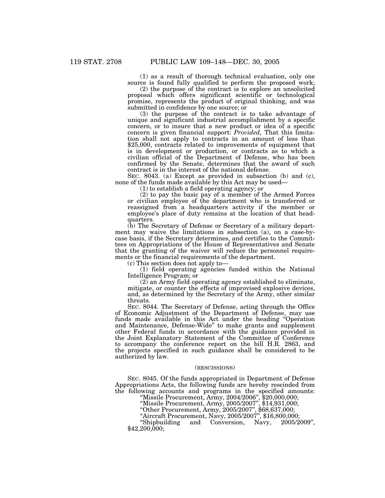(1) as a result of thorough technical evaluation, only one source is found fully qualified to perform the proposed work;

(2) the purpose of the contract is to explore an unsolicited proposal which offers significant scientific or technological promise, represents the product of original thinking, and was submitted in confidence by one source; or

(3) the purpose of the contract is to take advantage of unique and significant industrial accomplishment by a specific concern, or to insure that a new product or idea of a specific concern is given financial support: *Provided,* That this limitation shall not apply to contracts in an amount of less than \$25,000, contracts related to improvements of equipment that is in development or production, or contracts as to which a civilian official of the Department of Defense, who has been confirmed by the Senate, determines that the award of such contract is in the interest of the national defense.

SEC. 8043. (a) Except as provided in subsection (b) and (c), none of the funds made available by this Act may be used—

(1) to establish a field operating agency; or

(2) to pay the basic pay of a member of the Armed Forces or civilian employee of the department who is transferred or reassigned from a headquarters activity if the member or employee's place of duty remains at the location of that headquarters.

(b) The Secretary of Defense or Secretary of a military department may waive the limitations in subsection (a), on a case-bycase basis, if the Secretary determines, and certifies to the Committees on Appropriations of the House of Representatives and Senate that the granting of the waiver will reduce the personnel requirements or the financial requirements of the department.

(c) This section does not apply to—

(1) field operating agencies funded within the National Intelligence Program; or

(2) an Army field operating agency established to eliminate, mitigate, or counter the effects of improvised explosive devices, and, as determined by the Secretary of the Army, other similar threats.

SEC. 8044. The Secretary of Defense, acting through the Office of Economic Adjustment of the Department of Defense, may use funds made available in this Act under the heading ''Operation and Maintenance, Defense-Wide'' to make grants and supplement other Federal funds in accordance with the guidance provided in the Joint Explanatory Statement of the Committee of Conference to accompany the conference report on the bill H.R. 2863, and the projects specified in such guidance shall be considered to be authorized by law.

## (RESCISSIONS)

SEC. 8045. Of the funds appropriated in Department of Defense Appropriations Acts, the following funds are hereby rescinded from the following accounts and programs in the specified amounts: ''Missile Procurement, Army, 2004/2006'', \$20,000,000;

''Missile Procurement, Army, 2005/2007'', \$14,931,000; ''Other Procurement, Army, 2005/2007'', \$68,637,000;

"Aircraft Procurement, Navy, 2005/2007", \$16,800,000;<br>"Shipbuilding and Conversion, Navy, 2005/2009",

and Conversion, Navy,  $$42,200,000;$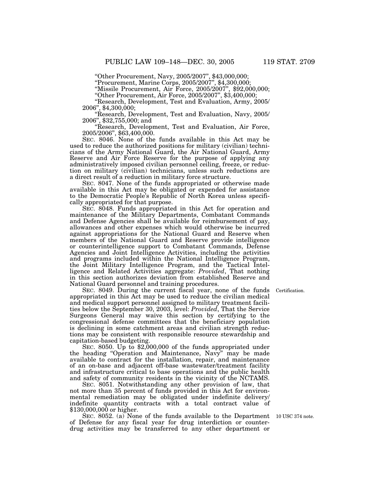''Other Procurement, Navy, 2005/2007'', \$43,000,000;

''Procurement, Marine Corps, 2005/2007'', \$4,300,000;

''Missile Procurement, Air Force, 2005/2007'', \$92,000,000;

''Other Procurement, Air Force, 2005/2007'', \$3,400,000;

''Research, Development, Test and Evaluation, Army, 2005/ 2006'', \$4,300,000;

''Research, Development, Test and Evaluation, Navy, 2005/ 2006'', \$32,755,000; and

''Research, Development, Test and Evaluation, Air Force, 2005/2006'', \$63,400,000.

SEC. 8046. None of the funds available in this Act may be used to reduce the authorized positions for military (civilian) technicians of the Army National Guard, the Air National Guard, Army Reserve and Air Force Reserve for the purpose of applying any administratively imposed civilian personnel ceiling, freeze, or reduction on military (civilian) technicians, unless such reductions are a direct result of a reduction in military force structure.

SEC. 8047. None of the funds appropriated or otherwise made available in this Act may be obligated or expended for assistance to the Democratic People's Republic of North Korea unless specifically appropriated for that purpose.

SEC. 8048. Funds appropriated in this Act for operation and maintenance of the Military Departments, Combatant Commands and Defense Agencies shall be available for reimbursement of pay, allowances and other expenses which would otherwise be incurred against appropriations for the National Guard and Reserve when members of the National Guard and Reserve provide intelligence or counterintelligence support to Combatant Commands, Defense Agencies and Joint Intelligence Activities, including the activities and programs included within the National Intelligence Program, the Joint Military Intelligence Program, and the Tactical Intelligence and Related Activities aggregate: *Provided*, That nothing in this section authorizes deviation from established Reserve and National Guard personnel and training procedures.

Certification.

SEC. 8049. During the current fiscal year, none of the funds appropriated in this Act may be used to reduce the civilian medical and medical support personnel assigned to military treatment facilities below the September 30, 2003, level: *Provided*, That the Service Surgeons General may waive this section by certifying to the congressional defense committees that the beneficiary population is declining in some catchment areas and civilian strength reductions may be consistent with responsible resource stewardship and capitation-based budgeting.

SEC. 8050. Up to \$2,000,000 of the funds appropriated under the heading ''Operation and Maintenance, Navy'' may be made available to contract for the installation, repair, and maintenance of an on-base and adjacent off-base wastewater/treatment facility and infrastructure critical to base operations and the public health and safety of community residents in the vicinity of the NCTAMS.

SEC. 8051. Notwithstanding any other provision of law, that not more than 35 percent of funds provided in this Act for environmental remediation may be obligated under indefinite delivery/ indefinite quantity contracts with a total contract value of \$130,000,000 or higher.

SEC. 8052. (a) None of the funds available to the Department 10 USC 374 note. of Defense for any fiscal year for drug interdiction or counterdrug activities may be transferred to any other department or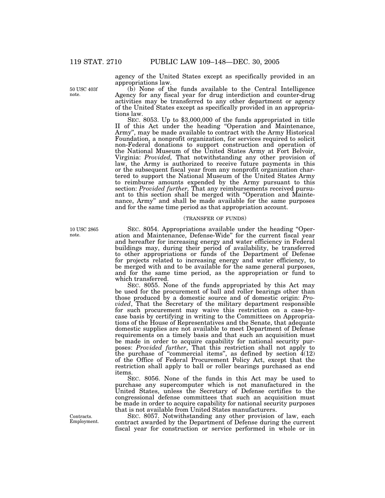50 USC 403f note.

agency of the United States except as specifically provided in an appropriations law.

(b) None of the funds available to the Central Intelligence Agency for any fiscal year for drug interdiction and counter-drug activities may be transferred to any other department or agency of the United States except as specifically provided in an appropriations law.

SEC. 8053. Up to \$3,000,000 of the funds appropriated in title II of this Act under the heading "Operation and Maintenance, Army'', may be made available to contract with the Army Historical Foundation, a nonprofit organization, for services required to solicit non-Federal donations to support construction and operation of the National Museum of the United States Army at Fort Belvoir, Virginia: *Provided,* That notwithstanding any other provision of law, the Army is authorized to receive future payments in this or the subsequent fiscal year from any nonprofit organization chartered to support the National Museum of the United States Army to reimburse amounts expended by the Army pursuant to this section: *Provided further,* That any reimbursements received pursuant to this section shall be merged with ''Operation and Maintenance, Army" and shall be made available for the same purposes and for the same time period as that appropriation account.

## (TRANSFER OF FUNDS)

SEC. 8054. Appropriations available under the heading ''Operation and Maintenance, Defense-Wide'' for the current fiscal year and hereafter for increasing energy and water efficiency in Federal buildings may, during their period of availability, be transferred to other appropriations or funds of the Department of Defense for projects related to increasing energy and water efficiency, to be merged with and to be available for the same general purposes, and for the same time period, as the appropriation or fund to which transferred.

SEC. 8055. None of the funds appropriated by this Act may be used for the procurement of ball and roller bearings other than those produced by a domestic source and of domestic origin: *Provided*, That the Secretary of the military department responsible for such procurement may waive this restriction on a case-bycase basis by certifying in writing to the Committees on Appropriations of the House of Representatives and the Senate, that adequate domestic supplies are not available to meet Department of Defense requirements on a timely basis and that such an acquisition must be made in order to acquire capability for national security purposes: *Provided further*, That this restriction shall not apply to the purchase of "commercial items", as defined by section  $4(12)$ of the Office of Federal Procurement Policy Act, except that the restriction shall apply to ball or roller bearings purchased as end items.

SEC. 8056. None of the funds in this Act may be used to purchase any supercomputer which is not manufactured in the United States, unless the Secretary of Defense certifies to the congressional defense committees that such an acquisition must be made in order to acquire capability for national security purposes that is not available from United States manufacturers.

SEC. 8057. Notwithstanding any other provision of law, each contract awarded by the Department of Defense during the current fiscal year for construction or service performed in whole or in

10 USC 2865 note.

Contracts. Employment.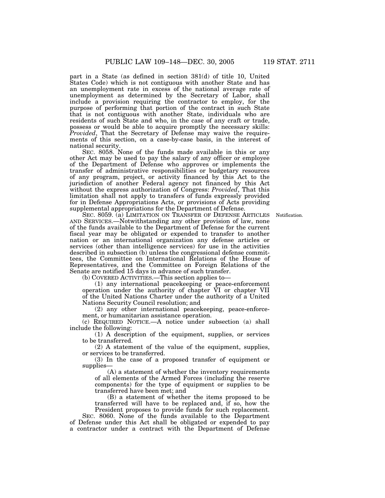part in a State (as defined in section 381(d) of title 10, United States Code) which is not contiguous with another State and has an unemployment rate in excess of the national average rate of unemployment as determined by the Secretary of Labor, shall include a provision requiring the contractor to employ, for the purpose of performing that portion of the contract in such State that is not contiguous with another State, individuals who are residents of such State and who, in the case of any craft or trade, possess or would be able to acquire promptly the necessary skills: *Provided*, That the Secretary of Defense may waive the requirements of this section, on a case-by-case basis, in the interest of national security.

SEC. 8058. None of the funds made available in this or any other Act may be used to pay the salary of any officer or employee of the Department of Defense who approves or implements the transfer of administrative responsibilities or budgetary resources of any program, project, or activity financed by this Act to the jurisdiction of another Federal agency not financed by this Act without the express authorization of Congress: *Provided*, That this limitation shall not apply to transfers of funds expressly provided for in Defense Appropriations Acts, or provisions of Acts providing supplemental appropriations for the Department of Defense.

Notification.

SEC. 8059. (a) LIMITATION ON TRANSFER OF DEFENSE ARTICLES AND SERVICES.—Notwithstanding any other provision of law, none of the funds available to the Department of Defense for the current fiscal year may be obligated or expended to transfer to another nation or an international organization any defense articles or services (other than intelligence services) for use in the activities described in subsection (b) unless the congressional defense committees, the Committee on International Relations of the House of Representatives, and the Committee on Foreign Relations of the Senate are notified 15 days in advance of such transfer.

(b) COVERED ACTIVITIES.—This section applies to—

(1) any international peacekeeping or peace-enforcement operation under the authority of chapter VI or chapter VII of the United Nations Charter under the authority of a United Nations Security Council resolution; and

(2) any other international peacekeeping, peace-enforcement, or humanitarian assistance operation.

(c) REQUIRED NOTICE.—A notice under subsection (a) shall include the following:

(1) A description of the equipment, supplies, or services to be transferred.

(2) A statement of the value of the equipment, supplies, or services to be transferred.

(3) In the case of a proposed transfer of equipment or supplies—

(A) a statement of whether the inventory requirements of all elements of the Armed Forces (including the reserve components) for the type of equipment or supplies to be transferred have been met; and

(B) a statement of whether the items proposed to be transferred will have to be replaced and, if so, how the President proposes to provide funds for such replacement.

SEC. 8060. None of the funds available to the Department of Defense under this Act shall be obligated or expended to pay a contractor under a contract with the Department of Defense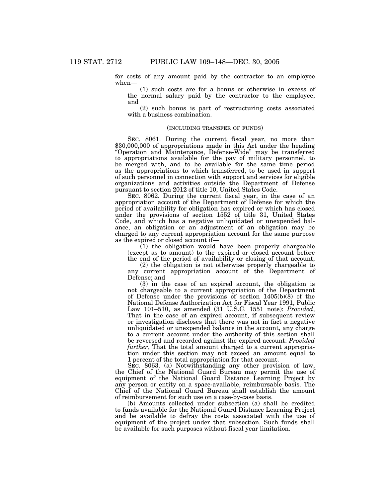for costs of any amount paid by the contractor to an employee when—

(1) such costs are for a bonus or otherwise in excess of the normal salary paid by the contractor to the employee; and

(2) such bonus is part of restructuring costs associated with a business combination.

## (INCLUDING TRANSFER OF FUNDS)

SEC. 8061. During the current fiscal year, no more than \$30,000,000 of appropriations made in this Act under the heading ''Operation and Maintenance, Defense-Wide'' may be transferred to appropriations available for the pay of military personnel, to be merged with, and to be available for the same time period as the appropriations to which transferred, to be used in support of such personnel in connection with support and services for eligible organizations and activities outside the Department of Defense pursuant to section 2012 of title 10, United States Code.

SEC. 8062. During the current fiscal year, in the case of an appropriation account of the Department of Defense for which the period of availability for obligation has expired or which has closed under the provisions of section 1552 of title 31, United States Code, and which has a negative unliquidated or unexpended balance, an obligation or an adjustment of an obligation may be charged to any current appropriation account for the same purpose as the expired or closed account if—

(1) the obligation would have been properly chargeable (except as to amount) to the expired or closed account before the end of the period of availability or closing of that account;

(2) the obligation is not otherwise properly chargeable to any current appropriation account of the Department of Defense; and

(3) in the case of an expired account, the obligation is not chargeable to a current appropriation of the Department of Defense under the provisions of section  $1405(b)(8)$  of the National Defense Authorization Act for Fiscal Year 1991, Public Law 101–510, as amended (31 U.S.C. 1551 note): *Provided*, That in the case of an expired account, if subsequent review or investigation discloses that there was not in fact a negative unliquidated or unexpended balance in the account, any charge to a current account under the authority of this section shall be reversed and recorded against the expired account: *Provided further*, That the total amount charged to a current appropriation under this section may not exceed an amount equal to 1 percent of the total appropriation for that account.

SEC. 8063. (a) Notwithstanding any other provision of law, the Chief of the National Guard Bureau may permit the use of equipment of the National Guard Distance Learning Project by any person or entity on a space-available, reimbursable basis. The Chief of the National Guard Bureau shall establish the amount of reimbursement for such use on a case-by-case basis.

(b) Amounts collected under subsection (a) shall be credited to funds available for the National Guard Distance Learning Project and be available to defray the costs associated with the use of equipment of the project under that subsection. Such funds shall be available for such purposes without fiscal year limitation.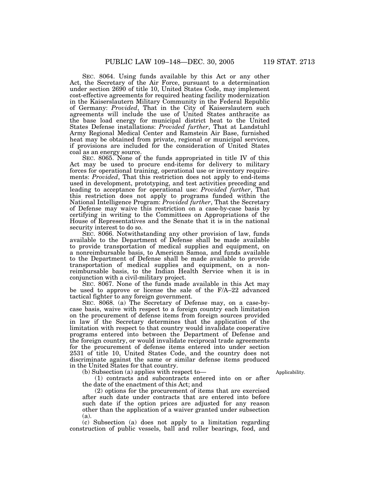SEC. 8064. Using funds available by this Act or any other Act, the Secretary of the Air Force, pursuant to a determination under section 2690 of title 10, United States Code, may implement cost-effective agreements for required heating facility modernization in the Kaiserslautern Military Community in the Federal Republic of Germany: *Provided*, That in the City of Kaiserslautern such agreements will include the use of United States anthracite as the base load energy for municipal district heat to the United States Defense installations: *Provided further*, That at Landstuhl Army Regional Medical Center and Ramstein Air Base, furnished heat may be obtained from private, regional or municipal services, if provisions are included for the consideration of United States coal as an energy source.

SEC. 8065. None of the funds appropriated in title IV of this Act may be used to procure end-items for delivery to military forces for operational training, operational use or inventory requirements: *Provided*, That this restriction does not apply to end-items used in development, prototyping, and test activities preceding and leading to acceptance for operational use: *Provided further*, That this restriction does not apply to programs funded within the National Intelligence Program: *Provided further*, That the Secretary of Defense may waive this restriction on a case-by-case basis by certifying in writing to the Committees on Appropriations of the House of Representatives and the Senate that it is in the national security interest to do so.

SEC. 8066. Notwithstanding any other provision of law, funds available to the Department of Defense shall be made available to provide transportation of medical supplies and equipment, on a nonreimbursable basis, to American Samoa, and funds available to the Department of Defense shall be made available to provide transportation of medical supplies and equipment, on a nonreimbursable basis, to the Indian Health Service when it is in conjunction with a civil-military project.

SEC. 8067. None of the funds made available in this Act may be used to approve or license the sale of the F/A–22 advanced tactical fighter to any foreign government.

SEC. 8068. (a) The Secretary of Defense may, on a case-bycase basis, waive with respect to a foreign country each limitation on the procurement of defense items from foreign sources provided in law if the Secretary determines that the application of the limitation with respect to that country would invalidate cooperative programs entered into between the Department of Defense and the foreign country, or would invalidate reciprocal trade agreements for the procurement of defense items entered into under section 2531 of title 10, United States Code, and the country does not discriminate against the same or similar defense items produced in the United States for that country.

(b) Subsection (a) applies with respect to—

Applicability.

(1) contracts and subcontracts entered into on or after the date of the enactment of this Act; and

(2) options for the procurement of items that are exercised after such date under contracts that are entered into before such date if the option prices are adjusted for any reason other than the application of a waiver granted under subsection (a).

(c) Subsection (a) does not apply to a limitation regarding construction of public vessels, ball and roller bearings, food, and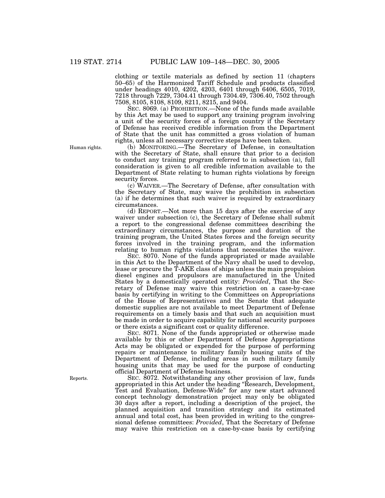clothing or textile materials as defined by section 11 (chapters 50–65) of the Harmonized Tariff Schedule and products classified under headings 4010, 4202, 4203, 6401 through 6406, 6505, 7019, 7218 through 7229, 7304.41 through 7304.49, 7306.40, 7502 through 7508, 8105, 8108, 8109, 8211, 8215, and 9404.

SEC. 8069. (a) PROHIBITION.—None of the funds made available by this Act may be used to support any training program involving a unit of the security forces of a foreign country if the Secretary of Defense has received credible information from the Department of State that the unit has committed a gross violation of human rights, unless all necessary corrective steps have been taken.

Human rights.

(b) MONITORING.—The Secretary of Defense, in consultation with the Secretary of State, shall ensure that prior to a decision to conduct any training program referred to in subsection (a), full consideration is given to all credible information available to the Department of State relating to human rights violations by foreign security forces.

(c) WAIVER.—The Secretary of Defense, after consultation with the Secretary of State, may waive the prohibition in subsection (a) if he determines that such waiver is required by extraordinary circumstances.

(d) REPORT.—Not more than 15 days after the exercise of any waiver under subsection (c), the Secretary of Defense shall submit a report to the congressional defense committees describing the extraordinary circumstances, the purpose and duration of the training program, the United States forces and the foreign security forces involved in the training program, and the information relating to human rights violations that necessitates the waiver.

SEC. 8070. None of the funds appropriated or made available in this Act to the Department of the Navy shall be used to develop, lease or procure the T-AKE class of ships unless the main propulsion diesel engines and propulsors are manufactured in the United States by a domestically operated entity: *Provided*, That the Secretary of Defense may waive this restriction on a case-by-case basis by certifying in writing to the Committees on Appropriations of the House of Representatives and the Senate that adequate domestic supplies are not available to meet Department of Defense requirements on a timely basis and that such an acquisition must be made in order to acquire capability for national security purposes or there exists a significant cost or quality difference.

SEC. 8071. None of the funds appropriated or otherwise made available by this or other Department of Defense Appropriations Acts may be obligated or expended for the purpose of performing repairs or maintenance to military family housing units of the Department of Defense, including areas in such military family housing units that may be used for the purpose of conducting official Department of Defense business.

SEC. 8072. Notwithstanding any other provision of law, funds appropriated in this Act under the heading ''Research, Development, Test and Evaluation, Defense-Wide'' for any new start advanced concept technology demonstration project may only be obligated 30 days after a report, including a description of the project, the planned acquisition and transition strategy and its estimated annual and total cost, has been provided in writing to the congressional defense committees: *Provided*, That the Secretary of Defense may waive this restriction on a case-by-case basis by certifying

Reports.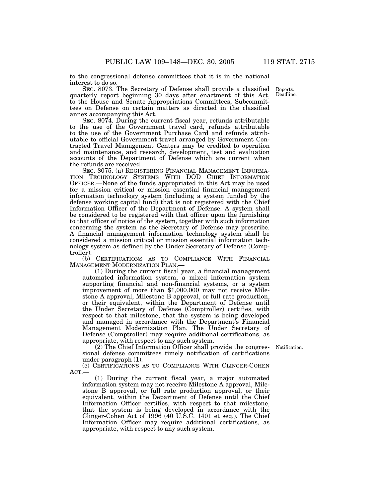to the congressional defense committees that it is in the national interest to do so.

SEC. 8073. The Secretary of Defense shall provide a classified quarterly report beginning 30 days after enactment of this Act, to the House and Senate Appropriations Committees, Subcommittees on Defense on certain matters as directed in the classified annex accompanying this Act.

SEC. 8074. During the current fiscal year, refunds attributable to the use of the Government travel card, refunds attributable to the use of the Government Purchase Card and refunds attributable to official Government travel arranged by Government Contracted Travel Management Centers may be credited to operation and maintenance, and research, development, test and evaluation accounts of the Department of Defense which are current when the refunds are received.

SEC. 8075. (a) REGISTERING FINANCIAL MANAGEMENT INFORMA-TION TECHNOLOGY SYSTEMS WITH DOD CHIEF INFORMATION OFFICER.—None of the funds appropriated in this Act may be used for a mission critical or mission essential financial management information technology system (including a system funded by the defense working capital fund) that is not registered with the Chief Information Officer of the Department of Defense. A system shall be considered to be registered with that officer upon the furnishing to that officer of notice of the system, together with such information concerning the system as the Secretary of Defense may prescribe. A financial management information technology system shall be considered a mission critical or mission essential information technology system as defined by the Under Secretary of Defense (Comptroller).

(b) CERTIFICATIONS AS TO COMPLIANCE WITH FINANCIAL MANAGEMENT MODERNIZATION PLAN.

(1) During the current fiscal year, a financial management automated information system, a mixed information system supporting financial and non-financial systems, or a system improvement of more than \$1,000,000 may not receive Milestone A approval, Milestone B approval, or full rate production, or their equivalent, within the Department of Defense until the Under Secretary of Defense (Comptroller) certifies, with respect to that milestone, that the system is being developed and managed in accordance with the Department's Financial Management Modernization Plan. The Under Secretary of Defense (Comptroller) may require additional certifications, as appropriate, with respect to any such system.

Notification.

 $(2)$  The Chief Information Officer shall provide the congressional defense committees timely notification of certifications under paragraph (1).

(c) CERTIFICATIONS AS TO COMPLIANCE WITH CLINGER-COHEN ACT.—

(1) During the current fiscal year, a major automated information system may not receive Milestone A approval, Milestone B approval, or full rate production approval, or their equivalent, within the Department of Defense until the Chief Information Officer certifies, with respect to that milestone, that the system is being developed in accordance with the Clinger-Cohen Act of 1996 (40 U.S.C. 1401 et seq.). The Chief Information Officer may require additional certifications, as appropriate, with respect to any such system.

Reports. Deadline.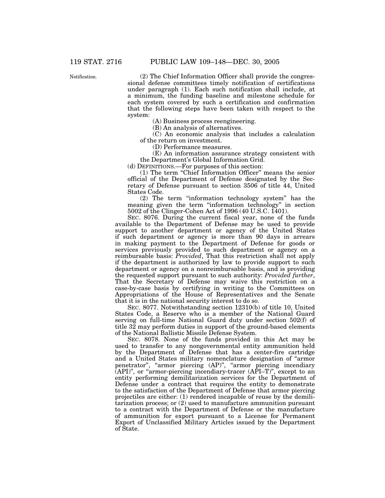Notification.

(2) The Chief Information Officer shall provide the congressional defense committees timely notification of certifications under paragraph (1). Each such notification shall include, at a minimum, the funding baseline and milestone schedule for each system covered by such a certification and confirmation that the following steps have been taken with respect to the system:

(A) Business process reengineering.

(B) An analysis of alternatives.

(C) An economic analysis that includes a calculation of the return on investment.

(D) Performance measures.

(E) An information assurance strategy consistent with the Department's Global Information Grid.

(d) DEFINITIONS.—For purposes of this section:

(1) The term ''Chief Information Officer'' means the senior official of the Department of Defense designated by the Secretary of Defense pursuant to section 3506 of title 44, United States Code.

(2) The term ''information technology system'' has the meaning given the term ''information technology'' in section 5002 of the Clinger-Cohen Act of 1996 (40 U.S.C. 1401).

SEC. 8076. During the current fiscal year, none of the funds available to the Department of Defense may be used to provide support to another department or agency of the United States if such department or agency is more than 90 days in arrears in making payment to the Department of Defense for goods or services previously provided to such department or agency on a reimbursable basis: *Provided*, That this restriction shall not apply if the department is authorized by law to provide support to such department or agency on a nonreimbursable basis, and is providing the requested support pursuant to such authority: *Provided further*, That the Secretary of Defense may waive this restriction on a case-by-case basis by certifying in writing to the Committees on Appropriations of the House of Representatives and the Senate that it is in the national security interest to do so.

SEC. 8077. Notwithstanding section 12310(b) of title 10, United States Code, a Reserve who is a member of the National Guard serving on full-time National Guard duty under section 502(f) of title 32 may perform duties in support of the ground-based elements of the National Ballistic Missile Defense System.

SEC. 8078. None of the funds provided in this Act may be used to transfer to any nongovernmental entity ammunition held by the Department of Defense that has a center-fire cartridge and a United States military nomenclature designation of ''armor penetrator", "armor piercing (AP)", "armor piercing incendiary (API)'', or ''armor-piercing incendiary-tracer (API–T)'', except to an entity performing demilitarization services for the Department of Defense under a contract that requires the entity to demonstrate to the satisfaction of the Department of Defense that armor piercing projectiles are either: (1) rendered incapable of reuse by the demilitarization process; or (2) used to manufacture ammunition pursuant to a contract with the Department of Defense or the manufacture of ammunition for export pursuant to a License for Permanent Export of Unclassified Military Articles issued by the Department of State.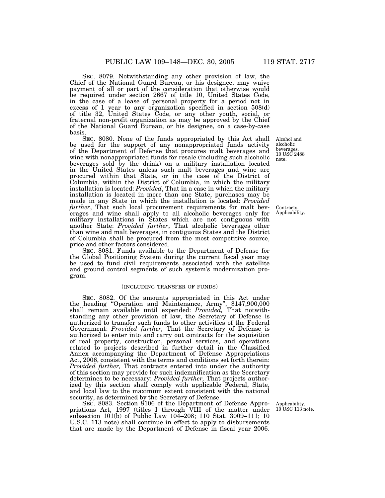SEC. 8079. Notwithstanding any other provision of law, the Chief of the National Guard Bureau, or his designee, may waive payment of all or part of the consideration that otherwise would be required under section 2667 of title 10, United States Code, in the case of a lease of personal property for a period not in excess of 1 year to any organization specified in section 508(d) of title 32, United States Code, or any other youth, social, or fraternal non-profit organization as may be approved by the Chief of the National Guard Bureau, or his designee, on a case-by-case basis.

SEC. 8080. None of the funds appropriated by this Act shall be used for the support of any nonappropriated funds activity of the Department of Defense that procures malt beverages and wine with nonappropriated funds for resale (including such alcoholic beverages sold by the drink) on a military installation located in the United States unless such malt beverages and wine are procured within that State, or in the case of the District of Columbia, within the District of Columbia, in which the military installation is located: *Provided*, That in a case in which the military installation is located in more than one State, purchases may be made in any State in which the installation is located: *Provided further*, That such local procurement requirements for malt beverages and wine shall apply to all alcoholic beverages only for military installations in States which are not contiguous with another State: *Provided further*, That alcoholic beverages other than wine and malt beverages, in contiguous States and the District of Columbia shall be procured from the most competitive source, price and other factors considered. Alcohol and alcoholic

SEC. 8081. Funds available to the Department of Defense for the Global Positioning System during the current fiscal year may be used to fund civil requirements associated with the satellite and ground control segments of such system's modernization program.

#### (INCLUDING TRANSFER OF FUNDS)

SEC. 8082. Of the amounts appropriated in this Act under the heading ''Operation and Maintenance, Army'', \$147,900,000 shall remain available until expended: *Provided,* That notwithstanding any other provision of law, the Secretary of Defense is authorized to transfer such funds to other activities of the Federal Government: *Provided further,* That the Secretary of Defense is authorized to enter into and carry out contracts for the acquisition of real property, construction, personal services, and operations related to projects described in further detail in the Classified Annex accompanying the Department of Defense Appropriations Act, 2006, consistent with the terms and conditions set forth therein: *Provided further,* That contracts entered into under the authority of this section may provide for such indemnification as the Secretary determines to be necessary: *Provided further,* That projects authorized by this section shall comply with applicable Federal, State, and local law to the maximum extent consistent with the national security, as determined by the Secretary of Defense.

SEC. 8083. Section 8106 of the Department of Defense Appropriations Act, 1997 (titles I through VIII of the matter under subsection 101(b) of Public Law 104–208; 110 Stat. 3009–111; 10 U.S.C. 113 note) shall continue in effect to apply to disbursements that are made by the Department of Defense in fiscal year 2006.

Applicability. 10 USC 113 note.

beverages. 10 USC 2488 note.

Contracts. Applicability.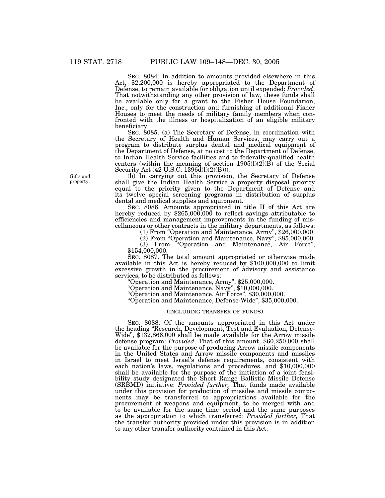SEC. 8084. In addition to amounts provided elsewhere in this Act, \$2,200,000 is hereby appropriated to the Department of Defense, to remain available for obligation until expended: *Provided*, That notwithstanding any other provision of law, these funds shall be available only for a grant to the Fisher House Foundation, Inc., only for the construction and furnishing of additional Fisher Houses to meet the needs of military family members when confronted with the illness or hospitalization of an eligible military beneficiary.

SEC. 8085. (a) The Secretary of Defense, in coordination with the Secretary of Health and Human Services, may carry out a program to distribute surplus dental and medical equipment of the Department of Defense, at no cost to the Department of Defense, to Indian Health Service facilities and to federally-qualified health centers (within the meaning of section  $1905(1)(2)(B)$  of the Social Security Act (42 U.S.C. 1396d(l)(2)(B))).

(b) In carrying out this provision, the Secretary of Defense shall give the Indian Health Service a property disposal priority equal to the priority given to the Department of Defense and its twelve special screening programs in distribution of surplus dental and medical supplies and equipment.<br>SEC. 8086. Amounts appropriated in title II of this Act are

hereby reduced by  $$265,000,000$  to reflect savings attributable to efficiencies and management improvements in the funding of mis-<br>cellaneous or other contracts in the military departments, as follows: cellaneous or other contracts in the military departments, as follows: (1) From ''Operation and Maintenance, Army'', \$26,000,000.

(2) From ''Operation and Maintenance, Navy'', \$85,000,000.

(3) From ''Operation and Maintenance, Air Force'', \$154,000,000.

SEC. 8087. The total amount appropriated or otherwise made available in this Act is hereby reduced by \$100,000,000 to limit excessive growth in the procurement of advisory and assistance services, to be distributed as follows:

''Operation and Maintenance, Army'', \$25,000,000.

''Operation and Maintenance, Navy'', \$10,000,000.

''Operation and Maintenance, Air Force'', \$30,000,000.

''Operation and Maintenance, Defense-Wide'', \$35,000,000.

#### (INCLUDING TRANSFER OF FUNDS)

SEC. 8088. Of the amounts appropriated in this Act under the heading ''Research, Development, Test and Evaluation, Defense-Wide'', \$132,866,000 shall be made available for the Arrow missile defense program: *Provided,* That of this amount, \$60,250,000 shall be available for the purpose of producing Arrow missile components in the United States and Arrow missile components and missiles in Israel to meet Israel's defense requirements, consistent with each nation's laws, regulations and procedures, and \$10,000,000 shall be available for the purpose of the initiation of a joint feasibility study designated the Short Range Ballistic Missile Defense (SRBMD) initiative: *Provided further,* That funds made available under this provision for production of missiles and missile components may be transferred to appropriations available for the procurement of weapons and equipment, to be merged with and to be available for the same time period and the same purposes as the appropriation to which transferred: *Provided further,* That the transfer authority provided under this provision is in addition to any other transfer authority contained in this Act.

Gifts and property.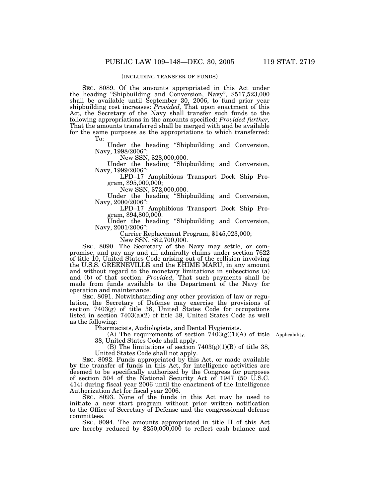#### (INCLUDING TRANSFER OF FUNDS)

SEC. 8089. Of the amounts appropriated in this Act under the heading ''Shipbuilding and Conversion, Navy'', \$517,523,000 shall be available until September 30, 2006, to fund prior year shipbuilding cost increases: *Provided,* That upon enactment of this Act, the Secretary of the Navy shall transfer such funds to the following appropriations in the amounts specified: *Provided further,* That the amounts transferred shall be merged with and be available for the same purposes as the appropriations to which transferred:

To:

Under the heading ''Shipbuilding and Conversion, Navy, 1998/2006'':

New SSN, \$28,000,000.

Under the heading ''Shipbuilding and Conversion, Navy, 1999/2006'':

LPD–17 Amphibious Transport Dock Ship Program, \$95,000,000;

New SSN, \$72,000,000.

Under the heading ''Shipbuilding and Conversion, Navy, 2000/2006'

LPD–17 Amphibious Transport Dock Ship Program, \$94,800,000.

Under the heading ''Shipbuilding and Conversion, Navy, 2001/2006'':

Carrier Replacement Program, \$145,023,000;

New SSN, \$82,700,000.

SEC. 8090. The Secretary of the Navy may settle, or compromise, and pay any and all admiralty claims under section 7622 of title 10, United States Code arising out of the collision involving the U.S.S. GREENEVILLE and the EHIME MARU, in any amount and without regard to the monetary limitations in subsections (a) and (b) of that section: *Provided,* That such payments shall be made from funds available to the Department of the Navy for operation and maintenance.

SEC. 8091. Notwithstanding any other provision of law or regulation, the Secretary of Defense may exercise the provisions of section 7403(g) of title 38, United States Code for occupations listed in section 7403(a)(2) of title 38, United States Code as well as the following:

Pharmacists, Audiologists, and Dental Hygienists.

(A) The requirements of section  $7403(g)(1)(A)$  of title Applicability. 38, United States Code shall apply.

(B) The limitations of section  $7403(g)(1)(B)$  of title 38, United States Code shall not apply.

SEC. 8092. Funds appropriated by this Act, or made available by the transfer of funds in this Act, for intelligence activities are deemed to be specifically authorized by the Congress for purposes of section 504 of the National Security Act of 1947 (50 U.S.C. 414) during fiscal year 2006 until the enactment of the Intelligence Authorization Act for fiscal year 2006.

SEC. 8093. None of the funds in this Act may be used to initiate a new start program without prior written notification to the Office of Secretary of Defense and the congressional defense committees.<br>SEC. 8094. The amounts appropriated in title II of this Act

are hereby reduced by  $$250,000,000$  to reflect cash balance and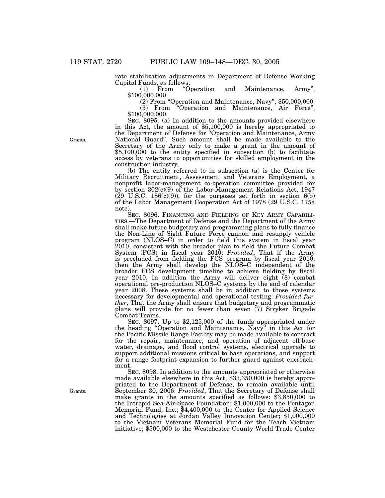rate stabilization adjustments in Department of Defense Working Capital Funds, as follows:<br>(1) From "Operation"

(1) From ''Operation and Maintenance, Army'', \$100,000,000.

 $(2)$  From "Operation and Maintenance, Navy", \$50,000,000. (3) From ''Operation and Maintenance, Air Force'',

\$100,000,000.<br>SEC. 8095. (a) In addition to the amounts provided elsewhere in this Act, the amount of  $$5,100,000$  is hereby appropriated to

the Department of Defense for ''Operation and Maintenance, Army National Guard''. Such amount shall be made available to the Secretary of the Army only to make a grant in the amount of \$5,100,000 to the entity specified in subsection (b) to facilitate access by veterans to opportunities for skilled employment in the construction industry.

(b) The entity referred to in subsection (a) is the Center for Military Recruitment, Assessment and Veterans Employment, a nonprofit labor-management co-operation committee provided for by section 302(c)(9) of the Labor-Management Relations Act, 1947  $(29 \text{ U.S.C. } 186(c)(9))$ , for the purposes set forth in section  $6(b)$ of the Labor Management Cooperation Act of 1978 (29 U.S.C. 175a note).

SEC. 8096. FINANCING AND FIELDING OF KEY ARMY CAPABILI-TIES.—The Department of Defense and the Department of the Army shall make future budgetary and programming plans to fully finance the Non-Line of Sight Future Force cannon and resupply vehicle program (NLOS–C) in order to field this system in fiscal year 2010, consistent with the broader plan to field the Future Combat System (FCS) in fiscal year 2010: *Provided*, That if the Army is precluded from fielding the FCS program by fiscal year 2010, then the Army shall develop the NLOS–C independent of the broader FCS development timeline to achieve fielding by fiscal year 2010. In addition the Army will deliver eight  $(8)$  combat operational pre-production NLOS–C systems by the end of calendar year 2008. These systems shall be in addition to those systems necessary for developmental and operational testing: *Provided further*, That the Army shall ensure that budgetary and programmatic plans will provide for no fewer than seven (7) Stryker Brigade Combat Teams.

SEC. 8097. Up to \$2,125,000 of the funds appropriated under the heading ''Operation and Maintenance, Navy'' in this Act for the Pacific Missile Range Facility may be made available to contract for the repair, maintenance, and operation of adjacent off-base water, drainage, and flood control systems, electrical upgrade to support additional missions critical to base operations, and support for a range footprint expansion to further guard against encroachment.

SEC. 8098. In addition to the amounts appropriated or otherwise made available elsewhere in this Act, \$33,350,000 is hereby appropriated to the Department of Defense, to remain available until September 30, 2006: *Provided*, That the Secretary of Defense shall make grants in the amounts specified as follows: \$3,850,000 to the Intrepid Sea-Air-Space Foundation; \$1,000,000 to the Pentagon Memorial Fund, Inc.; \$4,400,000 to the Center for Applied Science and Technologies at Jordan Valley Innovation Center; \$1,000,000 to the Vietnam Veterans Memorial Fund for the Teach Vietnam initiative; \$500,000 to the Westchester County World Trade Center

Grants.

Grants.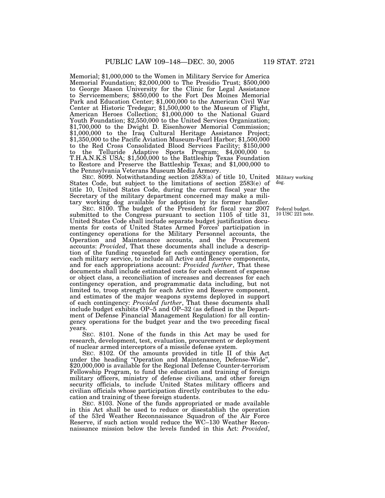Memorial; \$1,000,000 to the Women in Military Service for America Memorial Foundation; \$2,000,000 to The Presidio Trust; \$500,000 to George Mason University for the Clinic for Legal Assistance to Servicemembers; \$850,000 to the Fort Des Moines Memorial Park and Education Center; \$1,000,000 to the American Civil War Center at Historic Tredegar; \$1,500,000 to the Museum of Flight, American Heroes Collection; \$1,000,000 to the National Guard Youth Foundation; \$2,550,000 to the United Services Organization; \$1,700,000 to the Dwight D. Eisenhower Memorial Commission; \$1,000,000 to the Iraq Cultural Heritage Assistance Project; \$1,350,000 to the Pacific Aviation Museum-Pearl Harbor; \$1,500,000 to the Red Cross Consolidated Blood Services Facility; \$150,000 to the Telluride Adaptive Sports Program; \$4,000,000 to T.H.A.N.K.S USA; \$1,500,000 to the Battleship Texas Foundation to Restore and Preserve the Battleship Texas; and \$1,000,000 to the Pennsylvania Veterans Museum Media Armory.

SEC. 8099. Notwithstanding section 2583(a) of title 10, United States Code, but subject to the limitations of section 2583(e) of title 10, United States Code, during the current fiscal year the Secretary of the military department concerned may make a military working dog available for adoption by its former handler.

SEC. 8100. The budget of the President for fiscal year 2007 submitted to the Congress pursuant to section 1105 of title 31, United States Code shall include separate budget justification documents for costs of United States Armed Forces' participation in contingency operations for the Military Personnel accounts, the Operation and Maintenance accounts, and the Procurement accounts: *Provided*, That these documents shall include a description of the funding requested for each contingency operation, for each military service, to include all Active and Reserve components, and for each appropriations account: *Provided further*, That these documents shall include estimated costs for each element of expense or object class, a reconciliation of increases and decreases for each contingency operation, and programmatic data including, but not limited to, troop strength for each Active and Reserve component, and estimates of the major weapons systems deployed in support of each contingency: *Provided further*, That these documents shall include budget exhibits OP–5 and OP–32 (as defined in the Department of Defense Financial Management Regulation) for all contingency operations for the budget year and the two preceding fiscal years.

SEC. 8101. None of the funds in this Act may be used for research, development, test, evaluation, procurement or deployment of nuclear armed interceptors of a missile defense system.

SEC. 8102. Of the amounts provided in title II of this Act under the heading ''Operation and Maintenance, Defense-Wide'', \$20,000,000 is available for the Regional Defense Counter-terrorism Fellowship Program, to fund the education and training of foreign military officers, ministry of defense civilians, and other foreign security officials, to include United States military officers and civilian officials whose participation directly contributes to the education and training of these foreign students.

SEC. 8103. None of the funds appropriated or made available in this Act shall be used to reduce or disestablish the operation of the 53rd Weather Reconnaissance Squadron of the Air Force Reserve, if such action would reduce the WC–130 Weather Reconnaissance mission below the levels funded in this Act: *Provided*,

Military working dog.

Federal budget. 10 USC 221 note.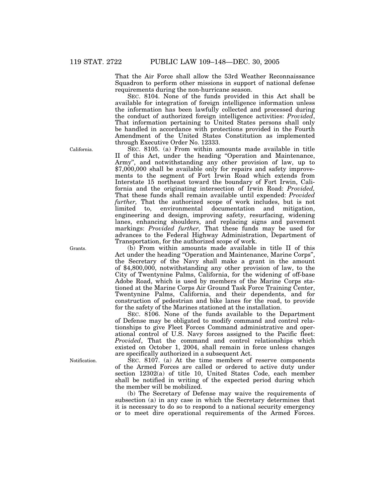That the Air Force shall allow the 53rd Weather Reconnaissance Squadron to perform other missions in support of national defense requirements during the non-hurricane season.

SEC. 8104. None of the funds provided in this Act shall be available for integration of foreign intelligence information unless the information has been lawfully collected and processed during the conduct of authorized foreign intelligence activities: *Provided*, That information pertaining to United States persons shall only be handled in accordance with protections provided in the Fourth Amendment of the United States Constitution as implemented through Executive Order No. 12333.

SEC. 8105. (a) From within amounts made available in title II of this Act, under the heading ''Operation and Maintenance, Army'', and notwithstanding any other provision of law, up to \$7,000,000 shall be available only for repairs and safety improvements to the segment of Fort Irwin Road which extends from Interstate 15 northeast toward the boundary of Fort Irwin, California and the originating intersection of Irwin Road: *Provided,* That these funds shall remain available until expended: *Provided further,* That the authorized scope of work includes, but is not limited to, environmental documentation and mitigation, engineering and design, improving safety, resurfacing, widening lanes, enhancing shoulders, and replacing signs and pavement markings: *Provided further,* That these funds may be used for advances to the Federal Highway Administration, Department of Transportation, for the authorized scope of work.

(b) From within amounts made available in title II of this Act under the heading "Operation and Maintenance, Marine Corps", the Secretary of the Navy shall make a grant in the amount of \$4,800,000, notwithstanding any other provision of law, to the City of Twentynine Palms, California, for the widening of off-base Adobe Road, which is used by members of the Marine Corps stationed at the Marine Corps Air Ground Task Force Training Center, Twentynine Palms, California, and their dependents, and for construction of pedestrian and bike lanes for the road, to provide for the safety of the Marines stationed at the installation.

SEC. 8106. None of the funds available to the Department of Defense may be obligated to modify command and control relationships to give Fleet Forces Command administrative and operational control of U.S. Navy forces assigned to the Pacific fleet: *Provided*, That the command and control relationships which existed on October 1, 2004, shall remain in force unless changes are specifically authorized in a subsequent Act.

SEC. 8107. (a) At the time members of reserve components of the Armed Forces are called or ordered to active duty under section 12302(a) of title 10, United States Code, each member shall be notified in writing of the expected period during which the member will be mobilized.

(b) The Secretary of Defense may waive the requirements of subsection (a) in any case in which the Secretary determines that it is necessary to do so to respond to a national security emergency or to meet dire operational requirements of the Armed Forces.

California.

Grants.

Notification.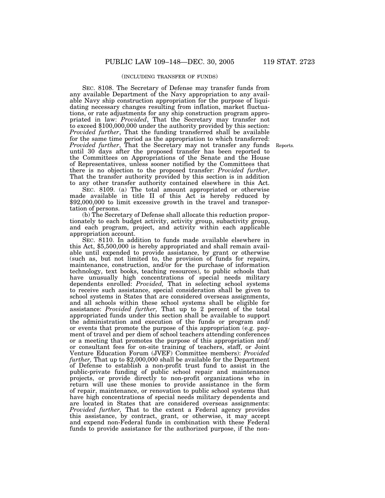# (INCLUDING TRANSFER OF FUNDS)

SEC. 8108. The Secretary of Defense may transfer funds from any available Department of the Navy appropriation to any available Navy ship construction appropriation for the purpose of liquidating necessary changes resulting from inflation, market fluctuations, or rate adjustments for any ship construction program appropriated in law: *Provided*, That the Secretary may transfer not to exceed \$100,000,000 under the authority provided by this section: *Provided further*, That the funding transferred shall be available for the same time period as the appropriation to which transferred: *Provided further*, That the Secretary may not transfer any funds until 30 days after the proposed transfer has been reported to the Committees on Appropriations of the Senate and the House of Representatives, unless sooner notified by the Committees that there is no objection to the proposed transfer: *Provided further*, That the transfer authority provided by this section is in addition to any other transfer authority contained elsewhere in this Act.

SEC. 8109. (a) The total amount appropriated or otherwise made available in title II of this Act is hereby reduced by \$92,000,000 to limit excessive growth in the travel and transportation of persons.

(b) The Secretary of Defense shall allocate this reduction proportionately to each budget activity, activity group, subactivity group, and each program, project, and activity within each applicable appropriation account.

SEC. 8110. In addition to funds made available elsewhere in this Act, \$5,500,000 is hereby appropriated and shall remain available until expended to provide assistance, by grant or otherwise (such as, but not limited to, the provision of funds for repairs, maintenance, construction, and/or for the purchase of information technology, text books, teaching resources), to public schools that have unusually high concentrations of special needs military dependents enrolled: *Provided,* That in selecting school systems to receive such assistance, special consideration shall be given to school systems in States that are considered overseas assignments, and all schools within these school systems shall be eligible for assistance: *Provided further,* That up to 2 percent of the total appropriated funds under this section shall be available to support the administration and execution of the funds or program and/ or events that promote the purpose of this appropriation (e.g. payment of travel and per diem of school teachers attending conferences or a meeting that promotes the purpose of this appropriation and/ or consultant fees for on-site training of teachers, staff, or Joint Venture Education Forum (JVEF) Committee members): *Provided further,* That up to \$2,000,000 shall be available for the Department of Defense to establish a non-profit trust fund to assist in the public-private funding of public school repair and maintenance projects, or provide directly to non-profit organizations who in return will use these monies to provide assistance in the form of repair, maintenance, or renovation to public school systems that have high concentrations of special needs military dependents and are located in States that are considered overseas assignments: *Provided further,* That to the extent a Federal agency provides this assistance, by contract, grant, or otherwise, it may accept and expend non-Federal funds in combination with these Federal funds to provide assistance for the authorized purpose, if the non-

Reports.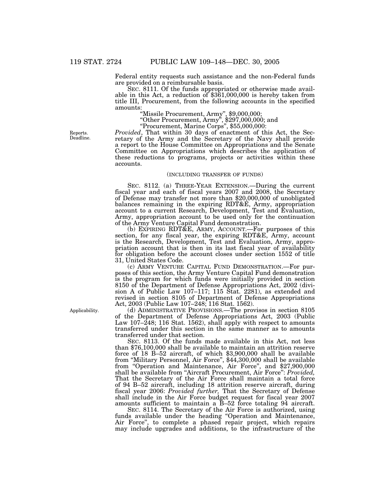Federal entity requests such assistance and the non-Federal funds are provided on a reimbursable basis.<br>SEC. 8111. Of the funds appropriated or otherwise made avail-

able in this Act, a reduction of  $$361,000,000$  is hereby taken from title III, Procurement, from the following accounts in the specified amounts:

''Missile Procurement, Army'', \$9,000,000;

''Other Procurement, Army'', \$297,000,000; and

''Procurement, Marine Corps'', \$55,000,000:

*Provided*, That within 30 days of enactment of this Act, the Secretary of the Army and the Secretary of the Navy shall provide a report to the House Committee on Appropriations and the Senate Committee on Appropriations which describes the application of these reductions to programs, projects or activities within these accounts.

#### (INCLUDING TRANSFER OF FUNDS)

SEC. 8112. (a) THREE-YEAR EXTENSION.—During the current fiscal year and each of fiscal years 2007 and 2008, the Secretary of Defense may transfer not more than \$20,000,000 of unobligated balances remaining in the expiring RDT&E, Army, appropriation account to a current Research, Development, Test and Evaluation, Army, appropriation account to be used only for the continuation of the Army Venture Capital Fund demonstration.

(b) EXPIRING RDT&E, ARMY, ACCOUNT.—For purposes of this section, for any fiscal year, the expiring RDT&E, Army, account is the Research, Development, Test and Evaluation, Army, appropriation account that is then in its last fiscal year of availability for obligation before the account closes under section 1552 of title 31, United States Code.

(c) ARMY VENTURE CAPITAL FUND DEMONSTRATION.—For purposes of this section, the Army Venture Capital Fund demonstration is the program for which funds were initially provided in section 8150 of the Department of Defense Appropriations Act, 2002 (division A of Public Law 107–117; 115 Stat. 2281), as extended and revised in section 8105 of Department of Defense Appropriations Act, 2003 (Public Law 107–248; 116 Stat. 1562).

(d) ADMINISTRATIVE PROVISIONS.—The provisos in section 8105 of the Department of Defense Appropriations Act, 2003 (Public Law 107–248; 116 Stat. 1562), shall apply with respect to amounts transferred under this section in the same manner as to amounts transferred under that section.

SEC. 8113. Of the funds made available in this Act, not less than \$76,100,000 shall be available to maintain an attrition reserve force of 18 B–52 aircraft, of which \$3,900,000 shall be available from ''Military Personnel, Air Force'', \$44,300,000 shall be available from "Operation and Maintenance, Air Force", and \$27,900,000 shall be available from ''Aircraft Procurement, Air Force'': *Provided,* That the Secretary of the Air Force shall maintain a total force of 94 B–52 aircraft, including 18 attrition reserve aircraft, during fiscal year 2006: *Provided further,* That the Secretary of Defense shall include in the Air Force budget request for fiscal year 2007 amounts sufficient to maintain a B–52 force totaling 94 aircraft.

SEC. 8114. The Secretary of the Air Force is authorized, using funds available under the heading ''Operation and Maintenance, Air Force'', to complete a phased repair project, which repairs may include upgrades and additions, to the infrastructure of the

Reports. Deadline.

Applicability.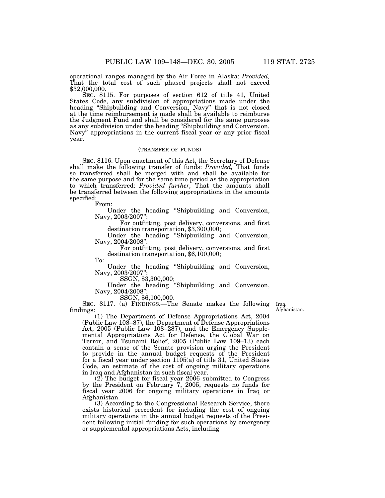operational ranges managed by the Air Force in Alaska: *Provided,* That the total cost of such phased projects shall not exceed \$32,000,000.

SEC. 8115. For purposes of section 612 of title 41, United States Code, any subdivision of appropriations made under the heading "Shipbuilding and Conversion, Navy" that is not closed at the time reimbursement is made shall be available to reimburse the Judgment Fund and shall be considered for the same purposes as any subdivision under the heading ''Shipbuilding and Conversion, Navy'' appropriations in the current fiscal year or any prior fiscal year.

#### (TRANSFER OF FUNDS)

SEC. 8116. Upon enactment of this Act, the Secretary of Defense shall make the following transfer of funds: *Provided,* That funds so transferred shall be merged with and shall be available for the same purpose and for the same time period as the appropriation to which transferred: *Provided further*, That the amounts shall be transferred between the following appropriations in the amounts specified:

From:

Under the heading ''Shipbuilding and Conversion, Navy, 2003/2007'':

For outfitting, post delivery, conversions, and first destination transportation, \$3,300,000;

Under the heading ''Shipbuilding and Conversion, Navy, 2004/2008'':

For outfitting, post delivery, conversions, and first destination transportation, \$6,100,000;

To:

Under the heading "Shipbuilding and Conversion, Navy, 2003/2007": Navy, 2003/2007'': SSGN, \$3,300,000;

Under the heading ''Shipbuilding and Conversion, Navy, 2004/2008":<br>SSGN, \$6,100,000.

SEC. 8117. (a) FINDINGS.—The Senate makes the following findings:

Iraq. Afghanistan.

(1) The Department of Defense Appropriations Act, 2004 (Public Law 108–87), the Department of Defense Appropriations Act, 2005 (Public Law 108–287), and the Emergency Supplemental Appropriations Act for Defense, the Global War on Terror, and Tsunami Relief, 2005 (Public Law 109–13) each contain a sense of the Senate provision urging the President to provide in the annual budget requests of the President for a fiscal year under section  $1105(a)$  of title 31, United States Code, an estimate of the cost of ongoing military operations in Iraq and Afghanistan in such fiscal year.

(2) The budget for fiscal year 2006 submitted to Congress by the President on February 7, 2005, requests no funds for fiscal year 2006 for ongoing military operations in Iraq or Afghanistan.

(3) According to the Congressional Research Service, there exists historical precedent for including the cost of ongoing military operations in the annual budget requests of the President following initial funding for such operations by emergency or supplemental appropriations Acts, including—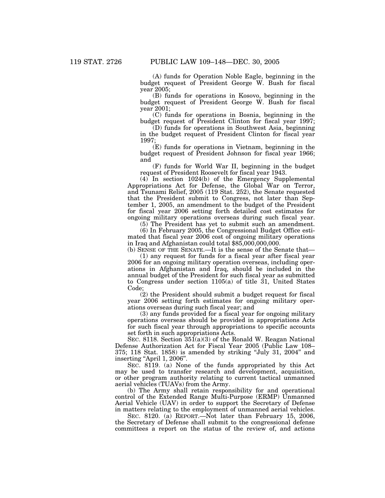(A) funds for Operation Noble Eagle, beginning in the budget request of President George W. Bush for fiscal year 2005;

(B) funds for operations in Kosovo, beginning in the budget request of President George W. Bush for fiscal year 2001;

(C) funds for operations in Bosnia, beginning in the budget request of President Clinton for fiscal year 1997;

(D) funds for operations in Southwest Asia, beginning in the budget request of President Clinton for fiscal year 1997;

(E) funds for operations in Vietnam, beginning in the budget request of President Johnson for fiscal year 1966; and

(F) funds for World War II, beginning in the budget request of President Roosevelt for fiscal year 1943.

(4) In section 1024(b) of the Emergency Supplemental Appropriations Act for Defense, the Global War on Terror, and Tsunami Relief, 2005 (119 Stat. 252), the Senate requested that the President submit to Congress, not later than September 1, 2005, an amendment to the budget of the President for fiscal year 2006 setting forth detailed cost estimates for ongoing military operations overseas during such fiscal year.

(5) The President has yet to submit such an amendment. (6) In February 2005, the Congressional Budget Office esti-

mated that fiscal year 2006 cost of ongoing military operations in Iraq and Afghanistan could total \$85,000,000,000. (b) SENSE OF THE SENATE.—It is the sense of the Senate that—

(1) any request for funds for a fiscal year after fiscal year 2006 for an ongoing military operation overseas, including operations in Afghanistan and Iraq, should be included in the annual budget of the President for such fiscal year as submitted to Congress under section 1105(a) of title 31, United States Code;

(2) the President should submit a budget request for fiscal year 2006 setting forth estimates for ongoing military operations overseas during such fiscal year; and

(3) any funds provided for a fiscal year for ongoing military operations overseas should be provided in appropriations Acts for such fiscal year through appropriations to specific accounts set forth in such appropriations Acts.

SEC. 8118. Section  $351(a)(3)$  of the Ronald W. Reagan National Defense Authorization Act for Fiscal Year 2005 (Public Law 108– 375; 118 Stat. 1858) is amended by striking ''July 31, 2004'' and inserting ''April 1, 2006''.

SEC. 8119. (a) None of the funds appropriated by this Act may be used to transfer research and development, acquisition, or other program authority relating to current tactical unmanned aerial vehicles (TUAVs) from the Army.

(b) The Army shall retain responsibility for and operational control of the Extended Range Multi-Purpose (ERMP) Unmanned Aerial Vehicle (UAV) in order to support the Secretary of Defense in matters relating to the employment of unmanned aerial vehicles.

SEC. 8120. (a) REPORT.—Not later than February 15, 2006, the Secretary of Defense shall submit to the congressional defense committees a report on the status of the review of, and actions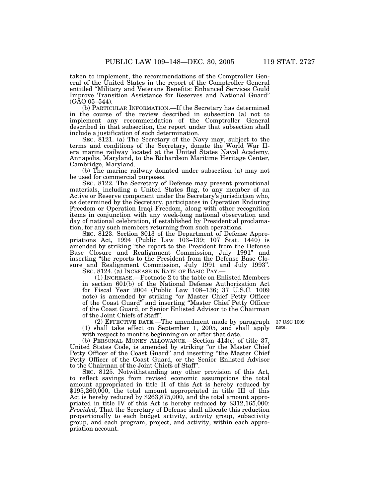taken to implement, the recommendations of the Comptroller General of the United States in the report of the Comptroller General entitled ''Military and Veterans Benefits: Enhanced Services Could Improve Transition Assistance for Reserves and National Guard'' (GAO 05–544).

(b) PARTICULAR INFORMATION.—If the Secretary has determined in the course of the review described in subsection (a) not to implement any recommendation of the Comptroller General described in that subsection, the report under that subsection shall include a justification of such determination.

SEC. 8121. (a) The Secretary of the Navy may, subject to the terms and conditions of the Secretary, donate the World War IIera marine railway located at the United States Naval Academy, Annapolis, Maryland, to the Richardson Maritime Heritage Center, Cambridge, Maryland.

(b) The marine railway donated under subsection (a) may not be used for commercial purposes.

SEC. 8122. The Secretary of Defense may present promotional materials, including a United States flag, to any member of an Active or Reserve component under the Secretary's jurisdiction who, as determined by the Secretary, participates in Operation Enduring Freedom or Operation Iraqi Freedom, along with other recognition items in conjunction with any week-long national observation and day of national celebration, if established by Presidential proclamation, for any such members returning from such operations.

SEC. 8123. Section 8013 of the Department of Defense Appropriations Act, 1994 (Public Law 103–139; 107 Stat. 1440) is amended by striking ''the report to the President from the Defense Base Closure and Realignment Commission, July 1991'' and inserting ''the reports to the President from the Defense Base Closure and Realignment Commission, July 1991 and July 1993''. SEC. 8124. (a) INCREASE IN RATE OF BASIC PAY.

(1) INCREASE.—Footnote 2 to the table on Enlisted Members in section 601(b) of the National Defense Authorization Act for Fiscal Year 2004 (Public Law 108–136; 37 U.S.C. 1009 note) is amended by striking ''or Master Chief Petty Officer of the Coast Guard'' and inserting ''Master Chief Petty Officer of the Coast Guard, or Senior Enlisted Advisor to the Chairman of the Joint Chiefs of Staff''.

(2) EFFECTIVE DATE.—The amendment made by paragraph (1) shall take effect on September 1, 2005, and shall apply with respect to months beginning on or after that date.

37 USC 1009 note.

(b) PERSONAL MONEY ALLOWANCE.—Section 414(c) of title 37, United States Code, is amended by striking ''or the Master Chief Petty Officer of the Coast Guard'' and inserting ''the Master Chief Petty Officer of the Coast Guard, or the Senior Enlisted Advisor to the Chairman of the Joint Chiefs of Staff''.

SEC. 8125. Notwithstanding any other provision of this Act, to reflect savings from revised economic assumptions the total amount appropriated in title II of this Act is hereby reduced by \$195,260,000, the total amount appropriated in title III of this Act is hereby reduced by \$263,875,000, and the total amount appropriated in title IV of this Act is hereby reduced by  $$312,165,000$ : *Provided,* That the Secretary of Defense shall allocate this reduction proportionally to each budget activity, activity group, subactivity group, and each program, project, and activity, within each appropriation account.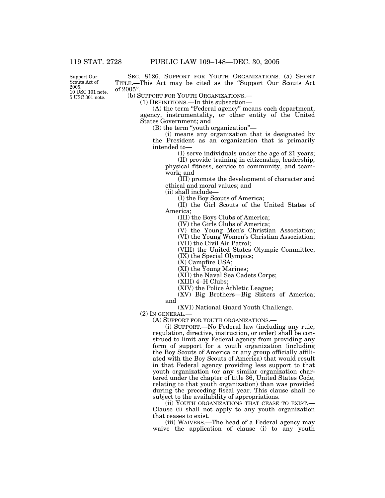Support Our Scouts Act of 2005. 10 USC 101 note. 5 USC 301 note.

SEC. 8126. SUPPORT FOR YOUTH ORGANIZATIONS. (a) SHORT TITLE.—This Act may be cited as the ''Support Our Scouts Act of 2005''.

(b) SUPPORT FOR YOUTH ORGANIZATIONS.—

(1) DEFINITIONS.—In this subsection—

(A) the term "Federal agency" means each department, agency, instrumentality, or other entity of the United States Government; and

(B) the term ''youth organization''—

(i) means any organization that is designated by the President as an organization that is primarily intended to—

(I) serve individuals under the age of 21 years;

(II) provide training in citizenship, leadership, physical fitness, service to community, and teamwork; and

(III) promote the development of character and ethical and moral values; and

(ii) shall include—

(I) the Boy Scouts of America;

(II) the Girl Scouts of the United States of America;

(III) the Boys Clubs of America;

(IV) the Girls Clubs of America;

(V) the Young Men's Christian Association;

(VI) the Young Women's Christian Association; (VII) the Civil Air Patrol;

(VIII) the United States Olympic Committee;

(IX) the Special Olympics;

(X) Campfire USA;

(XI) the Young Marines;

(XII) the Naval Sea Cadets Corps;

(XIII) 4–H Clubs;

(XIV) the Police Athletic League;

(XV) Big Brothers—Big Sisters of America;

(XVI) National Guard Youth Challenge.

(2) IN GENERAL.—

and

(A) SUPPORT FOR YOUTH ORGANIZATIONS.—

(i) SUPPORT.—No Federal law (including any rule, regulation, directive, instruction, or order) shall be construed to limit any Federal agency from providing any form of support for a youth organization (including the Boy Scouts of America or any group officially affiliated with the Boy Scouts of America) that would result in that Federal agency providing less support to that youth organization (or any similar organization chartered under the chapter of title 36, United States Code, relating to that youth organization) than was provided during the preceding fiscal year. This clause shall be subject to the availability of appropriations.

(ii) YOUTH ORGANIZATIONS THAT CEASE TO EXIST.— Clause (i) shall not apply to any youth organization that ceases to exist.

(iii) WAIVERS.—The head of a Federal agency may waive the application of clause (i) to any youth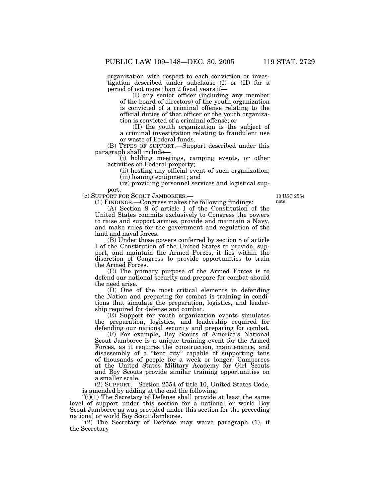organization with respect to each conviction or investigation described under subclause (I) or (II) for a period of not more than 2 fiscal years if—

(I) any senior officer (including any member of the board of directors) of the youth organization is convicted of a criminal offense relating to the official duties of that officer or the youth organization is convicted of a criminal offense; or

(II) the youth organization is the subject of a criminal investigation relating to fraudulent use or waste of Federal funds.

(B) TYPES OF SUPPORT.—Support described under this paragraph shall include—

(i) holding meetings, camping events, or other activities on Federal property;

(ii) hosting any official event of such organization; (iii) loaning equipment; and

(iv) providing personnel services and logistical support.

(c) SUPPORT FOR SCOUT JAMBOREES.—

(1) FINDINGS.—Congress makes the following findings:

10 USC 2554 note.

(A) Section 8 of article I of the Constitution of the United States commits exclusively to Congress the powers to raise and support armies, provide and maintain a Navy, and make rules for the government and regulation of the land and naval forces.

(B) Under those powers conferred by section 8 of article I of the Constitution of the United States to provide, support, and maintain the Armed Forces, it lies within the discretion of Congress to provide opportunities to train the Armed Forces.

(C) The primary purpose of the Armed Forces is to defend our national security and prepare for combat should the need arise.

(D) One of the most critical elements in defending the Nation and preparing for combat is training in conditions that simulate the preparation, logistics, and leadership required for defense and combat.

(E) Support for youth organization events simulates the preparation, logistics, and leadership required for defending our national security and preparing for combat.

(F) For example, Boy Scouts of America's National Scout Jamboree is a unique training event for the Armed Forces, as it requires the construction, maintenance, and disassembly of a "tent city" capable of supporting tens of thousands of people for a week or longer. Camporees at the United States Military Academy for Girl Scouts and Boy Scouts provide similar training opportunities on a smaller scale.

(2) SUPPORT.—Section 2554 of title 10, United States Code, is amended by adding at the end the following:

" $(i)(1)$  The Secretary of Defense shall provide at least the same level of support under this section for a national or world Boy Scout Jamboree as was provided under this section for the preceding national or world Boy Scout Jamboree.

"(2) The Secretary of Defense may waive paragraph  $(1)$ , if the Secretary—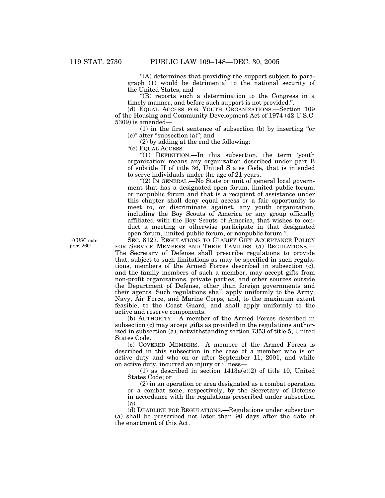''(A) determines that providing the support subject to paragraph (1) would be detrimental to the national security of the United States; and

''(B) reports such a determination to the Congress in a timely manner, and before such support is not provided.''.

(d) EQUAL ACCESS FOR YOUTH ORGANIZATIONS.—Section 109 of the Housing and Community Development Act of 1974 (42 U.S.C. 5309) is amended—

(1) in the first sentence of subsection (b) by inserting ''or (e)'' after ''subsection (a)''; and

(2) by adding at the end the following:

''(e) EQUAL ACCESS.—

''(1) DEFINITION.—In this subsection, the term 'youth organization' means any organization described under part B of subtitle II of title 36, United States Code, that is intended to serve individuals under the age of 21 years.

''(2) IN GENERAL.—No State or unit of general local government that has a designated open forum, limited public forum, or nonpublic forum and that is a recipient of assistance under this chapter shall deny equal access or a fair opportunity to meet to, or discriminate against, any youth organization, including the Boy Scouts of America or any group officially affiliated with the Boy Scouts of America, that wishes to conduct a meeting or otherwise participate in that designated open forum, limited public forum, or nonpublic forum.''.

SEC. 8127. REGULATIONS TO CLARIFY GIFT ACCEPTANCE POLICY FOR SERVICE MEMBERS AND THEIR FAMILIES. (a) REGULATIONS. The Secretary of Defense shall prescribe regulations to provide that, subject to such limitations as may be specified in such regulations, members of the Armed Forces described in subsection (c), and the family members of such a member, may accept gifts from non-profit organizations, private parties, and other sources outside the Department of Defense, other than foreign governments and their agents. Such regulations shall apply uniformly to the Army, Navy, Air Force, and Marine Corps, and, to the maximum extent feasible, to the Coast Guard, and shall apply uniformly to the active and reserve components.

(b) AUTHORITY.—A member of the Armed Forces described in subsection (c) may accept gifts as provided in the regulations authorized in subsection (a), notwithstanding section 7353 of title 5, United States Code.

(c) COVERED MEMBERS.—A member of the Armed Forces is described in this subsection in the case of a member who is on active duty and who on or after September 11, 2001, and while on active duty, incurred an injury or illness—

(1) as described in section  $1413a(e)(2)$  of title 10, United States Code; or

(2) in an operation or area designated as a combat operation or a combat zone, respectively, by the Secretary of Defense in accordance with the regulations prescribed under subsection (a).

(d) DEADLINE FOR REGULATIONS.—Regulations under subsection (a) shall be prescribed not later than 90 days after the date of the enactment of this Act.

10 USC note prec. 2601.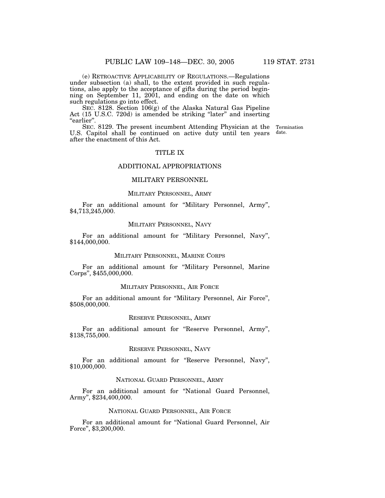(e) RETROACTIVE APPLICABILITY OF REGULATIONS.—Regulations under subsection (a) shall, to the extent provided in such regulations, also apply to the acceptance of gifts during the period beginning on September 11, 2001, and ending on the date on which such regulations go into effect.

SEC. 8128. Section 106(g) of the Alaska Natural Gas Pipeline Act (15 U.S.C. 720d) is amended be striking "later" and inserting "earlier".

SEC. 8129. The present incumbent Attending Physician at the U.S. Capitol shall be continued on active duty until ten years after the enactment of this Act.

#### Termination date.

# TITLE IX

# ADDITIONAL APPROPRIATIONS

# MILITARY PERSONNEL

## MILITARY PERSONNEL, ARMY

For an additional amount for ''Military Personnel, Army'', \$4,713,245,000.

## MILITARY PERSONNEL, NAVY

For an additional amount for ''Military Personnel, Navy'', \$144,000,000.

## MILITARY PERSONNEL, MARINE CORPS

For an additional amount for ''Military Personnel, Marine Corps'', \$455,000,000.

#### MILITARY PERSONNEL, AIR FORCE

For an additional amount for ''Military Personnel, Air Force'', \$508,000,000.

#### RESERVE PERSONNEL, ARMY

For an additional amount for "Reserve Personnel, Army", \$138,755,000.

## RESERVE PERSONNEL, NAVY

For an additional amount for "Reserve Personnel, Navy", \$10,000,000.

## NATIONAL GUARD PERSONNEL, ARMY

For an additional amount for ''National Guard Personnel, Army'', \$234,400,000.

# NATIONAL GUARD PERSONNEL, AIR FORCE

For an additional amount for ''National Guard Personnel, Air Force'', \$3,200,000.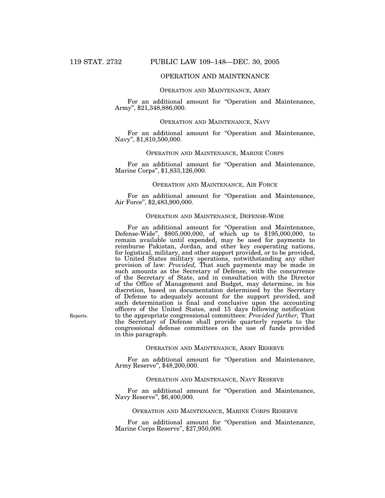# OPERATION AND MAINTENANCE

# OPERATION AND MAINTENANCE, ARMY

For an additional amount for "Operation and Maintenance, Army'', \$21,348,886,000.

# OPERATION AND MAINTENANCE, NAVY

For an additional amount for "Operation and Maintenance, Navy'', \$1,810,500,000.

## OPERATION AND MAINTENANCE, MARINE CORPS

For an additional amount for "Operation and Maintenance, Marine Corps'', \$1,833,126,000.

#### OPERATION AND MAINTENANCE, AIR FORCE

For an additional amount for "Operation and Maintenance, Air Force'', \$2,483,900,000.

# OPERATION AND MAINTENANCE, DEFENSE-WIDE

For an additional amount for ''Operation and Maintenance, Defense-Wide'', \$805,000,000, of which up to \$195,000,000, to remain available until expended, may be used for payments to reimburse Pakistan, Jordan, and other key cooperating nations, for logistical, military, and other support provided, or to be provided, to United States military operations, notwithstanding any other provision of law: *Provided,* That such payments may be made in such amounts as the Secretary of Defense, with the concurrence of the Secretary of State, and in consultation with the Director of the Office of Management and Budget, may determine, in his discretion, based on documentation determined by the Secretary of Defense to adequately account for the support provided, and such determination is final and conclusive upon the accounting officers of the United States, and 15 days following notification to the appropriate congressional committees: *Provided further,* That the Secretary of Defense shall provide quarterly reports to the congressional defense committees on the use of funds provided in this paragraph.

#### OPERATION AND MAINTENANCE, ARMY RESERVE

For an additional amount for "Operation and Maintenance, Army Reserve'', \$48,200,000.

#### OPERATION AND MAINTENANCE, NAVY RESERVE

For an additional amount for "Operation and Maintenance, Navy Reserve'', \$6,400,000.

#### OPERATION AND MAINTENANCE, MARINE CORPS RESERVE

For an additional amount for ''Operation and Maintenance, Marine Corps Reserve'', \$27,950,000.

Reports.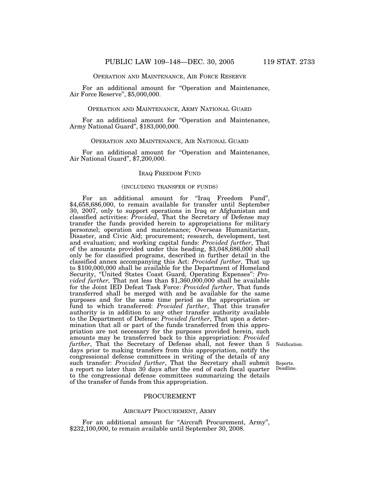#### OPERATION AND MAINTENANCE, AIR FORCE RESERVE

For an additional amount for "Operation and Maintenance, Air Force Reserve'', \$5,000,000.

#### OPERATION AND MAINTENANCE, ARMY NATIONAL GUARD

For an additional amount for "Operation and Maintenance, Army National Guard'', \$183,000,000.

## OPERATION AND MAINTENANCE, AIR NATIONAL GUARD

For an additional amount for "Operation and Maintenance, Air National Guard'', \$7,200,000.

## IRAQ FREEDOM FUND

## (INCLUDING TRANSFER OF FUNDS)

For an additional amount for "Iraq Freedom Fund", \$4,658,686,000, to remain available for transfer until September 30, 2007, only to support operations in Iraq or Afghanistan and classified activities: *Provided*, That the Secretary of Defense may transfer the funds provided herein to appropriations for military personnel; operation and maintenance; Overseas Humanitarian, Disaster, and Civic Aid; procurement; research, development, test and evaluation; and working capital funds: *Provided further*, That of the amounts provided under this heading, \$3,048,686,000 shall only be for classified programs, described in further detail in the classified annex accompanying this Act: *Provided further,* That up to \$100,000,000 shall be available for the Department of Homeland Security, "United States Coast Guard, Operating Expenses": Pro*vided further,* That not less than \$1,360,000,000 shall be available for the Joint IED Defeat Task Force: *Provided further*, That funds transferred shall be merged with and be available for the same purposes and for the same time period as the appropriation or fund to which transferred: *Provided further*, That this transfer authority is in addition to any other transfer authority available to the Department of Defense: *Provided further*, That upon a determination that all or part of the funds transferred from this appropriation are not necessary for the purposes provided herein, such amounts may be transferred back to this appropriation: *Provided further*, That the Secretary of Defense shall, not fewer than 5 days prior to making transfers from this appropriation, notify the congressional defense committees in writing of the details of any such transfer: *Provided further*, That the Secretary shall submit a report no later than 30 days after the end of each fiscal quarter to the congressional defense committees summarizing the details of the transfer of funds from this appropriation.

Notification.

Reports. Deadline.

#### PROCUREMENT

#### AIRCRAFT PROCUREMENT, ARMY

For an additional amount for ''Aircraft Procurement, Army'', \$232,100,000, to remain available until September 30, 2008.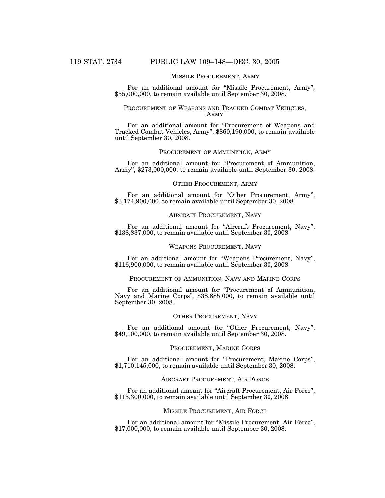## MISSILE PROCUREMENT, ARMY

For an additional amount for ''Missile Procurement, Army'', \$55,000,000, to remain available until September 30, 2008.

# PROCUREMENT OF WEAPONS AND TRACKED COMBAT VEHICLES, ARMY

For an additional amount for "Procurement of Weapons and Tracked Combat Vehicles, Army'', \$860,190,000, to remain available until September 30, 2008.

#### PROCUREMENT OF AMMUNITION, ARMY

For an additional amount for "Procurement of Ammunition, Army'', \$273,000,000, to remain available until September 30, 2008.

# OTHER PROCUREMENT, ARMY

For an additional amount for "Other Procurement, Army", \$3,174,900,000, to remain available until September 30, 2008.

#### AIRCRAFT PROCUREMENT, NAVY

For an additional amount for "Aircraft Procurement, Navy", \$138,837,000, to remain available until September 30, 2008.

#### WEAPONS PROCUREMENT, NAVY

For an additional amount for ''Weapons Procurement, Navy'', \$116,900,000, to remain available until September 30, 2008.

#### PROCUREMENT OF AMMUNITION, NAVY AND MARINE CORPS

For an additional amount for "Procurement of Ammunition, Navy and Marine Corps'', \$38,885,000, to remain available until September 30, 2008.

#### OTHER PROCUREMENT, NAVY

For an additional amount for "Other Procurement, Navy", \$49,100,000, to remain available until September 30, 2008.

## PROCUREMENT, MARINE CORPS

For an additional amount for "Procurement, Marine Corps", \$1,710,145,000, to remain available until September 30, 2008.

#### AIRCRAFT PROCUREMENT, AIR FORCE

For an additional amount for "Aircraft Procurement, Air Force", \$115,300,000, to remain available until September 30, 2008.

#### MISSILE PROCUREMENT, AIR FORCE

For an additional amount for "Missile Procurement, Air Force", \$17,000,000, to remain available until September 30, 2008.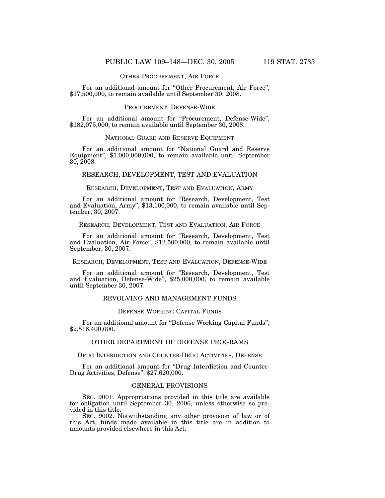#### OTHER PROCUREMENT, AIR FORCE

For an additional amount for "Other Procurement, Air Force", \$17,500,000, to remain available until September 30, 2008.

#### PROCUREMENT, DEFENSE-WIDE

For an additional amount for "Procurement, Defense-Wide", \$182,075,000, to remain available until September 30, 2008.

# NATIONAL GUARD AND RESERVE EQUIPMENT

For an additional amount for ''National Guard and Reserve Equipment", \$1,000,000,000, to remain available until September 30, 2008.

# RESEARCH, DEVELOPMENT, TEST AND EVALUATION

#### RESEARCH, DEVELOPMENT, TEST AND EVALUATION, ARMY

For an additional amount for ''Research, Development, Test and Evaluation, Army'', \$13,100,000, to remain available until September, 30, 2007.

# RESEARCH, DEVELOPMENT, TEST AND EVALUATION, AIR FORCE

For an additional amount for ''Research, Development, Test and Evaluation, Air Force'', \$12,500,000, to remain available until September, 30, 2007.

#### RESEARCH, DEVELOPMENT, TEST AND EVALUATION, DEFENSE-WIDE

For an additional amount for ''Research, Development, Test and Evaluation, Defense-Wide'', \$25,000,000, to remain available until September 30, 2007.

#### REVOLVING AND MANAGEMENT FUNDS

# DEFENSE WORKING CAPITAL FUNDS

For an additional amount for ''Defense Working Capital Funds'', \$2,516,400,000.

# OTHER DEPARTMENT OF DEFENSE PROGRAMS

DRUG INTERDICTION AND COUNTER-DRUG ACTIVITIES, DEFENSE

For an additional amount for ''Drug Interdiction and Counter-Drug Activities, Defense'', \$27,620,000.

# GENERAL PROVISIONS

SEC. 9001. Appropriations provided in this title are available for obligation until September 30, 2006, unless otherwise so provided in this title.

SEC. 9002. Notwithstanding any other provision of law or of this Act, funds made available in this title are in addition to amounts provided elsewhere in this Act.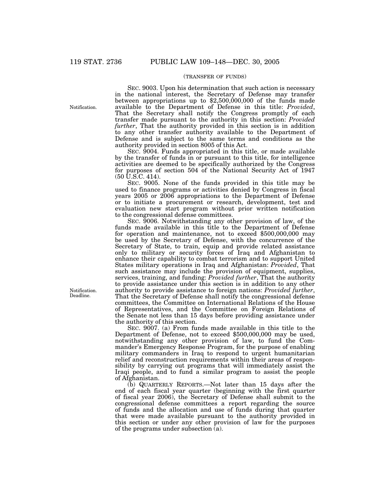## (TRANSFER OF FUNDS)

SEC. 9003. Upon his determination that such action is necessary in the national interest, the Secretary of Defense may transfer between appropriations up to  $$2,500,000,000$  of the funds made available to the Department of Defense in this title: *Provided*, That the Secretary shall notify the Congress promptly of each transfer made pursuant to the authority in this section: *Provided further*, That the authority provided in this section is in addition to any other transfer authority available to the Department of Defense and is subject to the same terms and conditions as the authority provided in section 8005 of this Act.

SEC. 9004. Funds appropriated in this title, or made available by the transfer of funds in or pursuant to this title, for intelligence activities are deemed to be specifically authorized by the Congress for purposes of section 504 of the National Security Act of 1947 (50 U.S.C. 414).

SEC. 9005. None of the funds provided in this title may be used to finance programs or activities denied by Congress in fiscal years 2005 or 2006 appropriations to the Department of Defense or to initiate a procurement or research, development, test and evaluation new start program without prior written notification to the congressional defense committees.

SEC. 9006. Notwithstanding any other provision of law, of the funds made available in this title to the Department of Defense for operation and maintenance, not to exceed \$500,000,000 may be used by the Secretary of Defense, with the concurrence of the Secretary of State, to train, equip and provide related assistance only to military or security forces of Iraq and Afghanistan to enhance their capability to combat terrorism and to support United States military operations in Iraq and Afghanistan: *Provided*, That such assistance may include the provision of equipment, supplies, services, training, and funding: *Provided further*, That the authority to provide assistance under this section is in addition to any other authority to provide assistance to foreign nations: *Provided further*, That the Secretary of Defense shall notify the congressional defense committees, the Committee on International Relations of the House of Representatives, and the Committee on Foreign Relations of the Senate not less than 15 days before providing assistance under the authority of this section.

SEC. 9007. (a) From funds made available in this title to the Department of Defense, not to exceed \$500,000,000 may be used, notwithstanding any other provision of law, to fund the Commander's Emergency Response Program, for the purpose of enabling military commanders in Iraq to respond to urgent humanitarian relief and reconstruction requirements within their areas of responsibility by carrying out programs that will immediately assist the Iraqi people, and to fund a similar program to assist the people of Afghanistan.

(b) QUARTERLY REPORTS.—Not later than 15 days after the end of each fiscal year quarter (beginning with the first quarter of fiscal year 2006), the Secretary of Defense shall submit to the congressional defense committees a report regarding the source of funds and the allocation and use of funds during that quarter that were made available pursuant to the authority provided in this section or under any other provision of law for the purposes of the programs under subsection  $(a)$ .

Notification.

Notification. Deadline.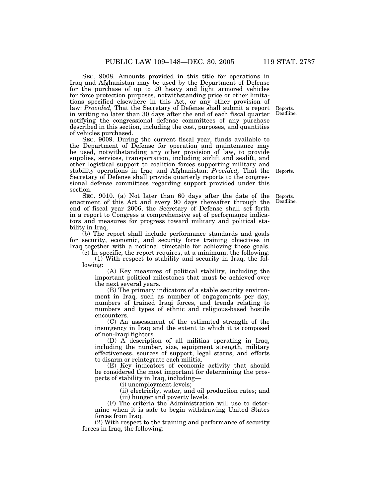SEC. 9008. Amounts provided in this title for operations in Iraq and Afghanistan may be used by the Department of Defense for the purchase of up to 20 heavy and light armored vehicles for force protection purposes, notwithstanding price or other limitations specified elsewhere in this Act, or any other provision of law: *Provided,* That the Secretary of Defense shall submit a report in writing no later than 30 days after the end of each fiscal quarter notifying the congressional defense committees of any purchase described in this section, including the cost, purposes, and quantities of vehicles purchased.

SEC. 9009. During the current fiscal year, funds available to the Department of Defense for operation and maintenance may be used, notwithstanding any other provision of law, to provide supplies, services, transportation, including airlift and sealift, and other logistical support to coalition forces supporting military and stability operations in Iraq and Afghanistan: *Provided,* That the Secretary of Defense shall provide quarterly reports to the congressional defense committees regarding support provided under this section.

SEC. 9010. (a) Not later than 60 days after the date of the enactment of this Act and every 90 days thereafter through the end of fiscal year 2006, the Secretary of Defense shall set forth in a report to Congress a comprehensive set of performance indicators and measures for progress toward military and political stability in Iraq.

(b) The report shall include performance standards and goals for security, economic, and security force training objectives in Iraq together with a notional timetable for achieving these goals. (c) In specific, the report requires, at a minimum, the following:

(1) With respect to stability and security in Iraq, the following:

(A) Key measures of political stability, including the important political milestones that must be achieved over the next several years.

(B) The primary indicators of a stable security environment in Iraq, such as number of engagements per day, numbers of trained Iraqi forces, and trends relating to numbers and types of ethnic and religious-based hostile encounters.

(C) An assessment of the estimated strength of the insurgency in Iraq and the extent to which it is composed of non-Iraqi fighters.

(D) A description of all militias operating in Iraq, including the number, size, equipment strength, military effectiveness, sources of support, legal status, and efforts to disarm or reintegrate each militia.

(E) Key indicators of economic activity that should be considered the most important for determining the prospects of stability in Iraq, including—

(i) unemployment levels;

(ii) electricity, water, and oil production rates; and (iii) hunger and poverty levels.

(F) The criteria the Administration will use to determine when it is safe to begin withdrawing United States forces from Iraq.

(2) With respect to the training and performance of security forces in Iraq, the following:

Reports. Deadline.

Reports.

Reports. Deadline.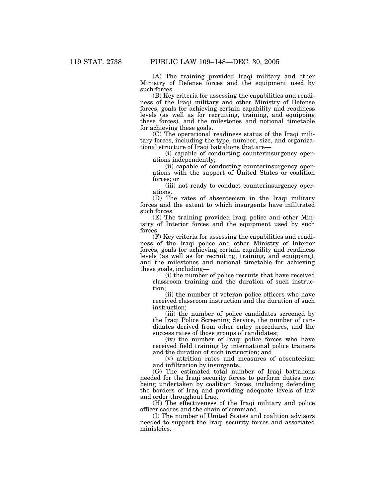(A) The training provided Iraqi military and other Ministry of Defense forces and the equipment used by such forces.

(B) Key criteria for assessing the capabilities and readiness of the Iraqi military and other Ministry of Defense forces, goals for achieving certain capability and readiness levels (as well as for recruiting, training, and equipping these forces), and the milestones and notional timetable for achieving these goals.

(C) The operational readiness status of the Iraqi military forces, including the type, number, size, and organizational structure of Iraqi battalions that are—

(i) capable of conducting counterinsurgency operations independently;

(ii) capable of conducting counterinsurgency operations with the support of United States or coalition forces; or

(iii) not ready to conduct counterinsurgency operations.

(D) The rates of absenteeism in the Iraqi military forces and the extent to which insurgents have infiltrated such forces.

(E) The training provided Iraqi police and other Ministry of Interior forces and the equipment used by such forces.

(F) Key criteria for assessing the capabilities and readiness of the Iraqi police and other Ministry of Interior forces, goals for achieving certain capability and readiness levels (as well as for recruiting, training, and equipping), and the milestones and notional timetable for achieving these goals, including—

(i) the number of police recruits that have received classroom training and the duration of such instruction;

(ii) the number of veteran police officers who have received classroom instruction and the duration of such instruction;

(iii) the number of police candidates screened by the Iraqi Police Screening Service, the number of candidates derived from other entry procedures, and the success rates of those groups of candidates;

(iv) the number of Iraqi police forces who have received field training by international police trainers and the duration of such instruction; and

(v) attrition rates and measures of absenteeism and infiltration by insurgents.

(G) The estimated total number of Iraqi battalions needed for the Iraqi security forces to perform duties now being undertaken by coalition forces, including defending the borders of Iraq and providing adequate levels of law and order throughout Iraq.

(H) The effectiveness of the Iraqi military and police officer cadres and the chain of command.

(I) The number of United States and coalition advisors needed to support the Iraqi security forces and associated ministries.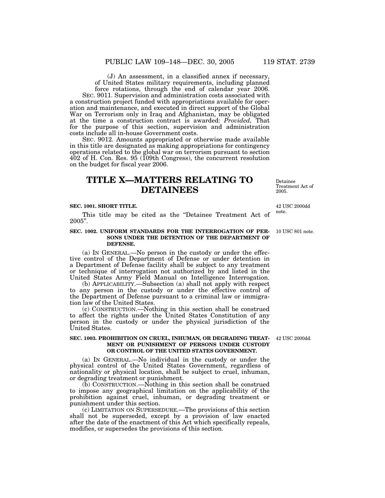(J) An assessment, in a classified annex if necessary, of United States military requirements, including planned force rotations, through the end of calendar year 2006.

SEC. 9011. Supervision and administration costs associated with a construction project funded with appropriations available for operation and maintenance, and executed in direct support of the Global War on Terrorism only in Iraq and Afghanistan, may be obligated at the time a construction contract is awarded: *Provided,* That for the purpose of this section, supervision and administration costs include all in-house Government costs.

SEC. 9012. Amounts appropriated or otherwise made available in this title are designated as making appropriations for contingency operations related to the global war on terrorism pursuant to section 402 of H. Con. Res. 95 (109th Congress), the concurrent resolution on the budget for fiscal year 2006.

# **TITLE X—MATTERS RELATING TO DETAINEES**

#### **SEC. 1001. SHORT TITLE.**

This title may be cited as the ''Detainee Treatment Act of 2005''.

#### **SEC. 1002. UNIFORM STANDARDS FOR THE INTERROGATION OF PER-SONS UNDER THE DETENTION OF THE DEPARTMENT OF DEFENSE.**

(a) IN GENERAL.—No person in the custody or under the effective control of the Department of Defense or under detention in a Department of Defense facility shall be subject to any treatment or technique of interrogation not authorized by and listed in the United States Army Field Manual on Intelligence Interrogation.

(b) APPLICABILITY.—Subsection (a) shall not apply with respect to any person in the custody or under the effective control of the Department of Defense pursuant to a criminal law or immigration law of the United States.

(c) CONSTRUCTION.—Nothing in this section shall be construed to affect the rights under the United States Constitution of any person in the custody or under the physical jurisdiction of the United States.

#### **SEC. 1003. PROHIBITION ON CRUEL, INHUMAN, OR DEGRADING TREAT-MENT OR PUNISHMENT OF PERSONS UNDER CUSTODY OR CONTROL OF THE UNITED STATES GOVERNMENT.**

(a) IN GENERAL.—No individual in the custody or under the physical control of the United States Government, regardless of nationality or physical location, shall be subject to cruel, inhuman, or degrading treatment or punishment.

(b) CONSTRUCTION.—Nothing in this section shall be construed to impose any geographical limitation on the applicability of the prohibition against cruel, inhuman, or degrading treatment or punishment under this section.

(c) LIMITATION ON SUPERSEDURE.—The provisions of this section shall not be superseded, except by a provision of law enacted after the date of the enactment of this Act which specifically repeals, modifies, or supersedes the provisions of this section.

Detainee Treatment Act of 2005.

42 USC 2000dd note.

10 USC 801 note.

42 USC 2000dd.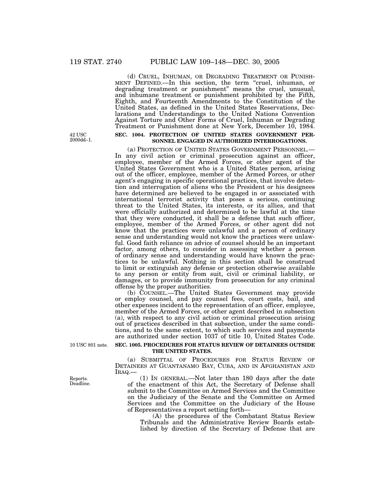(d) CRUEL, INHUMAN, OR DEGRADING TREATMENT OR PUNISH- MENT DEFINED.—In this section, the term ''cruel, inhuman, or degrading treatment or punishment'' means the cruel, unusual, and inhumane treatment or punishment prohibited by the Fifth, Eighth, and Fourteenth Amendments to the Constitution of the United States, as defined in the United States Reservations, Declarations and Understandings to the United Nations Convention Against Torture and Other Forms of Cruel, Inhuman or Degrading Treatment or Punishment done at New York, December 10, 1984.

42 USC 2000dd–1.

# **SEC. 1004. PROTECTION OF UNITED STATES GOVERNMENT PER-SONNEL ENGAGED IN AUTHORIZED INTERROGATIONS.**

(a) PROTECTION OF UNITED STATES GOVERNMENT PERSONNEL.— In any civil action or criminal prosecution against an officer, employee, member of the Armed Forces, or other agent of the United States Government who is a United States person, arising out of the officer, employee, member of the Armed Forces, or other agent's engaging in specific operational practices, that involve detention and interrogation of aliens who the President or his designees have determined are believed to be engaged in or associated with international terrorist activity that poses a serious, continuing threat to the United States, its interests, or its allies, and that were officially authorized and determined to be lawful at the time that they were conducted, it shall be a defense that such officer, employee, member of the Armed Forces, or other agent did not know that the practices were unlawful and a person of ordinary sense and understanding would not know the practices were unlawful. Good faith reliance on advice of counsel should be an important factor, among others, to consider in assessing whether a person of ordinary sense and understanding would have known the practices to be unlawful. Nothing in this section shall be construed to limit or extinguish any defense or protection otherwise available to any person or entity from suit, civil or criminal liability, or damages, or to provide immunity from prosecution for any criminal offense by the proper authorities.

(b) COUNSEL.—The United States Government may provide or employ counsel, and pay counsel fees, court costs, bail, and other expenses incident to the representation of an officer, employee, member of the Armed Forces, or other agent described in subsection (a), with respect to any civil action or criminal prosecution arising out of practices described in that subsection, under the same conditions, and to the same extent, to which such services and payments are authorized under section 1037 of title 10, United States Code.

10 USC 801 note.

# **SEC. 1005. PROCEDURES FOR STATUS REVIEW OF DETAINEES OUTSIDE THE UNITED STATES.**

(a) SUBMITTAL OF PROCEDURES FOR STATUS REVIEW OF DETAINEES AT GUANTANAMO BAY, CUBA, AND IN AFGHANISTAN AND IRAQ.—

(1) IN GENERAL.—Not later than 180 days after the date of the enactment of this Act, the Secretary of Defense shall submit to the Committee on Armed Services and the Committee on the Judiciary of the Senate and the Committee on Armed Services and the Committee on the Judiciary of the House of Representatives a report setting forth—

(A) the procedures of the Combatant Status Review Tribunals and the Administrative Review Boards established by direction of the Secretary of Defense that are

Reports. Deadline.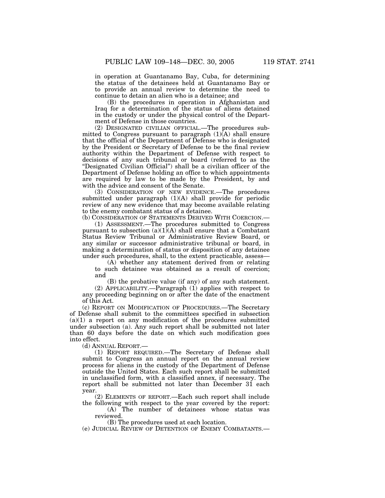in operation at Guantanamo Bay, Cuba, for determining the status of the detainees held at Guantanamo Bay or to provide an annual review to determine the need to continue to detain an alien who is a detainee; and

(B) the procedures in operation in Afghanistan and Iraq for a determination of the status of aliens detained in the custody or under the physical control of the Department of Defense in those countries.

(2) DESIGNATED CIVILIAN OFFICIAL.—The procedures submitted to Congress pursuant to paragraph  $(1)(A)$  shall ensure that the official of the Department of Defense who is designated by the President or Secretary of Defense to be the final review authority within the Department of Defense with respect to decisions of any such tribunal or board (referred to as the ''Designated Civilian Official'') shall be a civilian officer of the Department of Defense holding an office to which appointments are required by law to be made by the President, by and with the advice and consent of the Senate.

(3) CONSIDERATION OF NEW EVIDENCE.—The procedures submitted under paragraph  $(1)(A)$  shall provide for periodic review of any new evidence that may become available relating to the enemy combatant status of a detainee.

(b) CONSIDERATION OF STATEMENTS DERIVED WITH COERCION.—

(1) ASSESSMENT.—The procedures submitted to Congress pursuant to subsection  $(a)(1)(A)$  shall ensure that a Combatant Status Review Tribunal or Administrative Review Board, or any similar or successor administrative tribunal or board, in making a determination of status or disposition of any detainee under such procedures, shall, to the extent practicable, assess—

(A) whether any statement derived from or relating to such detainee was obtained as a result of coercion; and

(B) the probative value (if any) of any such statement.

(2) APPLICABILITY.—Paragraph (1) applies with respect to any proceeding beginning on or after the date of the enactment of this Act.

(c) REPORT ON MODIFICATION OF PROCEDURES.—The Secretary of Defense shall submit to the committees specified in subsection  $(a)(1)$  a report on any modification of the procedures submitted under subsection (a). Any such report shall be submitted not later than 60 days before the date on which such modification goes into effect.

(d) ANNUAL REPORT.—

(1) REPORT REQUIRED.—The Secretary of Defense shall submit to Congress an annual report on the annual review process for aliens in the custody of the Department of Defense outside the United States. Each such report shall be submitted in unclassified form, with a classified annex, if necessary. The report shall be submitted not later than December 31 each year.

(2) ELEMENTS OF REPORT.—Each such report shall include the following with respect to the year covered by the report:

(A) The number of detainees whose status was reviewed.

(B) The procedures used at each location.

(e) JUDICIAL REVIEW OF DETENTION OF ENEMY COMBATANTS.—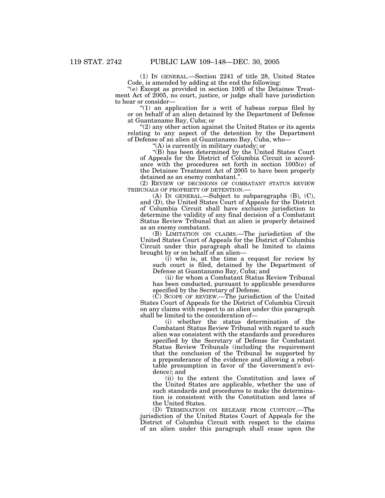(1) IN GENERAL.—Section 2241 of title 28, United States Code, is amended by adding at the end the following:

"(e) Except as provided in section 1005 of the Detainee Treatment Act of 2005, no court, justice, or judge shall have jurisdiction to hear or consider—

" $(1)$  an application for a writ of habeas corpus filed by or on behalf of an alien detained by the Department of Defense at Guantanamo Bay, Cuba; or

"(2) any other action against the United States or its agents relating to any aspect of the detention by the Department of Defense of an alien at Guantanamo Bay, Cuba, who—

''(A) is currently in military custody; or

''(B) has been determined by the United States Court of Appeals for the District of Columbia Circuit in accordance with the procedures set forth in section 1005(e) of the Detainee Treatment Act of 2005 to have been properly detained as an enemy combatant.''.

(2) REVIEW OF DECISIONS OF COMBATANT STATUS REVIEW TRIBUNALS OF PROPRIETY OF DETENTION.—

(A) IN GENERAL.—Subject to subparagraphs (B), (C), and (D), the United States Court of Appeals for the District of Columbia Circuit shall have exclusive jurisdiction to determine the validity of any final decision of a Combatant Status Review Tribunal that an alien is properly detained as an enemy combatant.

(B) LIMITATION ON CLAIMS.—The jurisdiction of the United States Court of Appeals for the District of Columbia Circuit under this paragraph shall be limited to claims brought by or on behalf of an alien—

(i) who is, at the time a request for review by such court is filed, detained by the Department of Defense at Guantanamo Bay, Cuba; and

(ii) for whom a Combatant Status Review Tribunal has been conducted, pursuant to applicable procedures specified by the Secretary of Defense.

(C) SCOPE OF REVIEW.—The jurisdiction of the United States Court of Appeals for the District of Columbia Circuit on any claims with respect to an alien under this paragraph shall be limited to the consideration of—

(i) whether the status determination of the Combatant Status Review Tribunal with regard to such alien was consistent with the standards and procedures specified by the Secretary of Defense for Combatant Status Review Tribunals (including the requirement that the conclusion of the Tribunal be supported by a preponderance of the evidence and allowing a rebuttable presumption in favor of the Government's evidence); and

(ii) to the extent the Constitution and laws of the United States are applicable, whether the use of such standards and procedures to make the determination is consistent with the Constitution and laws of the United States.

(D) TERMINATION ON RELEASE FROM CUSTODY.—The jurisdiction of the United States Court of Appeals for the District of Columbia Circuit with respect to the claims of an alien under this paragraph shall cease upon the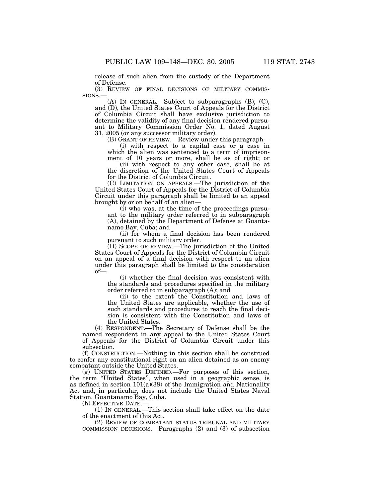release of such alien from the custody of the Department of Defense.

(3) REVIEW OF FINAL DECISIONS OF MILITARY COMMIS-

SIONS.—(A) IN GENERAL.—Subject to subparagraphs (B), (C), and (D), the United States Court of Appeals for the District of Columbia Circuit shall have exclusive jurisdiction to determine the validity of any final decision rendered pursuant to Military Commission Order No. 1, dated August 31, 2005 (or any successor military order).

(B) GRANT OF REVIEW.—Review under this paragraph—

(i) with respect to a capital case or a case in which the alien was sentenced to a term of imprisonment of 10 years or more, shall be as of right; or

(ii) with respect to any other case, shall be at the discretion of the United States Court of Appeals for the District of Columbia Circuit.

(C) LIMITATION ON APPEALS.—The jurisdiction of the United States Court of Appeals for the District of Columbia Circuit under this paragraph shall be limited to an appeal brought by or on behalf of an alien—

(i) who was, at the time of the proceedings pursuant to the military order referred to in subparagraph (A), detained by the Department of Defense at Guantanamo Bay, Cuba; and

(ii) for whom a final decision has been rendered pursuant to such military order.

(D) SCOPE OF REVIEW.—The jurisdiction of the United States Court of Appeals for the District of Columbia Circuit on an appeal of a final decision with respect to an alien under this paragraph shall be limited to the consideration of—

(i) whether the final decision was consistent with the standards and procedures specified in the military order referred to in subparagraph (A); and

(ii) to the extent the Constitution and laws of the United States are applicable, whether the use of such standards and procedures to reach the final decision is consistent with the Constitution and laws of the United States.

(4) RESPONDENT.—The Secretary of Defense shall be the named respondent in any appeal to the United States Court of Appeals for the District of Columbia Circuit under this subsection.

(f) CONSTRUCTION.—Nothing in this section shall be construed to confer any constitutional right on an alien detained as an enemy combatant outside the United States.

(g) UNITED STATES DEFINED.—For purposes of this section, the term ''United States'', when used in a geographic sense, is as defined in section 101(a)(38) of the Immigration and Nationality Act and, in particular, does not include the United States Naval Station, Guantanamo Bay, Cuba.

(h) EFFECTIVE DATE.—

(1) IN GENERAL.—This section shall take effect on the date of the enactment of this Act.

(2) REVIEW OF COMBATANT STATUS TRIBUNAL AND MILITARY COMMISSION DECISIONS.—Paragraphs (2) and (3) of subsection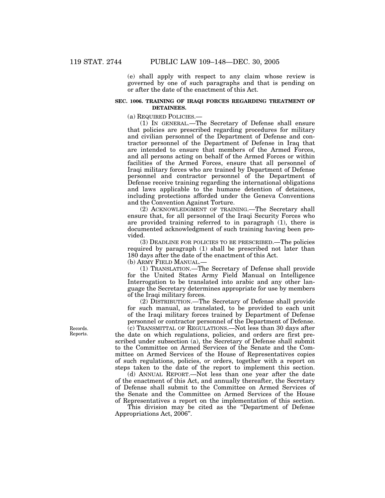(e) shall apply with respect to any claim whose review is governed by one of such paragraphs and that is pending on or after the date of the enactment of this Act.

#### **SEC. 1006. TRAINING OF IRAQI FORCES REGARDING TREATMENT OF DETAINEES.**

(a) REQUIRED POLICIES.—

(1) IN GENERAL.—The Secretary of Defense shall ensure that policies are prescribed regarding procedures for military and civilian personnel of the Department of Defense and contractor personnel of the Department of Defense in Iraq that are intended to ensure that members of the Armed Forces, and all persons acting on behalf of the Armed Forces or within facilities of the Armed Forces, ensure that all personnel of Iraqi military forces who are trained by Department of Defense personnel and contractor personnel of the Department of Defense receive training regarding the international obligations and laws applicable to the humane detention of detainees, including protections afforded under the Geneva Conventions and the Convention Against Torture.

(2) ACKNOWLEDGMENT OF TRAINING.—The Secretary shall ensure that, for all personnel of the Iraqi Security Forces who are provided training referred to in paragraph (1), there is documented acknowledgment of such training having been provided.

(3) DEADLINE FOR POLICIES TO BE PRESCRIBED.—The policies required by paragraph (1) shall be prescribed not later than 180 days after the date of the enactment of this Act.

(b) ARMY FIELD MANUAL.—

(1) TRANSLATION.—The Secretary of Defense shall provide for the United States Army Field Manual on Intelligence Interrogation to be translated into arabic and any other language the Secretary determines appropriate for use by members of the Iraqi military forces.

(2) DISTRIBUTION.—The Secretary of Defense shall provide for such manual, as translated, to be provided to each unit of the Iraqi military forces trained by Department of Defense personnel or contractor personnel of the Department of Defense. (c) TRANSMITTAL OF REGULATIONS.—Not less than 30 days after the date on which regulations, policies, and orders are first prescribed under subsection (a), the Secretary of Defense shall submit to the Committee on Armed Services of the Senate and the Committee on Armed Services of the House of Representatives copies

of such regulations, policies, or orders, together with a report on steps taken to the date of the report to implement this section. (d) ANNUAL REPORT.—Not less than one year after the date of the enactment of this Act, and annually thereafter, the Secretary of Defense shall submit to the Committee on Armed Services of

the Senate and the Committee on Armed Services of the House of Representatives a report on the implementation of this section.

This division may be cited as the "Department of Defense Appropriations Act, 2006''.

Records. Reports.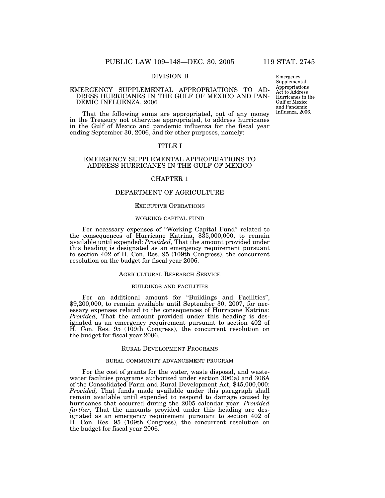### DIVISION B

# EMERGENCY SUPPLEMENTAL APPROPRIATIONS TO AD-DRESS HURRICANES IN THE GULF OF MEXICO AND PAN-DEMIC INFLUENZA, 2006

That the following sums are appropriated, out of any money in the Treasury not otherwise appropriated, to address hurricanes in the Gulf of Mexico and pandemic influenza for the fiscal year ending September 30, 2006, and for other purposes, namely:

# TITLE I

## EMERGENCY SUPPLEMENTAL APPROPRIATIONS TO ADDRESS HURRICANES IN THE GULF OF MEXICO

### CHAPTER 1

#### DEPARTMENT OF AGRICULTURE

#### EXECUTIVE OPERATIONS

#### WORKING CAPITAL FUND

For necessary expenses of ''Working Capital Fund'' related to the consequences of Hurricane Katrina, \$35,000,000, to remain available until expended: *Provided,* That the amount provided under this heading is designated as an emergency requirement pursuant to section 402 of H. Con. Res. 95 (109th Congress), the concurrent resolution on the budget for fiscal year 2006.

#### AGRICULTURAL RESEARCH SERVICE

#### BUILDINGS AND FACILITIES

For an additional amount for ''Buildings and Facilities'', \$9,200,000, to remain available until September 30, 2007, for necessary expenses related to the consequences of Hurricane Katrina: *Provided*, That the amount provided under this heading is designated as an emergency requirement pursuant to section 402 of H. Con. Res. 95 (109th Congress), the concurrent resolution on the budget for fiscal year 2006.

#### RURAL DEVELOPMENT PROGRAMS

#### RURAL COMMUNITY ADVANCEMENT PROGRAM

For the cost of grants for the water, waste disposal, and wastewater facilities programs authorized under section 306(a) and 306A of the Consolidated Farm and Rural Development Act, \$45,000,000: *Provided,* That funds made available under this paragraph shall remain available until expended to respond to damage caused by hurricanes that occurred during the 2005 calendar year: *Provided further*, That the amounts provided under this heading are designated as an emergency requirement pursuant to section 402 of H. Con. Res. 95 (109th Congress), the concurrent resolution on the budget for fiscal year 2006.

Emergency Supplemental Appropriations Act to Address Hurricanes in the Gulf of Mexico and Pandemic Influenza, 2006.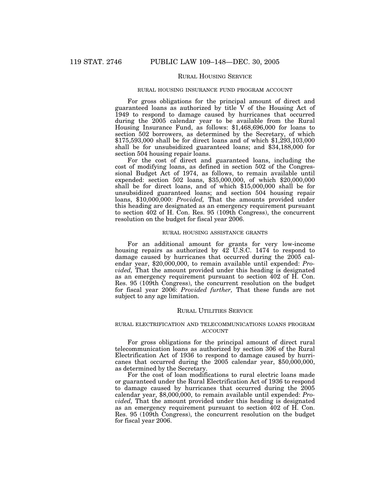# RURAL HOUSING SERVICE

## RURAL HOUSING INSURANCE FUND PROGRAM ACCOUNT

For gross obligations for the principal amount of direct and guaranteed loans as authorized by title V of the Housing Act of 1949 to respond to damage caused by hurricanes that occurred during the 2005 calendar year to be available from the Rural Housing Insurance Fund, as follows: \$1,468,696,000 for loans to section 502 borrowers, as determined by the Secretary, of which \$175,593,000 shall be for direct loans and of which \$1,293,103,000 shall be for unsubsidized guaranteed loans; and \$34,188,000 for section 504 housing repair loans.

For the cost of direct and guaranteed loans, including the cost of modifying loans, as defined in section 502 of the Congressional Budget Act of 1974, as follows, to remain available until expended: section 502 loans, \$35,000,000, of which \$20,000,000 shall be for direct loans, and of which \$15,000,000 shall be for unsubsidized guaranteed loans; and section 504 housing repair loans, \$10,000,000: *Provided,* That the amounts provided under this heading are designated as an emergency requirement pursuant to section 402 of H. Con. Res. 95 (109th Congress), the concurrent resolution on the budget for fiscal year 2006.

#### RURAL HOUSING ASSISTANCE GRANTS

For an additional amount for grants for very low-income housing repairs as authorized by 42 U.S.C. 1474 to respond to damage caused by hurricanes that occurred during the 2005 calendar year, \$20,000,000, to remain available until expended: *Provided,* That the amount provided under this heading is designated as an emergency requirement pursuant to section 402 of H. Con. Res. 95 (109th Congress), the concurrent resolution on the budget for fiscal year 2006: *Provided further,* That these funds are not subject to any age limitation.

# RURAL UTILITIES SERVICE

### RURAL ELECTRIFICATION AND TELECOMMUNICATIONS LOANS PROGRAM ACCOUNT

For gross obligations for the principal amount of direct rural telecommunication loans as authorized by section 306 of the Rural Electrification Act of 1936 to respond to damage caused by hurricanes that occurred during the 2005 calendar year, \$50,000,000, as determined by the Secretary.

For the cost of loan modifications to rural electric loans made or guaranteed under the Rural Electrification Act of 1936 to respond to damage caused by hurricanes that occurred during the 2005 calendar year, \$8,000,000, to remain available until expended: *Provided,* That the amount provided under this heading is designated as an emergency requirement pursuant to section 402 of H. Con. Res. 95 (109th Congress), the concurrent resolution on the budget for fiscal year 2006.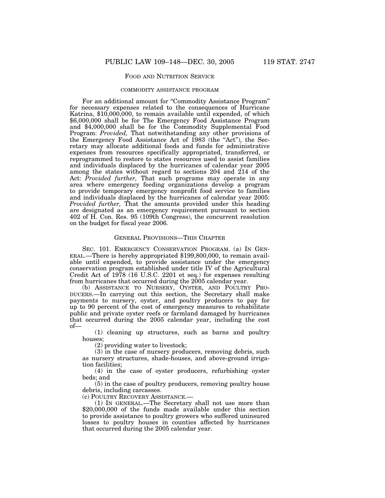#### FOOD AND NUTRITION SERVICE

#### COMMODITY ASSISTANCE PROGRAM

For an additional amount for "Commodity Assistance Program" for necessary expenses related to the consequences of Hurricane Katrina, \$10,000,000, to remain available until expended, of which \$6,000,000 shall be for The Emergency Food Assistance Program and \$4,000,000 shall be for the Commodity Supplemental Food Program: *Provided,* That notwithstanding any other provisions of the Emergency Food Assistance Act of 1983 (the "Act"), the Secretary may allocate additional foods and funds for administrative expenses from resources specifically appropriated, transferred, or reprogrammed to restore to states resources used to assist families and individuals displaced by the hurricanes of calendar year 2005 among the states without regard to sections 204 and 214 of the Act: *Provided further,* That such programs may operate in any area where emergency feeding organizations develop a program to provide temporary emergency nonprofit food service to families and individuals displaced by the hurricanes of calendar year 2005: *Provided further,* That the amounts provided under this heading are designated as an emergency requirement pursuant to section 402 of H. Con. Res. 95 (109th Congress), the concurrent resolution on the budget for fiscal year 2006.

## GENERAL PROVISIONS—THIS CHAPTER

SEC. 101. EMERGENCY CONSERVATION PROGRAM. (a) IN GEN-ERAL.—There is hereby appropriated \$199,800,000, to remain available until expended, to provide assistance under the emergency conservation program established under title IV of the Agricultural Credit Act of 1978 (16 U.S.C. 2201 et seq.) for expenses resulting from hurricanes that occurred during the 2005 calendar year.

(b) ASSISTANCE TO NURSERY, OYSTER, AND POULTRY PRO-DUCERS.—In carrying out this section, the Secretary shall make payments to nursery, oyster, and poultry producers to pay for up to 90 percent of the cost of emergency measures to rehabilitate public and private oyster reefs or farmland damaged by hurricanes that occurred during the 2005 calendar year, including the cost of—

(1) cleaning up structures, such as barns and poultry houses;

(2) providing water to livestock;

(3) in the case of nursery producers, removing debris, such as nursery structures, shade-houses, and above-ground irrigation facilities;

(4) in the case of oyster producers, refurbishing oyster beds; and

(5) in the case of poultry producers, removing poultry house debris, including carcasses.

(c) POULTRY RECOVERY ASSISTANCE.—

(1) IN GENERAL.—The Secretary shall not use more than \$20,000,000 of the funds made available under this section to provide assistance to poultry growers who suffered uninsured losses to poultry houses in counties affected by hurricanes that occurred during the 2005 calendar year.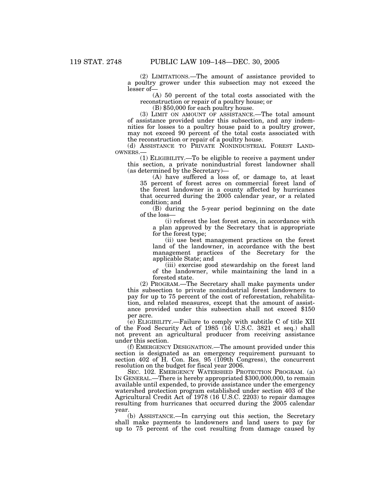(2) LIMITATIONS.—The amount of assistance provided to a poultry grower under this subsection may not exceed the lesser of—

(A) 50 percent of the total costs associated with the reconstruction or repair of a poultry house; or

(B) \$50,000 for each poultry house.

(3) LIMIT ON AMOUNT OF ASSISTANCE.—The total amount of assistance provided under this subsection, and any indemnities for losses to a poultry house paid to a poultry grower, may not exceed 90 percent of the total costs associated with the reconstruction or repair of a poultry house.

(d) ASSISTANCE TO PRIVATE NONINDUSTRIAL FOREST LAND-OWNERS.

(1) ELIGIBILITY.—To be eligible to receive a payment under this section, a private nonindustrial forest landowner shall (as determined by the Secretary)—

(A) have suffered a loss of, or damage to, at least 35 percent of forest acres on commercial forest land of the forest landowner in a county affected by hurricanes that occurred during the 2005 calendar year, or a related condition; and

(B) during the 5-year period beginning on the date of the loss—

(i) reforest the lost forest acres, in accordance with a plan approved by the Secretary that is appropriate for the forest type;

(ii) use best management practices on the forest land of the landowner, in accordance with the best management practices of the Secretary for the applicable State; and

(iii) exercise good stewardship on the forest land of the landowner, while maintaining the land in a forested state.

(2) PROGRAM.—The Secretary shall make payments under this subsection to private nonindustrial forest landowners to pay for up to 75 percent of the cost of reforestation, rehabilitation, and related measures, except that the amount of assistance provided under this subsection shall not exceed \$150 per acre.

(e) ELIGIBILITY.—Failure to comply with subtitle C of title XII of the Food Security Act of 1985 (16 U.S.C. 3821 et seq.) shall not prevent an agricultural producer from receiving assistance under this section.

(f) EMERGENCY DESIGNATION.—The amount provided under this section is designated as an emergency requirement pursuant to section 402 of H. Con. Res. 95 (109th Congress), the concurrent resolution on the budget for fiscal year 2006.

SEC. 102. EMERGENCY WATERSHED PROTECTION PROGRAM. (a) IN GENERAL.—There is hereby appropriated \$300,000,000, to remain available until expended, to provide assistance under the emergency watershed protection program established under section 403 of the Agricultural Credit Act of 1978 (16 U.S.C. 2203) to repair damages resulting from hurricanes that occurred during the 2005 calendar year.

(b) ASSISTANCE.—In carrying out this section, the Secretary shall make payments to landowners and land users to pay for up to 75 percent of the cost resulting from damage caused by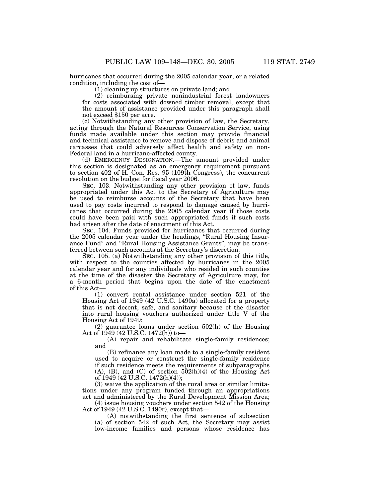hurricanes that occurred during the 2005 calendar year, or a related condition, including the cost of—

(1) cleaning up structures on private land; and

(2) reimbursing private nonindustrial forest landowners for costs associated with downed timber removal, except that the amount of assistance provided under this paragraph shall not exceed \$150 per acre.

(c) Notwithstanding any other provision of law, the Secretary, acting through the Natural Resources Conservation Service, using funds made available under this section may provide financial and technical assistance to remove and dispose of debris and animal carcasses that could adversely affect health and safety on non-Federal land in a hurricane-affected county.

(d) EMERGENCY DESIGNATION.—The amount provided under this section is designated as an emergency requirement pursuant to section 402 of H. Con. Res. 95 (109th Congress), the concurrent resolution on the budget for fiscal year 2006.

SEC. 103. Notwithstanding any other provision of law, funds appropriated under this Act to the Secretary of Agriculture may be used to reimburse accounts of the Secretary that have been used to pay costs incurred to respond to damage caused by hurricanes that occurred during the 2005 calendar year if those costs could have been paid with such appropriated funds if such costs had arisen after the date of enactment of this Act.

SEC. 104. Funds provided for hurricanes that occurred during the 2005 calendar year under the headings, ''Rural Housing Insurance Fund'' and ''Rural Housing Assistance Grants'', may be transferred between such accounts at the Secretary's discretion.

SEC. 105. (a) Notwithstanding any other provision of this title, with respect to the counties affected by hurricanes in the 2005 calendar year and for any individuals who resided in such counties at the time of the disaster the Secretary of Agriculture may, for a 6-month period that begins upon the date of the enactment of this Act—

(1) convert rental assistance under section 521 of the Housing Act of 1949 (42 U.S.C. 1490a) allocated for a property that is not decent, safe, and sanitary because of the disaster into rural housing vouchers authorized under title V of the Housing Act of 1949;

(2) guarantee loans under section 502(h) of the Housing Act of 1949 (42 U.S.C. 1472(h)) to—

(A) repair and rehabilitate single-family residences; and

(B) refinance any loan made to a single-family resident used to acquire or construct the single-family residence if such residence meets the requirements of subparagraphs (A), (B), and (C) of section 502(h)(4) of the Housing Act of 1949 (42 U.S.C. 1472(h)(4));

(3) waive the application of the rural area or similar limitations under any program funded through an appropriations act and administered by the Rural Development Mission Area;

(4) issue housing vouchers under section 542 of the Housing Act of 1949 (42 U.S.C. 1490r), except that—

(A) notwithstanding the first sentence of subsection (a) of section 542 of such Act, the Secretary may assist low-income families and persons whose residence has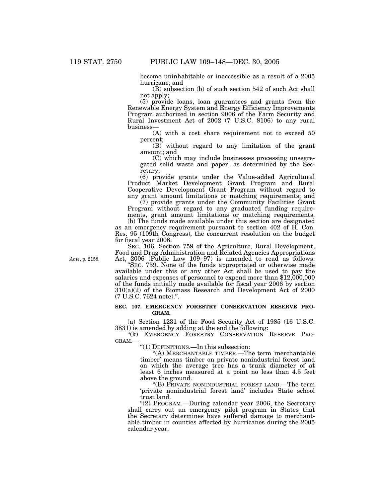become uninhabitable or inaccessible as a result of a 2005 hurricane; and

(B) subsection (b) of such section 542 of such Act shall not apply;

(5) provide loans, loan guarantees and grants from the Renewable Energy System and Energy Efficiency Improvements Program authorized in section 9006 of the Farm Security and Rural Investment Act of 2002 (7 U.S.C. 8106) to any rural business—

(A) with a cost share requirement not to exceed 50 percent;

(B) without regard to any limitation of the grant amount; and

(C) which may include businesses processing unsegregated solid waste and paper, as determined by the Secretary;

(6) provide grants under the Value-added Agricultural Product Market Development Grant Program and Rural Cooperative Development Grant Program without regard to any grant amount limitations or matching requirements; and

(7) provide grants under the Community Facilities Grant Program without regard to any graduated funding requirements, grant amount limitations or matching requirements.

(b) The funds made available under this section are designated as an emergency requirement pursuant to section 402 of H. Con. Res. 95 (109th Congress), the concurrent resolution on the budget for fiscal year 2006.

SEC. 106. Section 759 of the Agriculture, Rural Development, Food and Drug Administration and Related Agencies Appropriations Act, 2006 (Public Law 109–97) is amended to read as follows:

''SEC. 759. None of the funds appropriated or otherwise made available under this or any other Act shall be used to pay the salaries and expenses of personnel to expend more than \$12,000,000 of the funds initially made available for fiscal year 2006 by section 310(a)(2) of the Biomass Research and Development Act of 2000 (7 U.S.C. 7624 note).''.

#### **SEC. 107. EMERGENCY FORESTRY CONSERVATION RESERVE PRO-GRAM.**

(a) Section 1231 of the Food Security Act of 1985 (16 U.S.C. 3831) is amended by adding at the end the following:

"(k) EMERGENCY FORESTRY CONSERVATION RESERVE PRO-GRAM.—

''(1) DEFINITIONS.—In this subsection:

''(A) MERCHANTABLE TIMBER.—The term 'merchantable timber' means timber on private nonindustrial forest land on which the average tree has a trunk diameter of at least 6 inches measured at a point no less than 4.5 feet above the ground.

''(B) PRIVATE NONINDUSTRIAL FOREST LAND.—The term 'private nonindustrial forest land' includes State school trust land.

"(2) PROGRAM.—During calendar year 2006, the Secretary shall carry out an emergency pilot program in States that the Secretary determines have suffered damage to merchantable timber in counties affected by hurricanes during the 2005 calendar year.

*Ante*, p. 2158.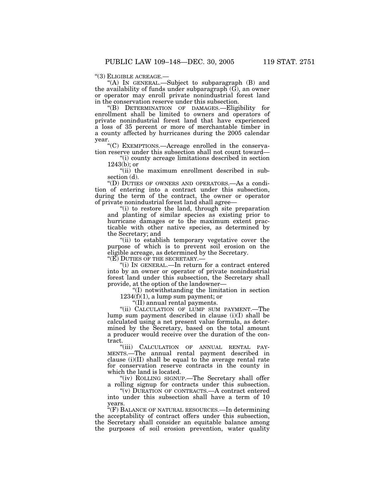''(3) ELIGIBLE ACREAGE.— ''(A) IN GENERAL.—Subject to subparagraph (B) and the availability of funds under subparagraph  $(G)$ , an owner or operator may enroll private nonindustrial forest land in the conservation reserve under this subsection.

''(B) DETERMINATION OF DAMAGES.—Eligibility for enrollment shall be limited to owners and operators of private nonindustrial forest land that have experienced a loss of 35 percent or more of merchantable timber in a county affected by hurricanes during the 2005 calendar year.

''(C) EXEMPTIONS.—Acreage enrolled in the conservation reserve under this subsection shall not count toward—

''(i) county acreage limitations described in section  $1243(b)$ ; or

''(ii) the maximum enrollment described in subsection (d).

''(D) DUTIES OF OWNERS AND OPERATORS.—As a condition of entering into a contract under this subsection, during the term of the contract, the owner or operator of private nonindustrial forest land shall agree—

''(i) to restore the land, through site preparation and planting of similar species as existing prior to hurricane damages or to the maximum extent practicable with other native species, as determined by the Secretary; and

''(ii) to establish temporary vegetative cover the purpose of which is to prevent soil erosion on the eligible acreage, as determined by the Secretary.

"(E) DUTIES OF THE SECRETARY.-

''(i) IN GENERAL.—In return for a contract entered into by an owner or operator of private nonindustrial forest land under this subsection, the Secretary shall provide, at the option of the landowner—

''(I) notwithstanding the limitation in section 1234(f)(1), a lump sum payment; or

''(II) annual rental payments.

"(ii) CALCULATION OF LUMP SUM PAYMENT.—The lump sum payment described in clause (i)(I) shall be calculated using a net present value formula, as determined by the Secretary, based on the total amount a producer would receive over the duration of the contract.

"(iii) CALCULATION OF ANNUAL RENTAL PAY-MENTS.—The annual rental payment described in clause (i)(II) shall be equal to the average rental rate for conservation reserve contracts in the county in which the land is located.

''(iv) ROLLING SIGNUP.—The Secretary shall offer a rolling signup for contracts under this subsection.

''(v) DURATION OF CONTRACTS.—A contract entered into under this subsection shall have a term of 10 years.

''(F) BALANCE OF NATURAL RESOURCES.—In determining the acceptability of contract offers under this subsection, the Secretary shall consider an equitable balance among the purposes of soil erosion prevention, water quality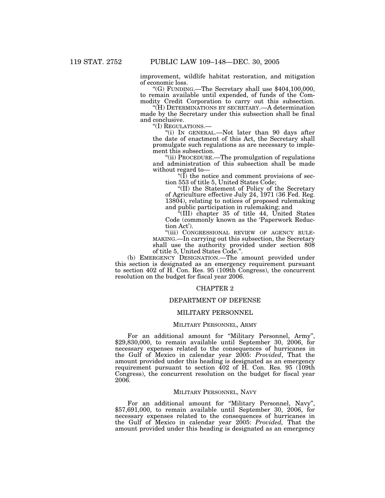improvement, wildlife habitat restoration, and mitigation of economic loss.

''(G) FUNDING.—The Secretary shall use \$404,100,000, to remain available until expended, of funds of the Commodity Credit Corporation to carry out this subsection.

''(H) DETERMINATIONS BY SECRETARY.—A determination made by the Secretary under this subsection shall be final and conclusive.<br>"(I) REGULATIONS.-

"(i) IN GENERAL.—Not later than 90 days after the date of enactment of this Act, the Secretary shall promulgate such regulations as are necessary to implement this subsection.

''(ii) PROCEDURE.—The promulgation of regulations and administration of this subsection shall be made without regard to—

" $(I)$  the notice and comment provisions of section 553 of title 5, United States Code;

''(II) the Statement of Policy of the Secretary of Agriculture effective July 24, 1971 (36 Fed. Reg. 13804), relating to notices of proposed rulemaking and public participation in rulemaking; and

 $\sqrt[6]{III}$  chapter 35 of title 44, United States Code (commonly known as the 'Paperwork Reduction Act').

"(iii) CONGRESSIONAL REVIEW OF AGENCY RULE-MAKING.—In carrying out this subsection, the Secretary shall use the authority provided under section 808 of title 5, United States Code.''.

(b) EMERGENCY DESIGNATION.—The amount provided under this section is designated as an emergency requirement pursuant to section 402 of H. Con. Res. 95 (109th Congress), the concurrent resolution on the budget for fiscal year 2006.

# CHAPTER 2

# DEPARTMENT OF DEFENSE

### MILITARY PERSONNEL

#### MILITARY PERSONNEL, ARMY

For an additional amount for ''Military Personnel, Army'', \$29,830,000, to remain available until September 30, 2006, for necessary expenses related to the consequences of hurricanes in the Gulf of Mexico in calendar year 2005: *Provided*, That the amount provided under this heading is designated as an emergency requirement pursuant to section  $\overline{402}$  of H. Con. Res. 95 (109th Congress), the concurrent resolution on the budget for fiscal year 2006.

#### MILITARY PERSONNEL, NAVY

For an additional amount for "Military Personnel, Navy", \$57,691,000, to remain available until September 30, 2006, for necessary expenses related to the consequences of hurricanes in the Gulf of Mexico in calendar year 2005: *Provided,* That the amount provided under this heading is designated as an emergency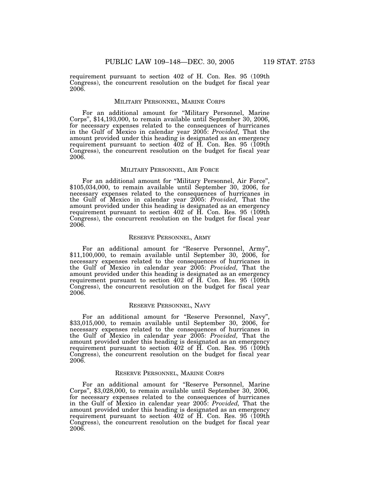requirement pursuant to section 402 of H. Con. Res. 95 (109th Congress), the concurrent resolution on the budget for fiscal year 2006.

### MILITARY PERSONNEL, MARINE CORPS

For an additional amount for ''Military Personnel, Marine Corps'', \$14,193,000, to remain available until September 30, 2006, for necessary expenses related to the consequences of hurricanes in the Gulf of Mexico in calendar year 2005: *Provided,* That the amount provided under this heading is designated as an emergency requirement pursuant to section  $\overline{4}02$  of H. Con. Res. 95 (109th Congress), the concurrent resolution on the budget for fiscal year 2006.

# MILITARY PERSONNEL, AIR FORCE

For an additional amount for ''Military Personnel, Air Force'', \$105,034,000, to remain available until September 30, 2006, for necessary expenses related to the consequences of hurricanes in the Gulf of Mexico in calendar year 2005: *Provided,* That the amount provided under this heading is designated as an emergency requirement pursuant to section 402 of H. Con. Res. 95 (109th Congress), the concurrent resolution on the budget for fiscal year 2006.

### RESERVE PERSONNEL, ARMY

For an additional amount for "Reserve Personnel, Army" \$11,100,000, to remain available until September 30, 2006, for necessary expenses related to the consequences of hurricanes in the Gulf of Mexico in calendar year 2005: *Provided,* That the amount provided under this heading is designated as an emergency requirement pursuant to section 402 of H. Con. Res. 95 (109th Congress), the concurrent resolution on the budget for fiscal year 2006.

### RESERVE PERSONNEL, NAVY

For an additional amount for "Reserve Personnel, Navy". \$33,015,000, to remain available until September 30, 2006, for necessary expenses related to the consequences of hurricanes in the Gulf of Mexico in calendar year 2005: *Provided,* That the amount provided under this heading is designated as an emergency requirement pursuant to section 402 of H. Con. Res. 95 (109th Congress), the concurrent resolution on the budget for fiscal year 2006.

### RESERVE PERSONNEL, MARINE CORPS

For an additional amount for ''Reserve Personnel, Marine Corps'', \$3,028,000, to remain available until September 30, 2006, for necessary expenses related to the consequences of hurricanes in the Gulf of Mexico in calendar year 2005: *Provided,* That the amount provided under this heading is designated as an emergency requirement pursuant to section 402 of H. Con. Res. 95 (109th Congress), the concurrent resolution on the budget for fiscal year 2006.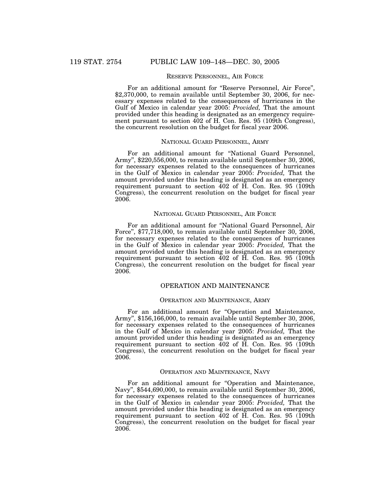# RESERVE PERSONNEL, AIR FORCE

For an additional amount for ''Reserve Personnel, Air Force'', \$2,370,000, to remain available until September 30, 2006, for necessary expenses related to the consequences of hurricanes in the Gulf of Mexico in calendar year 2005: *Provided,* That the amount provided under this heading is designated as an emergency requirement pursuant to section 402 of H. Con. Res. 95 (109th Congress), the concurrent resolution on the budget for fiscal year 2006.

# NATIONAL GUARD PERSONNEL, ARMY

For an additional amount for ''National Guard Personnel, Army'', \$220,556,000, to remain available until September 30, 2006, for necessary expenses related to the consequences of hurricanes in the Gulf of Mexico in calendar year 2005: *Provided,* That the amount provided under this heading is designated as an emergency requirement pursuant to section  $\overline{402}$  of H. Con. Res. 95 (109th Congress), the concurrent resolution on the budget for fiscal year 2006.

# NATIONAL GUARD PERSONNEL, AIR FORCE

For an additional amount for ''National Guard Personnel, Air Force'', \$77,718,000, to remain available until September 30, 2006, for necessary expenses related to the consequences of hurricanes in the Gulf of Mexico in calendar year 2005: *Provided,* That the amount provided under this heading is designated as an emergency requirement pursuant to section  $\overline{4}02$  of H. Con. Res. 95 (109th Congress), the concurrent resolution on the budget for fiscal year 2006.

# OPERATION AND MAINTENANCE

# OPERATION AND MAINTENANCE, ARMY

For an additional amount for "Operation and Maintenance, Army'', \$156,166,000, to remain available until September 30, 2006, for necessary expenses related to the consequences of hurricanes in the Gulf of Mexico in calendar year 2005: *Provided,* That the amount provided under this heading is designated as an emergency requirement pursuant to section 402 of H. Con. Res. 95 (109th Congress), the concurrent resolution on the budget for fiscal year 2006.

# OPERATION AND MAINTENANCE, NAVY

For an additional amount for "Operation and Maintenance, Navy'', \$544,690,000, to remain available until September 30, 2006, for necessary expenses related to the consequences of hurricanes in the Gulf of Mexico in calendar year 2005: *Provided,* That the amount provided under this heading is designated as an emergency requirement pursuant to section  $\overline{402}$  of H. Con. Res. 95 (109th Congress), the concurrent resolution on the budget for fiscal year 2006.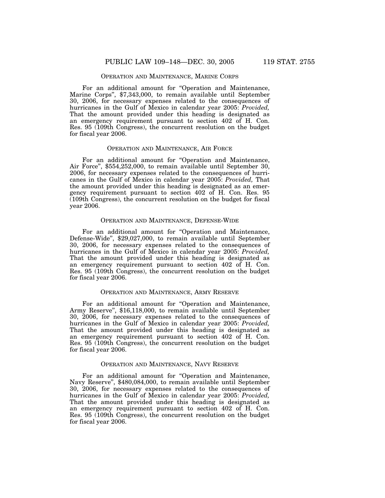### OPERATION AND MAINTENANCE, MARINE CORPS

For an additional amount for "Operation and Maintenance, Marine Corps'', \$7,343,000, to remain available until September 30, 2006, for necessary expenses related to the consequences of hurricanes in the Gulf of Mexico in calendar year 2005: *Provided,* That the amount provided under this heading is designated as an emergency requirement pursuant to section 402 of H. Con. Res. 95 (109th Congress), the concurrent resolution on the budget for fiscal year 2006.

# OPERATION AND MAINTENANCE, AIR FORCE

For an additional amount for "Operation and Maintenance, Air Force'', \$554,252,000, to remain available until September 30, 2006, for necessary expenses related to the consequences of hurricanes in the Gulf of Mexico in calendar year 2005: *Provided,* That the amount provided under this heading is designated as an emergency requirement pursuant to section 402 of H. Con. Res. 95 (109th Congress), the concurrent resolution on the budget for fiscal year 2006.

#### OPERATION AND MAINTENANCE, DEFENSE-WIDE

For an additional amount for "Operation and Maintenance, Defense-Wide'', \$29,027,000, to remain available until September 30, 2006, for necessary expenses related to the consequences of hurricanes in the Gulf of Mexico in calendar year 2005: *Provided,* That the amount provided under this heading is designated as an emergency requirement pursuant to section 402 of H. Con. Res. 95 (109th Congress), the concurrent resolution on the budget for fiscal year 2006.

# OPERATION AND MAINTENANCE, ARMY RESERVE

For an additional amount for ''Operation and Maintenance, Army Reserve'', \$16,118,000, to remain available until September 30, 2006, for necessary expenses related to the consequences of hurricanes in the Gulf of Mexico in calendar year 2005: *Provided,* That the amount provided under this heading is designated as an emergency requirement pursuant to section 402 of H. Con. Res. 95 (109th Congress), the concurrent resolution on the budget for fiscal year 2006.

# OPERATION AND MAINTENANCE, NAVY RESERVE

For an additional amount for "Operation and Maintenance, Navy Reserve'', \$480,084,000, to remain available until September 30, 2006, for necessary expenses related to the consequences of hurricanes in the Gulf of Mexico in calendar year 2005: *Provided,* That the amount provided under this heading is designated as an emergency requirement pursuant to section 402 of H. Con. Res. 95 (109th Congress), the concurrent resolution on the budget for fiscal year 2006.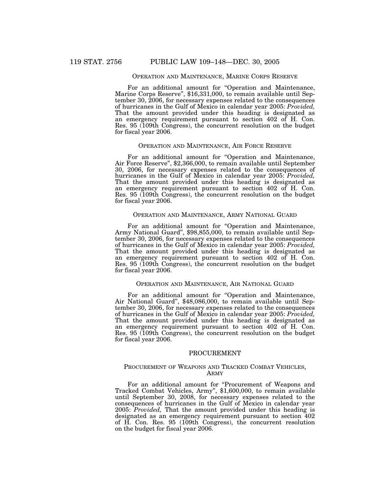# OPERATION AND MAINTENANCE, MARINE CORPS RESERVE

For an additional amount for "Operation and Maintenance, Marine Corps Reserve", \$16,331,000, to remain available until September 30, 2006, for necessary expenses related to the consequences of hurricanes in the Gulf of Mexico in calendar year 2005: *Provided,* That the amount provided under this heading is designated as an emergency requirement pursuant to section 402 of H. Con. Res. 95 (109th Congress), the concurrent resolution on the budget for fiscal year 2006.

# OPERATION AND MAINTENANCE, AIR FORCE RESERVE

For an additional amount for ''Operation and Maintenance, Air Force Reserve'', \$2,366,000, to remain available until September 30, 2006, for necessary expenses related to the consequences of hurricanes in the Gulf of Mexico in calendar year 2005: *Provided*, That the amount provided under this heading is designated as an emergency requirement pursuant to section 402 of H. Con. Res. 95 (109th Congress), the concurrent resolution on the budget for fiscal year 2006.

# OPERATION AND MAINTENANCE, ARMY NATIONAL GUARD

For an additional amount for ''Operation and Maintenance, Army National Guard'', \$98,855,000, to remain available until September 30, 2006, for necessary expenses related to the consequences of hurricanes in the Gulf of Mexico in calendar year 2005: *Provided,* That the amount provided under this heading is designated as an emergency requirement pursuant to section 402 of H. Con. Res. 95 (109th Congress), the concurrent resolution on the budget for fiscal year 2006.

# OPERATION AND MAINTENANCE, AIR NATIONAL GUARD

For an additional amount for "Operation and Maintenance, Air National Guard", \$48,086,000, to remain available until September 30, 2006, for necessary expenses related to the consequences of hurricanes in the Gulf of Mexico in calendar year 2005: *Provided,* That the amount provided under this heading is designated as an emergency requirement pursuant to section 402 of H. Con. Res. 95 (109th Congress), the concurrent resolution on the budget for fiscal year 2006.

## PROCUREMENT

# PROCUREMENT OF WEAPONS AND TRACKED COMBAT VEHICLES, ARMY

For an additional amount for ''Procurement of Weapons and Tracked Combat Vehicles, Army'', \$1,600,000, to remain available until September 30, 2008, for necessary expenses related to the consequences of hurricanes in the Gulf of Mexico in calendar year 2005: *Provided,* That the amount provided under this heading is designated as an emergency requirement pursuant to section 402 of H. Con. Res. 95 (109th Congress), the concurrent resolution on the budget for fiscal year 2006.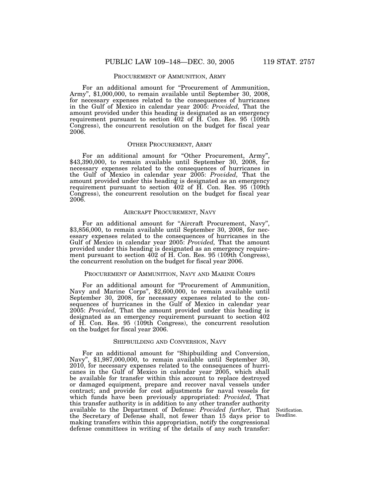### PROCUREMENT OF AMMUNITION, ARMY

For an additional amount for "Procurement of Ammunition, Army'', \$1,000,000, to remain available until September 30, 2008, for necessary expenses related to the consequences of hurricanes in the Gulf of Mexico in calendar year 2005: *Provided,* That the amount provided under this heading is designated as an emergency requirement pursuant to section  $\overline{402}$  of H. Con. Res. 95 (109th Congress), the concurrent resolution on the budget for fiscal year 2006.

# OTHER PROCUREMENT, ARMY

For an additional amount for ''Other Procurement, Army'', \$43,390,000, to remain available until September 30, 2008, for necessary expenses related to the consequences of hurricanes in the Gulf of Mexico in calendar year 2005: *Provided,* That the amount provided under this heading is designated as an emergency requirement pursuant to section  $\overline{402}$  of H. Con. Res. 95 (109th Congress), the concurrent resolution on the budget for fiscal year 2006.

#### AIRCRAFT PROCUREMENT, NAVY

For an additional amount for "Aircraft Procurement, Navy", \$3,856,000, to remain available until September 30, 2008, for necessary expenses related to the consequences of hurricanes in the Gulf of Mexico in calendar year 2005: *Provided,* That the amount provided under this heading is designated as an emergency requirement pursuant to section 402 of H. Con. Res. 95 (109th Congress), the concurrent resolution on the budget for fiscal year 2006.

# PROCUREMENT OF AMMUNITION, NAVY AND MARINE CORPS

For an additional amount for "Procurement of Ammunition, Navy and Marine Corps'', \$2,600,000, to remain available until September 30, 2008, for necessary expenses related to the consequences of hurricanes in the Gulf of Mexico in calendar year 2005: *Provided,* That the amount provided under this heading is designated as an emergency requirement pursuant to section 402 of H. Con. Res. 95 (109th Congress), the concurrent resolution on the budget for fiscal year 2006.

### SHIPBUILDING AND CONVERSION, NAVY

For an additional amount for ''Shipbuilding and Conversion, Navy'', \$1,987,000,000, to remain available until September 30, 2010, for necessary expenses related to the consequences of hurricanes in the Gulf of Mexico in calendar year 2005, which shall be available for transfer within this account to replace destroyed or damaged equipment, prepare and recover naval vessels under contract; and provide for cost adjustments for naval vessels for which funds have been previously appropriated: *Provided,* That this transfer authority is in addition to any other transfer authority available to the Department of Defense: *Provided further,* That the Secretary of Defense shall, not fewer than 15 days prior to making transfers within this appropriation, notify the congressional defense committees in writing of the details of any such transfer:

Notification. Deadline.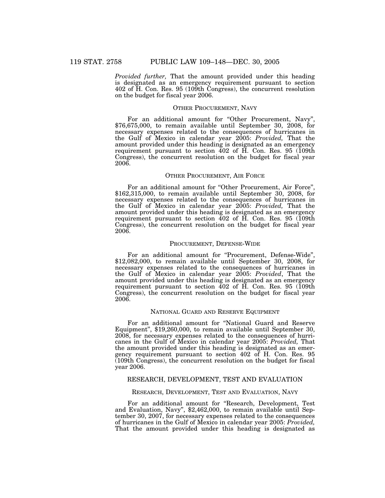*Provided further,* That the amount provided under this heading is designated as an emergency requirement pursuant to section 402 of H. Con. Res. 95 (109th Congress), the concurrent resolution on the budget for fiscal year 2006.

### OTHER PROCUREMENT, NAVY

For an additional amount for ''Other Procurement, Navy'', \$76,675,000, to remain available until September 30, 2008, for necessary expenses related to the consequences of hurricanes in the Gulf of Mexico in calendar year 2005: *Provided,* That the amount provided under this heading is designated as an emergency requirement pursuant to section  $\overline{402}$  of H. Con. Res. 95 (109th Congress), the concurrent resolution on the budget for fiscal year 2006.

### OTHER PROCUREMENT, AIR FORCE

For an additional amount for "Other Procurement, Air Force", \$162,315,000, to remain available until September 30, 2008, for necessary expenses related to the consequences of hurricanes in the Gulf of Mexico in calendar year 2005: *Provided,* That the amount provided under this heading is designated as an emergency requirement pursuant to section  $\frac{402}{102}$  of H. Con. Res. 95 (109th Congress), the concurrent resolution on the budget for fiscal year 2006.

### PROCUREMENT, DEFENSE-WIDE

For an additional amount for "Procurement, Defense-Wide", \$12,082,000, to remain available until September 30, 2008, for necessary expenses related to the consequences of hurricanes in the Gulf of Mexico in calendar year 2005: *Provided*, That the amount provided under this heading is designated as an emergency requirement pursuant to section  $\overline{402}$  of H. Con. Res. 95 (109th Congress), the concurrent resolution on the budget for fiscal year 2006.

# NATIONAL GUARD AND RESERVE EQUIPMENT

For an additional amount for ''National Guard and Reserve Equipment'', \$19,260,000, to remain available until September 30, 2008, for necessary expenses related to the consequences of hurricanes in the Gulf of Mexico in calendar year 2005: *Provided,* That the amount provided under this heading is designated as an emergency requirement pursuant to section 402 of H. Con. Res. 95 (109th Congress), the concurrent resolution on the budget for fiscal year 2006.

#### RESEARCH, DEVELOPMENT, TEST AND EVALUATION

# RESEARCH, DEVELOPMENT, TEST AND EVALUATION, NAVY

For an additional amount for ''Research, Development, Test and Evaluation, Navy'', \$2,462,000, to remain available until September 30, 2007, for necessary expenses related to the consequences of hurricanes in the Gulf of Mexico in calendar year 2005: *Provided,* That the amount provided under this heading is designated as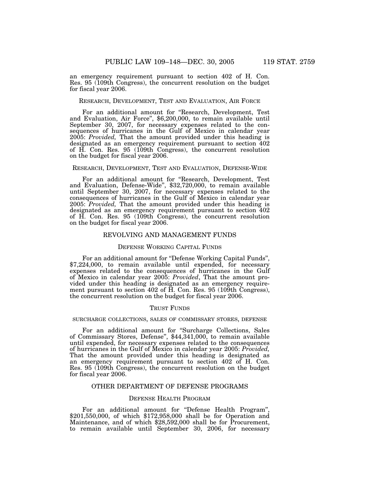an emergency requirement pursuant to section 402 of H. Con. Res. 95 (109th Congress), the concurrent resolution on the budget for fiscal year 2006.

# RESEARCH, DEVELOPMENT, TEST AND EVALUATION, AIR FORCE

For an additional amount for ''Research, Development, Test and Evaluation, Air Force'', \$6,200,000, to remain available until September 30, 2007, for necessary expenses related to the consequences of hurricanes in the Gulf of Mexico in calendar year 2005: *Provided,* That the amount provided under this heading is designated as an emergency requirement pursuant to section 402 of H. Con. Res. 95 (109th Congress), the concurrent resolution on the budget for fiscal year 2006.

# RESEARCH, DEVELOPMENT, TEST AND EVALUATION, DEFENSE-WIDE

For an additional amount for ''Research, Development, Test and Evaluation, Defense-Wide'', \$32,720,000, to remain available until September 30, 2007, for necessary expenses related to the consequences of hurricanes in the Gulf of Mexico in calendar year 2005: *Provided,* That the amount provided under this heading is designated as an emergency requirement pursuant to section 402 of H. Con. Res. 95 (109th Congress), the concurrent resolution on the budget for fiscal year 2006.

# REVOLVING AND MANAGEMENT FUNDS

# DEFENSE WORKING CAPITAL FUNDS

For an additional amount for ''Defense Working Capital Funds'', \$7,224,000, to remain available until expended, for necessary expenses related to the consequences of hurricanes in the Gulf of Mexico in calendar year 2005: *Provided*, That the amount provided under this heading is designated as an emergency requirement pursuant to section 402 of H. Con. Res. 95 (109th Congress), the concurrent resolution on the budget for fiscal year 2006.

#### TRUST FUNDS

# SURCHARGE COLLECTIONS, SALES OF COMMISSARY STORES, DEFENSE

For an additional amount for ''Surcharge Collections, Sales of Commissary Stores, Defense'', \$44,341,000, to remain available until expended, for necessary expenses related to the consequences of hurricanes in the Gulf of Mexico in calendar year 2005: *Provided,* That the amount provided under this heading is designated as an emergency requirement pursuant to section 402 of H. Con. Res. 95 (109th Congress), the concurrent resolution on the budget for fiscal year 2006.

#### OTHER DEPARTMENT OF DEFENSE PROGRAMS

### DEFENSE HEALTH PROGRAM

For an additional amount for "Defense Health Program", \$201,550,000, of which \$172,958,000 shall be for Operation and Maintenance, and of which \$28,592,000 shall be for Procurement, to remain available until September 30, 2006, for necessary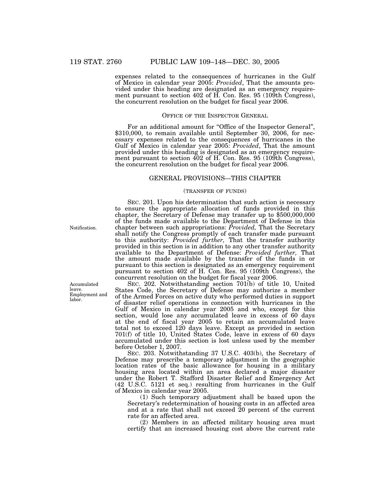expenses related to the consequences of hurricanes in the Gulf of Mexico in calendar year 2005: *Provided*, That the amounts provided under this heading are designated as an emergency requirement pursuant to section 402 of H. Con. Res. 95 (109th Congress), the concurrent resolution on the budget for fiscal year 2006.

# OFFICE OF THE INSPECTOR GENERAL

For an additional amount for "Office of the Inspector General", \$310,000, to remain available until September 30, 2006, for necessary expenses related to the consequences of hurricanes in the Gulf of Mexico in calendar year 2005: *Provided*, That the amount provided under this heading is designated as an emergency requirement pursuant to section 402 of H. Con. Res. 95 (109th Congress), the concurrent resolution on the budget for fiscal year 2006.

# GENERAL PROVISIONS—THIS CHAPTER

# (TRANSFER OF FUNDS)

SEC. 201. Upon his determination that such action is necessary

Notification.

to ensure the appropriate allocation of funds provided in this chapter, the Secretary of Defense may transfer up to \$500,000,000 of the funds made available to the Department of Defense in this chapter between such appropriations: *Provided,* That the Secretary shall notify the Congress promptly of each transfer made pursuant to this authority: *Provided further,* That the transfer authority provided in this section is in addition to any other transfer authority available to the Department of Defense: *Provided further,* That the amount made available by the transfer of the funds in or pursuant to this section is designated as an emergency requirement pursuant to section 402 of H. Con. Res. 95 (109th Congress), the concurrent resolution on the budget for fiscal year 2006.

SEC. 202. Notwithstanding section 701(b) of title 10, United States Code, the Secretary of Defense may authorize a member of the Armed Forces on active duty who performed duties in support of disaster relief operations in connection with hurricanes in the Gulf of Mexico in calendar year 2005 and who, except for this section, would lose any accumulated leave in excess of 60 days at the end of fiscal year 2005 to retain an accumulated leave total not to exceed 120 days leave. Except as provided in section 701(f) of title 10, United States Code, leave in excess of 60 days accumulated under this section is lost unless used by the member before October 1, 2007.

SEC. 203. Notwithstanding 37 U.S.C. 403(b), the Secretary of Defense may prescribe a temporary adjustment in the geographic location rates of the basic allowance for housing in a military housing area located within an area declared a major disaster under the Robert T. Stafford Disaster Relief and Emergency Act (42 U.S.C. 5121 et seq.) resulting from hurricanes in the Gulf of Mexico in calendar year 2005.

(1) Such temporary adjustment shall be based upon the Secretary's redetermination of housing costs in an affected area and at a rate that shall not exceed  $\overline{2}0$  percent of the current rate for an affected area.

(2) Members in an affected military housing area must certify that an increased housing cost above the current rate

Accumulated leave. Employment and labor.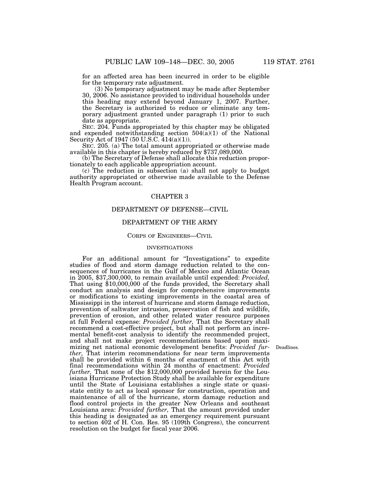for an affected area has been incurred in order to be eligible for the temporary rate adjustment.

(3) No temporary adjustment may be made after September 30, 2006. No assistance provided to individual households under this heading may extend beyond January 1, 2007. Further, the Secretary is authorized to reduce or eliminate any temporary adjustment granted under paragraph (1) prior to such date as appropriate.

SEC. 204. Funds appropriated by this chapter may be obligated and expended notwithstanding section  $504(\hat{a})(1)$  of the National Security Act of 1947 (50 U.S.C. 414(a)(1)).

SEC. 205. (a) The total amount appropriated or otherwise made available in this chapter is hereby reduced by \$737,089,000.

(b) The Secretary of Defense shall allocate this reduction proportionately to each applicable appropriation account.

(c) The reduction in subsection (a) shall not apply to budget authority appropriated or otherwise made available to the Defense Health Program account.

# CHAPTER 3

# DEPARTMENT OF DEFENSE—CIVIL

# DEPARTMENT OF THE ARMY

### CORPS OF ENGINEERS—CIVIL

### INVESTIGATIONS

For an additional amount for ''Investigations'' to expedite studies of flood and storm damage reduction related to the consequences of hurricanes in the Gulf of Mexico and Atlantic Ocean in 2005, \$37,300,000, to remain available until expended: *Provided,* That using \$10,000,000 of the funds provided, the Secretary shall conduct an analysis and design for comprehensive improvements or modifications to existing improvements in the coastal area of Mississippi in the interest of hurricane and storm damage reduction, prevention of saltwater intrusion, preservation of fish and wildlife, prevention of erosion, and other related water resource purposes at full Federal expense: *Provided further,* That the Secretary shall recommend a cost-effective project, but shall not perform an incremental benefit-cost analysis to identify the recommended project, and shall not make project recommendations based upon maximizing net national economic development benefits: *Provided further,* That interim recommendations for near term improvements shall be provided within 6 months of enactment of this Act with final recommendations within 24 months of enactment: *Provided further,* That none of the \$12,000,000 provided herein for the Louisiana Hurricane Protection Study shall be available for expenditure until the State of Louisiana establishes a single state or quasistate entity to act as local sponsor for construction, operation and maintenance of all of the hurricane, storm damage reduction and flood control projects in the greater New Orleans and southeast Louisiana area: *Provided further,* That the amount provided under this heading is designated as an emergency requirement pursuant to section 402 of H. Con. Res. 95 (109th Congress), the concurrent resolution on the budget for fiscal year 2006.

Deadlines.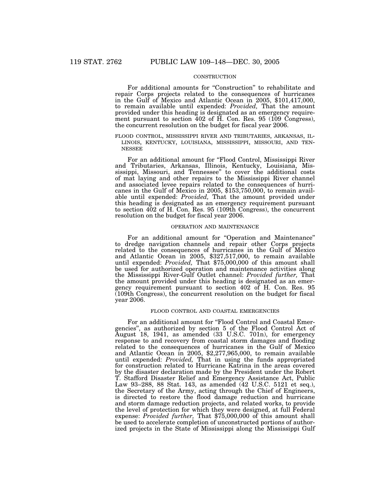# **CONSTRUCTION**

For additional amounts for ''Construction'' to rehabilitate and repair Corps projects related to the consequences of hurricanes in the Gulf of Mexico and Atlantic Ocean in 2005, \$101,417,000, to remain available until expended: *Provided,* That the amount provided under this heading is designated as an emergency requirement pursuant to section 402 of H. Con. Res. 95 (109 Congress), the concurrent resolution on the budget for fiscal year 2006.

# FLOOD CONTROL, MISSISSIPPI RIVER AND TRIBUTARIES, ARKANSAS, IL- LINOIS, KENTUCKY, LOUISIANA, MISSISSIPPI, MISSOURI, AND TEN- NESSEE

For an additional amount for ''Flood Control, Mississippi River and Tributaries, Arkansas, Illinois, Kentucky, Louisiana, Mississippi, Missouri, and Tennessee'' to cover the additional costs of mat laying and other repairs to the Mississippi River channel and associated levee repairs related to the consequences of hurricanes in the Gulf of Mexico in 2005, \$153,750,000, to remain available until expended: *Provided,* That the amount provided under this heading is designated as an emergency requirement pursuant to section 402 of H. Con. Res. 95 (109th Congress), the concurrent resolution on the budget for fiscal year 2006.

#### OPERATION AND MAINTENANCE

For an additional amount for "Operation and Maintenance" to dredge navigation channels and repair other Corps projects related to the consequences of hurricanes in the Gulf of Mexico and Atlantic Ocean in 2005, \$327,517,000, to remain available until expended: *Provided,* That \$75,000,000 of this amount shall be used for authorized operation and maintenance activities along the Mississippi River-Gulf Outlet channel: *Provided further,* That the amount provided under this heading is designated as an emergency requirement pursuant to section 402 of H. Con. Res. 95 (109th Congress), the concurrent resolution on the budget for fiscal year 2006.

### FLOOD CONTROL AND COASTAL EMERGENCIES

For an additional amount for "Flood Control and Coastal Emergencies'', as authorized by section 5 of the Flood Control Act of August 18, 1941, as amended (33 U.S.C. 701n), for emergency response to and recovery from coastal storm damages and flooding related to the consequences of hurricanes in the Gulf of Mexico and Atlantic Ocean in 2005, \$2,277,965,000, to remain available until expended: *Provided,* That in using the funds appropriated for construction related to Hurricane Katrina in the areas covered by the disaster declaration made by the President under the Robert T. Stafford Disaster Relief and Emergency Assistance Act, Public Law 93–288, 88 Stat. 143, as amended (42 U.S.C. 5121 et seq.), the Secretary of the Army, acting through the Chief of Engineers, is directed to restore the flood damage reduction and hurricane and storm damage reduction projects, and related works, to provide the level of protection for which they were designed, at full Federal expense: *Provided further,* That \$75,000,000 of this amount shall be used to accelerate completion of unconstructed portions of authorized projects in the State of Mississippi along the Mississippi Gulf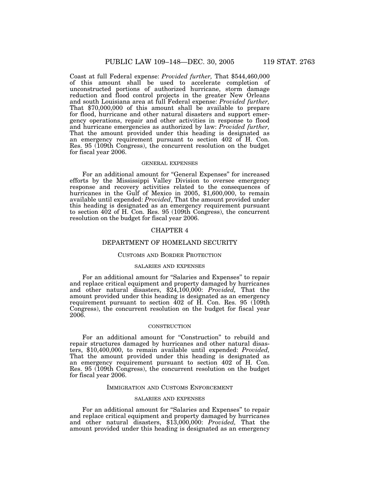Coast at full Federal expense: *Provided further,* That \$544,460,000 of this amount shall be used to accelerate completion of unconstructed portions of authorized hurricane, storm damage reduction and flood control projects in the greater New Orleans and south Louisiana area at full Federal expense: *Provided further,* That \$70,000,000 of this amount shall be available to prepare for flood, hurricane and other natural disasters and support emergency operations, repair and other activities in response to flood and hurricane emergencies as authorized by law: *Provided further,* That the amount provided under this heading is designated as an emergency requirement pursuant to section 402 of H. Con. Res. 95 (109th Congress), the concurrent resolution on the budget for fiscal year 2006.

### GENERAL EXPENSES

For an additional amount for "General Expenses" for increased efforts by the Mississippi Valley Division to oversee emergency response and recovery activities related to the consequences of hurricanes in the Gulf of Mexico in 2005, \$1,600,000, to remain available until expended: *Provided*, That the amount provided under this heading is designated as an emergency requirement pursuant to section 402 of H. Con. Res. 95 (109th Congress), the concurrent resolution on the budget for fiscal year 2006.

# CHAPTER 4

# DEPARTMENT OF HOMELAND SECURITY

# CUSTOMS AND BORDER PROTECTION

### SALARIES AND EXPENSES

For an additional amount for ''Salaries and Expenses'' to repair and replace critical equipment and property damaged by hurricanes and other natural disasters, \$24,100,000: *Provided,* That the amount provided under this heading is designated as an emergency requirement pursuant to section  $\overline{402}$  of H. Con. Res. 95 (109th Congress), the concurrent resolution on the budget for fiscal year 2006.

### **CONSTRUCTION**

For an additional amount for "Construction" to rebuild and repair structures damaged by hurricanes and other natural disasters, \$10,400,000, to remain available until expended: *Provided,* That the amount provided under this heading is designated as an emergency requirement pursuant to section 402 of H. Con. Res. 95 (109th Congress), the concurrent resolution on the budget for fiscal year 2006.

# IMMIGRATION AND CUSTOMS ENFORCEMENT

### SALARIES AND EXPENSES

For an additional amount for ''Salaries and Expenses'' to repair and replace critical equipment and property damaged by hurricanes and other natural disasters, \$13,000,000: *Provided,* That the amount provided under this heading is designated as an emergency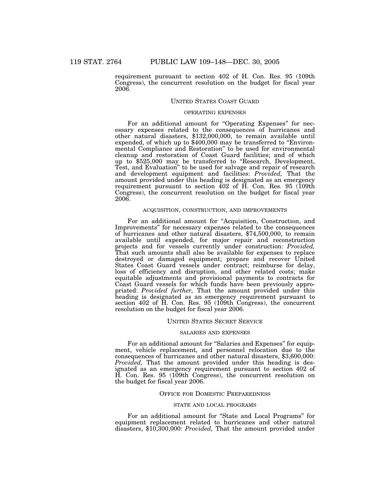requirement pursuant to section 402 of H. Con. Res. 95 (109th Congress), the concurrent resolution on the budget for fiscal year 2006.

# UNITED STATES COAST GUARD

#### OPERATING EXPENSES

For an additional amount for "Operating Expenses" for necessary expenses related to the consequences of hurricanes and other natural disasters, \$132,000,000, to remain available until expended, of which up to \$400,000 may be transferred to "Environmental Compliance and Restoration'' to be used for environmental cleanup and restoration of Coast Guard facilities; and of which up to \$525,000 may be transferred to ''Research, Development, Test, and Evaluation'' to be used for salvage and repair of research and development equipment and facilities: *Provided,* That the amount provided under this heading is designated as an emergency requirement pursuant to section  $\overline{402}$  of H. Con. Res. 95 (109th Congress), the concurrent resolution on the budget for fiscal year 2006.

# ACQUISITION, CONSTRUCTION, AND IMPROVEMENTS

For an additional amount for ''Acquisition, Construction, and Improvements'' for necessary expenses related to the consequences of hurricanes and other natural disasters, \$74,500,000, to remain available until expended, for major repair and reconstruction projects and for vessels currently under construction: *Provided,* That such amounts shall also be available for expenses to replace destroyed or damaged equipment; prepare and recover United States Coast Guard vessels under contract; reimburse for delay, loss of efficiency and disruption, and other related costs; make equitable adjustments and provisional payments to contracts for Coast Guard vessels for which funds have been previously appropriated: *Provided further,* That the amount provided under this heading is designated as an emergency requirement pursuant to section 402 of H. Con. Res. 95 (109th Congress), the concurrent resolution on the budget for fiscal year 2006.

#### UNITED STATES SECRET SERVICE

#### SALARIES AND EXPENSES

For an additional amount for "Salaries and Expenses" for equipment, vehicle replacement, and personnel relocation due to the consequences of hurricanes and other natural disasters, \$3,600,000: *Provided,* That the amount provided under this heading is designated as an emergency requirement pursuant to section 402 of H. Con. Res. 95 (109th Congress), the concurrent resolution on the budget for fiscal year 2006.

# OFFICE FOR DOMESTIC PREPAREDNESS

### STATE AND LOCAL PROGRAMS

For an additional amount for ''State and Local Programs'' for equipment replacement related to hurricanes and other natural disasters, \$10,300,000: *Provided,* That the amount provided under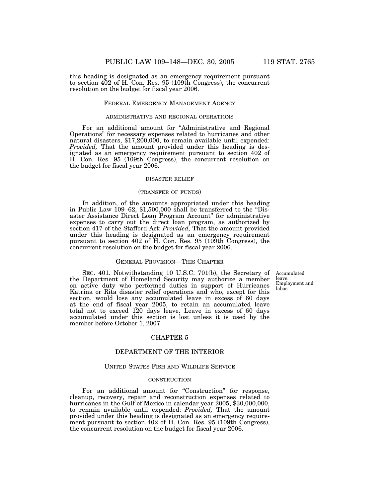this heading is designated as an emergency requirement pursuant to section 402 of H. Con. Res. 95 (109th Congress), the concurrent resolution on the budget for fiscal year 2006.

# FEDERAL EMERGENCY MANAGEMENT AGENCY

### ADMINISTRATIVE AND REGIONAL OPERATIONS

For an additional amount for ''Administrative and Regional Operations'' for necessary expenses related to hurricanes and other natural disasters, \$17,200,000, to remain available until expended: *Provided*, That the amount provided under this heading is designated as an emergency requirement pursuant to section 402 of H. Con. Res. 95 (109th Congress), the concurrent resolution on the budget for fiscal year 2006.

#### DISASTER RELIEF

#### (TRANSFER OF FUNDS)

In addition, of the amounts appropriated under this heading in Public Law 109–62, \$1,500,000 shall be transferred to the ''Disaster Assistance Direct Loan Program Account'' for administrative expenses to carry out the direct loan program, as authorized by section 417 of the Stafford Act: *Provided,* That the amount provided under this heading is designated as an emergency requirement pursuant to section 402 of H. Con. Res. 95 (109th Congress), the concurrent resolution on the budget for fiscal year 2006.

#### GENERAL PROVISION—THIS CHAPTER

Accumulated leave. Employment and labor.

SEC. 401. Notwithstanding 10 U.S.C. 701(b), the Secretary of the Department of Homeland Security may authorize a member on active duty who performed duties in support of Hurricanes Katrina or Rita disaster relief operations and who, except for this section, would lose any accumulated leave in excess of 60 days at the end of fiscal year 2005, to retain an accumulated leave total not to exceed 120 days leave. Leave in excess of 60 days accumulated under this section is lost unless it is used by the member before October 1, 2007.

#### CHAPTER 5

# DEPARTMENT OF THE INTERIOR

### UNITED STATES FISH AND WILDLIFE SERVICE

#### **CONSTRUCTION**

For an additional amount for "Construction" for response, cleanup, recovery, repair and reconstruction expenses related to hurricanes in the Gulf of Mexico in calendar year 2005, \$30,000,000, to remain available until expended: *Provided,* That the amount provided under this heading is designated as an emergency requirement pursuant to section 402 of H. Con. Res. 95 (109th Congress), the concurrent resolution on the budget for fiscal year 2006.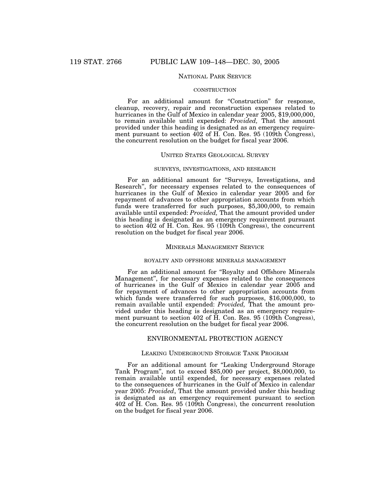# NATIONAL PARK SERVICE

# **CONSTRUCTION**

For an additional amount for "Construction" for response, cleanup, recovery, repair and reconstruction expenses related to hurricanes in the Gulf of Mexico in calendar year  $\overline{2005}$ , \$19,000,000, to remain available until expended: *Provided,* That the amount provided under this heading is designated as an emergency requirement pursuant to section  $\overline{402}$  of H. Con. Res. 95 (109th Congress), the concurrent resolution on the budget for fiscal year 2006.

# UNITED STATES GEOLOGICAL SURVEY

### SURVEYS, INVESTIGATIONS, AND RESEARCH

For an additional amount for "Surveys, Investigations, and Research'', for necessary expenses related to the consequences of hurricanes in the Gulf of Mexico in calendar year 2005 and for repayment of advances to other appropriation accounts from which funds were transferred for such purposes, \$5,300,000, to remain available until expended: *Provided,* That the amount provided under this heading is designated as an emergency requirement pursuant to section 402 of H. Con. Res. 95 (109th Congress), the concurrent resolution on the budget for fiscal year 2006.

#### MINERALS MANAGEMENT SERVICE

# ROYALTY AND OFFSHORE MINERALS MANAGEMENT

For an additional amount for ''Royalty and Offshore Minerals Management'', for necessary expenses related to the consequences of hurricanes in the Gulf of Mexico in calendar year 2005 and for repayment of advances to other appropriation accounts from which funds were transferred for such purposes, \$16,000,000, to remain available until expended: *Provided,* That the amount provided under this heading is designated as an emergency requirement pursuant to section 402 of H. Con. Res. 95 (109th Congress), the concurrent resolution on the budget for fiscal year 2006.

# ENVIRONMENTAL PROTECTION AGENCY

# LEAKING UNDERGROUND STORAGE TANK PROGRAM

For an additional amount for ''Leaking Underground Storage Tank Program'', not to exceed \$85,000 per project, \$8,000,000, to remain available until expended, for necessary expenses related to the consequences of hurricanes in the Gulf of Mexico in calendar year 2005: *Provided*, That the amount provided under this heading is designated as an emergency requirement pursuant to section 402 of H. Con. Res. 95 (109th Congress), the concurrent resolution on the budget for fiscal year 2006.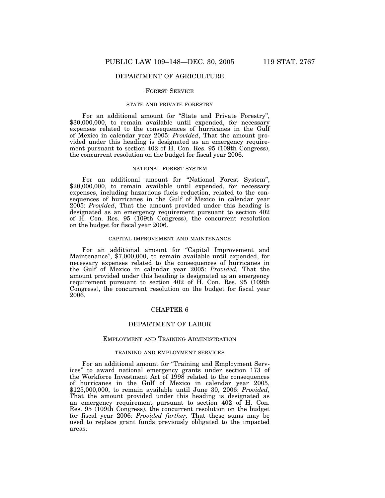# DEPARTMENT OF AGRICULTURE

### FOREST SERVICE

# STATE AND PRIVATE FORESTRY

For an additional amount for ''State and Private Forestry'', \$30,000,000, to remain available until expended, for necessary expenses related to the consequences of hurricanes in the Gulf of Mexico in calendar year 2005: *Provided*, That the amount provided under this heading is designated as an emergency requirement pursuant to section 402 of H. Con. Res. 95 (109th Congress), the concurrent resolution on the budget for fiscal year 2006.

# NATIONAL FOREST SYSTEM

For an additional amount for ''National Forest System'', \$20,000,000, to remain available until expended, for necessary expenses, including hazardous fuels reduction, related to the consequences of hurricanes in the Gulf of Mexico in calendar year 2005: *Provided*, That the amount provided under this heading is designated as an emergency requirement pursuant to section 402 of H. Con. Res. 95 (109th Congress), the concurrent resolution on the budget for fiscal year 2006.

#### CAPITAL IMPROVEMENT AND MAINTENANCE

For an additional amount for "Capital Improvement and Maintenance'', \$7,000,000, to remain available until expended, for necessary expenses related to the consequences of hurricanes in the Gulf of Mexico in calendar year 2005: *Provided,* That the amount provided under this heading is designated as an emergency requirement pursuant to section 402 of H. Con. Res. 95 (109th Congress), the concurrent resolution on the budget for fiscal year 2006.

# CHAPTER 6

# DEPARTMENT OF LABOR

# EMPLOYMENT AND TRAINING ADMINISTRATION

# TRAINING AND EMPLOYMENT SERVICES

For an additional amount for ''Training and Employment Services'' to award national emergency grants under section 173 of the Workforce Investment Act of 1998 related to the consequences of hurricanes in the Gulf of Mexico in calendar year 2005, \$125,000,000, to remain available until June 30, 2006: *Provided*, That the amount provided under this heading is designated as an emergency requirement pursuant to section 402 of H. Con. Res. 95 (109th Congress), the concurrent resolution on the budget for fiscal year 2006: *Provided further,* That these sums may be used to replace grant funds previously obligated to the impacted areas.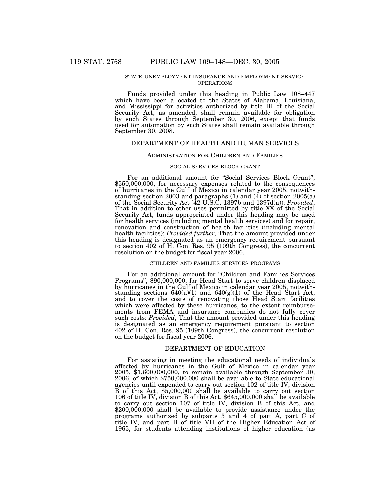### STATE UNEMPLOYMENT INSURANCE AND EMPLOYMENT SERVICE **OPERATIONS**

Funds provided under this heading in Public Law 108–447 which have been allocated to the States of Alabama, Louisiana, and Mississippi for activities authorized by title III of the Social Security Act, as amended, shall remain available for obligation by such States through September 30, 2006, except that funds used for automation by such States shall remain available through September 30, 2008.

# DEPARTMENT OF HEALTH AND HUMAN SERVICES

### ADMINISTRATION FOR CHILDREN AND FAMILIES

# SOCIAL SERVICES BLOCK GRANT

For an additional amount for ''Social Services Block Grant'', \$550,000,000, for necessary expenses related to the consequences of hurricanes in the Gulf of Mexico in calendar year 2005, notwithstanding section 2003 and paragraphs (1) and ( $\check{4}$ ) of section 2005(a) of the Social Security Act (42 U.S.C. 1397b and 1397d(a)): Provided, of the Social Security Act (42 U.S.C. 1397b and 1397d(a)): *Provided*, That in addition to other uses permitted by title XX of the Social Security Act, funds appropriated under this heading may be used for health services (including mental health services) and for repair, renovation and construction of health facilities (including mental health facilities): *Provided further,* That the amount provided under this heading is designated as an emergency requirement pursuant to section 402 of H. Con. Res. 95 (109th Congress), the concurrent resolution on the budget for fiscal year 2006.

# CHILDREN AND FAMILIES SERVICES PROGRAMS

For an additional amount for "Children and Families Services Programs'', \$90,000,000, for Head Start to serve children displaced by hurricanes in the Gulf of Mexico in calendar year 2005, notwithstanding sections  $640(a)(1)$  and  $640(g)(1)$  of the Head Start Act, and to cover the costs of renovating those Head Start facilities which were affected by these hurricanes, to the extent reimbursements from FEMA and insurance companies do not fully cover such costs: *Provided*, That the amount provided under this heading is designated as an emergency requirement pursuant to section 402 of H. Con. Res. 95 (109th Congress), the concurrent resolution on the budget for fiscal year 2006.

# DEPARTMENT OF EDUCATION

For assisting in meeting the educational needs of individuals affected by hurricanes in the Gulf of Mexico in calendar year 2005, \$1,600,000,000, to remain available through September 30, 2006, of which \$750,000,000 shall be available to State educational agencies until expended to carry out section 102 of title IV, division B of this Act, \$5,000,000 shall be available to carry out section 106 of title IV, division B of this Act, \$645,000,000 shall be available to carry out section 107 of title IV, division B of this Act, and \$200,000,000 shall be available to provide assistance under the programs authorized by subparts 3 and 4 of part A, part C of title IV, and part B of title VII of the Higher Education Act of 1965, for students attending institutions of higher education (as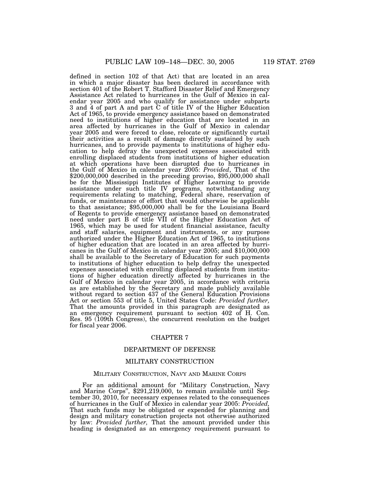defined in section 102 of that Act) that are located in an area in which a major disaster has been declared in accordance with section 401 of the Robert T. Stafford Disaster Relief and Emergency Assistance Act related to hurricanes in the Gulf of Mexico in calendar year 2005 and who qualify for assistance under subparts 3 and 4 of part A and part C of title IV of the Higher Education Act of 1965, to provide emergency assistance based on demonstrated need to institutions of higher education that are located in an area affected by hurricanes in the Gulf of Mexico in calendar year 2005 and were forced to close, relocate or significantly curtail their activities as a result of damage directly sustained by such hurricanes, and to provide payments to institutions of higher education to help defray the unexpected expenses associated with enrolling displaced students from institutions of higher education at which operations have been disrupted due to hurricanes in the Gulf of Mexico in calendar year 2005: *Provided*, That of the \$200,000,000 described in the preceding proviso, \$95,000,000 shall be for the Mississippi Institutes of Higher Learning to provide assistance under such title IV programs, notwithstanding any requirements relating to matching, Federal share, reservation of funds, or maintenance of effort that would otherwise be applicable to that assistance; \$95,000,000 shall be for the Louisiana Board of Regents to provide emergency assistance based on demonstrated need under part B of title VII of the Higher Education Act of 1965, which may be used for student financial assistance, faculty and staff salaries, equipment and instruments, or any purpose authorized under the Higher Education Act of 1965, to institutions of higher education that are located in an area affected by hurricanes in the Gulf of Mexico in calendar year 2005; and \$10,000,000 shall be available to the Secretary of Education for such payments to institutions of higher education to help defray the unexpected expenses associated with enrolling displaced students from institutions of higher education directly affected by hurricanes in the Gulf of Mexico in calendar year 2005, in accordance with criteria as are established by the Secretary and made publicly available without regard to section 437 of the General Education Provisions Act or section 553 of title 5, United States Code: *Provided further,* That the amounts provided in this paragraph are designated as an emergency requirement pursuant to section 402 of H. Con. Res. 95 (109th Congress), the concurrent resolution on the budget for fiscal year 2006.

## CHAPTER 7

# DEPARTMENT OF DEFENSE

#### MILITARY CONSTRUCTION

# MILITARY CONSTRUCTION, NAVY AND MARINE CORPS

For an additional amount for ''Military Construction, Navy and Marine Corps'', \$291,219,000, to remain available until September 30, 2010, for necessary expenses related to the consequences of hurricanes in the Gulf of Mexico in calendar year 2005: *Provided,* That such funds may be obligated or expended for planning and design and military construction projects not otherwise authorized by law: *Provided further,* That the amount provided under this heading is designated as an emergency requirement pursuant to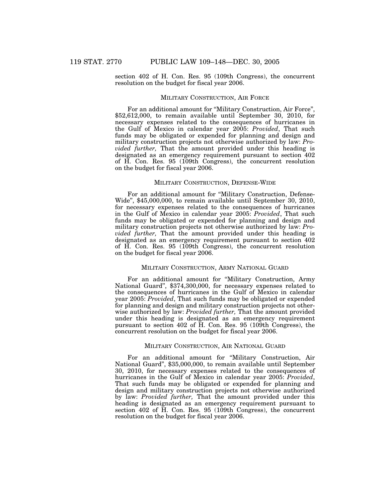section 402 of H. Con. Res. 95 (109th Congress), the concurrent resolution on the budget for fiscal year 2006.

# MILITARY CONSTRUCTION, AIR FORCE

For an additional amount for ''Military Construction, Air Force'', \$52,612,000, to remain available until September 30, 2010, for necessary expenses related to the consequences of hurricanes in the Gulf of Mexico in calendar year 2005: *Provided*, That such funds may be obligated or expended for planning and design and military construction projects not otherwise authorized by law: *Provided further*, That the amount provided under this heading is designated as an emergency requirement pursuant to section 402 of H. Con. Res. 95 (109th Congress), the concurrent resolution on the budget for fiscal year 2006.

# MILITARY CONSTRUCTION, DEFENSE-WIDE

For an additional amount for ''Military Construction, Defense-Wide'', \$45,000,000, to remain available until September 30, 2010, for necessary expenses related to the consequences of hurricanes in the Gulf of Mexico in calendar year 2005: *Provided*, That such funds may be obligated or expended for planning and design and military construction projects not otherwise authorized by law: *Provided further,* That the amount provided under this heading is designated as an emergency requirement pursuant to section 402 of H. Con. Res. 95 (109th Congress), the concurrent resolution on the budget for fiscal year 2006.

# MILITARY CONSTRUCTION, ARMY NATIONAL GUARD

For an additional amount for ''Military Construction, Army National Guard'', \$374,300,000, for necessary expenses related to the consequences of hurricanes in the Gulf of Mexico in calendar year 2005: *Provided*, That such funds may be obligated or expended for planning and design and military construction projects not otherwise authorized by law: *Provided further,* That the amount provided under this heading is designated as an emergency requirement pursuant to section 402 of H. Con. Res. 95 (109th Congress), the concurrent resolution on the budget for fiscal year 2006.

# MILITARY CONSTRUCTION, AIR NATIONAL GUARD

For an additional amount for ''Military Construction, Air National Guard'', \$35,000,000, to remain available until September 30, 2010, for necessary expenses related to the consequences of hurricanes in the Gulf of Mexico in calendar year 2005: *Provided*, That such funds may be obligated or expended for planning and design and military construction projects not otherwise authorized by law: *Provided further,* That the amount provided under this heading is designated as an emergency requirement pursuant to section 402 of H. Con. Res. 95 (109th Congress), the concurrent resolution on the budget for fiscal year 2006.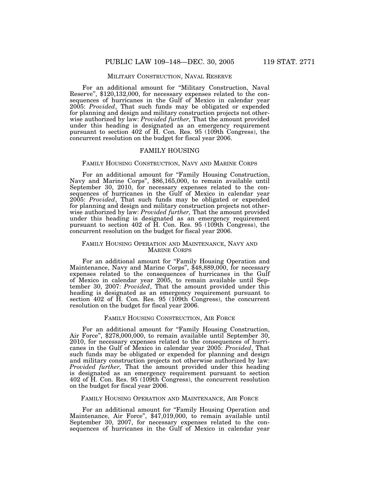For an additional amount for "Military Construction, Naval Reserve", \$120,132,000, for necessary expenses related to the consequences of hurricanes in the Gulf of Mexico in calendar year 2005: *Provided*, That such funds may be obligated or expended for planning and design and military construction projects not otherwise authorized by law: *Provided further,* That the amount provided under this heading is designated as an emergency requirement pursuant to section 402 of H. Con. Res. 95 (109th Congress), the concurrent resolution on the budget for fiscal year 2006.

# FAMILY HOUSING

### FAMILY HOUSING CONSTRUCTION, NAVY AND MARINE CORPS

For an additional amount for "Family Housing Construction, Navy and Marine Corps", \$86,165,000, to remain available until September 30, 2010, for necessary expenses related to the consequences of hurricanes in the Gulf of Mexico in calendar year 2005: *Provided*, That such funds may be obligated or expended for planning and design and military construction projects not otherwise authorized by law: *Provided further,* That the amount provided under this heading is designated as an emergency requirement pursuant to section 402 of H. Con. Res. 95 (109th Congress), the concurrent resolution on the budget for fiscal year 2006.

#### FAMILY HOUSING OPERATION AND MAINTENANCE, NAVY AND MARINE CORPS

For an additional amount for "Family Housing Operation and Maintenance, Navy and Marine Corps'', \$48,889,000, for necessary expenses related to the consequences of hurricanes in the Gulf of Mexico in calendar year 2005, to remain available until September 30, 2007: *Provided*, That the amount provided under this heading is designated as an emergency requirement pursuant to section 402 of H. Con. Res. 95 (109th Congress), the concurrent resolution on the budget for fiscal year 2006.

# FAMILY HOUSING CONSTRUCTION, AIR FORCE

For an additional amount for "Family Housing Construction, Air Force", \$278,000,000, to remain available until September 30, 2010, for necessary expenses related to the consequences of hurricanes in the Gulf of Mexico in calendar year 2005: *Provided*, That such funds may be obligated or expended for planning and design and military construction projects not otherwise authorized by law: *Provided further,* That the amount provided under this heading is designated as an emergency requirement pursuant to section 402 of H. Con. Res. 95 (109th Congress), the concurrent resolution on the budget for fiscal year 2006.

### FAMILY HOUSING OPERATION AND MAINTENANCE, AIR FORCE

For an additional amount for "Family Housing Operation and Maintenance, Air Force'', \$47,019,000, to remain available until September 30, 2007, for necessary expenses related to the consequences of hurricanes in the Gulf of Mexico in calendar year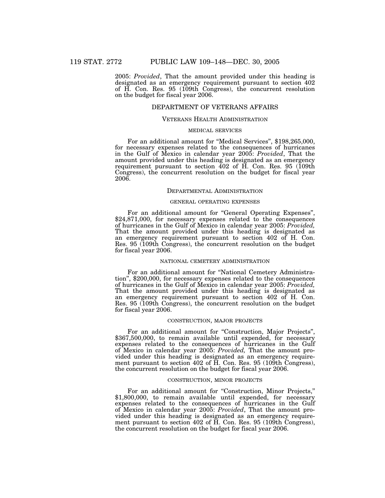2005: *Provided*, That the amount provided under this heading is designated as an emergency requirement pursuant to section 402 of H. Con. Res. 95 (109th Congress), the concurrent resolution on the budget for fiscal year 2006.

# DEPARTMENT OF VETERANS AFFAIRS

#### VETERANS HEALTH ADMINISTRATION

#### MEDICAL SERVICES

For an additional amount for ''Medical Services'', \$198,265,000, for necessary expenses related to the consequences of hurricanes in the Gulf of Mexico in calendar year 2005: *Provided*, That the amount provided under this heading is designated as an emergency requirement pursuant to section  $402$  of H. Con. Res. 95 (109th Congress), the concurrent resolution on the budget for fiscal year 2006.

# DEPARTMENTAL ADMINISTRATION

#### GENERAL OPERATING EXPENSES

For an additional amount for "General Operating Expenses", \$24,871,000, for necessary expenses related to the consequences of hurricanes in the Gulf of Mexico in calendar year 2005: *Provided,* That the amount provided under this heading is designated as an emergency requirement pursuant to section 402 of H. Con. Res. 95 (109th Congress), the concurrent resolution on the budget for fiscal year 2006.

# NATIONAL CEMETERY ADMINISTRATION

For an additional amount for "National Cemetery Administration", \$200,000, for necessary expenses related to the consequences of hurricanes in the Gulf of Mexico in calendar year 2005: *Provided,* That the amount provided under this heading is designated as an emergency requirement pursuant to section 402 of H. Con. Res. 95 (109th Congress), the concurrent resolution on the budget for fiscal year 2006.

# CONSTRUCTION, MAJOR PROJECTS

For an additional amount for "Construction, Major Projects", \$367,500,000, to remain available until expended, for necessary expenses related to the consequences of hurricanes in the Gulf of Mexico in calendar year 2005: *Provided,* That the amount provided under this heading is designated as an emergency requirement pursuant to section 402 of H. Con. Res. 95 (109th Congress), the concurrent resolution on the budget for fiscal year 2006.

# CONSTRUCTION, MINOR PROJECTS

For an additional amount for "Construction, Minor Projects," \$1,800,000, to remain available until expended, for necessary expenses related to the consequences of hurricanes in the Gulf of Mexico in calendar year 2005: *Provided*, That the amount provided under this heading is designated as an emergency requirement pursuant to section 402 of H. Con. Res. 95 (109th Congress), the concurrent resolution on the budget for fiscal year 2006.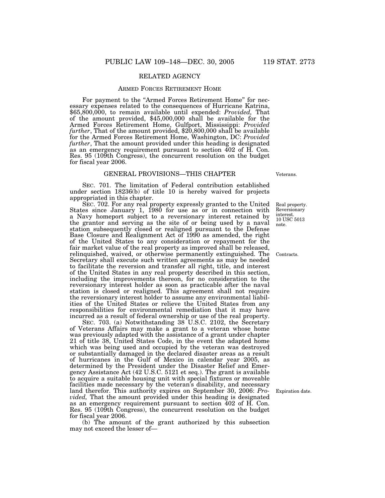# RELATED AGENCY

#### ARMED FORCES RETIREMENT HOME

For payment to the "Armed Forces Retirement Home" for necessary expenses related to the consequences of Hurricane Katrina, \$65,800,000, to remain available until expended: *Provided,* That of the amount provided, \$45,000,000 shall be available for the Armed Forces Retirement Home, Gulfport, Mississippi: *Provided further*, That of the amount provided, \$20,800,000 shall be available for the Armed Forces Retirement Home, Washington, DC: *Provided further*, That the amount provided under this heading is designated as an emergency requirement pursuant to section 402 of H. Con. Res. 95 (109th Congress), the concurrent resolution on the budget for fiscal year 2006.

#### GENERAL PROVISIONS—THIS CHAPTER

SEC. 701. The limitation of Federal contribution established under section 18236(b) of title 10 is hereby waived for projects appropriated in this chapter.

SEC. 702. For any real property expressly granted to the United States since January 1, 1980 for use as or in connection with a Navy homeport subject to a reversionary interest retained by the grantor and serving as the site of or being used by a naval station subsequently closed or realigned pursuant to the Defense Base Closure and Realignment Act of 1990 as amended, the right of the United States to any consideration or repayment for the fair market value of the real property as improved shall be released, relinquished, waived, or otherwise permanently extinguished. The Secretary shall execute such written agreements as may be needed to facilitate the reversion and transfer all right, title, and interest of the United States in any real property described in this section, including the improvements thereon, for no consideration to the reversionary interest holder as soon as practicable after the naval station is closed or realigned. This agreement shall not require the reversionary interest holder to assume any environmental liabilities of the United States or relieve the United States from any responsibilities for environmental remediation that it may have incurred as a result of federal ownership or use of the real property.

SEC. 703. (a) Notwithstanding 38 U.S.C. 2102, the Secretary of Veterans Affairs may make a grant to a veteran whose home was previously adapted with the assistance of a grant under chapter 21 of title 38, United States Code, in the event the adapted home which was being used and occupied by the veteran was destroyed or substantially damaged in the declared disaster areas as a result of hurricanes in the Gulf of Mexico in calendar year 2005, as determined by the President under the Disaster Relief and Emergency Assistance Act (42 U.S.C. 5121 et seq.). The grant is available to acquire a suitable housing unit with special fixtures or moveable facilities made necessary by the veteran's disability, and necessary land therefor. This authority expires on September 30, 2006: *Provided,* That the amount provided under this heading is designated as an emergency requirement pursuant to section 402 of H. Con. Res. 95 (109th Congress), the concurrent resolution on the budget for fiscal year 2006.

(b) The amount of the grant authorized by this subsection may not exceed the lesser of—

Real property. Reversionary interest. 10 USC 5013

Veterans.

Contracts.

note.

Expiration date.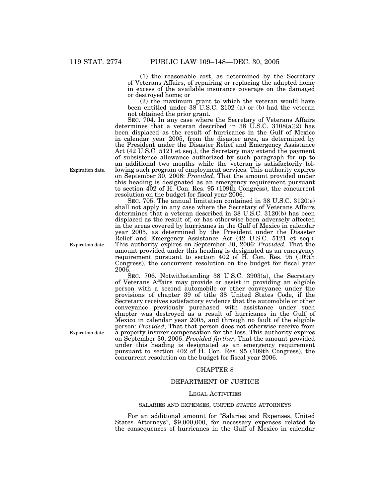(1) the reasonable cost, as determined by the Secretary of Veterans Affairs, of repairing or replacing the adapted home in excess of the available insurance coverage on the damaged or destroyed home; or

(2) the maximum grant to which the veteran would have been entitled under 38 U.S.C. 2102 (a) or (b) had the veteran not obtained the prior grant.

SEC. 704. In any case where the Secretary of Veterans Affairs determines that a veteran described in 38 U.S.C. 3108(a)(2) has been displaced as the result of hurricanes in the Gulf of Mexico in calendar year 2005, from the disaster area, as determined by the President under the Disaster Relief and Emergency Assistance Act (42 U.S.C. 5121 et seq.), the Secretary may extend the payment of subsistence allowance authorized by such paragraph for up to an additional two months while the veteran is satisfactorily following such program of employment services. This authority expires on September 30, 2006: *Provided*, That the amount provided under this heading is designated as an emergency requirement pursuant to section 402 of H. Con. Res. 95 (109th Congress), the concurrent resolution on the budget for fiscal year 2006.

SEC. 705. The annual limitation contained in 38 U.S.C. 3120(e) shall not apply in any case where the Secretary of Veterans Affairs determines that a veteran described in 38 U.S.C. 3120(b) has been displaced as the result of, or has otherwise been adversely affected in the areas covered by hurricanes in the Gulf of Mexico in calendar year 2005, as determined by the President under the Disaster Relief and Emergency Assistance Act (42 U.S.C. 5121 et seq.). This authority expires on September 30, 2006: *Provided,* That the amount provided under this heading is designated as an emergency requirement pursuant to section  $\overline{4}02$  of H. Con. Res. 95 (109th Congress), the concurrent resolution on the budget for fiscal year 2006.

SEC. 706. Notwithstanding 38 U.S.C. 3903(a), the Secretary of Veterans Affairs may provide or assist in providing an eligible person with a second automobile or other conveyance under the provisions of chapter 39 of title 38 United States Code, if the Secretary receives satisfactory evidence that the automobile or other conveyance previously purchased with assistance under such chapter was destroyed as a result of hurricanes in the Gulf of Mexico in calendar year 2005, and through no fault of the eligible person: *Provided*, That that person does not otherwise receive from a property insurer compensation for the loss. This authority expires on September 30, 2006: *Provided further*, That the amount provided under this heading is designated as an emergency requirement pursuant to section 402 of H. Con. Res. 95 (109th Congress), the concurrent resolution on the budget for fiscal year 2006.

#### CHAPTER 8

#### DEPARTMENT OF JUSTICE

#### LEGAL ACTIVITIES

#### SALARIES AND EXPENSES, UNITED STATES ATTORNEYS

For an additional amount for "Salaries and Expenses, United States Attorneys'', \$9,000,000, for necessary expenses related to the consequences of hurricanes in the Gulf of Mexico in calendar

Expiration date.

Expiration date.

Expiration date.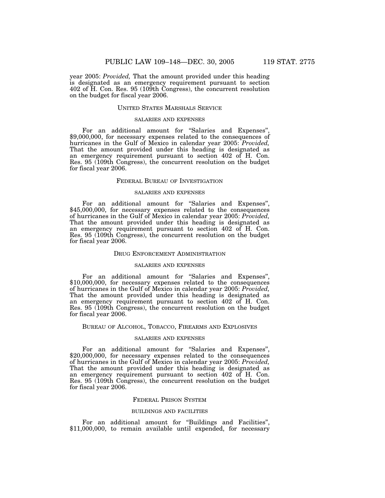year 2005: *Provided,* That the amount provided under this heading is designated as an emergency requirement pursuant to section 402 of H. Con. Res. 95 (109th Congress), the concurrent resolution on the budget for fiscal year 2006.

### UNITED STATES MARSHALS SERVICE

#### SALARIES AND EXPENSES

For an additional amount for "Salaries and Expenses", \$9,000,000, for necessary expenses related to the consequences of hurricanes in the Gulf of Mexico in calendar year 2005: *Provided,* That the amount provided under this heading is designated as an emergency requirement pursuant to section 402 of H. Con. Res. 95 (109th Congress), the concurrent resolution on the budget for fiscal year 2006.

### FEDERAL BUREAU OF INVESTIGATION

#### SALARIES AND EXPENSES

For an additional amount for "Salaries and Expenses", \$45,000,000, for necessary expenses related to the consequences of hurricanes in the Gulf of Mexico in calendar year 2005: *Provided,* That the amount provided under this heading is designated as an emergency requirement pursuant to section 402 of H. Con. Res. 95 (109th Congress), the concurrent resolution on the budget for fiscal year 2006.

# DRUG ENFORCEMENT ADMINISTRATION

### SALARIES AND EXPENSES

For an additional amount for "Salaries and Expenses", \$10,000,000, for necessary expenses related to the consequences of hurricanes in the Gulf of Mexico in calendar year 2005: *Provided,* That the amount provided under this heading is designated as an emergency requirement pursuant to section 402 of H. Con. Res. 95 (109th Congress), the concurrent resolution on the budget for fiscal year 2006.

### BUREAU OF ALCOHOL, TOBACCO, FIREARMS AND EXPLOSIVES

#### SALARIES AND EXPENSES

For an additional amount for "Salaries and Expenses", \$20,000,000, for necessary expenses related to the consequences of hurricanes in the Gulf of Mexico in calendar year 2005: *Provided,* That the amount provided under this heading is designated as an emergency requirement pursuant to section 402 of H. Con. Res. 95 (109th Congress), the concurrent resolution on the budget for fiscal year 2006.

#### FEDERAL PRISON SYSTEM

#### BUILDINGS AND FACILITIES

For an additional amount for ''Buildings and Facilities'', \$11,000,000, to remain available until expended, for necessary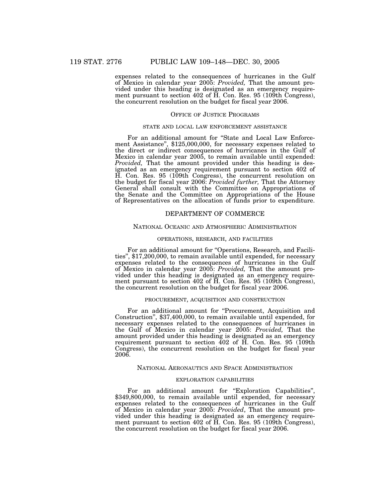expenses related to the consequences of hurricanes in the Gulf of Mexico in calendar year 2005: *Provided,* That the amount provided under this heading is designated as an emergency requirement pursuant to section 402 of H. Con. Res. 95 (109th Congress), the concurrent resolution on the budget for fiscal year 2006.

# OFFICE OF JUSTICE PROGRAMS

# STATE AND LOCAL LAW ENFORCEMENT ASSISTANCE

For an additional amount for ''State and Local Law Enforcement Assistance'', \$125,000,000, for necessary expenses related to the direct or indirect consequences of hurricanes in the Gulf of Mexico in calendar year 2005, to remain available until expended: *Provided*, That the amount provided under this heading is designated as an emergency requirement pursuant to section 402 of H. Con. Res. 95 (109th Congress), the concurrent resolution on the budget for fiscal year 2006: *Provided further,* That the Attorney General shall consult with the Committee on Appropriations of the Senate and the Committee on Appropriations of the House of Representatives on the allocation of funds prior to expenditure.

# DEPARTMENT OF COMMERCE

#### NATIONAL OCEANIC AND ATMOSPHERIC ADMINISTRATION

### OPERATIONS, RESEARCH, AND FACILITIES

For an additional amount for "Operations, Research, and Facilities", \$17,200,000, to remain available until expended, for necessary expenses related to the consequences of hurricanes in the Gulf of Mexico in calendar year 2005: *Provided,* That the amount provided under this heading is designated as an emergency requirement pursuant to section 402 of H. Con. Res. 95 (109th Congress), the concurrent resolution on the budget for fiscal year 2006.

#### PROCUREMENT, ACQUISITION AND CONSTRUCTION

For an additional amount for "Procurement, Acquisition and Construction'', \$37,400,000, to remain available until expended, for necessary expenses related to the consequences of hurricanes in the Gulf of Mexico in calendar year 2005: *Provided,* That the amount provided under this heading is designated as an emergency requirement pursuant to section 402 of H. Con. Res. 95 (109th Congress), the concurrent resolution on the budget for fiscal year 2006.

# NATIONAL AERONAUTICS AND SPACE ADMINISTRATION

# EXPLORATION CAPABILITIES

For an additional amount for ''Exploration Capabilities'', \$349,800,000, to remain available until expended, for necessary expenses related to the consequences of hurricanes in the Gulf of Mexico in calendar year 2005: *Provided*, That the amount provided under this heading is designated as an emergency requirement pursuant to section 402 of H. Con. Res. 95 (109th Congress), the concurrent resolution on the budget for fiscal year 2006.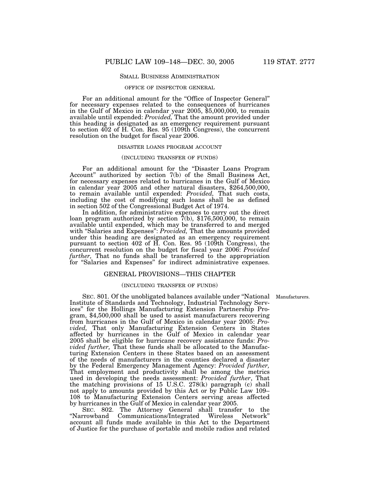#### SMALL BUSINESS ADMINISTRATION

#### OFFICE OF INSPECTOR GENERAL

For an additional amount for the "Office of Inspector General" for necessary expenses related to the consequences of hurricanes in the Gulf of Mexico in calendar year 2005, \$5,000,000, to remain available until expended: *Provided,* That the amount provided under this heading is designated as an emergency requirement pursuant to section 402 of H. Con. Res. 95 (109th Congress), the concurrent resolution on the budget for fiscal year 2006.

### DISASTER LOANS PROGRAM ACCOUNT

#### (INCLUDING TRANSFER OF FUNDS)

For an additional amount for the "Disaster Loans Program" Account'' authorized by section 7(b) of the Small Business Act, for necessary expenses related to hurricanes in the Gulf of Mexico in calendar year 2005 and other natural disasters, \$264,500,000, to remain available until expended: *Provided,* That such costs, including the cost of modifying such loans shall be as defined in section 502 of the Congressional Budget Act of 1974.

In addition, for administrative expenses to carry out the direct loan program authorized by section 7(b), \$176,500,000, to remain available until expended, which may be transferred to and merged with "Salaries and Expenses": *Provided*, That the amounts provided under this heading are designated as an emergency requirement pursuant to section 402 of H. Con. Res. 95 (109th Congress), the concurrent resolution on the budget for fiscal year 2006: *Provided further,* That no funds shall be transferred to the appropriation for "Salaries and Expenses" for indirect administrative expenses.

# GENERAL PROVISIONS—THIS CHAPTER

#### (INCLUDING TRANSFER OF FUNDS)

SEC. 801. Of the unobligated balances available under "National Manufacturers. Institute of Standards and Technology, Industrial Technology Services'' for the Hollings Manufacturing Extension Partnership Program, \$4,500,000 shall be used to assist manufacturers recovering from hurricanes in the Gulf of Mexico in calendar year 2005: *Provided,* That only Manufacturing Extension Centers in States affected by hurricanes in the Gulf of Mexico in calendar year 2005 shall be eligible for hurricane recovery assistance funds: *Provided further,* That these funds shall be allocated to the Manufacturing Extension Centers in these States based on an assessment of the needs of manufacturers in the counties declared a disaster by the Federal Emergency Management Agency: *Provided further,* That employment and productivity shall be among the metrics used in developing the needs assessment: *Provided further*, That the matching provisions of 15 U.S.C. 278(k) paragraph (c) shall not apply to amounts provided by this Act or by Public Law 109– 108 to Manufacturing Extension Centers serving areas affected by hurricanes in the Gulf of Mexico in calendar year 2005.

SEC. 802. The Attorney General shall transfer to the ''Narrowband Communications/Integrated Wireless Network'' account all funds made available in this Act to the Department of Justice for the purchase of portable and mobile radios and related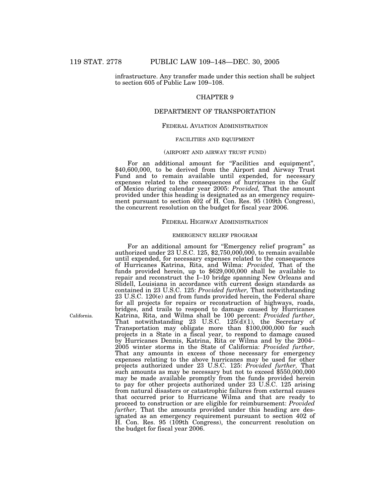infrastructure. Any transfer made under this section shall be subject to section 605 of Public Law 109–108.

# CHAPTER 9

# DEPARTMENT OF TRANSPORTATION

# FEDERAL AVIATION ADMINISTRATION

# FACILITIES AND EQUIPMENT

### (AIRPORT AND AIRWAY TRUST FUND)

For an additional amount for "Facilities and equipment", \$40,600,000, to be derived from the Airport and Airway Trust Fund and to remain available until expended, for necessary expenses related to the consequences of hurricanes in the Gulf of Mexico during calendar year 2005: *Provided,* That the amount provided under this heading is designated as an emergency requirement pursuant to section 402 of H. Con. Res. 95 (109th Congress), the concurrent resolution on the budget for fiscal year 2006.

# FEDERAL HIGHWAY ADMINISTRATION

#### EMERGENCY RELIEF PROGRAM

For an additional amount for ''Emergency relief program'' as authorized under 23 U.S.C. 125, \$2,750,000,000, to remain available until expended, for necessary expenses related to the consequences of Hurricanes Katrina, Rita, and Wilma: *Provided,* That of the funds provided herein, up to \$629,000,000 shall be available to repair and reconstruct the I–10 bridge spanning New Orleans and Slidell, Louisiana in accordance with current design standards as contained in 23 U.S.C. 125: *Provided further,* That notwithstanding 23 U.S.C. 120(e) and from funds provided herein, the Federal share for all projects for repairs or reconstruction of highways, roads, bridges, and trails to respond to damage caused by Hurricanes Katrina, Rita, and Wilma shall be 100 percent: *Provided further,* That notwithstanding 23 U.S.C. 125(d)(1), the Secretary of Transportation may obligate more than \$100,000,000 for such projects in a State in a fiscal year, to respond to damage caused by Hurricanes Dennis, Katrina, Rita or Wilma and by the 2004– 2005 winter storms in the State of California: *Provided further,* That any amounts in excess of those necessary for emergency expenses relating to the above hurricanes may be used for other projects authorized under 23 U.S.C. 125: *Provided further,* That such amounts as may be necessary but not to exceed \$550,000,000 may be made available promptly from the funds provided herein to pay for other projects authorized under 23 U.S.C. 125 arising from natural disasters or catastrophic failures from external causes that occurred prior to Hurricane Wilma and that are ready to proceed to construction or are eligible for reimbursement: *Provided further*, That the amounts provided under this heading are designated as an emergency requirement pursuant to section 402 of H. Con. Res. 95 (109th Congress), the concurrent resolution on the budget for fiscal year 2006.

California.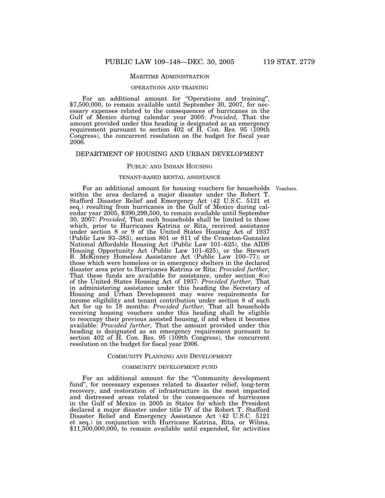### MARITIME ADMINISTRATION

#### OPERATIONS AND TRAINING

For an additional amount for "Operations and training", \$7,500,000, to remain available until September 30, 2007, for necessary expenses related to the consequences of hurricanes in the Gulf of Mexico during calendar year 2005: *Provided,* That the amount provided under this heading is designated as an emergency requirement pursuant to section  $402$  of H. Con. Res. 95 (109th Congress), the concurrent resolution on the budget for fiscal year 2006.

#### DEPARTMENT OF HOUSING AND URBAN DEVELOPMENT

#### PUBLIC AND INDIAN HOUSING

#### TENANT-BASED RENTAL ASSISTANCE

Vouchers.

For an additional amount for housing vouchers for households within the area declared a major disaster under the Robert T. Stafford Disaster Relief and Emergency Act (42 U.S.C. 5121 et seq.) resulting from hurricanes in the Gulf of Mexico during calendar year 2005, \$390,299,500, to remain available until September 30, 2007: *Provided,* That such households shall be limited to those which, prior to Hurricanes Katrina or Rita, received assistance under section 8 or 9 of the United States Housing Act of 1937 (Public Law 93–383), section 801 or 811 of the Cranston-Gonzalez National Affordable Housing Act (Public Law 101–625), the AIDS Housing Opportunity Act (Public Law 101–625), or the Stewart B. McKinney Homeless Assistance Act (Public Law 100–77); or those which were homeless or in emergency shelters in the declared disaster area prior to Hurricanes Katrina or Rita: *Provided further,* That these funds are available for assistance, under section 8(o) of the United States Housing Act of 1937: *Provided further,* That in administering assistance under this heading the Secretary of Housing and Urban Development may waive requirements for income eligibility and tenant contribution under section 8 of such Act for up to 18 months: *Provided further,* That all households receiving housing vouchers under this heading shall be eligible to reoccupy their previous assisted housing, if and when it becomes available: *Provided further,* That the amount provided under this heading is designated as an emergency requirement pursuant to section 402 of H. Con. Res. 95 (109th Congress), the concurrent resolution on the budget for fiscal year 2006.

#### COMMUNITY PLANNING AND DEVELOPMENT

### COMMUNITY DEVELOPMENT FUND

For an additional amount for the "Community development" fund'', for necessary expenses related to disaster relief, long-term recovery, and restoration of infrastructure in the most impacted and distressed areas related to the consequences of hurricanes in the Gulf of Mexico in 2005 in States for which the President declared a major disaster under title IV of the Robert T. Stafford Disaster Relief and Emergency Assistance Act (42 U.S.C. 5121 et seq.) in conjunction with Hurricane Katrina, Rita, or Wilma, \$11,500,000,000, to remain available until expended, for activities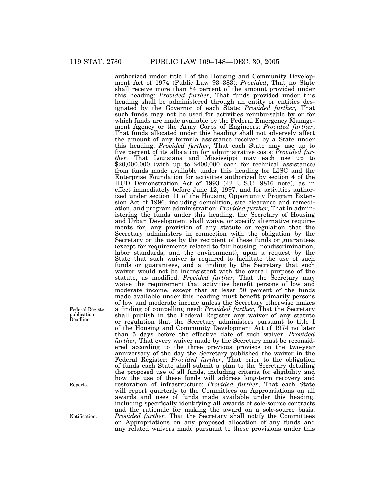authorized under title I of the Housing and Community Development Act of 1974 (Public Law 93–383): *Provided*, That no State shall receive more than 54 percent of the amount provided under this heading: *Provided further*, That funds provided under this heading shall be administered through an entity or entities designated by the Governor of each State: *Provided further,* That such funds may not be used for activities reimbursable by or for which funds are made available by the Federal Emergency Management Agency or the Army Corps of Engineers: *Provided further*, That funds allocated under this heading shall not adversely affect the amount of any formula assistance received by a State under this heading: *Provided further*, That each State may use up to five percent of its allocation for administrative costs: *Provided further,* That Louisiana and Mississippi may each use up to \$20,000,000 (with up to \$400,000 each for technical assistance) from funds made available under this heading for LISC and the Enterprise Foundation for activities authorized by section 4 of the HUD Demonstration Act of 1993 (42 U.S.C. 9816 note), as in effect immediately before June 12, 1997, and for activities authorized under section 11 of the Housing Opportunity Program Extension Act of 1996, including demolition, site clearance and remediation, and program administration: *Provided further,* That in administering the funds under this heading, the Secretary of Housing and Urban Development shall waive, or specify alternative requirements for, any provision of any statute or regulation that the Secretary administers in connection with the obligation by the Secretary or the use by the recipient of these funds or guarantees (except for requirements related to fair housing, nondiscrimination, labor standards, and the environment), upon a request by the State that such waiver is required to facilitate the use of such funds or guarantees, and a finding by the Secretary that such waiver would not be inconsistent with the overall purpose of the statute, as modified: *Provided further,* That the Secretary may waive the requirement that activities benefit persons of low and moderate income, except that at least 50 percent of the funds made available under this heading must benefit primarily persons of low and moderate income unless the Secretary otherwise makes a finding of compelling need: *Provided further,* That the Secretary shall publish in the Federal Register any waiver of any statute or regulation that the Secretary administers pursuant to title I of the Housing and Community Development Act of 1974 no later than 5 days before the effective date of such waiver: *Provided further,* That every waiver made by the Secretary must be reconsidered according to the three previous provisos on the two-year anniversary of the day the Secretary published the waiver in the Federal Register: *Provided further*, That prior to the obligation of funds each State shall submit a plan to the Secretary detailing the proposed use of all funds, including criteria for eligibility and how the use of these funds will address long-term recovery and restoration of infrastructure: *Provided further*, That each State will report quarterly to the Committees on Appropriations on all awards and uses of funds made available under this heading, including specifically identifying all awards of sole-source contracts and the rationale for making the award on a sole-source basis: *Provided further,* That the Secretary shall notify the Committees on Appropriations on any proposed allocation of any funds and any related waivers made pursuant to these provisions under this

Federal Register, publication. Deadline.

Reports.

Notification.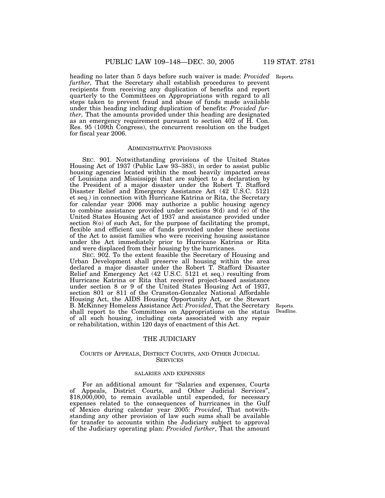heading no later than 5 days before such waiver is made: *Provided* Reports. *further,* That the Secretary shall establish procedures to prevent recipients from receiving any duplication of benefits and report quarterly to the Committees on Appropriations with regard to all steps taken to prevent fraud and abuse of funds made available under this heading including duplication of benefits: *Provided further,* That the amounts provided under this heading are designated as an emergency requirement pursuant to section 402 of H. Con. Res. 95 (109th Congress), the concurrent resolution on the budget for fiscal year 2006.

# ADMINISTRATIVE PROVISIONS

SEC. 901. Notwithstanding provisions of the United States Housing Act of 1937 (Public Law 93-383), in order to assist public housing agencies located within the most heavily impacted areas of Louisiana and Mississippi that are subject to a declaration by the President of a major disaster under the Robert T. Stafford Disaster Relief and Emergency Assistance Act (42 U.S.C. 5121 et seq.) in connection with Hurricane Katrina or Rita, the Secretary for calendar year 2006 may authorize a public housing agency to combine assistance provided under sections 9(d) and (e) of the United States Housing Act of 1937 and assistance provided under section 8(o) of such Act, for the purpose of facilitating the prompt, flexible and efficient use of funds provided under these sections of the Act to assist families who were receiving housing assistance under the Act immediately prior to Hurricane Katrina or Rita and were displaced from their housing by the hurricanes.

SEC. 902. To the extent feasible the Secretary of Housing and Urban Development shall preserve all housing within the area declared a major disaster under the Robert T. Stafford Disaster Relief and Emergency Act (42 U.S.C. 5121 et seq.) resulting from Hurricane Katrina or Rita that received project-based assistance under section 8 or 9 of the United States Housing Act of 1937, section 801 or 811 of the Cranston-Gonzalez National Affordable Housing Act, the AIDS Housing Opportunity Act, or the Stewart B. McKinney Homeless Assistance Act: *Provided*, That the Secretary shall report to the Committees on Appropriations on the status of all such housing, including costs associated with any repair or rehabilitation, within 120 days of enactment of this Act.

Reports. Deadline.

# THE JUDICIARY

# COURTS OF APPEALS, DISTRICT COURTS, AND OTHER JUDICIAL **SERVICES**

### SALARIES AND EXPENSES

For an additional amount for ''Salaries and expenses, Courts of Appeals, District Courts, and Other Judicial Services'', \$18,000,000, to remain available until expended, for necessary expenses related to the consequences of hurricanes in the Gulf of Mexico during calendar year 2005: *Provided*, That notwithstanding any other provision of law such sums shall be available for transfer to accounts within the Judiciary subject to approval of the Judiciary operating plan: *Provided further*, That the amount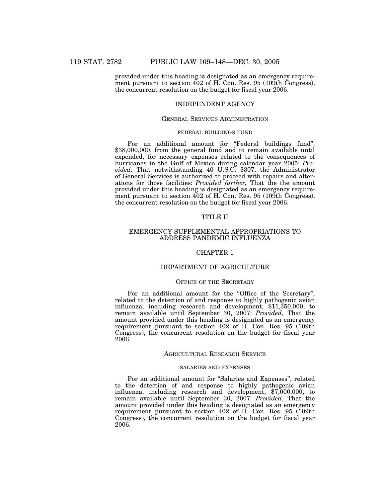provided under this heading is designated as an emergency requirement pursuant to section 402 of H. Con. Res. 95 (109th Congress), the concurrent resolution on the budget for fiscal year 2006.

# INDEPENDENT AGENCY

### GENERAL SERVICES ADMINISTRATION

#### FEDERAL BUILDINGS FUND

For an additional amount for "Federal buildings fund", \$38,000,000, from the general fund and to remain available until expended, for necessary expenses related to the consequences of hurricanes in the Gulf of Mexico during calendar year 2005: *Provided,* That notwithstanding 40 U.S.C. 3307, the Administrator of General Services is authorized to proceed with repairs and alterations for those facilities: *Provided further,* That the the amount provided under this heading is designated as an emergency requirement pursuant to section 402 of H. Con. Res. 95 (109th Congress), the concurrent resolution on the budget for fiscal year 2006.

# TITLE II

# EMERGENCY SUPPLEMENTAL APPROPRIATIONS TO ADDRESS PANDEMIC INFLUENZA

# CHAPTER 1

# DEPARTMENT OF AGRICULTURE

### OFFICE OF THE SECRETARY

For an additional amount for the "Office of the Secretary", related to the detection of and response to highly pathogenic avian influenza, including research and development, \$11,350,000, to remain available until September 30, 2007: *Provided*, That the amount provided under this heading is designated as an emergency requirement pursuant to section 402 of H. Con. Res. 95 (109th Congress), the concurrent resolution on the budget for fiscal year 2006.

# AGRICULTURAL RESEARCH SERVICE

# SALARIES AND EXPENSES

For an additional amount for ''Salaries and Expenses'', related to the detection of and response to highly pathogenic avian influenza, including research and development, \$7,000,000, to remain available until September 30, 2007: *Provided*, That the amount provided under this heading is designated as an emergency requirement pursuant to section  $402$  of H. Con. Res. 95 (109th Congress), the concurrent resolution on the budget for fiscal year 2006.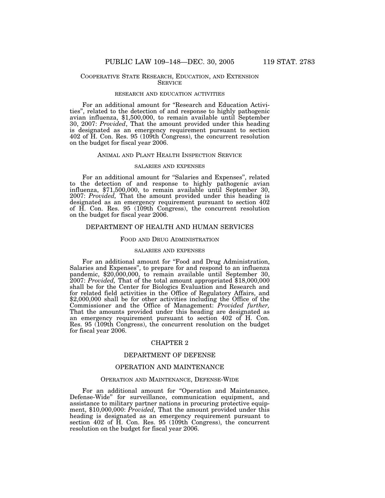#### COOPERATIVE STATE RESEARCH, EDUCATION, AND EXTENSION **SERVICE**

# RESEARCH AND EDUCATION ACTIVITIES

For an additional amount for ''Research and Education Activities'', related to the detection of and response to highly pathogenic avian influenza, \$1,500,000, to remain available until September 30, 2007: *Provided*, That the amount provided under this heading is designated as an emergency requirement pursuant to section 402 of H. Con. Res. 95 (109th Congress), the concurrent resolution on the budget for fiscal year 2006.

# ANIMAL AND PLANT HEALTH INSPECTION SERVICE

# SALARIES AND EXPENSES

For an additional amount for ''Salaries and Expenses'', related to the detection of and response to highly pathogenic avian influenza, \$71,500,000, to remain available until September 30, 2007: *Provided,* That the amount provided under this heading is designated as an emergency requirement pursuant to section 402 of H. Con. Res. 95 (109th Congress), the concurrent resolution on the budget for fiscal year 2006.

#### DEPARTMENT OF HEALTH AND HUMAN SERVICES

### FOOD AND DRUG ADMINISTRATION

#### SALARIES AND EXPENSES

For an additional amount for "Food and Drug Administration, Salaries and Expenses'', to prepare for and respond to an influenza pandemic, \$20,000,000, to remain available until September 30, 2007: *Provided,* That of the total amount appropriated \$18,000,000 shall be for the Center for Biologics Evaluation and Research and for related field activities in the Office of Regulatory Affairs, and \$2,000,000 shall be for other activities including the Office of the Commissioner and the Office of Management: *Provided further,* That the amounts provided under this heading are designated as an emergency requirement pursuant to section 402 of H. Con. Res. 95 (109th Congress), the concurrent resolution on the budget for fiscal year 2006.

# CHAPTER 2

# DEPARTMENT OF DEFENSE

# OPERATION AND MAINTENANCE

#### OPERATION AND MAINTENANCE, DEFENSE-WIDE

For an additional amount for "Operation and Maintenance, Defense-Wide'' for surveillance, communication equipment, and assistance to military partner nations in procuring protective equipment, \$10,000,000: *Provided,* That the amount provided under this heading is designated as an emergency requirement pursuant to section 402 of H. Con. Res. 95 (109th Congress), the concurrent resolution on the budget for fiscal year 2006.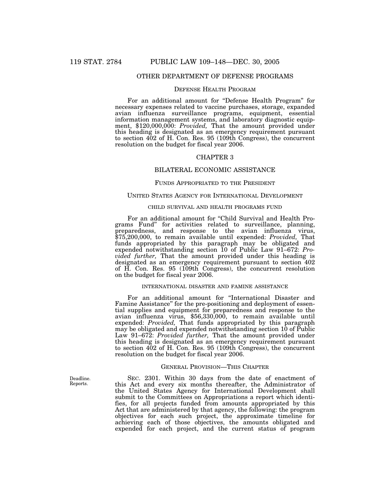# OTHER DEPARTMENT OF DEFENSE PROGRAMS

#### DEFENSE HEALTH PROGRAM

For an additional amount for "Defense Health Program" for necessary expenses related to vaccine purchases, storage, expanded avian influenza surveillance programs, equipment, essential information management systems, and laboratory diagnostic equipment, \$120,000,000: *Provided,* That the amount provided under this heading is designated as an emergency requirement pursuant to section 402 of H. Con. Res. 95 (109th Congress), the concurrent resolution on the budget for fiscal year 2006.

# CHAPTER 3

# BILATERAL ECONOMIC ASSISTANCE

# FUNDS APPROPRIATED TO THE PRESIDENT

#### UNITED STATES AGENCY FOR INTERNATIONAL DEVELOPMENT

# CHILD SURVIVAL AND HEALTH PROGRAMS FUND

For an additional amount for "Child Survival and Health Programs Fund'' for activities related to surveillance, planning, preparedness, and response to the avian influenza virus, \$75,200,000, to remain available until expended: *Provided,* That funds appropriated by this paragraph may be obligated and expended notwithstanding section 10 of Public Law 91–672: *Provided further,* That the amount provided under this heading is designated as an emergency requirement pursuant to section 402 of H. Con. Res. 95 (109th Congress), the concurrent resolution on the budget for fiscal year 2006.

### INTERNATIONAL DISASTER AND FAMINE ASSISTANCE

For an additional amount for ''International Disaster and Famine Assistance'' for the pre-positioning and deployment of essential supplies and equipment for preparedness and response to the avian influenza virus, \$56,330,000, to remain available until expended: *Provided,* That funds appropriated by this paragraph may be obligated and expended notwithstanding section 10 of Public Law 91–672: *Provided further,* That the amount provided under this heading is designated as an emergency requirement pursuant to section 402 of H. Con. Res. 95 (109th Congress), the concurrent resolution on the budget for fiscal year 2006.

# GENERAL PROVISION—THIS CHAPTER

SEC. 2301. Within 30 days from the date of enactment of this Act and every six months thereafter, the Administrator of the United States Agency for International Development shall submit to the Committees on Appropriations a report which identifies, for all projects funded from amounts appropriated by this Act that are administered by that agency, the following: the program objectives for each such project, the approximate timeline for achieving each of those objectives, the amounts obligated and expended for each project, and the current status of program

Deadline. Reports.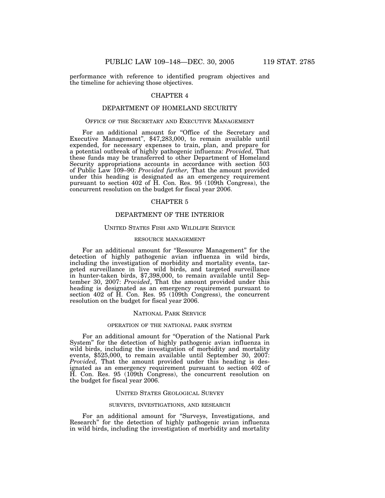performance with reference to identified program objectives and the timeline for achieving those objectives.

# CHAPTER 4

# DEPARTMENT OF HOMELAND SECURITY

# OFFICE OF THE SECRETARY AND EXECUTIVE MANAGEMENT

For an additional amount for ''Office of the Secretary and Executive Management'', \$47,283,000, to remain available until expended, for necessary expenses to train, plan, and prepare for a potential outbreak of highly pathogenic influenza: *Provided,* That these funds may be transferred to other Department of Homeland Security appropriations accounts in accordance with section 503 of Public Law 109–90: *Provided further,* That the amount provided under this heading is designated as an emergency requirement pursuant to section 402 of H. Con. Res. 95 (109th Congress), the concurrent resolution on the budget for fiscal year 2006.

# CHAPTER 5

# DEPARTMENT OF THE INTERIOR

# UNITED STATES FISH AND WILDLIFE SERVICE

# RESOURCE MANAGEMENT

For an additional amount for ''Resource Management'' for the detection of highly pathogenic avian influenza in wild birds, including the investigation of morbidity and mortality events, targeted surveillance in live wild birds, and targeted surveillance in hunter-taken birds, \$7,398,000, to remain available until September 30, 2007: *Provided*, That the amount provided under this heading is designated as an emergency requirement pursuant to section 402 of H. Con. Res. 95 (109th Congress), the concurrent resolution on the budget for fiscal year 2006.

#### NATIONAL PARK SERVICE

# OPERATION OF THE NATIONAL PARK SYSTEM

For an additional amount for ''Operation of the National Park System'' for the detection of highly pathogenic avian influenza in wild birds, including the investigation of morbidity and mortality events, \$525,000, to remain available until September 30, 2007: *Provided*, That the amount provided under this heading is designated as an emergency requirement pursuant to section 402 of H. Con. Res. 95 (109th Congress), the concurrent resolution on the budget for fiscal year 2006.

#### UNITED STATES GEOLOGICAL SURVEY

#### SURVEYS, INVESTIGATIONS, AND RESEARCH

For an additional amount for "Surveys, Investigations, and Research'' for the detection of highly pathogenic avian influenza in wild birds, including the investigation of morbidity and mortality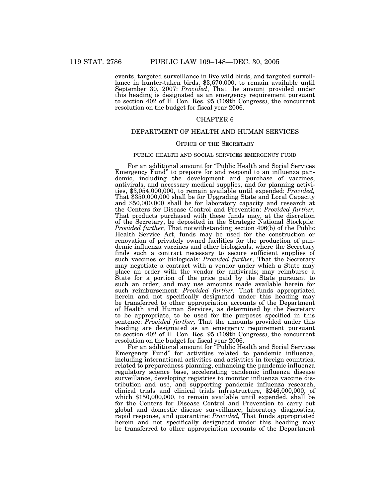events, targeted surveillance in live wild birds, and targeted surveillance in hunter-taken birds, \$3,670,000, to remain available until September 30, 2007: *Provided*, That the amount provided under this heading is designated as an emergency requirement pursuant to section 402 of H. Con. Res. 95 (109th Congress), the concurrent resolution on the budget for fiscal year 2006.

# CHAPTER 6

# DEPARTMENT OF HEALTH AND HUMAN SERVICES

#### OFFICE OF THE SECRETARY

#### PUBLIC HEALTH AND SOCIAL SERVICES EMERGENCY FUND

For an additional amount for ''Public Health and Social Services Emergency Fund'' to prepare for and respond to an influenza pandemic, including the development and purchase of vaccines, antivirals, and necessary medical supplies, and for planning activities, \$3,054,000,000, to remain available until expended: *Provided,* That \$350,000,000 shall be for Upgrading State and Local Capacity and \$50,000,000 shall be for laboratory capacity and research at the Centers for Disease Control and Prevention: *Provided further,* That products purchased with these funds may, at the discretion of the Secretary, be deposited in the Strategic National Stockpile: *Provided further,* That notwithstanding section 496(b) of the Public Health Service Act, funds may be used for the construction or renovation of privately owned facilities for the production of pandemic influenza vaccines and other biologicals, where the Secretary finds such a contract necessary to secure sufficient supplies of such vaccines or biologicals: *Provided further*, That the Secretary may negotiate a contract with a vendor under which a State may place an order with the vendor for antivirals; may reimburse a State for a portion of the price paid by the State pursuant to such an order; and may use amounts made available herein for such reimbursement: *Provided further,* That funds appropriated herein and not specifically designated under this heading may be transferred to other appropriation accounts of the Department of Health and Human Services, as determined by the Secretary to be appropriate, to be used for the purposes specified in this sentence: *Provided further,* That the amounts provided under this heading are designated as an emergency requirement pursuant to section 402 of H. Con. Res. 95 (109th Congress), the concurrent resolution on the budget for fiscal year 2006.

For an additional amount for ''Public Health and Social Services Emergency Fund'' for activities related to pandemic influenza, including international activities and activities in foreign countries, related to preparedness planning, enhancing the pandemic influenza regulatory science base, accelerating pandemic influenza disease surveillance, developing registries to monitor influenza vaccine distribution and use, and supporting pandemic influenza research, clinical trials and clinical trials infrastructure, \$246,000,000, of which \$150,000,000, to remain available until expended, shall be for the Centers for Disease Control and Prevention to carry out global and domestic disease surveillance, laboratory diagnostics, rapid response, and quarantine: *Provided,* That funds appropriated herein and not specifically designated under this heading may be transferred to other appropriation accounts of the Department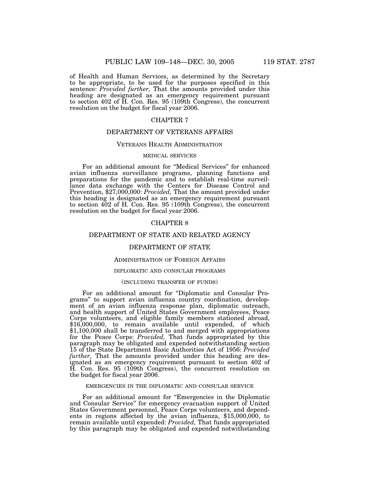of Health and Human Services, as determined by the Secretary to be appropriate, to be used for the purposes specified in this sentence: *Provided further,* That the amounts provided under this heading are designated as an emergency requirement pursuant to section 402 of H. Con. Res. 95 (109th Congress), the concurrent resolution on the budget for fiscal year 2006.

### CHAPTER 7

### DEPARTMENT OF VETERANS AFFAIRS

### VETERANS HEALTH ADMINISTRATION

### MEDICAL SERVICES

For an additional amount for ''Medical Services'' for enhanced avian influenza surveillance programs, planning functions and preparations for the pandemic and to establish real-time surveillance data exchange with the Centers for Disease Control and Prevention, \$27,000,000: *Provided,* That the amount provided under this heading is designated as an emergency requirement pursuant to section 402 of H. Con. Res. 95 (109th Congress), the concurrent resolution on the budget for fiscal year 2006.

### CHAPTER 8

### DEPARTMENT OF STATE AND RELATED AGENCY

#### DEPARTMENT OF STATE

### ADMINISTRATION OF FOREIGN AFFAIRS

### DIPLOMATIC AND CONSULAR PROGRAMS

#### (INCLUDING TRANSFER OF FUNDS)

For an additional amount for ''Diplomatic and Consular Programs'' to support avian influenza country coordination, development of an avian influenza response plan, diplomatic outreach, and health support of United States Government employees, Peace Corps volunteers, and eligible family members stationed abroad, \$16,000,000, to remain available until expended, of which \$1,100,000 shall be transferred to and merged with appropriations for the Peace Corps: *Provided,* That funds appropriated by this paragraph may be obligated and expended notwithstanding section 15 of the State Department Basic Authorities Act of 1956: *Provided further*, That the amounts provided under this heading are designated as an emergency requirement pursuant to section 402 of H. Con. Res. 95 (109th Congress), the concurrent resolution on the budget for fiscal year 2006.

#### EMERGENCIES IN THE DIPLOMATIC AND CONSULAR SERVICE

For an additional amount for "Emergencies in the Diplomatic and Consular Service'' for emergency evacuation support of United States Government personnel, Peace Corps volunteers, and dependents in regions affected by the avian influenza, \$15,000,000, to remain available until expended: *Provided,* That funds appropriated by this paragraph may be obligated and expended notwithstanding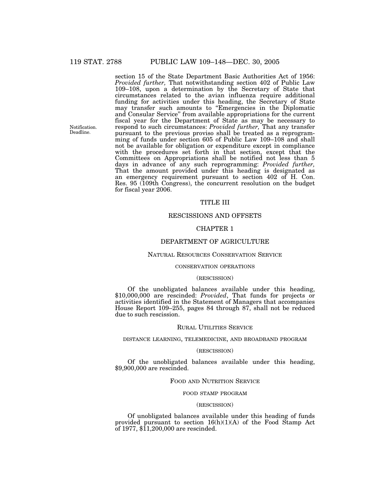Notification. Deadline.

section 15 of the State Department Basic Authorities Act of 1956: *Provided further,* That notwithstanding section 402 of Public Law 109–108, upon a determination by the Secretary of State that circumstances related to the avian influenza require additional funding for activities under this heading, the Secretary of State may transfer such amounts to ''Emergencies in the Diplomatic and Consular Service'' from available appropriations for the current fiscal year for the Department of State as may be necessary to respond to such circumstances: *Provided further,* That any transfer pursuant to the previous proviso shall be treated as a reprogramming of funds under section 605 of Public Law 109–108 and shall not be available for obligation or expenditure except in compliance with the procedures set forth in that section, except that the Committees on Appropriations shall be notified not less than 5 days in advance of any such reprogramming: *Provided further,* That the amount provided under this heading is designated as an emergency requirement pursuant to section 402 of H. Con. Res. 95 (109th Congress), the concurrent resolution on the budget for fiscal year 2006.

### TITLE III

#### RESCISSIONS AND OFFSETS

### CHAPTER 1

## DEPARTMENT OF AGRICULTURE

### NATURAL RESOURCES CONSERVATION SERVICE

### CONSERVATION OPERATIONS

#### (RESCISSION)

Of the unobligated balances available under this heading, \$10,000,000 are rescinded: *Provided*, That funds for projects or activities identified in the Statement of Managers that accompanies House Report 109–255, pages 84 through 87, shall not be reduced due to such rescission.

### RURAL UTILITIES SERVICE

### DISTANCE LEARNING, TELEMEDICINE, AND BROADBAND PROGRAM

#### (RESCISSION)

Of the unobligated balances available under this heading, \$9,900,000 are rescinded.

#### FOOD AND NUTRITION SERVICE

#### FOOD STAMP PROGRAM

### (RESCISSION)

Of unobligated balances available under this heading of funds provided pursuant to section  $16(h)(1)(A)$  of the Food Stamp Act of 1977, \$11,200,000 are rescinded.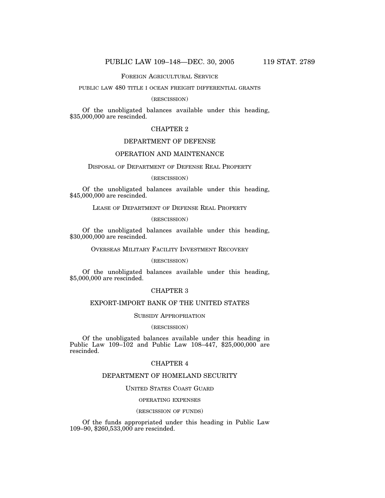FOREIGN AGRICULTURAL SERVICE

### PUBLIC LAW 480 TITLE I OCEAN FREIGHT DIFFERENTIAL GRANTS

#### (RESCISSION)

Of the unobligated balances available under this heading, \$35,000,000 are rescinded.

# CHAPTER 2

# DEPARTMENT OF DEFENSE

## OPERATION AND MAINTENANCE

# DISPOSAL OF DEPARTMENT OF DEFENSE REAL PROPERTY

### (RESCISSION)

Of the unobligated balances available under this heading, \$45,000,000 are rescinded.

## LEASE OF DEPARTMENT OF DEFENSE REAL PROPERTY

### (RESCISSION)

Of the unobligated balances available under this heading, \$30,000,000 are rescinded.

### OVERSEAS MILITARY FACILITY INVESTMENT RECOVERY

### (RESCISSION)

Of the unobligated balances available under this heading, \$5,000,000 are rescinded.

# CHAPTER 3

### EXPORT-IMPORT BANK OF THE UNITED STATES

# SUBSIDY APPROPRIATION

### (RESCISSION)

Of the unobligated balances available under this heading in Public Law 109–102 and Public Law 108–447, \$25,000,000 are rescinded.

# CHAPTER 4

### DEPARTMENT OF HOMELAND SECURITY

### UNITED STATES COAST GUARD

#### OPERATING EXPENSES

## (RESCISSION OF FUNDS)

Of the funds appropriated under this heading in Public Law 109–90, \$260,533,000 are rescinded.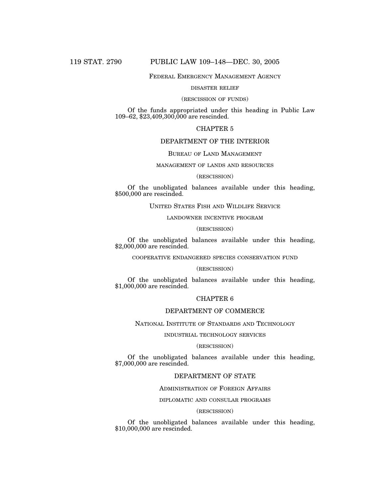# FEDERAL EMERGENCY MANAGEMENT AGENCY

#### DISASTER RELIEF

#### (RESCISSION OF FUNDS)

Of the funds appropriated under this heading in Public Law 109–62, \$23,409,300,000 are rescinded.

## CHAPTER 5

### DEPARTMENT OF THE INTERIOR

#### BUREAU OF LAND MANAGEMENT

MANAGEMENT OF LANDS AND RESOURCES

### (RESCISSION)

Of the unobligated balances available under this heading, \$500,000 are rescinded.

UNITED STATES FISH AND WILDLIFE SERVICE

LANDOWNER INCENTIVE PROGRAM

### (RESCISSION)

Of the unobligated balances available under this heading, \$2,000,000 are rescinded.

COOPERATIVE ENDANGERED SPECIES CONSERVATION FUND

#### (RESCISSION)

Of the unobligated balances available under this heading, \$1,000,000 are rescinded.

# CHAPTER 6

# DEPARTMENT OF COMMERCE

### NATIONAL INSTITUTE OF STANDARDS AND TECHNOLOGY

INDUSTRIAL TECHNOLOGY SERVICES

### (RESCISSION)

Of the unobligated balances available under this heading, \$7,000,000 are rescinded.

# DEPARTMENT OF STATE

### ADMINISTRATION OF FOREIGN AFFAIRS

#### DIPLOMATIC AND CONSULAR PROGRAMS

### (RESCISSION)

Of the unobligated balances available under this heading, \$10,000,000 are rescinded.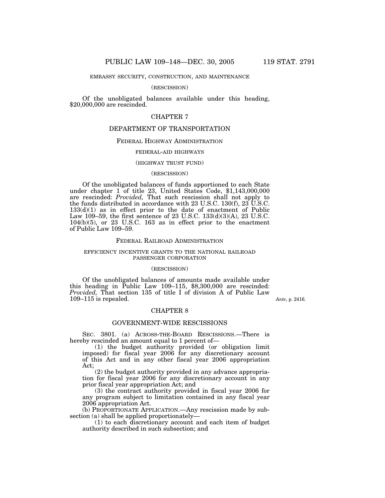EMBASSY SECURITY, CONSTRUCTION, AND MAINTENANCE

#### (RESCISSION)

Of the unobligated balances available under this heading, \$20,000,000 are rescinded.

## CHAPTER 7

# DEPARTMENT OF TRANSPORTATION

### FEDERAL HIGHWAY ADMINISTRATION

### FEDERAL-AID HIGHWAYS

### (HIGHWAY TRUST FUND)

### (RESCISSION)

Of the unobligated balances of funds apportioned to each State under chapter 1 of title 23, United States Code, \$1,143,000,000 are rescinded: *Provided,* That such rescission shall not apply to the funds distributed in accordance with  $23 \text{ U.S.C. } 130 \text{(f)}$ ,  $23 \text{ U.S.C. }$ 133(d)(1) as in effect prior to the date of enactment of Public Law 109–59, the first sentence of 23 U.S.C. 133(d)(3)(A), 23 U.S.C. 104(b)(5), or 23 U.S.C. 163 as in effect prior to the enactment of Public Law  $109-59$ .

### FEDERAL RAILROAD ADMINISTRATION

### EFFICIENCY INCENTIVE GRANTS TO THE NATIONAL RAILROAD PASSENGER CORPORATION

#### (RESCISSION)

Of the unobligated balances of amounts made available under this heading in Public Law 109–115, \$8,300,000 are rescinded: *Provided,* That section 135 of title I of division A of Public Law 109–115 is repealed.

*Ante*, p. 2416.

### CHAPTER 8

### GOVERNMENT-WIDE RESCISSIONS

SEC. 3801. (a) ACROSS-THE-BOARD RESCISSIONS.—There is hereby rescinded an amount equal to 1 percent of—

(1) the budget authority provided (or obligation limit imposed) for fiscal year 2006 for any discretionary account of this Act and in any other fiscal year 2006 appropriation Act;

(2) the budget authority provided in any advance appropriation for fiscal year 2006 for any discretionary account in any prior fiscal year appropriation Act; and

(3) the contract authority provided in fiscal year 2006 for any program subject to limitation contained in any fiscal year 2006 appropriation Act.

(b) PROPORTIONATE APPLICATION.—Any rescission made by subsection (a) shall be applied proportionately—

(1) to each discretionary account and each item of budget authority described in such subsection; and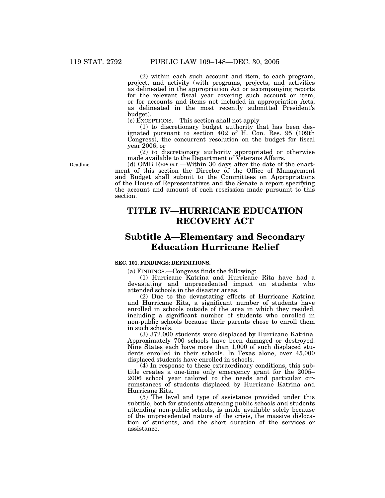(2) within each such account and item, to each program, project, and activity (with programs, projects, and activities as delineated in the appropriation Act or accompanying reports for the relevant fiscal year covering such account or item, or for accounts and items not included in appropriation Acts, as delineated in the most recently submitted President's budget).

(c) EXCEPTIONS.—This section shall not apply—

(1) to discretionary budget authority that has been designated pursuant to section 402 of H. Con. Res. 95 (109th Congress), the concurrent resolution on the budget for fiscal year 2006; or

(2) to discretionary authority appropriated or otherwise made available to the Department of Veterans Affairs.

(d) OMB REPORT.—Within 30 days after the date of the enactment of this section the Director of the Office of Management and Budget shall submit to the Committees on Appropriations of the House of Representatives and the Senate a report specifying the account and amount of each rescission made pursuant to this section.

# **TITLE IV—HURRICANE EDUCATION RECOVERY ACT**

# **Subtitle A—Elementary and Secondary Education Hurricane Relief**

# **SEC. 101. FINDINGS; DEFINITIONS.**

(a) FINDINGS.—Congress finds the following:

(1) Hurricane Katrina and Hurricane Rita have had a devastating and unprecedented impact on students who attended schools in the disaster areas.

(2) Due to the devastating effects of Hurricane Katrina and Hurricane Rita, a significant number of students have enrolled in schools outside of the area in which they resided, including a significant number of students who enrolled in non-public schools because their parents chose to enroll them in such schools.

(3) 372,000 students were displaced by Hurricane Katrina. Approximately 700 schools have been damaged or destroyed. Nine States each have more than 1,000 of such displaced students enrolled in their schools. In Texas alone, over 45,000 displaced students have enrolled in schools.

(4) In response to these extraordinary conditions, this subtitle creates a one-time only emergency grant for the 2005– 2006 school year tailored to the needs and particular circumstances of students displaced by Hurricane Katrina and Hurricane Rita.

(5) The level and type of assistance provided under this subtitle, both for students attending public schools and students attending non-public schools, is made available solely because of the unprecedented nature of the crisis, the massive dislocation of students, and the short duration of the services or assistance.

Deadline.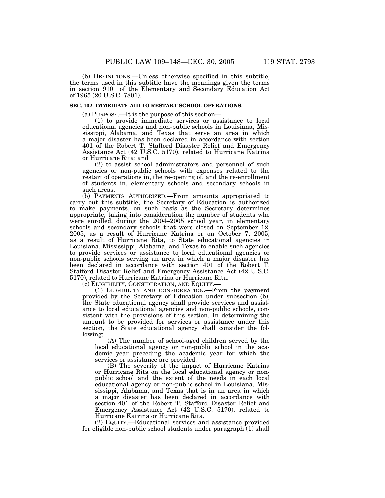(b) DEFINITIONS.—Unless otherwise specified in this subtitle, the terms used in this subtitle have the meanings given the terms in section 9101 of the Elementary and Secondary Education Act of 1965 (20 U.S.C. 7801).

#### **SEC. 102. IMMEDIATE AID TO RESTART SCHOOL OPERATIONS.**

(a) PURPOSE.—It is the purpose of this section—

(1) to provide immediate services or assistance to local educational agencies and non-public schools in Louisiana, Mississippi, Alabama, and Texas that serve an area in which a major disaster has been declared in accordance with section 401 of the Robert T. Stafford Disaster Relief and Emergency Assistance Act (42 U.S.C. 5170), related to Hurricane Katrina or Hurricane Rita; and

(2) to assist school administrators and personnel of such agencies or non-public schools with expenses related to the restart of operations in, the re-opening of, and the re-enrollment of students in, elementary schools and secondary schools in such areas.

(b) PAYMENTS AUTHORIZED.—From amounts appropriated to carry out this subtitle, the Secretary of Education is authorized to make payments, on such basis as the Secretary determines appropriate, taking into consideration the number of students who were enrolled, during the 2004–2005 school year, in elementary schools and secondary schools that were closed on September 12, 2005, as a result of Hurricane Katrina or on October 7, 2005, as a result of Hurricane Rita, to State educational agencies in Louisiana, Mississippi, Alabama, and Texas to enable such agencies to provide services or assistance to local educational agencies or non-public schools serving an area in which a major disaster has been declared in accordance with section 401 of the Robert T. Stafford Disaster Relief and Emergency Assistance Act (42 U.S.C. 5170), related to Hurricane Katrina or Hurricane Rita.

(c) ELIGIBILITY, CONSIDERATION, AND EQUITY.—

(1) ELIGIBILITY AND CONSIDERATION.—From the payment provided by the Secretary of Education under subsection (b), the State educational agency shall provide services and assistance to local educational agencies and non-public schools, consistent with the provisions of this section. In determining the amount to be provided for services or assistance under this section, the State educational agency shall consider the following:

(A) The number of school-aged children served by the local educational agency or non-public school in the academic year preceding the academic year for which the services or assistance are provided.

(B) The severity of the impact of Hurricane Katrina or Hurricane Rita on the local educational agency or nonpublic school and the extent of the needs in each local educational agency or non-public school in Louisiana, Mississippi, Alabama, and Texas that is in an area in which a major disaster has been declared in accordance with section 401 of the Robert T. Stafford Disaster Relief and Emergency Assistance Act (42 U.S.C. 5170), related to Hurricane Katrina or Hurricane Rita.

(2) EQUITY.—Educational services and assistance provided for eligible non-public school students under paragraph  $(1)$  shall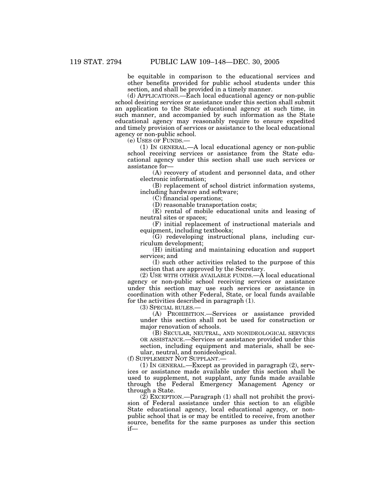be equitable in comparison to the educational services and other benefits provided for public school students under this section, and shall be provided in a timely manner.

(d) APPLICATIONS.—Each local educational agency or non-public school desiring services or assistance under this section shall submit an application to the State educational agency at such time, in such manner, and accompanied by such information as the State educational agency may reasonably require to ensure expedited and timely provision of services or assistance to the local educational agency or non-public school.

(e) USES OF FUNDS.—

(1) IN GENERAL.—A local educational agency or non-public school receiving services or assistance from the State educational agency under this section shall use such services or assistance for—

(A) recovery of student and personnel data, and other electronic information;

(B) replacement of school district information systems, including hardware and software;

(C) financial operations;

(D) reasonable transportation costs;

(E) rental of mobile educational units and leasing of neutral sites or spaces;

(F) initial replacement of instructional materials and equipment, including textbooks;

(G) redeveloping instructional plans, including curriculum development;

(H) initiating and maintaining education and support services; and

(I) such other activities related to the purpose of this section that are approved by the Secretary.

(2) USE WITH OTHER AVAILABLE FUNDS.—A local educational agency or non-public school receiving services or assistance under this section may use such services or assistance in coordination with other Federal, State, or local funds available for the activities described in paragraph (1).

(3) SPECIAL RULES.—

(A) PROHIBITION.—Services or assistance provided under this section shall not be used for construction or major renovation of schools.

(B) SECULAR, NEUTRAL, AND NONIDEOLOGICAL SERVICES OR ASSISTANCE.—Services or assistance provided under this section, including equipment and materials, shall be secular, neutral, and nonideological.

(f) SUPPLEMENT NOT SUPPLANT.—

(1) IN GENERAL.—Except as provided in paragraph (2), services or assistance made available under this section shall be used to supplement, not supplant, any funds made available through the Federal Emergency Management Agency or through a State.

(2) EXCEPTION.—Paragraph (1) shall not prohibit the provision of Federal assistance under this section to an eligible State educational agency, local educational agency, or nonpublic school that is or may be entitled to receive, from another source, benefits for the same purposes as under this section if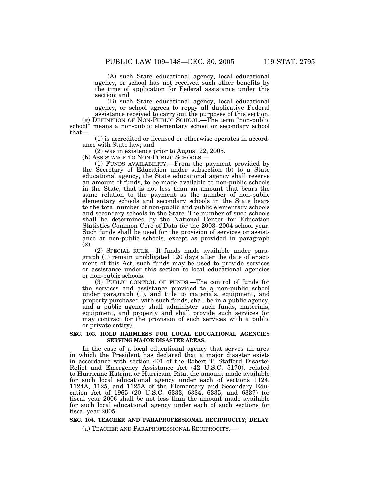(A) such State educational agency, local educational

agency, or school has not received such other benefits by the time of application for Federal assistance under this section; and

(B) such State educational agency, local educational agency, or school agrees to repay all duplicative Federal

assistance received to carry out the purposes of this section. (g) DEFINITION OF NON-PUBLIC SCHOOL.—The term ''non-public school'' means a non-public elementary school or secondary school that—

(1) is accredited or licensed or otherwise operates in accordance with State law; and

(2) was in existence prior to August 22, 2005.

 $(1)$  FUNDS AVAILABILITY.—From the payment provided by the Secretary of Education under subsection (b) to a State educational agency, the State educational agency shall reserve an amount of funds, to be made available to non-public schools in the State, that is not less than an amount that bears the same relation to the payment as the number of non-public elementary schools and secondary schools in the State bears to the total number of non-public and public elementary schools and secondary schools in the State. The number of such schools shall be determined by the National Center for Education Statistics Common Core of Data for the 2003–2004 school year. Such funds shall be used for the provision of services or assistance at non-public schools, except as provided in paragraph (2).

(2) SPECIAL RULE.—If funds made available under paragraph (1) remain unobligated 120 days after the date of enactment of this Act, such funds may be used to provide services or assistance under this section to local educational agencies or non-public schools.

(3) PUBLIC CONTROL OF FUNDS.—The control of funds for the services and assistance provided to a non-public school under paragraph (1), and title to materials, equipment, and property purchased with such funds, shall be in a public agency, and a public agency shall administer such funds, materials, equipment, and property and shall provide such services (or may contract for the provision of such services with a public or private entity).

### **SEC. 103. HOLD HARMLESS FOR LOCAL EDUCATIONAL AGENCIES SERVING MAJOR DISASTER AREAS.**

In the case of a local educational agency that serves an area in which the President has declared that a major disaster exists in accordance with section 401 of the Robert T. Stafford Disaster Relief and Emergency Assistance Act (42 U.S.C. 5170), related to Hurricane Katrina or Hurricane Rita, the amount made available for such local educational agency under each of sections 1124, 1124A, 1125, and 1125A of the Elementary and Secondary Education Act of 1965 (20 U.S.C. 6333, 6334, 6335, and 6337) for fiscal year 2006 shall be not less than the amount made available for such local educational agency under each of such sections for fiscal year 2005.

### **SEC. 104. TEACHER AND PARAPROFESSIONAL RECIPROCITY; DELAY.**

(a) TEACHER AND PARAPROFESSIONAL RECIPROCITY.—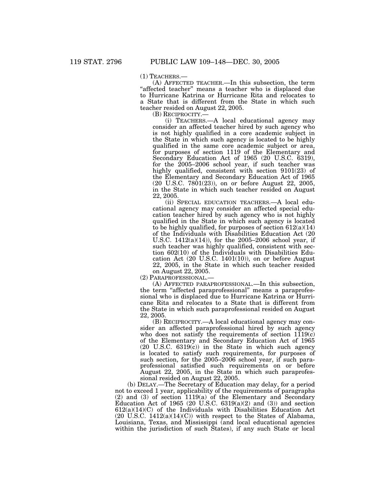(1) TEACHERS.— (A) AFFECTED TEACHER.—In this subsection, the term "affected teacher" means a teacher who is displaced due to Hurricane Katrina or Hurricane Rita and relocates to a State that is different from the State in which such teacher resided on August 22, 2005.<br>(B) RECIPROCITY.—

(i) TEACHERS.—A local educational agency may consider an affected teacher hired by such agency who is not highly qualified in a core academic subject in the State in which such agency is located to be highly qualified in the same core academic subject or area, for purposes of section 1119 of the Elementary and Secondary Education Act of 1965 (20 U.S.C. 6319), for the 2005–2006 school year, if such teacher was highly qualified, consistent with section 9101(23) of the Elementary and Secondary Education Act of 1965 (20 U.S.C. 7801(23)), on or before August 22, 2005, in the State in which such teacher resided on August 22, 2005.

(ii) SPECIAL EDUCATION TEACHERS.—A local educational agency may consider an affected special education teacher hired by such agency who is not highly qualified in the State in which such agency is located to be highly qualified, for purposes of section  $612(a)(14)$ of the Individuals with Disabilities Education Act (20 U.S.C. 1412(a)(14)), for the 2005–2006 school year, if such teacher was highly qualified, consistent with section 602(10) of the Individuals with Disabilities Education Act  $(20 \text{ U.S.C. } 1401(10))$ , on or before August 22, 2005, in the State in which such teacher resided on August 22, 2005.

(2) PARAPROFESSIONAL.—

(A) AFFECTED PARAPROFESSIONAL.—In this subsection, the term ''affected paraprofessional'' means a paraprofessional who is displaced due to Hurricane Katrina or Hurricane Rita and relocates to a State that is different from the State in which such paraprofessional resided on August 22, 2005.

(B) RECIPROCITY.—A local educational agency may consider an affected paraprofessional hired by such agency who does not satisfy the requirements of section  $1119(c)$ of the Elementary and Secondary Education Act of 1965 (20 U.S.C. 6319(c)) in the State in which such agency is located to satisfy such requirements, for purposes of such section, for the 2005–2006 school year, if such paraprofessional satisfied such requirements on or before August 22, 2005, in the State in which such paraprofessional resided on August 22, 2005.

(b) DELAY.—The Secretary of Education may delay, for a period not to exceed 1 year, applicability of the requirements of paragraphs (2) and (3) of section 1119(a) of the Elementary and Secondary Education Act of 1965 (20 U.S.C.  $6319(a)(2)$  and  $(3)$ ) and section  $612(a)(14)(C)$  of the Individuals with Disabilities Education Act (20 U.S.C. 1412(a)(14)(C)) with respect to the States of Alabama, Louisiana, Texas, and Mississippi (and local educational agencies within the jurisdiction of such States), if any such State or local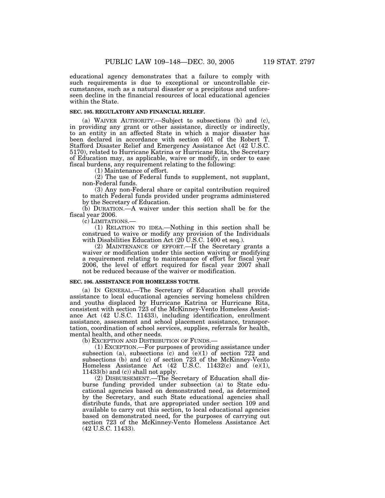educational agency demonstrates that a failure to comply with such requirements is due to exceptional or uncontrollable circumstances, such as a natural disaster or a precipitous and unforeseen decline in the financial resources of local educational agencies within the State.

### **SEC. 105. REGULATORY AND FINANCIAL RELIEF.**

(a) WAIVER AUTHORITY.—Subject to subsections (b) and (c), in providing any grant or other assistance, directly or indirectly, to an entity in an affected State in which a major disaster has been declared in accordance with section 401 of the Robert T. Stafford Disaster Relief and Emergency Assistance Act (42 U.S.C. 5170), related to Hurricane Katrina or Hurricane Rita, the Secretary of Education may, as applicable, waive or modify, in order to ease fiscal burdens, any requirement relating to the following:

(1) Maintenance of effort.

(2) The use of Federal funds to supplement, not supplant, non-Federal funds.

(3) Any non-Federal share or capital contribution required to match Federal funds provided under programs administered by the Secretary of Education.

(b) DURATION.—A waiver under this section shall be for the fiscal year 2006.

(c) LIMITATIONS.—

(1) RELATION TO IDEA.—Nothing in this section shall be construed to waive or modify any provision of the Individuals with Disabilities Education Act  $(20 \text{ U.S.C. } 1400 \text{ et seq.}).$ 

(2) MAINTENANCE OF EFFORT.—If the Secretary grants a waiver or modification under this section waiving or modifying a requirement relating to maintenance of effort for fiscal year 2006, the level of effort required for fiscal year 2007 shall not be reduced because of the waiver or modification.

#### **SEC. 106. ASSISTANCE FOR HOMELESS YOUTH.**

(a) IN GENERAL.—The Secretary of Education shall provide assistance to local educational agencies serving homeless children and youths displaced by Hurricane Katrina or Hurricane Rita, consistent with section 723 of the McKinney-Vento Homeless Assistance Act (42 U.S.C. 11433), including identification, enrollment assistance, assessment and school placement assistance, transportation, coordination of school services, supplies, referrals for health, mental health, and other needs.

(b) EXCEPTION AND DISTRIBUTION OF FUNDS.—

(1) EXCEPTION.—For purposes of providing assistance under subsection (a), subsections (c) and  $(e)(1)$  of section 722 and subsections (b) and (c) of section 723 of the McKinney-Vento Homeless Assistance Act (42 U.S.C. 11432(c) and (e)(1), 11433(b) and (c)) shall not apply.

(2) DISBURSEMENT.—The Secretary of Education shall disburse funding provided under subsection (a) to State educational agencies based on demonstrated need, as determined by the Secretary, and such State educational agencies shall distribute funds, that are appropriated under section 109 and available to carry out this section, to local educational agencies based on demonstrated need, for the purposes of carrying out section 723 of the McKinney-Vento Homeless Assistance Act (42 U.S.C. 11433).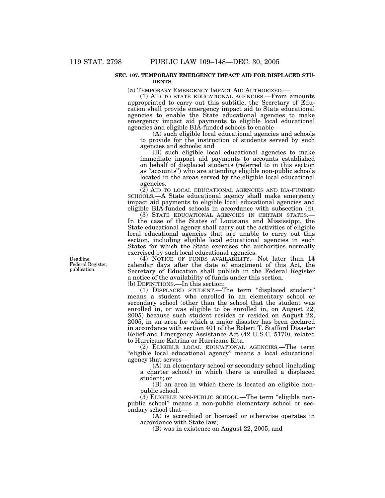#### **SEC. 107. TEMPORARY EMERGENCY IMPACT AID FOR DISPLACED STU-DENTS.**

(a) TEMPORARY EMERGENCY IMPACT AID AUTHORIZED.— (1) AID TO STATE EDUCATIONAL AGENCIES.—From amounts appropriated to carry out this subtitle, the Secretary of Education shall provide emergency impact aid to State educational agencies to enable the State educational agencies to make emergency impact aid payments to eligible local educational agencies and eligible BIA-funded schools to enable—

(A) such eligible local educational agencies and schools to provide for the instruction of students served by such agencies and schools; and

(B) such eligible local educational agencies to make immediate impact aid payments to accounts established on behalf of displaced students (referred to in this section as ''accounts'') who are attending eligible non-public schools located in the areas served by the eligible local educational agencies.

(2) AID TO LOCAL EDUCATIONAL AGENCIES AND BIA-FUNDED SCHOOLS.—A State educational agency shall make emergency impact aid payments to eligible local educational agencies and eligible BIA-funded schools in accordance with subsection (d).

(3) STATE EDUCATIONAL AGENCIES IN CERTAIN STATES.— In the case of the States of Louisiana and Mississippi, the State educational agency shall carry out the activities of eligible local educational agencies that are unable to carry out this section, including eligible local educational agencies in such States for which the State exercises the authorities normally exercised by such local educational agencies.

(4) NOTICE OF FUNDS AVAILABILITY.—Not later than 14 calendar days after the date of enactment of this Act, the Secretary of Education shall publish in the Federal Register a notice of the availability of funds under this section.

(b) DEFINITIONS.—In this section:

(1) DISPLACED STUDENT.—The term ''displaced student'' means a student who enrolled in an elementary school or secondary school (other than the school that the student was enrolled in, or was eligible to be enrolled in, on August 22, 2005) because such student resides or resided on August 22, 2005, in an area for which a major disaster has been declared in accordance with section 401 of the Robert T. Stafford Disaster Relief and Emergency Assistance Act (42 U.S.C. 5170), related to Hurricane Katrina or Hurricane Rita.

(2) ELIGIBLE LOCAL EDUCATIONAL AGENCIES.—The term "eligible local educational agency" means a local educational agency that serves—

(A) an elementary school or secondary school (including a charter school) in which there is enrolled a displaced student; or

(B) an area in which there is located an eligible nonpublic school.

(3) ELIGIBLE NON-PUBLIC SCHOOL.—The term ''eligible nonpublic school'' means a non-public elementary school or secondary school that—

(A) is accredited or licensed or otherwise operates in accordance with State law;

(B) was in existence on August 22, 2005; and

Deadline. Federal Register, publication.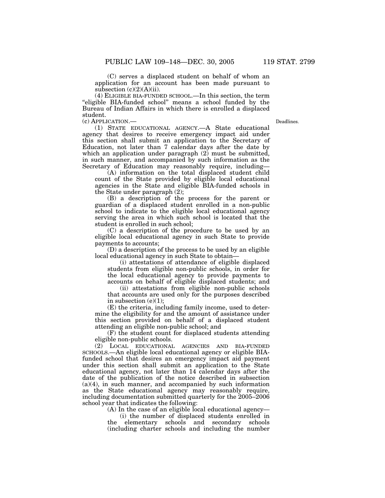(C) serves a displaced student on behalf of whom an application for an account has been made pursuant to subsection  $(c)(2)(A)(ii)$ .

(4) ELIGIBLE BIA-FUNDED SCHOOL.—In this section, the term ''eligible BIA-funded school'' means a school funded by the Bureau of Indian Affairs in which there is enrolled a displaced student.

(c) APPLICATION.—

Deadlines.

(1) STATE EDUCATIONAL AGENCY.—A State educational agency that desires to receive emergency impact aid under this section shall submit an application to the Secretary of Education, not later than 7 calendar days after the date by which an application under paragraph (2) must be submitted, in such manner, and accompanied by such information as the Secretary of Education may reasonably require, including—

(A) information on the total displaced student child count of the State provided by eligible local educational agencies in the State and eligible BIA-funded schools in the State under paragraph (2);

(B) a description of the process for the parent or guardian of a displaced student enrolled in a non-public school to indicate to the eligible local educational agency serving the area in which such school is located that the student is enrolled in such school;

(C) a description of the procedure to be used by an eligible local educational agency in such State to provide payments to accounts;

(D) a description of the process to be used by an eligible local educational agency in such State to obtain—

(i) attestations of attendance of eligible displaced students from eligible non-public schools, in order for the local educational agency to provide payments to accounts on behalf of eligible displaced students; and

(ii) attestations from eligible non-public schools that accounts are used only for the purposes described in subsection  $(e)(1)$ ;

(E) the criteria, including family income, used to determine the eligibility for and the amount of assistance under this section provided on behalf of a displaced student attending an eligible non-public school; and

(F) the student count for displaced students attending eligible non-public schools.

(2) LOCAL EDUCATIONAL AGENCIES AND BIA-FUNDED SCHOOLS.—An eligible local educational agency or eligible BIAfunded school that desires an emergency impact aid payment under this section shall submit an application to the State educational agency, not later than 14 calendar days after the date of the publication of the notice described in subsection (a)(4), in such manner, and accompanied by such information as the State educational agency may reasonably require, including documentation submitted quarterly for the 2005–2006 school year that indicates the following:

(A) In the case of an eligible local educational agency—

(i) the number of displaced students enrolled in the elementary schools and secondary schools (including charter schools and including the number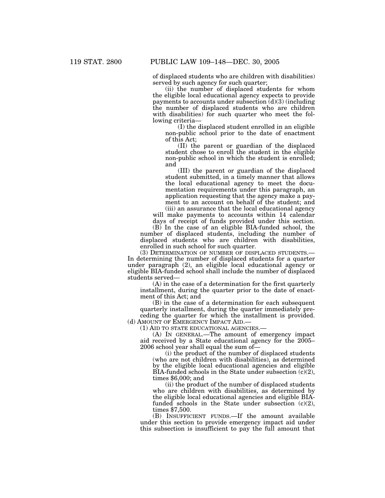of displaced students who are children with disabilities) served by such agency for such quarter;

(ii) the number of displaced students for whom the eligible local educational agency expects to provide payments to accounts under subsection  $(d)(3)$  (including the number of displaced students who are children with disabilities) for such quarter who meet the following criteria—

(I) the displaced student enrolled in an eligible non-public school prior to the date of enactment of this Act;

(II) the parent or guardian of the displaced student chose to enroll the student in the eligible non-public school in which the student is enrolled; and

(III) the parent or guardian of the displaced student submitted, in a timely manner that allows the local educational agency to meet the documentation requirements under this paragraph, an application requesting that the agency make a payment to an account on behalf of the student; and (iii) an assurance that the local educational agency

will make payments to accounts within 14 calendar days of receipt of funds provided under this section.

(B) In the case of an eligible BIA-funded school, the number of displaced students, including the number of displaced students who are children with disabilities, enrolled in such school for such quarter.

(3) DETERMINATION OF NUMBER OF DISPLACED STUDENTS.— In determining the number of displaced students for a quarter under paragraph (2), an eligible local educational agency or eligible BIA-funded school shall include the number of displaced students served—

(A) in the case of a determination for the first quarterly installment, during the quarter prior to the date of enactment of this Act; and

(B) in the case of a determination for each subsequent quarterly installment, during the quarter immediately preceding the quarter for which the installment is provided. (d) AMOUNT OF EMERGENCY IMPACT AID.—

(1) AID TO STATE EDUCATIONAL AGENCIES.—

(A) IN GENERAL.—The amount of emergency impact aid received by a State educational agency for the 2005– 2006 school year shall equal the sum of—

(i) the product of the number of displaced students (who are not children with disabilities), as determined by the eligible local educational agencies and eligible BIA-funded schools in the State under subsection  $(c)(2)$ , times \$6,000; and

(ii) the product of the number of displaced students who are children with disabilities, as determined by the eligible local educational agencies and eligible BIAfunded schools in the State under subsection  $(c)(2)$ , times \$7,500.

(B) INSUFFICIENT FUNDS.—If the amount available under this section to provide emergency impact aid under this subsection is insufficient to pay the full amount that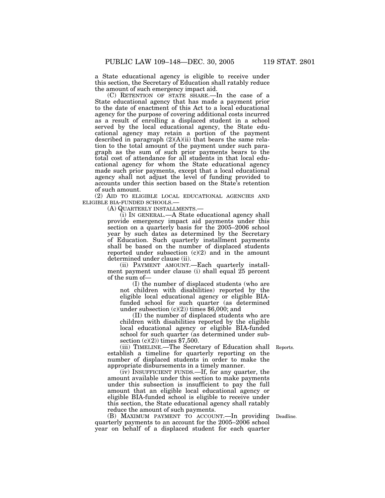a State educational agency is eligible to receive under this section, the Secretary of Education shall ratably reduce the amount of such emergency impact aid.

(C) RETENTION OF STATE SHARE.—In the case of a State educational agency that has made a payment prior to the date of enactment of this Act to a local educational agency for the purpose of covering additional costs incurred as a result of enrolling a displaced student in a school served by the local educational agency, the State educational agency may retain a portion of the payment described in paragraph (2)(A)(ii) that bears the same relation to the total amount of the payment under such paragraph as the sum of such prior payments bears to the total cost of attendance for all students in that local educational agency for whom the State educational agency made such prior payments, except that a local educational agency shall not adjust the level of funding provided to accounts under this section based on the State's retention of such amount.

(2) AID TO ELIGIBLE LOCAL EDUCATIONAL AGENCIES AND ELIGIBLE BIA-FUNDED SCHOOLS.—

(A) QUARTERLY INSTALLMENTS.—

(i) IN GENERAL.—A State educational agency shall provide emergency impact aid payments under this section on a quarterly basis for the 2005–2006 school year by such dates as determined by the Secretary of Education. Such quarterly installment payments shall be based on the number of displaced students reported under subsection  $(c)(2)$  and in the amount determined under clause (ii).

(ii) PAYMENT AMOUNT.—Each quarterly installment payment under clause (i) shall equal 25 percent of the sum of—

(I) the number of displaced students (who are not children with disabilities) reported by the eligible local educational agency or eligible BIAfunded school for such quarter (as determined under subsection  $(c)(2)$ ) times \$6,000; and

(II) the number of displaced students who are children with disabilities reported by the eligible local educational agency or eligible BIA-funded school for such quarter (as determined under subsection  $(c)(2)$  times \$7,500.

(iii) TIMELINE.—The Secretary of Education shall Reports. establish a timeline for quarterly reporting on the number of displaced students in order to make the appropriate disbursements in a timely manner.

(iv) INSUFFICIENT FUNDS.—If, for any quarter, the amount available under this section to make payments under this subsection is insufficient to pay the full amount that an eligible local educational agency or eligible BIA-funded school is eligible to receive under this section, the State educational agency shall ratably reduce the amount of such payments.

(B) MAXIMUM PAYMENT TO ACCOUNT.—In providing quarterly payments to an account for the 2005–2006 school year on behalf of a displaced student for each quarter

Deadline.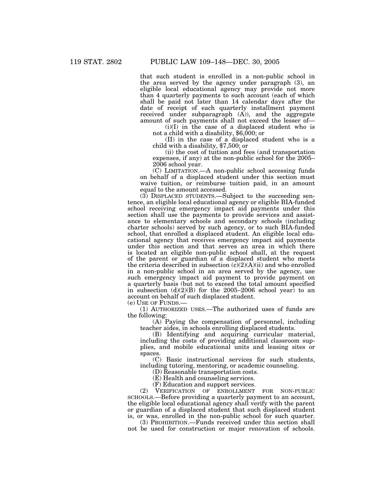that such student is enrolled in a non-public school in the area served by the agency under paragraph (3), an eligible local educational agency may provide not more than 4 quarterly payments to such account (each of which shall be paid not later than 14 calendar days after the date of receipt of each quarterly installment payment received under subparagraph (A)), and the aggregate amount of such payments shall not exceed the lesser of—

(i)(I) in the case of a displaced student who is not a child with a disability, \$6,000; or

(II) in the case of a displaced student who is a child with a disability, \$7,500; or

(ii) the cost of tuition and fees (and transportation expenses, if any) at the non-public school for the 2005– 2006 school year.

(C) LIMITATION.—A non-public school accessing funds on behalf of a displaced student under this section must waive tuition, or reimburse tuition paid, in an amount equal to the amount accessed.

(3) DISPLACED STUDENTS.—Subject to the succeeding sentence, an eligible local educational agency or eligible BIA-funded school receiving emergency impact aid payments under this section shall use the payments to provide services and assistance to elementary schools and secondary schools (including charter schools) served by such agency, or to such BIA-funded school, that enrolled a displaced student. An eligible local educational agency that receives emergency impact aid payments under this section and that serves an area in which there is located an eligible non-public school shall, at the request of the parent or guardian of a displaced student who meets the criteria described in subsection  $(c)(2)(A)(ii)$  and who enrolled in a non-public school in an area served by the agency, use such emergency impact aid payment to provide payment on a quarterly basis (but not to exceed the total amount specified in subsection  $(d)(2)(B)$  for the 2005–2006 school year) to an account on behalf of such displaced student.

(e) USE OF FUNDS.—

(1) AUTHORIZED USES.—The authorized uses of funds are the following:

(A) Paying the compensation of personnel, including teacher aides, in schools enrolling displaced students.

(B) Identifying and acquiring curricular material, including the costs of providing additional classroom supplies, and mobile educational units and leasing sites or spaces.

(C) Basic instructional services for such students, including tutoring, mentoring, or academic counseling.

(D) Reasonable transportation costs.

(E) Health and counseling services.

(F) Education and support services.

(2) VERIFICATION OF ENROLLMENT FOR NON-PUBLIC SCHOOLS.—Before providing a quarterly payment to an account, the eligible local educational agency shall verify with the parent or guardian of a displaced student that such displaced student is, or was, enrolled in the non-public school for such quarter.

(3) PROHIBITION.—Funds received under this section shall not be used for construction or major renovation of schools.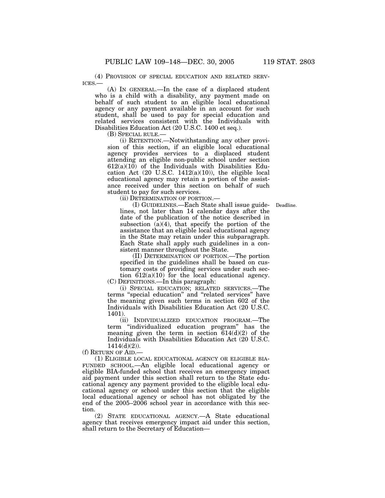(4) PROVISION OF SPECIAL EDUCATION AND RELATED SERV-ICES.—

(A) IN GENERAL.—In the case of a displaced student who is a child with a disability, any payment made on behalf of such student to an eligible local educational agency or any payment available in an account for such student, shall be used to pay for special education and related services consistent with the Individuals with Disabilities Education Act (20 U.S.C. 1400 et seq.).

(B) SPECIAL RULE.—

(i) RETENTION.—Notwithstanding any other provision of this section, if an eligible local educational agency provides services to a displaced student attending an eligible non-public school under section  $612(a)(10)$  of the Individuals with Disabilities Education Act  $(20 \text{ U.S.C. } 1412(a)(10))$ , the eligible local educational agency may retain a portion of the assistance received under this section on behalf of such student to pay for such services.

(ii) DETERMINATION OF PORTION.—

Deadline.

(I) GUIDELINES.—Each State shall issue guidelines, not later than 14 calendar days after the date of the publication of the notice described in subsection  $(a)(4)$ , that specify the portion of the assistance that an eligible local educational agency in the State may retain under this subparagraph. Each State shall apply such guidelines in a consistent manner throughout the State.

(II) DETERMINATION OF PORTION.—The portion specified in the guidelines shall be based on customary costs of providing services under such section 612(a)(10) for the local educational agency.

(C) DEFINITIONS.—In this paragraph:

(i) SPECIAL EDUCATION; RELATED SERVICES.—The terms ''special education'' and ''related services'' have the meaning given such terms in section 602 of the Individuals with Disabilities Education Act (20 U.S.C. 1401).

(ii) INDIVIDUALIZED EDUCATION PROGRAM.—The term ''individualized education program'' has the meaning given the term in section  $614\left(\frac{d}{2}\right)$  of the Individuals with Disabilities Education Act (20 U.S.C.  $1414(d)(2)$ ).

(f) RETURN OF AID.—

(1) ELIGIBLE LOCAL EDUCATIONAL AGENCY OR ELIGIBLE BIA-FUNDED SCHOOL.—An eligible local educational agency or eligible BIA-funded school that receives an emergency impact aid payment under this section shall return to the State educational agency any payment provided to the eligible local educational agency or school under this section that the eligible local educational agency or school has not obligated by the end of the 2005–2006 school year in accordance with this section.

(2) STATE EDUCATIONAL AGENCY.—A State educational agency that receives emergency impact aid under this section, shall return to the Secretary of Education—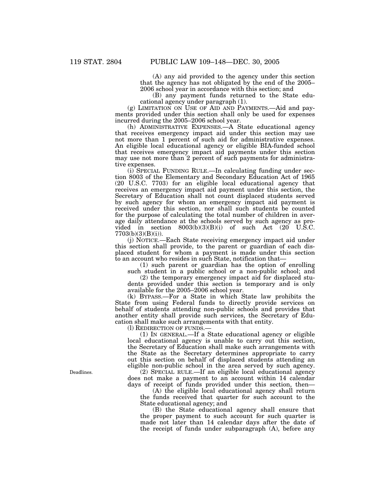(A) any aid provided to the agency under this section that the agency has not obligated by the end of the 2005– 2006 school year in accordance with this section; and

(B) any payment funds returned to the State educational agency under paragraph (1).

(g) LIMITATION ON USE OF AID AND PAYMENTS.—Aid and payments provided under this section shall only be used for expenses incurred during the 2005–2006 school year.

(h) ADMINISTRATIVE EXPENSES.—A State educational agency that receives emergency impact aid under this section may use not more than 1 percent of such aid for administrative expenses. An eligible local educational agency or eligible BIA-funded school that receives emergency impact aid payments under this section may use not more than 2 percent of such payments for administrative expenses.

(i) SPECIAL FUNDING RULE.—In calculating funding under section 8003 of the Elementary and Secondary Education Act of 1965 (20 U.S.C. 7703) for an eligible local educational agency that receives an emergency impact aid payment under this section, the Secretary of Education shall not count displaced students served by such agency for whom an emergency impact aid payment is received under this section, nor shall such students be counted for the purpose of calculating the total number of children in average daily attendance at the schools served by such agency as provided in section  $8003(b)(3)(B)(i)$  of such Act  $(20 \text{ U.S.C.})$ 7703(b)(3)(B)(i)).

(j) NOTICE.—Each State receiving emergency impact aid under this section shall provide, to the parent or guardian of each displaced student for whom a payment is made under this section to an account who resides in such State, notification that—

(1) such parent or guardian has the option of enrolling such student in a public school or a non-public school; and

(2) the temporary emergency impact aid for displaced students provided under this section is temporary and is only available for the 2005–2006 school year.

(k) BYPASS.—For a State in which State law prohibits the State from using Federal funds to directly provide services on behalf of students attending non-public schools and provides that another entity shall provide such services, the Secretary of Education shall make such arrangements with that entity.

(l) REDIRECTION OF FUNDS.—

(1) IN GENERAL.—If a State educational agency or eligible local educational agency is unable to carry out this section, the Secretary of Education shall make such arrangements with the State as the Secretary determines appropriate to carry out this section on behalf of displaced students attending an eligible non-public school in the area served by such agency.

(2) SPECIAL RULE.—If an eligible local educational agency does not make a payment to an account within 14 calendar days of receipt of funds provided under this section, then—

(A) the eligible local educational agency shall return the funds received that quarter for such account to the State educational agency; and

(B) the State educational agency shall ensure that the proper payment to such account for such quarter is made not later than 14 calendar days after the date of the receipt of funds under subparagraph (A), before any

Deadlines.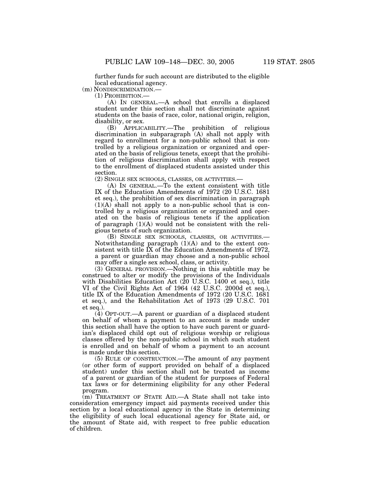further funds for such account are distributed to the eligible local educational agency.

(m) NONDISCRIMINATION.—

(1) PROHIBITION.—

(A) IN GENERAL.—A school that enrolls a displaced student under this section shall not discriminate against students on the basis of race, color, national origin, religion, disability, or sex.

(B) APPLICABILITY.—The prohibition of religious discrimination in subparagraph  $(A)$  shall not apply with regard to enrollment for a non-public school that is controlled by a religious organization or organized and operated on the basis of religious tenets, except that the prohibition of religious discrimination shall apply with respect to the enrollment of displaced students assisted under this section.

(2) SINGLE SEX SCHOOLS, CLASSES, OR ACTIVITIES.—

(A) IN GENERAL.—To the extent consistent with title IX of the Education Amendments of 1972 (20 U.S.C. 1681 et seq.), the prohibition of sex discrimination in paragraph  $(1)(A)$  shall not apply to a non-public school that is controlled by a religious organization or organized and operated on the basis of religious tenets if the application of paragraph  $(1)(A)$  would not be consistent with the religious tenets of such organization.

(B) SINGLE SEX SCHOOLS, CLASSES, OR ACTIVITIES.— Notwithstanding paragraph  $(1)(A)$  and to the extent consistent with title IX of the Education Amendments of 1972, a parent or guardian may choose and a non-public school may offer a single sex school, class, or activity.

(3) GENERAL PROVISION.—Nothing in this subtitle may be construed to alter or modify the provisions of the Individuals with Disabilities Education Act (20 U.S.C. 1400 et seq.), title VI of the Civil Rights Act of 1964 (42 U.S.C. 2000d et seq.), title IX of the Education Amendments of 1972 (20 U.S.C. 1681 et seq.), and the Rehabilitation Act of 1973 (29 U.S.C. 701 et seq.).

(4) OPT-OUT.—A parent or guardian of a displaced student on behalf of whom a payment to an account is made under this section shall have the option to have such parent or guardian's displaced child opt out of religious worship or religious classes offered by the non-public school in which such student is enrolled and on behalf of whom a payment to an account is made under this section.

(5) RULE OF CONSTRUCTION.—The amount of any payment (or other form of support provided on behalf of a displaced student) under this section shall not be treated as income of a parent or guardian of the student for purposes of Federal tax laws or for determining eligibility for any other Federal program.

(m) TREATMENT OF STATE AID.—A State shall not take into consideration emergency impact aid payments received under this section by a local educational agency in the State in determining the eligibility of such local educational agency for State aid, or the amount of State aid, with respect to free public education of children.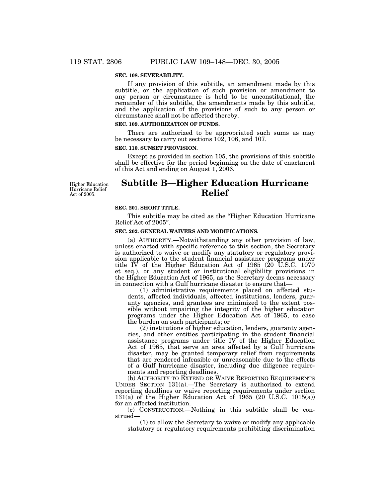### **SEC. 108. SEVERABILITY.**

If any provision of this subtitle, an amendment made by this subtitle, or the application of such provision or amendment to any person or circumstance is held to be unconstitutional, the remainder of this subtitle, the amendments made by this subtitle, and the application of the provisions of such to any person or circumstance shall not be affected thereby.

#### **SEC. 109. AUTHORIZATION OF FUNDS.**

There are authorized to be appropriated such sums as may be necessary to carry out sections 102, 106, and 107.

#### **SEC. 110. SUNSET PROVISION.**

Except as provided in section 105, the provisions of this subtitle shall be effective for the period beginning on the date of enactment of this Act and ending on August 1, 2006.

Higher Education Hurricane Relief Act of 2005.

# **Subtitle B—Higher Education Hurricane Relief**

### **SEC. 201. SHORT TITLE.**

This subtitle may be cited as the "Higher Education Hurricane" Relief Act of 2005''.

### **SEC. 202. GENERAL WAIVERS AND MODIFICATIONS.**

(a) AUTHORITY.—Notwithstanding any other provision of law, unless enacted with specific reference to this section, the Secretary is authorized to waive or modify any statutory or regulatory provision applicable to the student financial assistance programs under title IV of the Higher Education Act of 1965 (20 U.S.C. 1070 et seq.), or any student or institutional eligibility provisions in the Higher Education Act of 1965, as the Secretary deems necessary in connection with a Gulf hurricane disaster to ensure that—

(1) administrative requirements placed on affected students, affected individuals, affected institutions, lenders, guaranty agencies, and grantees are minimized to the extent possible without impairing the integrity of the higher education programs under the Higher Education Act of 1965, to ease the burden on such participants; or

(2) institutions of higher education, lenders, guaranty agencies, and other entities participating in the student financial assistance programs under title IV of the Higher Education Act of 1965, that serve an area affected by a Gulf hurricane disaster, may be granted temporary relief from requirements that are rendered infeasible or unreasonable due to the effects of a Gulf hurricane disaster, including due diligence requirements and reporting deadlines.

(b) AUTHORITY TO EXTEND OR WAIVE REPORTING REQUIREMENTS UNDER SECTION 131(a).—The Secretary is authorized to extend reporting deadlines or waive reporting requirements under section  $131(a)$  of the Higher Education Act of 1965 (20 U.S.C. 1015(a)) for an affected institution.

(c) CONSTRUCTION.—Nothing in this subtitle shall be construed—

(1) to allow the Secretary to waive or modify any applicable statutory or regulatory requirements prohibiting discrimination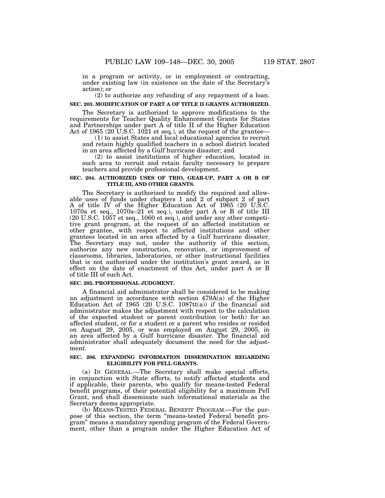in a program or activity, or in employment or contracting, under existing law (in existence on the date of the Secretary's action); or

(2) to authorize any refunding of any repayment of a loan. **SEC. 203. MODIFICATION OF PART A OF TITLE II GRANTS AUTHORIZED.**

The Secretary is authorized to approve modifications to the requirements for Teacher Quality Enhancement Grants for States and Partnerships under part A of title II of the Higher Education Act of 1965  $(20\text{~U.S.C.} 1021\text{~et seq.})$ , at the request of the grantee—

(1) to assist States and local educational agencies to recruit and retain highly qualified teachers in a school district located in an area affected by a Gulf hurricane disaster; and

(2) to assist institutions of higher education, located in such area to recruit and retain faculty necessary to prepare teachers and provide professional development.

### **SEC. 204. AUTHORIZED USES OF TRIO, GEAR-UP, PART A OR B OF TITLE III, AND OTHER GRANTS.**

The Secretary is authorized to modify the required and allowable uses of funds under chapters 1 and 2 of subpart 2 of part A of title IV of the Higher Education Act of 1965 (20 U.S.C. 1070a et seq., 1070a–21 et seq.), under part A or B of title III (20 U.S.C. 1057 et seq., 1060 et seq.), and under any other competitive grant program, at the request of an affected institution or other grantee, with respect to affected institutions and other grantees located in an area affected by a Gulf hurricane disaster. The Secretary may not, under the authority of this section, authorize any new construction, renovation, or improvement of classrooms, libraries, laboratories, or other instructional facilities that is not authorized under the institution's grant award, as in effect on the date of enactment of this Act, under part A or B of title III of such Act.

#### **SEC. 205. PROFESSIONAL JUDGMENT.**

A financial aid administrator shall be considered to be making an adjustment in accordance with section 479A(a) of the Higher Education Act of 1965 (20 U.S.C. 1087tt(a)) if the financial aid administrator makes the adjustment with respect to the calculation of the expected student or parent contribution (or both) for an affected student, or for a student or a parent who resides or resided on August 29, 2005, or was employed on August 29, 2005, in an area affected by a Gulf hurricane disaster. The financial aid administrator shall adequately document the need for the adjustment.

### **SEC. 206. EXPANDING INFORMATION DISSEMINATION REGARDING ELIGIBILITY FOR PELL GRANTS.**

(a) IN GENERAL.—The Secretary shall make special efforts, in conjunction with State efforts, to notify affected students and if applicable, their parents, who qualify for means-tested Federal benefit programs, of their potential eligibility for a maximum Pell Grant, and shall disseminate such informational materials as the Secretary deems appropriate.

(b) MEANS-TESTED FEDERAL BENEFIT PROGRAM.—For the purpose of this section, the term ''means-tested Federal benefit program'' means a mandatory spending program of the Federal Government, other than a program under the Higher Education Act of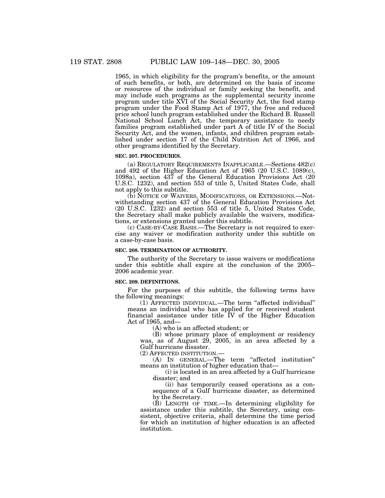1965, in which eligibility for the program's benefits, or the amount of such benefits, or both, are determined on the basis of income or resources of the individual or family seeking the benefit, and may include such programs as the supplemental security income program under title XVI of the Social Security Act, the food stamp program under the Food Stamp Act of 1977, the free and reduced price school lunch program established under the Richard B. Russell National School Lunch Act, the temporary assistance to needy families program established under part A of title IV of the Social Security Act, and the women, infants, and children program established under section 17 of the Child Nutrition Act of 1966, and other programs identified by the Secretary.

### **SEC. 207. PROCEDURES.**

(a) REGULATORY REQUIREMENTS INAPPLICABLE.—Sections 482(c) and 492 of the Higher Education Act of 1965 (20 U.S.C. 1089(c), 1098a), section 437 of the General Education Provisions Act (20 U.S.C. 1232), and section 553 of title 5, United States Code, shall not apply to this subtitle.

(b) NOTICE OF WAIVERS, MODIFICATIONS, OR EXTENSIONS.—Notwithstanding section 437 of the General Education Provisions Act (20 U.S.C. 1232) and section 553 of title 5, United States Code, the Secretary shall make publicly available the waivers, modifications, or extensions granted under this subtitle.

(c) CASE-BY-CASE BASIS.—The Secretary is not required to exercise any waiver or modification authority under this subtitle on a case-by-case basis.

#### **SEC. 208. TERMINATION OF AUTHORITY.**

The authority of the Secretary to issue waivers or modifications under this subtitle shall expire at the conclusion of the 2005– 2006 academic year.

#### **SEC. 209. DEFINITIONS.**

For the purposes of this subtitle, the following terms have the following meanings:

(1) AFFECTED INDIVIDUAL.—The term ''affected individual'' means an individual who has applied for or received student financial assistance under title  $\overline{IV}$  of the Higher Education Act of 1965, and—

(A) who is an affected student; or

(B) whose primary place of employment or residency was, as of August 29, 2005, in an area affected by a Gulf hurricane disaster.

(2) AFFECTED INSTITUTION.—

(A) IN GENERAL.—The term ''affected institution'' means an institution of higher education that—

(i) is located in an area affected by a Gulf hurricane disaster; and

(ii) has temporarily ceased operations as a consequence of a Gulf hurricane disaster, as determined by the Secretary.

(B) LENGTH OF TIME.—In determining eligibility for assistance under this subtitle, the Secretary, using consistent, objective criteria, shall determine the time period for which an institution of higher education is an affected institution.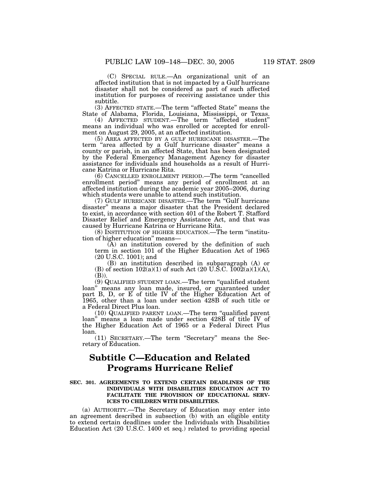(C) SPECIAL RULE.—An organizational unit of an affected institution that is not impacted by a Gulf hurricane disaster shall not be considered as part of such affected institution for purposes of receiving assistance under this subtitle.

(3) AFFECTED STATE.—The term ''affected State'' means the State of Alabama, Florida, Louisiana, Mississippi, or Texas.

(4) AFFECTED STUDENT.—The term ''affected student'' means an individual who was enrolled or accepted for enrollment on August 29, 2005, at an affected institution.

(5) AREA AFFECTED BY A GULF HURRICANE DISASTER.—The term ''area affected by a Gulf hurricane disaster'' means a county or parish, in an affected State, that has been designated by the Federal Emergency Management Agency for disaster assistance for individuals and households as a result of Hurricane Katrina or Hurricane Rita.

(6) CANCELLED ENROLLMENT PERIOD.—The term ''cancelled enrollment period'' means any period of enrollment at an affected institution during the academic year 2005–2006, during which students were unable to attend such institution.

(7) GULF HURRICANE DISASTER.—The term ''Gulf hurricane disaster'' means a major disaster that the President declared to exist, in accordance with section 401 of the Robert T. Stafford Disaster Relief and Emergency Assistance Act, and that was caused by Hurricane Katrina or Hurricane Rita.

(8) INSTITUTION OF HIGHER EDUCATION.—The term ''institution of higher education'' means—

(A) an institution covered by the definition of such term in section 101 of the Higher Education Act of 1965 (20 U.S.C. 1001); and

(B) an institution described in subparagraph (A) or (B) of section  $102(a)(1)$  of such Act (20 U.S.C.  $1002(a)(1)(A)$ , (B)).

(9) QUALIFIED STUDENT LOAN.—The term ''qualified student loan" means any loan made, insured, or guaranteed under part B, D, or E of title IV of the Higher Education Act of 1965, other than a loan under section 428B of such title or a Federal Direct Plus loan.

(10) QUALIFIED PARENT LOAN.—The term ''qualified parent loan" means a loan made under section 428B of title IV of the Higher Education Act of 1965 or a Federal Direct Plus loan.

(11) SECRETARY.—The term ''Secretary'' means the Secretary of Education.

# **Subtitle C—Education and Related Programs Hurricane Relief**

### **SEC. 301. AGREEMENTS TO EXTEND CERTAIN DEADLINES OF THE INDIVIDUALS WITH DISABILITIES EDUCATION ACT TO FACILITATE THE PROVISION OF EDUCATIONAL SERV-ICES TO CHILDREN WITH DISABILITIES.**

(a) AUTHORITY.—The Secretary of Education may enter into an agreement described in subsection (b) with an eligible entity to extend certain deadlines under the Individuals with Disabilities Education Act (20 U.S.C. 1400 et seq.) related to providing special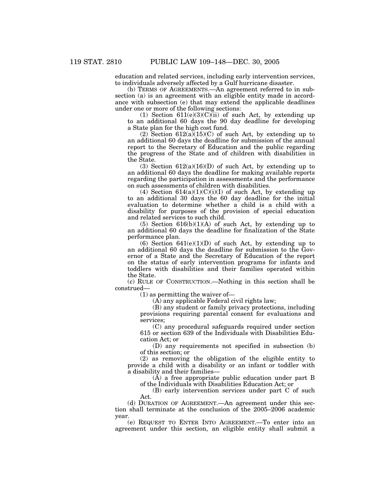education and related services, including early intervention services, to individuals adversely affected by a Gulf hurricane disaster.

(b) TERMS OF AGREEMENTS.—An agreement referred to in subsection (a) is an agreement with an eligible entity made in accordance with subsection (e) that may extend the applicable deadlines under one or more of the following sections:

(1) Section  $611(e)(3)(C)$ (ii) of such Act, by extending up to an additional 60 days the 90 day deadline for developing a State plan for the high cost fund.

(2) Section  $612(a)(15)(C)$  of such Act, by extending up to an additional 60 days the deadline for submission of the annual report to the Secretary of Education and the public regarding the progress of the State and of children with disabilities in the State.

(3) Section  $612(a)(16)(D)$  of such Act, by extending up to an additional 60 days the deadline for making available reports regarding the participation in assessments and the performance on such assessments of children with disabilities.

(4) Section  $614(a)(1)(C)(i)(I)$  of such Act, by extending up to an additional 30 days the 60 day deadline for the initial evaluation to determine whether a child is a child with a disability for purposes of the provision of special education and related services to such child.

 $(5)$  Section  $616(b)(1)(A)$  of such Act, by extending up to an additional 60 days the deadline for finalization of the State performance plan.

(6) Section  $641(e)(1)(D)$  of such Act, by extending up to an additional 60 days the deadline for submission to the Governor of a State and the Secretary of Education of the report on the status of early intervention programs for infants and toddlers with disabilities and their families operated within the State.

(c) RULE OF CONSTRUCTION.—Nothing in this section shall be construed—

(1) as permitting the waiver of—

(A) any applicable Federal civil rights law;

(B) any student or family privacy protections, including provisions requiring parental consent for evaluations and services;

(C) any procedural safeguards required under section 615 or section 639 of the Individuals with Disabilities Education Act; or

(D) any requirements not specified in subsection (b) of this section; or

(2) as removing the obligation of the eligible entity to provide a child with a disability or an infant or toddler with a disability and their families—

(A) a free appropriate public education under part B of the Individuals with Disabilities Education Act; or

(B) early intervention services under part C of such Act.

(d) DURATION OF AGREEMENT.—An agreement under this section shall terminate at the conclusion of the 2005–2006 academic year.

(e) REQUEST TO ENTER INTO AGREEMENT.—To enter into an agreement under this section, an eligible entity shall submit a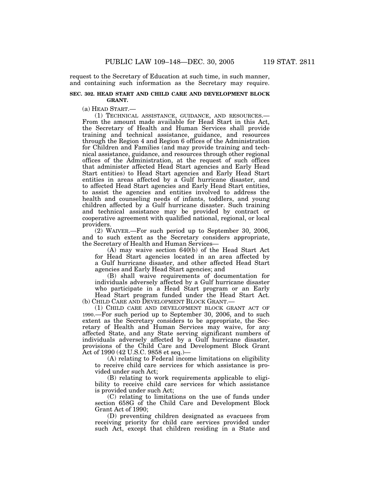request to the Secretary of Education at such time, in such manner, and containing such information as the Secretary may require.

### **SEC. 302. HEAD START AND CHILD CARE AND DEVELOPMENT BLOCK GRANT.**

(a) HEAD START.—

(1) TECHNICAL ASSISTANCE, GUIDANCE, AND RESOURCES.— From the amount made available for Head Start in this Act, the Secretary of Health and Human Services shall provide training and technical assistance, guidance, and resources through the Region 4 and Region 6 offices of the Administration for Children and Families (and may provide training and technical assistance, guidance, and resources through other regional offices of the Administration, at the request of such offices that administer affected Head Start agencies and Early Head Start entities) to Head Start agencies and Early Head Start entities in areas affected by a Gulf hurricane disaster, and to affected Head Start agencies and Early Head Start entities, to assist the agencies and entities involved to address the health and counseling needs of infants, toddlers, and young children affected by a Gulf hurricane disaster. Such training and technical assistance may be provided by contract or cooperative agreement with qualified national, regional, or local providers.

(2) WAIVER.—For such period up to September 30, 2006, and to such extent as the Secretary considers appropriate, the Secretary of Health and Human Services—

(A) may waive section 640(b) of the Head Start Act for Head Start agencies located in an area affected by a Gulf hurricane disaster, and other affected Head Start agencies and Early Head Start agencies; and

(B) shall waive requirements of documentation for individuals adversely affected by a Gulf hurricane disaster who participate in a Head Start program or an Early

Head Start program funded under the Head Start Act. (b) CHILD CARE AND DEVELOPMENT BLOCK GRANT.—

(1) CHILD CARE AND DEVELOPMENT BLOCK GRANT ACT OF 1990.—For such period up to September 30, 2006, and to such extent as the Secretary considers to be appropriate, the Secretary of Health and Human Services may waive, for any affected State, and any State serving significant numbers of individuals adversely affected by a Gulf hurricane disaster, provisions of the Child Care and Development Block Grant Act of 1990 (42 U.S.C. 9858 et seq.)—

(A) relating to Federal income limitations on eligibility to receive child care services for which assistance is provided under such Act;

(B) relating to work requirements applicable to eligibility to receive child care services for which assistance is provided under such Act;

(C) relating to limitations on the use of funds under section 658G of the Child Care and Development Block Grant Act of 1990;

(D) preventing children designated as evacuees from receiving priority for child care services provided under such Act, except that children residing in a State and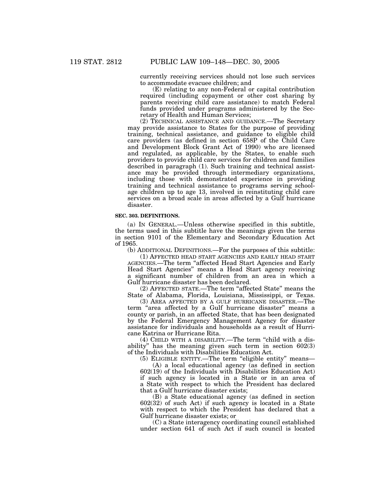currently receiving services should not lose such services to accommodate evacuee children; and

(E) relating to any non-Federal or capital contribution required (including copayment or other cost sharing by parents receiving child care assistance) to match Federal funds provided under programs administered by the Secretary of Health and Human Services;

(2) TECHNICAL ASSISTANCE AND GUIDANCE.—The Secretary may provide assistance to States for the purpose of providing training, technical assistance, and guidance to eligible child care providers (as defined in section 658P of the Child Care and Development Block Grant Act of 1990) who are licensed and regulated, as applicable, by the States, to enable such providers to provide child care services for children and families described in paragraph (1). Such training and technical assistance may be provided through intermediary organizations, including those with demonstrated experience in providing training and technical assistance to programs serving schoolage children up to age 13, involved in reinstituting child care services on a broad scale in areas affected by a Gulf hurricane disaster.

### **SEC. 303. DEFINITIONS.**

(a) IN GENERAL.—Unless otherwise specified in this subtitle, the terms used in this subtitle have the meanings given the terms in section 9101 of the Elementary and Secondary Education Act of 1965.

(b) ADDITIONAL DEFINITIONS.—For the purposes of this subtitle:

(1) AFFECTED HEAD START AGENCIES AND EARLY HEAD START AGENCIES.—The term ''affected Head Start Agencies and Early Head Start Agencies'' means a Head Start agency receiving a significant number of children from an area in which a Gulf hurricane disaster has been declared.

(2) AFFECTED STATE.—The term ''affected State'' means the State of Alabama, Florida, Louisiana, Mississippi, or Texas.

(3) AREA AFFECTED BY A GULF HURRICANE DISASTER.—The term ''area affected by a Gulf hurricane disaster'' means a county or parish, in an affected State, that has been designated by the Federal Emergency Management Agency for disaster assistance for individuals and households as a result of Hurricane Katrina or Hurricane Rita.

(4) CHILD WITH A DISABILITY.—The term ''child with a disability'' has the meaning given such term in section 602(3) of the Individuals with Disabilities Education Act.

(5) ELIGIBLE ENTITY.—The term ''eligible entity'' means—

(A) a local educational agency (as defined in section 602(19) of the Individuals with Disabilities Education Act) if such agency is located in a State or in an area of a State with respect to which the President has declared that a Gulf hurricane disaster exists;

(B) a State educational agency (as defined in section 602(32) of such Act) if such agency is located in a State with respect to which the President has declared that a Gulf hurricane disaster exists; or

(C) a State interagency coordinating council established under section 641 of such Act if such council is located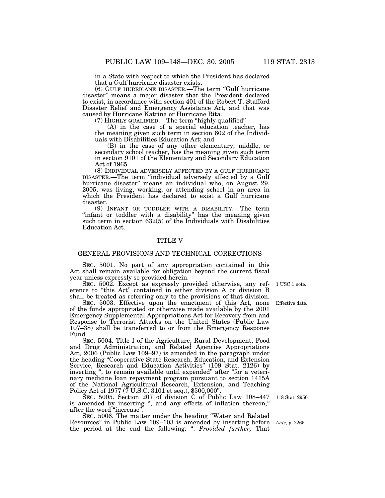in a State with respect to which the President has declared that a Gulf hurricane disaster exists.

(6) GULF HURRICANE DISASTER.—The term ''Gulf hurricane disaster'' means a major disaster that the President declared to exist, in accordance with section 401 of the Robert T. Stafford Disaster Relief and Emergency Assistance Act, and that was caused by Hurricane Katrina or Hurricane Rita.

(7) HIGHLY QUALIFIED.—The term ''highly qualified''—

(A) in the case of a special education teacher, has the meaning given such term in section 602 of the Individuals with Disabilities Education Act; and

(B) in the case of any other elementary, middle, or secondary school teacher, has the meaning given such term in section 9101 of the Elementary and Secondary Education Act of 1965.

(8) INDIVIDUAL ADVERSELY AFFECTED BY A GULF HURRICANE DISASTER.—The term ''individual adversely affected by a Gulf hurricane disaster" means an individual who, on August 29, 2005, was living, working, or attending school in an area in which the President has declared to exist a Gulf hurricane disaster.

(9) INFANT OR TODDLER WITH A DISABILITY.—The term "infant or toddler with a disability" has the meaning given such term in section 632(5) of the Individuals with Disabilities Education Act.

### TITLE V

### GENERAL PROVISIONS AND TECHNICAL CORRECTIONS

SEC. 5001. No part of any appropriation contained in this Act shall remain available for obligation beyond the current fiscal year unless expressly so provided herein.

SEC. 5002. Except as expressly provided otherwise, any reference to "this Act" contained in either division A or division B shall be treated as referring only to the provisions of that division.

SEC. 5003. Effective upon the enactment of this Act, none of the funds appropriated or otherwise made available by the 2001 Emergency Supplemental Appropriations Act for Recovery from and Response to Terrorist Attacks on the United States (Public Law 107–38) shall be transferred to or from the Emergency Response Fund.

SEC. 5004. Title I of the Agriculture, Rural Development, Food and Drug Administration, and Related Agencies Appropriations Act, 2006 (Public Law 109–97) is amended in the paragraph under the heading ''Cooperative State Research, Education, and Extension Service, Research and Education Activities'' (109 Stat. 2126) by inserting ", to remain available until expended" after "for a veterinary medicine loan repayment program pursuant to section 1415A of the National Agricultural Research, Extension, and Teaching Policy Act of 1977 (7 U.S.C. 3101 et seq.), \$500,000''.

SEC. 5005. Section 207 of division C of Public Law 108–447 is amended by inserting ", and any effects of inflation thereon," after the word ''increase''.

SEC. 5006. The matter under the heading ''Water and Related Resources'' in Public Law 109–103 is amended by inserting before *Ante*, p. 2265. the period at the end the following: '': *Provided further,* That

1 USC 1 note.

Effective date.

118 Stat. 2950.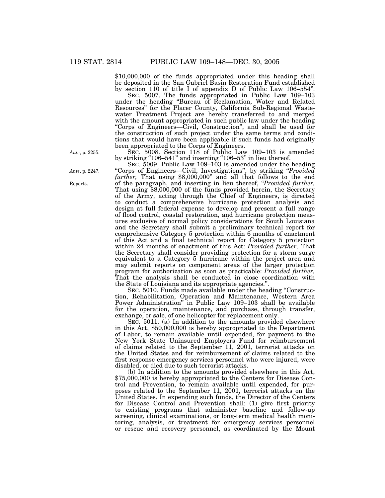\$10,000,000 of the funds appropriated under this heading shall be deposited in the San Gabriel Basin Restoration Fund established by section 110 of title I of appendix D of Public Law 106–554''.

SEC. 5007. The funds appropriated in Public Law 109–103 under the heading ''Bureau of Reclamation, Water and Related Resources'' for the Placer County, California Sub-Regional Wastewater Treatment Project are hereby transferred to and merged with the amount appropriated in such public law under the heading ''Corps of Engineers—Civil, Construction'', and shall be used for the construction of such project under the same terms and conditions that would have been applicable if such funds had originally been appropriated to the Corps of Engineers.

SEC. 5008. Section 118 of Public Law 109–103 is amended by striking "106–541" and inserting "106–53" in lieu thereof.

SEC. 5009. Public Law 109–103 is amended under the heading ''Corps of Engineers—Civil, Investigations'', by striking ''*Provided further*, That using \$8,000,000" and all that follows to the end of the paragraph, and inserting in lieu thereof, "*Provided further*, of the paragraph, and inserting in lieu thereof, ''*Provided further,* That using \$8,000,000 of the funds provided herein, the Secretary of the Army, acting through the Chief of Engineers, is directed to conduct a comprehensive hurricane protection analysis and design at full federal expense to develop and present a full range of flood control, coastal restoration, and hurricane protection measures exclusive of normal policy considerations for South Louisiana and the Secretary shall submit a preliminary technical report for comprehensive Category 5 protection within 6 months of enactment of this Act and a final technical report for Category 5 protection within 24 months of enactment of this Act: *Provided further,* That the Secretary shall consider providing protection for a storm surge equivalent to a Category 5 hurricane within the project area and may submit reports on component areas of the larger protection program for authorization as soon as practicable: *Provided further,* That the analysis shall be conducted in close coordination with the State of Louisiana and its appropriate agencies.''.

SEC. 5010. Funds made available under the heading ''Construction, Rehabilitation, Operation and Maintenance, Western Area Power Administration'' in Public Law 109–103 shall be available for the operation, maintenance, and purchase, through transfer, exchange, or sale, of one helicopter for replacement only.

SEC. 5011. (a) In addition to the amounts provided elsewhere in this Act, \$50,000,000 is hereby appropriated to the Department of Labor, to remain available until expended, for payment to the New York State Uninsured Employers Fund for reimbursement of claims related to the September 11, 2001, terrorist attacks on the United States and for reimbursement of claims related to the first response emergency services personnel who were injured, were disabled, or died due to such terrorist attacks.

(b) In addition to the amounts provided elsewhere in this Act, \$75,000,000 is hereby appropriated to the Centers for Disease Control and Prevention, to remain available until expended, for purposes related to the September 11, 2001, terrorist attacks on the United States. In expending such funds, the Director of the Centers for Disease Control and Prevention shall: (1) give first priority to existing programs that administer baseline and follow-up screening, clinical examinations, or long-term medical health monitoring, analysis, or treatment for emergency services personnel or rescue and recovery personnel, as coordinated by the Mount

*Ante*, p. 2255.

*Ante*, p. 2247.

Reports.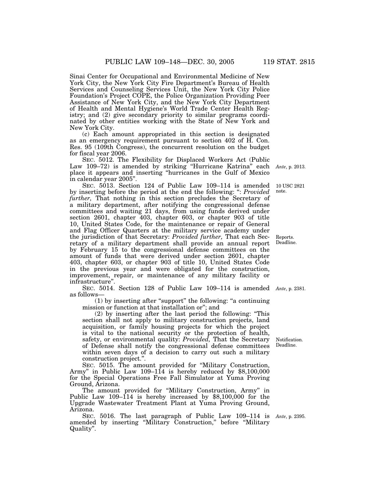Sinai Center for Occupational and Environmental Medicine of New York City, the New York City Fire Department's Bureau of Health Services and Counseling Services Unit, the New York City Police Foundation's Project COPE, the Police Organization Providing Peer Assistance of New York City, and the New York City Department of Health and Mental Hygiene's World Trade Center Health Registry; and (2) give secondary priority to similar programs coordinated by other entities working with the State of New York and New York City.

(c) Each amount appropriated in this section is designated as an emergency requirement pursuant to section 402 of H. Con. Res. 95 (109th Congress), the concurrent resolution on the budget for fiscal year 2006.

SEC. 5012. The Flexibility for Displaced Workers Act (Public Law 109–72) is amended by striking "Hurricane Katrina" each place it appears and inserting ''hurricanes in the Gulf of Mexico in calendar year 2005''.

SEC. 5013. Section 124 of Public Law 109–114 is amended by inserting before the period at the end the following: '': *Provided further,* That nothing in this section precludes the Secretary of a military department, after notifying the congressional defense committees and waiting 21 days, from using funds derived under section 2601, chapter 403, chapter 603, or chapter 903 of title 10, United States Code, for the maintenance or repair of General and Flag Officer Quarters at the military service academy under the jurisdiction of that Secretary: *Provided further,* That each Secretary of a military department shall provide an annual report by February 15 to the congressional defense committees on the amount of funds that were derived under section 2601, chapter 403, chapter 603, or chapter 903 of title 10, United States Code in the previous year and were obligated for the construction, improvement, repair, or maintenance of any military facility or infrastructure''.

SEC. 5014. Section 128 of Public Law 109–114 is amended *Ante*, p. 2381. as follows—

(1) by inserting after ''support'' the following: ''a continuing mission or function at that installation or''; and

(2) by inserting after the last period the following: ''This section shall not apply to military construction projects, land acquisition, or family housing projects for which the project is vital to the national security or the protection of health, safety, or environmental quality: *Provided,* That the Secretary of Defense shall notify the congressional defense committees within seven days of a decision to carry out such a military construction project.''.

SEC. 5015. The amount provided for ''Military Construction, Army'' in Public Law 109–114 is hereby reduced by \$8,100,000 for the Special Operations Free Fall Simulator at Yuma Proving Ground, Arizona.

The amount provided for ''Military Construction, Army'' in Public Law 109–114 is hereby increased by \$8,100,000 for the Upgrade Wastewater Treatment Plant at Yuma Proving Ground, Arizona.

SEC. 5016. The last paragraph of Public Law 109–114 is *Ante*, p. 2395. amended by inserting ''Military Construction,'' before ''Military Quality''.

Notification. Deadline.

*Ante*, p. 2013.

10 USC 2821 note.

Reports. Deadline.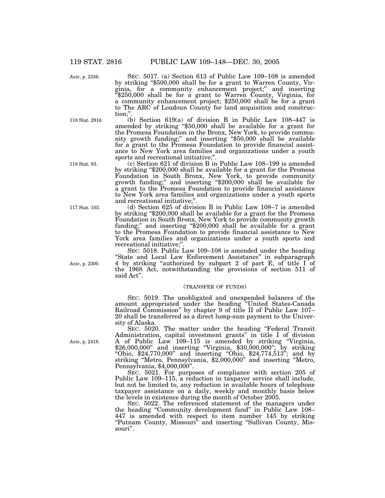*Ante*, p. 2336.

118 Stat. 2916.

SEC. 5017. (a) Section 613 of Public Law 109–108 is amended by striking ''\$500,000 shall be for a grant to Warren County, Virginia, for a community enhancement project;'' and inserting ''\$250,000 shall be for a grant to Warren County, Virginia, for a community enhancement project; \$250,000 shall be for a grant to The ARC of Loudoun County for land acquisition and construction;"

(b) Section 619(a) of division B in Public Law 108–447 is amended by striking ''\$50,000 shall be available for a grant for the Promesa Foundation in the Bronx, New York, to provide community growth funding;'' and inserting ''\$50,000 shall be available for a grant to the Promesa Foundation to provide financial assistance to New York area families and organizations under a youth sports and recreational initiative;"

(c) Section 621 of division B in Public Law 108–199 is amended by striking ''\$200,000 shall be available for a grant for the Promesa Foundation in South Bronx, New York, to provide community growth funding;'' and inserting ''\$200,000 shall be available for a grant to the Promesa Foundation to provide financial assistance to New York area families and organizations under a youth sports and recreational initiative;''.

(d) Section 625 of division B in Public Law 108–7 is amended by striking ''\$200,000 shall be available for a grant for the Promesa Foundation in South Bronx, New York to provide community growth funding;" and inserting "\$200,000 shall be available for a grant to the Promesa Foundation to provide financial assistance to New York area families and organizations under a youth sports and recreational initiative;"

SEC. 5018. Public Law 109–108 is amended under the heading "State and Local Law Enforcement Assistance" in subparagraph 4 by striking ''authorized by subpart 2 of part E, of title I of the 1968 Act, notwithstanding the provisions of section 511 of said Act''.

### (TRANSFER OF FUNDS)

SEC. 5019. The unobligated and unexpended balances of the amount appropriated under the heading ''United States-Canada Railroad Commission'' by chapter 9 of title II of Public Law 107– 20 shall be transferred as a direct lump-sum payment to the University of Alaska.

SEC. 5020. The matter under the heading "Federal Transit Administration, capital investment grants'' in title I of division A of Public Law 109–115 is amended by striking "Virginia, \$26,000,000'' and inserting ''Virginia, \$30,000,000''; by striking ''Ohio, \$24,770,000'' and inserting ''Ohio, \$24,774,513''; and by striking ''Metro, Pennsylvania, \$2,000,000'' and inserting ''Metro, Pennsylvania, \$4,000,000".

SEC. 5021. For purposes of compliance with section 205 of Public Law 109–115, a reduction in taxpayer service shall include, but not be limited to, any reduction in available hours of telephone taxpayer assistance on a daily, weekly and monthly basis below the levels in existence during the month of October 2005.

SEC. 5022. The referenced statement of the managers under the heading ''Community development fund'' in Public Law 108– 447 is amended with respect to item number 145 by striking "Putnam County, Missouri" and inserting "Sullivan County, Missouri''.

117 Stat. 103.

118 Stat. 93.

*Ante*, p. 2300.

*Ante*, p. 2418.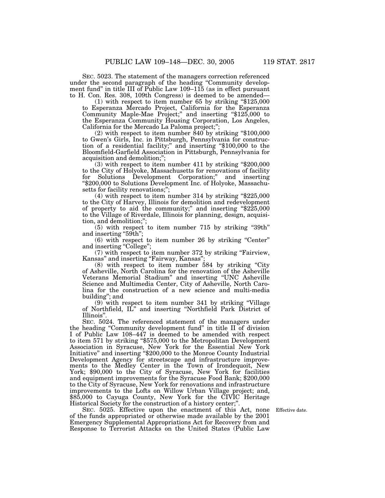SEC. 5023. The statement of the managers correction referenced under the second paragraph of the heading ''Community development fund'' in title III of Public Law 109–115 (as in effect pursuant to H. Con. Res. 308, 109th Congress) is deemed to be amended—

 $(1)$  with respect to item number 65 by striking "\$125,000 to Esperanza Mercado Project, California for the Esperanza Community Maple-Mae Project;'' and inserting ''\$125,000 to the Esperanza Community Housing Corporation, Los Angeles, California for the Mercado La Paloma project;'';

 $(2)$  with respect to item number  $\overline{840}$  by striking "\$100,000 to Gwen's Girls, Inc. in Pittsburgh, Pennsylvania for construction of a residential facility;'' and inserting ''\$100,000 to the Bloomfield-Garfield Association in Pittsburgh, Pennsylvania for acquisition and demolition;'';

 $(3)$  with respect to item number 411 by striking "\$200,000 to the City of Holyoke, Massachusetts for renovations of facility for Solutions Development Corporation;'' and inserting ''\$200,000 to Solutions Development Inc. of Holyoke, Massachusetts for facility renovations;'';

(4) with respect to item number 314 by striking ''\$225,000 to the City of Harvey, Illinois for demolition and redevelopment of property to aid the community;'' and inserting ''\$225,000 to the Village of Riverdale, Illinois for planning, design, acquisition, and demolition;'';

(5) with respect to item number 715 by striking ''39th'' and inserting "59th";

(6) with respect to item number 26 by striking ''Center'' and inserting "College";

(7) with respect to item number 372 by striking ''Fairview, Kansas'' and inserting ''Fairway, Kansas'';

(8) with respect to item number 584 by striking ''City of Asheville, North Carolina for the renovation of the Asheville Veterans Memorial Stadium'' and inserting ''UNC Asheville Science and Multimedia Center, City of Asheville, North Carolina for the construction of a new science and multi-media building''; and

(9) with respect to item number 341 by striking ''Village of Northfield, IL'' and inserting ''Northfield Park District of Illinois''.

SEC. 5024. The referenced statement of the managers under the heading ''Community development fund'' in title II of division I of Public Law 108–447 is deemed to be amended with respect to item 571 by striking "\$575,000 to the Metropolitan Development Association in Syracuse, New York for the Essential New York Initiative'' and inserting ''\$200,000 to the Monroe County Industrial Development Agency for streetscape and infrastructure improvements to the Medley Center in the Town of Irondequoit, New York; \$90,000 to the City of Syracuse, New York for facilities and equipment improvements for the Syracuse Food Bank; \$200,000 to the City of Syracuse, New York for renovations and infrastructure improvements to the Lofts on Willow Urban Village project; and, \$85,000 to Cayuga County, New York for the CIVIC Heritage Historical Society for the construction of a history center;"

SEC. 5025. Effective upon the enactment of this Act, none of the funds appropriated or otherwise made available by the 2001 Emergency Supplemental Appropriations Act for Recovery from and Response to Terrorist Attacks on the United States (Public Law

Effective date.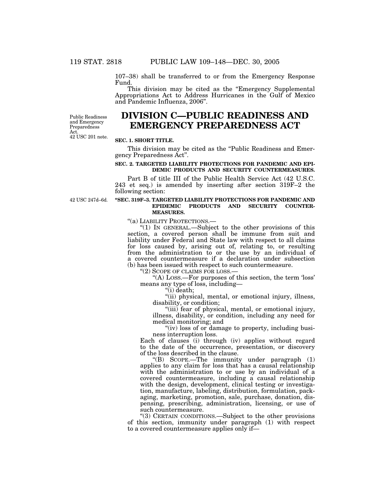107–38) shall be transferred to or from the Emergency Response Fund.

This division may be cited as the "Emergency Supplemental Appropriations Act to Address Hurricanes in the Gulf of Mexico and Pandemic Influenza, 2006''.

Public Readiness and Emergency Preparedness Act. 42 USC 201 note.

# **DIVISION C—PUBLIC READINESS AND EMERGENCY PREPAREDNESS ACT**

### **SEC. 1. SHORT TITLE.**

This division may be cited as the "Public Readiness and Emergency Preparedness Act''.

## **SEC. 2. TARGETED LIABILITY PROTECTIONS FOR PANDEMIC AND EPI-DEMIC PRODUCTS AND SECURITY COUNTERMEASURES.**

Part B of title III of the Public Health Service Act (42 U.S.C. 243 et seq.) is amended by inserting after section 319F–2 the following section:

42 USC 247d–6d.

### **''SEC. 319F–3. TARGETED LIABILITY PROTECTIONS FOR PANDEMIC AND EPIDEMIC PRODUCTS AND SECURITY COUNTER-MEASURES.**

''(a) LIABILITY PROTECTIONS.—

"(1) IN GENERAL.—Subject to the other provisions of this section, a covered person shall be immune from suit and liability under Federal and State law with respect to all claims for loss caused by, arising out of, relating to, or resulting from the administration to or the use by an individual of a covered countermeasure if a declaration under subsection (b) has been issued with respect to such countermeasure.

"(2) SCOPE OF CLAIMS FOR LOSS.

''(A) LOSS.—For purposes of this section, the term 'loss' means any type of loss, including—

''(i) death;

"(ii) physical, mental, or emotional injury, illness, disability, or condition;

"(iii) fear of physical, mental, or emotional injury, illness, disability, or condition, including any need for medical monitoring; and

"(iv) loss of or damage to property, including business interruption loss.

Each of clauses (i) through (iv) applies without regard to the date of the occurrence, presentation, or discovery of the loss described in the clause.

''(B) SCOPE.—The immunity under paragraph (1) applies to any claim for loss that has a causal relationship with the administration to or use by an individual of a covered countermeasure, including a causal relationship with the design, development, clinical testing or investigation, manufacture, labeling, distribution, formulation, packaging, marketing, promotion, sale, purchase, donation, dispensing, prescribing, administration, licensing, or use of such countermeasure.

''(3) CERTAIN CONDITIONS.—Subject to the other provisions of this section, immunity under paragraph (1) with respect to a covered countermeasure applies only if—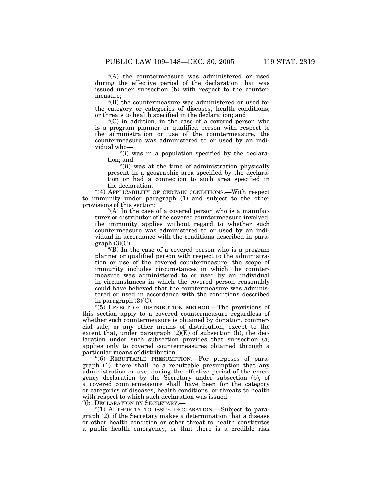''(A) the countermeasure was administered or used during the effective period of the declaration that was issued under subsection (b) with respect to the countermeasure;

"(B) the countermeasure was administered or used for the category or categories of diseases, health conditions, or threats to health specified in the declaration; and

 $(C)$  in addition, in the case of a covered person who is a program planner or qualified person with respect to the administration or use of the countermeasure, the countermeasure was administered to or used by an individual who—

"(i) was in a population specified by the declaration; and

"(ii) was at the time of administration physically present in a geographic area specified by the declaration or had a connection to such area specified in the declaration.

"(4) APPLICABILITY OF CERTAIN CONDITIONS. - With respect to immunity under paragraph (1) and subject to the other provisions of this section:

"(A) In the case of a covered person who is a manufacturer or distributor of the covered countermeasure involved, the immunity applies without regard to whether such countermeasure was administered to or used by an individual in accordance with the conditions described in para $graph (3)(C)$ .

''(B) In the case of a covered person who is a program planner or qualified person with respect to the administration or use of the covered countermeasure, the scope of immunity includes circumstances in which the countermeasure was administered to or used by an individual in circumstances in which the covered person reasonably could have believed that the countermeasure was administered or used in accordance with the conditions described in paragraph (3)(C).

" $(5)$  EFFECT OF DISTRIBUTION METHOD.—The provisions of this section apply to a covered countermeasure regardless of whether such countermeasure is obtained by donation, commercial sale, or any other means of distribution, except to the extent that, under paragraph  $(2)(E)$  of subsection (b), the declaration under such subsection provides that subsection (a) applies only to covered countermeasures obtained through a particular means of distribution.

''(6) REBUTTABLE PRESUMPTION.—For purposes of paragraph (1), there shall be a rebuttable presumption that any administration or use, during the effective period of the emergency declaration by the Secretary under subsection (b), of a covered countermeasure shall have been for the category or categories of diseases, health conditions, or threats to health with respect to which such declaration was issued.

''(b) DECLARATION BY SECRETARY.—

''(1) AUTHORITY TO ISSUE DECLARATION.—Subject to paragraph (2), if the Secretary makes a determination that a disease or other health condition or other threat to health constitutes a public health emergency, or that there is a credible risk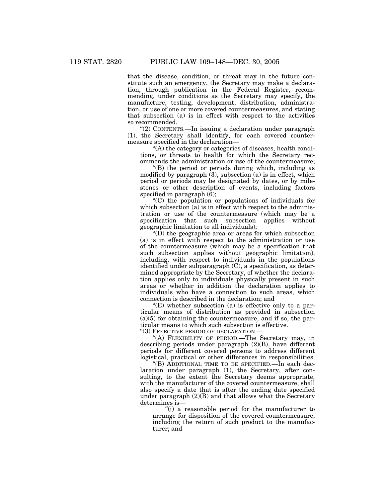that the disease, condition, or threat may in the future constitute such an emergency, the Secretary may make a declaration, through publication in the Federal Register, recommending, under conditions as the Secretary may specify, the manufacture, testing, development, distribution, administration, or use of one or more covered countermeasures, and stating that subsection (a) is in effect with respect to the activities so recommended.

''(2) CONTENTS.—In issuing a declaration under paragraph (1), the Secretary shall identify, for each covered countermeasure specified in the declaration—

 $\hat{A}$ ) the category or categories of diseases, health conditions, or threats to health for which the Secretary recommends the administration or use of the countermeasure;

 $\mathrm{``(B)}$  the period or periods during which, including as modified by paragraph (3), subsection (a) is in effect, which period or periods may be designated by dates, or by milestones or other description of events, including factors specified in paragraph  $(\bar{6})$ ;

''(C) the population or populations of individuals for which subsection (a) is in effect with respect to the administration or use of the countermeasure (which may be a specification that such subsection applies without geographic limitation to all individuals);

''(D) the geographic area or areas for which subsection (a) is in effect with respect to the administration or use of the countermeasure (which may be a specification that such subsection applies without geographic limitation), including, with respect to individuals in the populations identified under subparagraph (C), a specification, as determined appropriate by the Secretary, of whether the declaration applies only to individuals physically present in such areas or whether in addition the declaration applies to individuals who have a connection to such areas, which connection is described in the declaration; and

" $(E)$  whether subsection (a) is effective only to a particular means of distribution as provided in subsection  $(a)(5)$  for obtaining the countermeasure, and if so, the particular means to which such subsection is effective.

"(3) EFFECTIVE PERIOD OF DECLARATION.-

''(A) FLEXIBILITY OF PERIOD.—The Secretary may, in describing periods under paragraph (2)(B), have different periods for different covered persons to address different logistical, practical or other differences in responsibilities.

''(B) ADDITIONAL TIME TO BE SPECIFIED.—In each declaration under paragraph (1), the Secretary, after consulting, to the extent the Secretary deems appropriate, with the manufacturer of the covered countermeasure, shall also specify a date that is after the ending date specified under paragraph (2)(B) and that allows what the Secretary determines is—

''(i) a reasonable period for the manufacturer to arrange for disposition of the covered countermeasure, including the return of such product to the manufacturer; and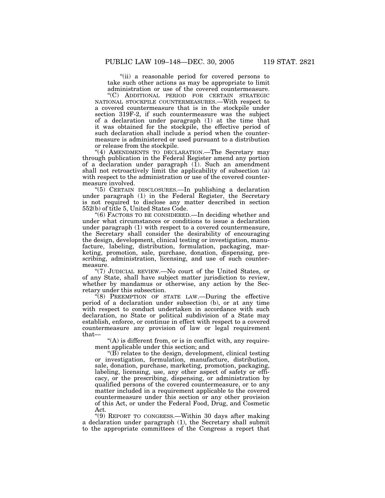''(ii) a reasonable period for covered persons to take such other actions as may be appropriate to limit administration or use of the covered countermeasure.

''(C) ADDITIONAL PERIOD FOR CERTAIN STRATEGIC NATIONAL STOCKPILE COUNTERMEASURES.—With respect to a covered countermeasure that is in the stockpile under section 319F-2, if such countermeasure was the subject of a declaration under paragraph (1) at the time that it was obtained for the stockpile, the effective period of such declaration shall include a period when the countermeasure is administered or used pursuant to a distribution or release from the stockpile.

"(4) AMENDMENTS TO DECLARATION.—The Secretary may through publication in the Federal Register amend any portion of a declaration under paragraph  $(I)$ . Such an amendment shall not retroactively limit the applicability of subsection (a) with respect to the administration or use of the covered countermeasure involved.

''(5) CERTAIN DISCLOSURES.—In publishing a declaration under paragraph (1) in the Federal Register, the Secretary is not required to disclose any matter described in section 552(b) of title 5, United States Code.

''(6) FACTORS TO BE CONSIDERED.—In deciding whether and under what circumstances or conditions to issue a declaration under paragraph (1) with respect to a covered countermeasure, the Secretary shall consider the desirability of encouraging the design, development, clinical testing or investigation, manufacture, labeling, distribution, formulation, packaging, marketing, promotion, sale, purchase, donation, dispensing, prescribing, administration, licensing, and use of such countermeasure.

''(7) JUDICIAL REVIEW.—No court of the United States, or of any State, shall have subject matter jurisdiction to review, whether by mandamus or otherwise, any action by the Secretary under this subsection.

"(8) PREEMPTION OF STATE LAW.—During the effective period of a declaration under subsection (b), or at any time with respect to conduct undertaken in accordance with such declaration, no State or political subdivision of a State may establish, enforce, or continue in effect with respect to a covered countermeasure any provision of law or legal requirement that—

"(A) is different from, or is in conflict with, any requirement applicable under this section; and

''(B) relates to the design, development, clinical testing or investigation, formulation, manufacture, distribution, sale, donation, purchase, marketing, promotion, packaging, labeling, licensing, use, any other aspect of safety or efficacy, or the prescribing, dispensing, or administration by qualified persons of the covered countermeasure, or to any matter included in a requirement applicable to the covered countermeasure under this section or any other provision of this Act, or under the Federal Food, Drug, and Cosmetic Act.

''(9) REPORT TO CONGRESS.—Within 30 days after making a declaration under paragraph (1), the Secretary shall submit to the appropriate committees of the Congress a report that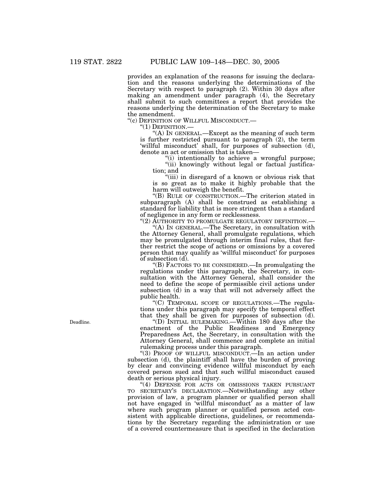provides an explanation of the reasons for issuing the declaration and the reasons underlying the determinations of the Secretary with respect to paragraph (2). Within 30 days after making an amendment under paragraph (4), the Secretary shall submit to such committees a report that provides the reasons underlying the determination of the Secretary to make the amendment.<br>"(c) DEFINITION OF WILLFUL MISCONDUCT.—

"(1) DEFINITION.—<br>"(A) IN GENERAL.—Except as the meaning of such term is further restricted pursuant to paragraph (2), the term 'willful misconduct' shall, for purposes of subsection (d), denote an act or omission that is taken—

''(i) intentionally to achieve a wrongful purpose; "(ii) knowingly without legal or factual justification; and

''(iii) in disregard of a known or obvious risk that is so great as to make it highly probable that the harm will outweigh the benefit.

''(B) RULE OF CONSTRUCTION.—The criterion stated in subparagraph (A) shall be construed as establishing a standard for liability that is more stringent than a standard of negligence in any form or recklessness.

"(2) AUTHORITY TO PROMULGATE REGULATORY DEFINITION.—

''(A) IN GENERAL.—The Secretary, in consultation with the Attorney General, shall promulgate regulations, which may be promulgated through interim final rules, that further restrict the scope of actions or omissions by a covered person that may qualify as 'willful misconduct' for purposes of subsection (d).

''(B) FACTORS TO BE CONSIDERED.—In promulgating the regulations under this paragraph, the Secretary, in consultation with the Attorney General, shall consider the need to define the scope of permissible civil actions under subsection (d) in a way that will not adversely affect the public health.

''(C) TEMPORAL SCOPE OF REGULATIONS.—The regulations under this paragraph may specify the temporal effect that they shall be given for purposes of subsection (d).

''(D) INITIAL RULEMAKING.—Within 180 days after the enactment of the Public Readiness and Emergency Preparedness Act, the Secretary, in consultation with the Attorney General, shall commence and complete an initial rulemaking process under this paragraph.

"(3) PROOF OF WILLFUL MISCONDUCT.—In an action under subsection (d), the plaintiff shall have the burden of proving by clear and convincing evidence willful misconduct by each covered person sued and that such willful misconduct caused death or serious physical injury.

''(4) DEFENSE FOR ACTS OR OMISSIONS TAKEN PURSUANT TO SECRETARY'S DECLARATION.—Notwithstanding any other provision of law, a program planner or qualified person shall not have engaged in 'willful misconduct' as a matter of law where such program planner or qualified person acted consistent with applicable directions, guidelines, or recommendations by the Secretary regarding the administration or use of a covered countermeasure that is specified in the declaration

Deadline.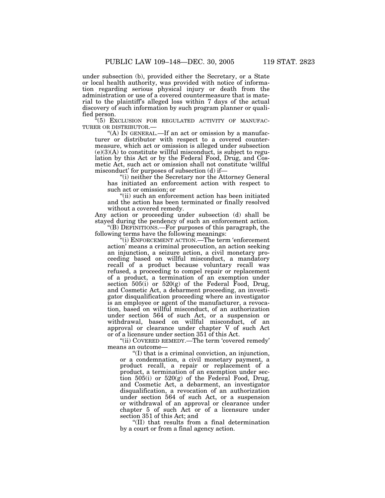under subsection (b), provided either the Secretary, or a State or local health authority, was provided with notice of information regarding serious physical injury or death from the administration or use of a covered countermeasure that is material to the plaintiff's alleged loss within 7 days of the actual discovery of such information by such program planner or qualified person.<br>"(5) EXCLUSION FOR REGULATED ACTIVITY OF MANUFAC-

TURER OR DISTRIBUTOR.—<br>"(A) IN GENERAL.—If an act or omission by a manufac-

turer or distributor with respect to a covered countermeasure, which act or omission is alleged under subsection  $(e)(3)(A)$  to constitute willful misconduct, is subject to regulation by this Act or by the Federal Food, Drug, and Cosmetic Act, such act or omission shall not constitute 'willful misconduct' for purposes of subsection (d) if—

''(i) neither the Secretary nor the Attorney General has initiated an enforcement action with respect to such act or omission; or

"(ii) such an enforcement action has been initiated and the action has been terminated or finally resolved without a covered remedy.

Any action or proceeding under subsection (d) shall be stayed during the pendency of such an enforcement action. ''(B) DEFINITIONS.—For purposes of this paragraph, the

following terms have the following meanings:

''(i) ENFORCEMENT ACTION.—The term 'enforcement action' means a criminal prosecution, an action seeking an injunction, a seizure action, a civil monetary proceeding based on willful misconduct, a mandatory recall of a product because voluntary recall was refused, a proceeding to compel repair or replacement of a product, a termination of an exemption under section  $505(i)$  or  $520(g)$  of the Federal Food, Drug, and Cosmetic Act, a debarment proceeding, an investigator disqualification proceeding where an investigator is an employee or agent of the manufacturer, a revocation, based on willful misconduct, of an authorization under section 564 of such Act, or a suspension or withdrawal, based on willful misconduct, of an approval or clearance under chapter V of such Act or of a licensure under section 351 of this Act.

''(ii) COVERED REMEDY.—The term 'covered remedy' means an outcome—

''(I) that is a criminal conviction, an injunction, or a condemnation, a civil monetary payment, a product recall, a repair or replacement of a product, a termination of an exemption under section 505(i) or 520(g) of the Federal Food, Drug, and Cosmetic Act, a debarment, an investigator disqualification, a revocation of an authorization under section 564 of such Act, or a suspension or withdrawal of an approval or clearance under chapter 5 of such Act or of a licensure under section 351 of this Act; and

''(II) that results from a final determination by a court or from a final agency action.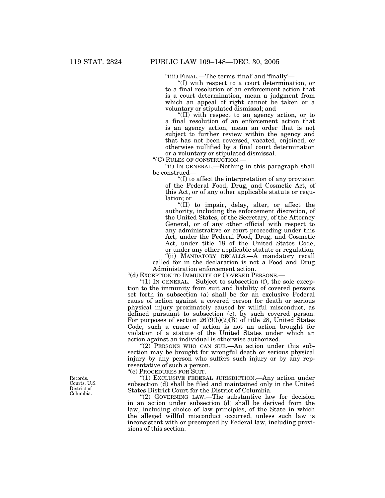''(iii) FINAL.—The terms 'final' and 'finally'—

''(I) with respect to a court determination, or to a final resolution of an enforcement action that is a court determination, mean a judgment from which an appeal of right cannot be taken or a voluntary or stipulated dismissal; and

''(II) with respect to an agency action, or to a final resolution of an enforcement action that is an agency action, mean an order that is not subject to further review within the agency and that has not been reversed, vacated, enjoined, or otherwise nullified by a final court determination or a voluntary or stipulated dismissal.

''(C) RULES OF CONSTRUCTION.—

''(i) IN GENERAL.—Nothing in this paragraph shall be construed—

''(I) to affect the interpretation of any provision of the Federal Food, Drug, and Cosmetic Act, of this Act, or of any other applicable statute or regulation; or

''(II) to impair, delay, alter, or affect the authority, including the enforcement discretion, of the United States, of the Secretary, of the Attorney General, or of any other official with respect to any administrative or court proceeding under this Act, under the Federal Food, Drug, and Cosmetic Act, under title 18 of the United States Code, or under any other applicable statute or regulation. "(ii) MANDATORY RECALLS. A mandatory recall

called for in the declaration is not a Food and Drug Administration enforcement action.

''(d) EXCEPTION TO IMMUNITY OF COVERED PERSONS.—

"(1) IN GENERAL.—Subject to subsection  $(f)$ , the sole exception to the immunity from suit and liability of covered persons set forth in subsection (a) shall be for an exclusive Federal cause of action against a covered person for death or serious physical injury proximately caused by willful misconduct, as defined pursuant to subsection (c), by such covered person. For purposes of section  $2679(b)(2)(B)$  of title 28, United States Code, such a cause of action is not an action brought for violation of a statute of the United States under which an action against an individual is otherwise authorized.

" $(2)$  PERSONS WHO CAN SUE.—An action under this subsection may be brought for wrongful death or serious physical injury by any person who suffers such injury or by any representative of such a person.

''(e) PROCEDURES FOR SUIT.—

''(1) EXCLUSIVE FEDERAL JURISDICTION.—Any action under subsection (d) shall be filed and maintained only in the United States District Court for the District of Columbia.

''(2) GOVERNING LAW.—The substantive law for decision in an action under subsection (d) shall be derived from the law, including choice of law principles, of the State in which the alleged willful misconduct occurred, unless such law is inconsistent with or preempted by Federal law, including provisions of this section.

Records. Courts, U.S. District of Columbia.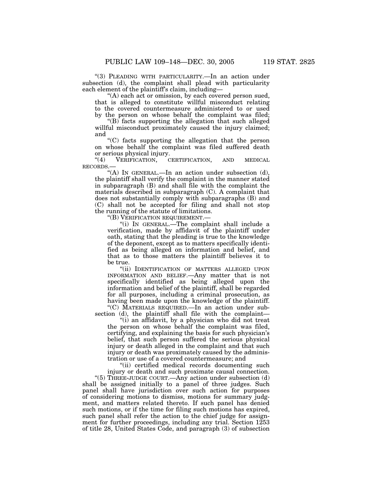''(3) PLEADING WITH PARTICULARITY.—In an action under subsection (d), the complaint shall plead with particularity

each element of the plaintiff's claim, including— ''(A) each act or omission, by each covered person sued, that is alleged to constitute willful misconduct relating to the covered countermeasure administered to or used

by the person on whose behalf the complaint was filed;  $\mathrm{``(B)}$  facts supporting the allegation that such alleged willful misconduct proximately caused the injury claimed;

and

''(C) facts supporting the allegation that the person on whose behalf the complaint was filed suffered death or serious physical injury.<br>
"(4) VERIFICATION, C

CERTIFICATION, AND MEDICAL RECORDS.—

''(A) IN GENERAL.—In an action under subsection (d), the plaintiff shall verify the complaint in the manner stated in subparagraph (B) and shall file with the complaint the materials described in subparagraph (C). A complaint that does not substantially comply with subparagraphs (B) and (C) shall not be accepted for filing and shall not stop the running of the statute of limitations.

''(B) VERIFICATION REQUIREMENT.—

''(i) IN GENERAL.—The complaint shall include a verification, made by affidavit of the plaintiff under oath, stating that the pleading is true to the knowledge of the deponent, except as to matters specifically identified as being alleged on information and belief, and that as to those matters the plaintiff believes it to be true.

''(ii) IDENTIFICATION OF MATTERS ALLEGED UPON INFORMATION AND BELIEF.—Any matter that is not specifically identified as being alleged upon the information and belief of the plaintiff, shall be regarded for all purposes, including a criminal prosecution, as having been made upon the knowledge of the plaintiff. ''(C) MATERIALS REQUIRED.—In an action under sub-

section (d), the plaintiff shall file with the complaint—

''(i) an affidavit, by a physician who did not treat the person on whose behalf the complaint was filed, certifying, and explaining the basis for such physician's belief, that such person suffered the serious physical injury or death alleged in the complaint and that such injury or death was proximately caused by the administration or use of a covered countermeasure; and

"(ii) certified medical records documenting such injury or death and such proximate causal connection.

''(5) THREE-JUDGE COURT.—Any action under subsection (d) shall be assigned initially to a panel of three judges. Such panel shall have jurisdiction over such action for purposes of considering motions to dismiss, motions for summary judgment, and matters related thereto. If such panel has denied such motions, or if the time for filing such motions has expired, such panel shall refer the action to the chief judge for assignment for further proceedings, including any trial. Section 1253 of title 28, United States Code, and paragraph (3) of subsection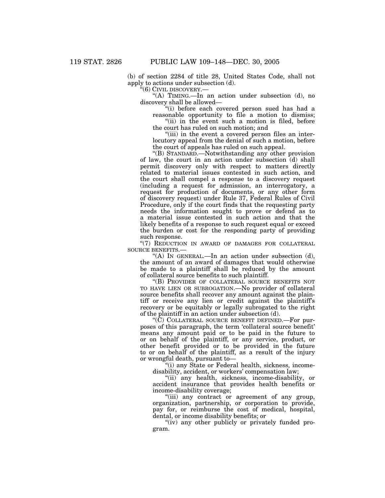(b) of section 2284 of title 28, United States Code, shall not apply to actions under subsection (d).

''(6) CIVIL DISCOVERY.—

''(A) TIMING.—In an action under subsection (d), no discovery shall be allowed—

''(i) before each covered person sued has had a reasonable opportunity to file a motion to dismiss;

"(ii) in the event such a motion is filed, before the court has ruled on such motion; and

"(iii) in the event a covered person files an interlocutory appeal from the denial of such a motion, before the court of appeals has ruled on such appeal.

''(B) STANDARD.—Notwithstanding any other provision of law, the court in an action under subsection (d) shall permit discovery only with respect to matters directly related to material issues contested in such action, and the court shall compel a response to a discovery request (including a request for admission, an interrogatory, a request for production of documents, or any other form of discovery request) under Rule 37, Federal Rules of Civil Procedure, only if the court finds that the requesting party needs the information sought to prove or defend as to a material issue contested in such action and that the likely benefits of a response to such request equal or exceed the burden or cost for the responding party of providing such response.

"(7) REDUCTION IN AWARD OF DAMAGES FOR COLLATERAL SOURCE BENEFITS.—

"(A) IN GENERAL.—In an action under subsection  $(d)$ , the amount of an award of damages that would otherwise be made to a plaintiff shall be reduced by the amount of collateral source benefits to such plaintiff.

''(B) PROVIDER OF COLLATERAL SOURCE BENEFITS NOT TO HAVE LIEN OR SUBROGATION.—No provider of collateral source benefits shall recover any amount against the plaintiff or receive any lien or credit against the plaintiff's recovery or be equitably or legally subrogated to the right of the plaintiff in an action under subsection (d).

''(C) COLLATERAL SOURCE BENEFIT DEFINED.—For purposes of this paragraph, the term 'collateral source benefit' means any amount paid or to be paid in the future to or on behalf of the plaintiff, or any service, product, or other benefit provided or to be provided in the future to or on behalf of the plaintiff, as a result of the injury or wrongful death, pursuant to—

''(i) any State or Federal health, sickness, incomedisability, accident, or workers' compensation law;

''(ii) any health, sickness, income-disability, or accident insurance that provides health benefits or income-disability coverage;

"(iii) any contract or agreement of any group, organization, partnership, or corporation to provide, pay for, or reimburse the cost of medical, hospital, dental, or income disability benefits; or

"(iv) any other publicly or privately funded program.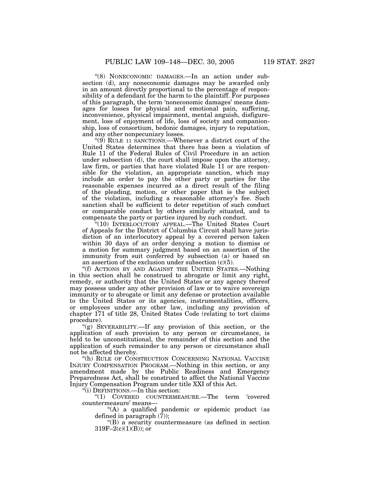''(8) NONECONOMIC DAMAGES.—In an action under subsection (d), any noneconomic damages may be awarded only in an amount directly proportional to the percentage of responsibility of a defendant for the harm to the plaintiff. For purposes of this paragraph, the term 'noneconomic damages' means damages for losses for physical and emotional pain, suffering, inconvenience, physical impairment, mental anguish, disfigurement, loss of enjoyment of life, loss of society and companionship, loss of consortium, hedonic damages, injury to reputation, and any other nonpecuniary losses.

''(9) RULE 11 SANCTIONS.—Whenever a district court of the United States determines that there has been a violation of Rule 11 of the Federal Rules of Civil Procedure in an action under subsection (d), the court shall impose upon the attorney, law firm, or parties that have violated Rule 11 or are responsible for the violation, an appropriate sanction, which may include an order to pay the other party or parties for the reasonable expenses incurred as a direct result of the filing of the pleading, motion, or other paper that is the subject of the violation, including a reasonable attorney's fee. Such sanction shall be sufficient to deter repetition of such conduct or comparable conduct by others similarly situated, and to compensate the party or parties injured by such conduct.

''(10) INTERLOCUTORY APPEAL.—The United States Court of Appeals for the District of Columbia Circuit shall have jurisdiction of an interlocutory appeal by a covered person taken within 30 days of an order denying a motion to dismiss or a motion for summary judgment based on an assertion of the immunity from suit conferred by subsection (a) or based on an assertion of the exclusion under subsection (c)(5).

''(f) ACTIONS BY AND AGAINST THE UNITED STATES.—Nothing in this section shall be construed to abrogate or limit any right, remedy, or authority that the United States or any agency thereof may possess under any other provision of law or to waive sovereign immunity or to abrogate or limit any defense or protection available to the United States or its agencies, instrumentalities, officers, or employees under any other law, including any provision of chapter 171 of title 28, United States Code (relating to tort claims procedure).

''(g) SEVERABILITY.—If any provision of this section, or the application of such provision to any person or circumstance, is held to be unconstitutional, the remainder of this section and the application of such remainder to any person or circumstance shall not be affected thereby.

"(h) RULE OF CONSTRUCTION CONCERNING NATIONAL VACCINE INJURY COMPENSATION PROGRAM.—Nothing in this section, or any amendment made by the Public Readiness and Emergency Preparedness Act, shall be construed to affect the National Vaccine Injury Compensation Program under title XXI of this Act.

''(i) DEFINITIONS.—In this section:

''(1) COVERED COUNTERMEASURE.—The term 'covered countermeasure' means—

''(A) a qualified pandemic or epidemic product (as defined in paragraph (7));

''(B) a security countermeasure (as defined in section  $319F-2(c)(1)(B)$ ; or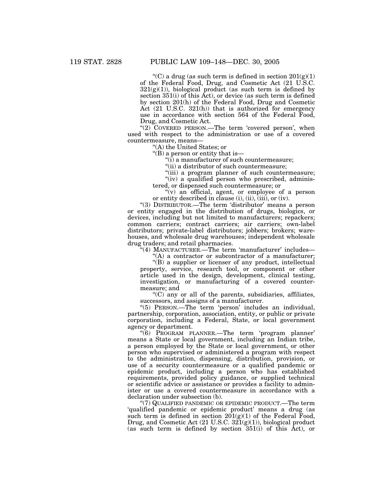$\rm ^{\circ}\! (C)$  a drug (as such term is defined in section 201(g)(1) of the Federal Food, Drug, and Cosmetic Act (21 U.S.C.  $321(g)(1)$ ), biological product (as such term is defined by section 351(i) of this Act), or device (as such term is defined by section 201(h) of the Federal Food, Drug and Cosmetic Act  $(21 \text{ U.S.C. } 321(h))$  that is authorized for emergency use in accordance with section 564 of the Federal Food, Drug, and Cosmetic Act.

" $(2)$  COVERED PERSON.—The term 'covered person', when used with respect to the administration or use of a covered countermeasure, means—

''(A) the United States; or

''(B) a person or entity that is—

 $\tilde{f}(i)$  a manufacturer of such countermeasure;

''(ii) a distributor of such countermeasure;

"(iii) a program planner of such countermeasure;

"(iv) a qualified person who prescribed, administered, or dispensed such countermeasure; or

"(v) an official, agent, or employee of a person or entity described in clause (i), (ii), (iii), or (iv).

''(3) DISTRIBUTOR.—The term 'distributor' means a person or entity engaged in the distribution of drugs, biologics, or devices, including but not limited to manufacturers; repackers; common carriers; contract carriers; air carriers; own-label distributors; private-label distributors; jobbers; brokers; warehouses, and wholesale drug warehouses; independent wholesale drug traders; and retail pharmacies.

''(4) MANUFACTURER.—The term 'manufacturer' includes—

 $(A)$  a contractor or subcontractor of a manufacturer;

''(B) a supplier or licenser of any product, intellectual property, service, research tool, or component or other article used in the design, development, clinical testing, investigation, or manufacturing of a covered countermeasure; and

''(C) any or all of the parents, subsidiaries, affiliates, successors, and assigns of a manufacturer.

"(5) PERSON.—The term 'person' includes an individual, partnership, corporation, association, entity, or public or private corporation, including a Federal, State, or local government agency or department.

''(6) PROGRAM PLANNER.—The term 'program planner' means a State or local government, including an Indian tribe, a person employed by the State or local government, or other person who supervised or administered a program with respect to the administration, dispensing, distribution, provision, or use of a security countermeasure or a qualified pandemic or epidemic product, including a person who has established requirements, provided policy guidance, or supplied technical or scientific advice or assistance or provides a facility to administer or use a covered countermeasure in accordance with a declaration under subsection (b).

"(7) QUALIFIED PANDEMIC OR EPIDEMIC PRODUCT.—The term 'qualified pandemic or epidemic product' means a drug (as such term is defined in section  $201(g)(1)$  of the Federal Food, Drug, and Cosmetic Act (21 U.S.C. 321(g)(1)), biological product (as such term is defined by section 351(i) of this Act), or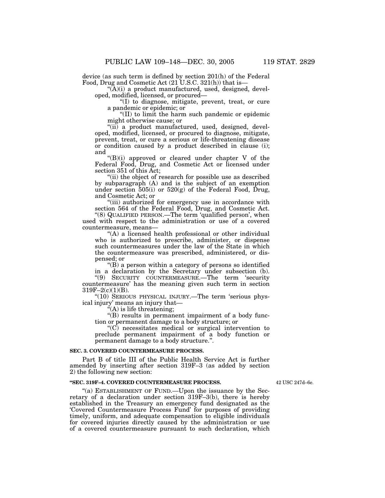device (as such term is defined by section 201(h) of the Federal Food, Drug and Cosmetic Act (21 U.S.C. 321(h)) that is—

 $\widetilde{A}$ (i) a product manufactured, used, designed, developed, modified, licensed, or procured—

''(I) to diagnose, mitigate, prevent, treat, or cure a pandemic or epidemic; or

''(II) to limit the harm such pandemic or epidemic might otherwise cause; or

"(ii) a product manufactured, used, designed, developed, modified, licensed, or procured to diagnose, mitigate, prevent, treat, or cure a serious or life-threatening disease or condition caused by a product described in clause (i); and

 $'(B)(i)$  approved or cleared under chapter V of the Federal Food, Drug, and Cosmetic Act or licensed under section 351 of this Act;

''(ii) the object of research for possible use as described by subparagraph (A) and is the subject of an exemption under section 505(i) or 520(g) of the Federal Food, Drug, and Cosmetic Act; or

"(iii) authorized for emergency use in accordance with section 564 of the Federal Food, Drug, and Cosmetic Act.

"(8) QUALIFIED PERSON.—The term 'qualified person', when used with respect to the administration or use of a covered countermeasure, means—

"(A) a licensed health professional or other individual who is authorized to prescribe, administer, or dispense such countermeasures under the law of the State in which the countermeasure was prescribed, administered, or dispensed; or

''(B) a person within a category of persons so identified in a declaration by the Secretary under subsection (b).

''(9) SECURITY COUNTERMEASURE.—The term 'security countermeasure' has the meaning given such term in section 319F–2(c)(1)(B).

"(10) SERIOUS PHYSICAL INJURY.—The term 'serious physical injury' means an injury that—

 $\mathbb{I}(A)$  is life threatening;

"(B) results in permanent impairment of a body function or permanent damage to a body structure; or

 $(C)$  necessitates medical or surgical intervention to preclude permanent impairment of a body function or permanent damage to a body structure.''.

## **SEC. 3. COVERED COUNTERMEASURE PROCESS.**

Part B of title III of the Public Health Service Act is further amended by inserting after section 319F–3 (as added by section 2) the following new section:

## **''SEC. 319F–4. COVERED COUNTERMEASURE PROCESS.**

42 USC 247d–6e.

''(a) ESTABLISHMENT OF FUND.—Upon the issuance by the Secretary of a declaration under section 319F–3(b), there is hereby established in the Treasury an emergency fund designated as the 'Covered Countermeasure Process Fund' for purposes of providing timely, uniform, and adequate compensation to eligible individuals for covered injuries directly caused by the administration or use of a covered countermeasure pursuant to such declaration, which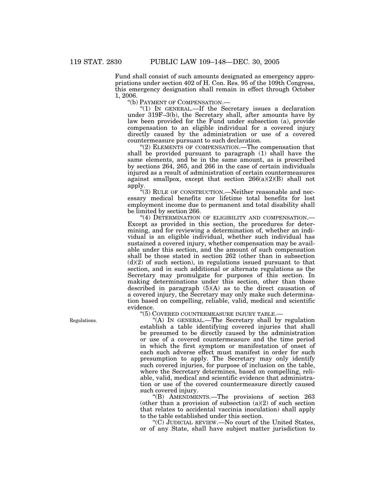Fund shall consist of such amounts designated as emergency appropriations under section 402 of H. Con. Res. 95 of the 109th Congress, this emergency designation shall remain in effect through October 1, 2006.

''(b) PAYMENT OF COMPENSATION.—

''(1) IN GENERAL.—If the Secretary issues a declaration under 319F–3(b), the Secretary shall, after amounts have by law been provided for the Fund under subsection (a), provide compensation to an eligible individual for a covered injury directly caused by the administration or use of a covered countermeasure pursuant to such declaration.

"(2) ELEMENTS OF COMPENSATION.—The compensation that shall be provided pursuant to paragraph (1) shall have the same elements, and be in the same amount, as is prescribed by sections 264, 265, and 266 in the case of certain individuals injured as a result of administration of certain countermeasures against smallpox, except that section 266(a)(2)(B) shall not apply.

''(3) RULE OF CONSTRUCTION.—Neither reasonable and necessary medical benefits nor lifetime total benefits for lost employment income due to permanent and total disability shall be limited by section 266.

"(4) DETERMINATION OF ELIGIBILITY AND COMPENSATION.-Except as provided in this section, the procedures for determining, and for reviewing a determination of, whether an individual is an eligible individual, whether such individual has sustained a covered injury, whether compensation may be available under this section, and the amount of such compensation shall be those stated in section 262 (other than in subsection  $(d)(2)$  of such section), in regulations issued pursuant to that section, and in such additional or alternate regulations as the Secretary may promulgate for purposes of this section. In making determinations under this section, other than those described in paragraph  $(5)(A)$  as to the direct causation of a covered injury, the Secretary may only make such determination based on compelling, reliable, valid, medical and scientific evidence.

''(5) COVERED COUNTERMEASURE INJURY TABLE.—

''(A) IN GENERAL.—The Secretary shall by regulation establish a table identifying covered injuries that shall be presumed to be directly caused by the administration or use of a covered countermeasure and the time period in which the first symptom or manifestation of onset of each such adverse effect must manifest in order for such presumption to apply. The Secretary may only identify such covered injuries, for purpose of inclusion on the table, where the Secretary determines, based on compelling, reliable, valid, medical and scientific evidence that administration or use of the covered countermeasure directly caused such covered injury.

''(B) AMENDMENTS.—The provisions of section 263 (other than a provision of subsection  $(a)(2)$  of such section that relates to accidental vaccinia inoculation) shall apply to the table established under this section.

''(C) JUDICIAL REVIEW.—No court of the United States, or of any State, shall have subject matter jurisdiction to

Regulations.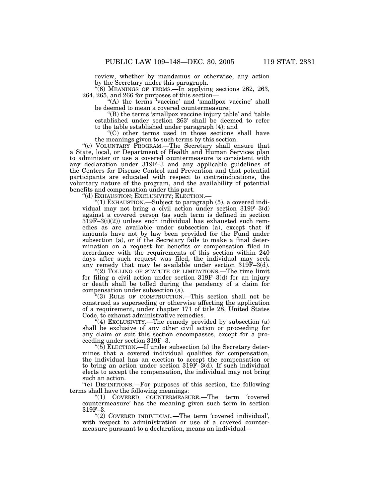review, whether by mandamus or otherwise, any action by the Secretary under this paragraph.

''(6) MEANINGS OF TERMS.—In applying sections 262, 263, 264, 265, and 266 for purposes of this section—

"(A) the terms 'vaccine' and 'smallpox vaccine' shall be deemed to mean a covered countermeasure;

''(B) the terms 'smallpox vaccine injury table' and 'table established under section 263' shall be deemed to refer to the table established under paragraph (4); and

''(C) other terms used in those sections shall have the meanings given to such terms by this section.

''(c) VOLUNTARY PROGRAM.—The Secretary shall ensure that a State, local, or Department of Health and Human Services plan to administer or use a covered countermeasure is consistent with any declaration under 319F–3 and any applicable guidelines of the Centers for Disease Control and Prevention and that potential participants are educated with respect to contraindications, the voluntary nature of the program, and the availability of potential benefits and compensation under this part.

''(d) EXHAUSTION; EXCLUSIVITY; ELECTION.—

 $(1)$  EXHAUSTION.—Subject to paragraph  $(5)$ , a covered individual may not bring a civil action under section 319F–3(d) against a covered person (as such term is defined in section  $3\overline{1}9\overline{F}-3(i)(2)$  unless such individual has exhausted such remedies as are available under subsection (a), except that if amounts have not by law been provided for the Fund under subsection (a), or if the Secretary fails to make a final determination on a request for benefits or compensation filed in accordance with the requirements of this section within 240 days after such request was filed, the individual may seek any remedy that may be available under section 319F–3(d).

"(2) TOLLING OF STATUTE OF LIMITATIONS.—The time limit for filing a civil action under section 319F–3(d) for an injury or death shall be tolled during the pendency of a claim for compensation under subsection (a).

''(3) RULE OF CONSTRUCTION.—This section shall not be construed as superseding or otherwise affecting the application of a requirement, under chapter 171 of title 28, United States Code, to exhaust administrative remedies.

"(4) EXCLUSIVITY.—The remedy provided by subsection (a) shall be exclusive of any other civil action or proceeding for any claim or suit this section encompasses, except for a proceeding under section 319F–3.

 $\degree$ (5) ELECTION.—If under subsection (a) the Secretary determines that a covered individual qualifies for compensation, the individual has an election to accept the compensation or to bring an action under section 319F–3(d). If such individual elects to accept the compensation, the individual may not bring such an action.

''(e) DEFINITIONS.—For purposes of this section, the following terms shall have the following meanings:

''(1) COVERED COUNTERMEASURE.—The term 'covered countermeasure' has the meaning given such term in section 319F–3.

"(2) COVERED INDIVIDUAL.—The term 'covered individual', with respect to administration or use of a covered countermeasure pursuant to a declaration, means an individual—